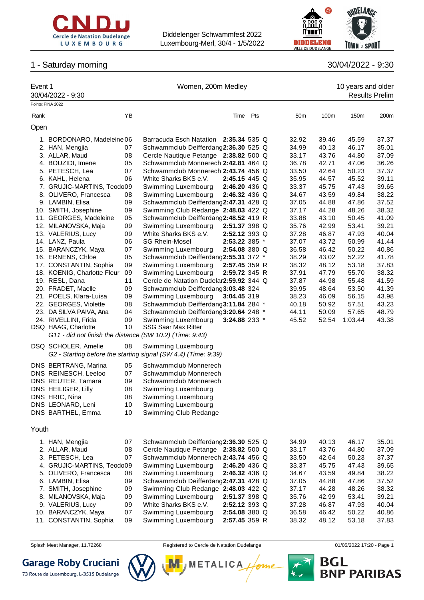



# 1 - Saturday morning

|  | 30/04/2022 - 9:30 |  |
|--|-------------------|--|
|  |                   |  |

| Event 1 | 30/04/2022 - 9:30                                        |          | Women, 200m Medley                                                                    |               |  |  |                 |                | 10 years and older<br><b>Results Prelim</b> |                |
|---------|----------------------------------------------------------|----------|---------------------------------------------------------------------------------------|---------------|--|--|-----------------|----------------|---------------------------------------------|----------------|
|         | Points: FINA 2022                                        |          |                                                                                       |               |  |  |                 |                |                                             |                |
| Rank    |                                                          | YB       |                                                                                       | Time Pts      |  |  | 50 <sub>m</sub> | 100m           | 150m                                        | 200m           |
| Open    |                                                          |          |                                                                                       |               |  |  |                 |                |                                             |                |
|         | 1. BORDONARO, Madeleine 06                               |          | Barracuda Esch Natation                                                               | 2:35.34 535 Q |  |  | 32.92           | 39.46          | 45.59                                       | 37.37          |
|         | 2. HAN, Mengjia                                          | 07       | Schwammclub Deifferdang2:36.30 525 Q                                                  |               |  |  | 34.99           | 40.13          | 46.17                                       | 35.01          |
|         | 3. ALLAR, Maud                                           | 08       | Cercle Nautique Petange 2:38.82 500 Q                                                 |               |  |  | 33.17           | 43.76          | 44.80                                       | 37.09          |
|         | 4. BOUZIDI, Imene                                        | 05       | Schwammclub Monnerech 2:42.81 464 Q                                                   |               |  |  | 36.78           | 42.71          | 47.06                                       | 36.26          |
|         | 5. PETESCH, Lea                                          | 07       | Schwammclub Monnerech 2:43.74 456 Q                                                   |               |  |  | 33.50           | 42.64          | 50.23                                       | 37.37          |
|         | 6. KAHL, Helena                                          | 06       | White Sharks BKS e.V.                                                                 | 2:45.15 445 Q |  |  | 35.95           | 44.57          | 45.52                                       | 39.11          |
|         | 7. GRUJIC-MARTINS, Teodo09                               |          | Swimming Luxembourg                                                                   | 2:46.20 436 Q |  |  | 33.37           | 45.75          | 47.43                                       | 39.65          |
|         | 8. OLIVERO, Francesca                                    | 08       | Swimming Luxembourg                                                                   | 2:46.32 436 Q |  |  | 34.67           | 43.59          | 49.84                                       | 38.22          |
|         | 9. LAMBIN, Elisa                                         | 09       | Schwammclub Deifferdang2:47.31 428 Q                                                  |               |  |  | 37.05           | 44.88          | 47.86                                       | 37.52          |
|         | 10. SMITH, Josephine                                     | 09       | Swimming Club Redange 2:48.03 422 Q                                                   |               |  |  | 37.17           | 44.28          | 48.26                                       | 38.32          |
|         | 11. GEORGES, Madeleine                                   | 05       | Schwammclub Deifferdang2:48.52 419 R                                                  |               |  |  | 33.88           | 43.10          | 50.45                                       | 41.09          |
|         | 12. MILANOVSKA, Maja                                     | 09       | Swimming Luxembourg                                                                   | 2:51.37 398 Q |  |  | 35.76           | 42.99          | 53.41                                       | 39.21          |
|         | 13. VALERIUS, Lucy                                       | 09       | White Sharks BKS e.V.                                                                 | 2:52.12 393 Q |  |  | 37.28           | 46.87          | 47.93                                       | 40.04          |
|         | 14. LANZ, Paula                                          | 06       | <b>SG Rhein-Mosel</b>                                                                 | 2:53.22 385 * |  |  | 37.07           | 43.72          | 50.99                                       | 41.44          |
|         | 15. BARANCZYK, Maya<br>16. ERNENS, Chloe                 | 07<br>05 | Swimming Luxembourg<br>Schwammclub Deifferdang2:55.31 372 *                           | 2:54.08 380 Q |  |  | 36.58<br>38.29  | 46.42<br>43.02 | 50.22<br>52.22                              | 40.86<br>41.78 |
|         | 17. CONSTANTIN, Sophia                                   | 09       |                                                                                       | 2:57.45 359 R |  |  |                 | 48.12          | 53.18                                       | 37.83          |
|         | 18. KOENIG, Charlotte Fleur                              | 09       | Swimming Luxembourg<br>Swimming Luxembourg                                            | 2:59.72 345 R |  |  | 38.32<br>37.91  | 47.79          | 55.70                                       | 38.32          |
|         | 19. RESL, Dana                                           | 11       | Cercle de Natation Dudelar2:59.92 344 Q                                               |               |  |  | 37.87           | 44.98          | 55.48                                       | 41.59          |
|         |                                                          | 09       | Schwammclub Deifferdang3:03.48 324                                                    |               |  |  | 39.95           | 48.64          | 53.50                                       | 41.39          |
|         | 20. FRADET, Maelle<br>21. POELS, Klara-Luisa             | 09       | Swimming Luxembourg                                                                   | 3:04.45 319   |  |  | 38.23           | 46.09          | 56.15                                       | 43.98          |
|         | 22. GEORGES, Violette                                    | 08       | Schwammclub Deifferdang3:11.84 284 *                                                  |               |  |  | 40.18           | 50.92          | 57.51                                       | 43.23          |
|         | 23. DA SILVA PAIVA, Ana                                  | 04       | Schwammclub Deifferdang3:20.64 248 *                                                  |               |  |  | 44.11           | 50.09          | 57.65                                       | 48.79          |
|         | 24. RIVELLINI, Frida                                     | 09       | Swimming Luxembourg                                                                   | 3:24.88 233 * |  |  | 45.52           | 52.54          | 1:03.44                                     | 43.38          |
|         | DSQ HAAG, Charlotte                                      | 10       | <b>SSG Saar Max Ritter</b>                                                            |               |  |  |                 |                |                                             |                |
|         | G11 - did not finish the distance (SW 10.2) (Time: 9:43) |          |                                                                                       |               |  |  |                 |                |                                             |                |
|         |                                                          |          |                                                                                       |               |  |  |                 |                |                                             |                |
|         | DSQ SCHOLER, Amelie                                      | 08       | Swimming Luxembourg<br>G2 - Starting before the starting signal (SW 4.4) (Time: 9:39) |               |  |  |                 |                |                                             |                |
|         |                                                          |          |                                                                                       |               |  |  |                 |                |                                             |                |
|         | DNS BERTRANG, Marina                                     | 05       | Schwammclub Monnerech                                                                 |               |  |  |                 |                |                                             |                |
|         | DNS REINESCH, Leeloo                                     | 07       | Schwammclub Monnerech                                                                 |               |  |  |                 |                |                                             |                |
|         | DNS REUTER, Tamara                                       | 09       | Schwammclub Monnerech                                                                 |               |  |  |                 |                |                                             |                |
|         | DNS HEILIGER, Lilly                                      | 08       | Swimming Luxembourg                                                                   |               |  |  |                 |                |                                             |                |
|         | DNS HRIC, Nina                                           | 08       | Swimming Luxembourg                                                                   |               |  |  |                 |                |                                             |                |
|         | DNS LEONARD, Leni                                        | 10       | Swimming Luxembourg                                                                   |               |  |  |                 |                |                                             |                |
|         | DNS BARTHEL, Emma                                        | 10       | Swimming Club Redange                                                                 |               |  |  |                 |                |                                             |                |
| Youth   |                                                          |          |                                                                                       |               |  |  |                 |                |                                             |                |
|         | 1. HAN, Mengjia                                          | 07       | Schwammclub Deifferdang2:36.30 525 Q                                                  |               |  |  | 34.99           | 40.13          | 46.17                                       | 35.01          |
|         | 2. ALLAR, Maud                                           | 08       | Cercle Nautique Petange 2:38.82 500 Q                                                 |               |  |  | 33.17           | 43.76          | 44.80                                       | 37.09          |
|         | 3. PETESCH, Lea                                          | 07       | Schwammclub Monnerech 2:43.74 456 Q                                                   |               |  |  | 33.50           | 42.64          | 50.23                                       | 37.37          |
|         | 4. GRUJIC-MARTINS, Teodo09                               |          | Swimming Luxembourg                                                                   | 2:46.20 436 Q |  |  | 33.37           | 45.75          | 47.43                                       | 39.65          |
|         | 5. OLIVERO, Francesca                                    | 08       | Swimming Luxembourg                                                                   | 2:46.32 436 Q |  |  | 34.67           | 43.59          | 49.84                                       | 38.22          |
|         | 6. LAMBIN, Elisa                                         | 09       | Schwammclub Deifferdang2:47.31 428 Q                                                  |               |  |  | 37.05           | 44.88          | 47.86                                       | 37.52          |
|         | 7. SMITH, Josephine                                      | 09       | Swimming Club Redange 2:48.03 422 Q                                                   |               |  |  | 37.17           | 44.28          | 48.26                                       | 38.32          |
|         | 8. MILANOVSKA, Maja                                      | 09       | Swimming Luxembourg                                                                   | 2:51.37 398 Q |  |  | 35.76           | 42.99          | 53.41                                       | 39.21          |
|         | 9. VALERIUS, Lucy                                        | 09       | White Sharks BKS e.V.                                                                 | 2:52.12 393 Q |  |  | 37.28           | 46.87          | 47.93                                       | 40.04          |
|         | 10. BARANCZYK, Maya                                      | 07       | Swimming Luxembourg                                                                   | 2:54.08 380 Q |  |  | 36.58           | 46.42          | 50.22                                       | 40.86          |
|         | 11. CONSTANTIN, Sophia                                   | 09       | Swimming Luxembourg                                                                   | 2:57.45 359 R |  |  | 38.32           | 48.12          | 53.18                                       | 37.83          |
|         |                                                          |          |                                                                                       |               |  |  |                 |                |                                             |                |



73 Route de Luxembourg, L-3515 Dudelange



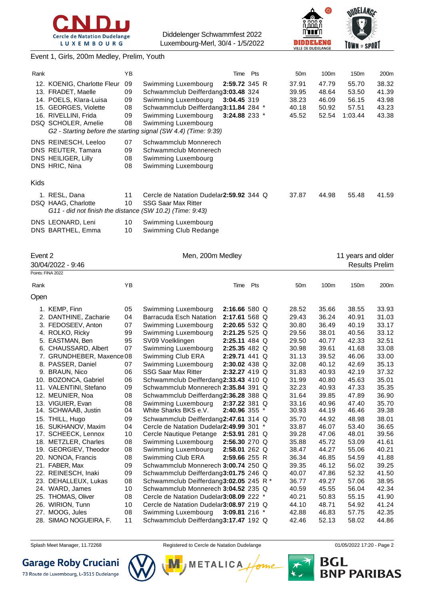



#### Event 1, Girls, 200m Medley, Prelim, Youth

| Rank |                                                          | ΥB |                                                                | Time Pts | 50 <sub>m</sub> | 100 <sub>m</sub> | 150 <sub>m</sub> | 200m  |
|------|----------------------------------------------------------|----|----------------------------------------------------------------|----------|-----------------|------------------|------------------|-------|
|      | 12. KOENIG, Charlotte Fleur                              | 09 | Swimming Luxembourg<br>2:59.72 345 R                           |          | 37.91           | 47.79            | 55.70            | 38.32 |
|      | 13. FRADET, Maelle                                       | 09 | Schwammclub Deifferdang3:03.48 324                             |          | 39.95           | 48.64            | 53.50            | 41.39 |
|      | 14. POELS, Klara-Luisa                                   | 09 | Swimming Luxembourg<br>3:04.45 319                             |          | 38.23           | 46.09            | 56.15            | 43.98 |
|      | 15. GEORGES, Violette                                    | 08 | Schwammclub Deifferdang3:11.84 284 *                           |          | 40.18           | 50.92            | 57.51            | 43.23 |
|      | 16. RIVELLINI, Frida                                     | 09 | Swimming Luxembourg<br>$3:24.88$ 233 $*$                       |          | 45.52           | 52.54            | 1:03.44          | 43.38 |
|      | DSQ SCHOLER, Amelie                                      | 08 | Swimming Luxembourg                                            |          |                 |                  |                  |       |
|      |                                                          |    | G2 - Starting before the starting signal (SW 4.4) (Time: 9:39) |          |                 |                  |                  |       |
|      | DNS REINESCH, Leeloo                                     | 07 | Schwammclub Monnerech                                          |          |                 |                  |                  |       |
|      | DNS REUTER, Tamara                                       | 09 | Schwammclub Monnerech                                          |          |                 |                  |                  |       |
|      | DNS HEILIGER, Lilly                                      | 08 | Swimming Luxembourg                                            |          |                 |                  |                  |       |
|      | DNS HRIC, Nina                                           | 08 | Swimming Luxembourg                                            |          |                 |                  |                  |       |
|      |                                                          |    |                                                                |          |                 |                  |                  |       |
| Kids |                                                          |    |                                                                |          |                 |                  |                  |       |
|      | 1. RESL, Dana                                            | 11 | Cercle de Natation Dudelar 2:59.92 344 Q                       |          | 37.87           | 44.98            | 55.48            | 41.59 |
|      | DSQ HAAG, Charlotte                                      | 10 | <b>SSG Saar Max Ritter</b>                                     |          |                 |                  |                  |       |
|      | G11 - did not finish the distance (SW 10.2) (Time: 9:43) |    |                                                                |          |                 |                  |                  |       |
|      | DNS LEONARD, Leni                                        | 10 | Swimming Luxembourg                                            |          |                 |                  |                  |       |
|      | DNS BARTHEL, Emma                                        | 10 | Swimming Club Redange                                          |          |                 |                  |                  |       |
|      |                                                          |    |                                                                |          |                 |                  |                  |       |

| Event 2<br>Men, 200m Medley |                           |    |                                          |                   |     |  | 11 years and older |       |                       |       |
|-----------------------------|---------------------------|----|------------------------------------------|-------------------|-----|--|--------------------|-------|-----------------------|-------|
|                             | 30/04/2022 - 9:46         |    |                                          |                   |     |  |                    |       | <b>Results Prelim</b> |       |
|                             | Points: FINA 2022         |    |                                          |                   |     |  |                    |       |                       |       |
| Rank                        |                           | YB |                                          | Time              | Pts |  | 50 <sub>m</sub>    | 100m  | 150m                  | 200m  |
| Open                        |                           |    |                                          |                   |     |  |                    |       |                       |       |
|                             | 1. KEMP, Finn             | 05 | Swimming Luxembourg                      | 2:16.66580Q       |     |  | 28.52              | 35.66 | 38.55                 | 33.93 |
|                             | 2. DANTHINE, Zacharie     | 04 | <b>Barracuda Esch Natation</b>           | $2:17.61568$ Q    |     |  | 29.43              | 36.24 | 40.91                 | 31.03 |
|                             | 3. FEDOSEEV, Anton        | 07 | Swimming Luxembourg                      | 2:20.65 532 Q     |     |  | 30.80              | 36.49 | 40.19                 | 33.17 |
|                             | 4. ROLKO, Ricky           | 99 | Swimming Luxembourg                      | 2:21.25 525 Q     |     |  | 29.56              | 38.01 | 40.56                 | 33.12 |
|                             | 5. EASTMAN, Ben           | 95 | SV09 Voelklingen                         | 2:25.11 484 Q     |     |  | 29.50              | 40.77 | 42.33                 | 32.51 |
|                             | 6. CHAUSSARD, Albert      | 07 | Swimming Luxembourg                      | 2:25.35 482 Q     |     |  | 30.98              | 39.61 | 41.68                 | 33.08 |
|                             | 7. GRUNDHEBER, Maxence 08 |    | Swimming Club ERA                        | 2:29.71 441 Q     |     |  | 31.13              | 39.52 | 46.06                 | 33.00 |
|                             | 8. PASSER, Daniel         | 07 | Swimming Luxembourg                      | 2:30.02 438 Q     |     |  | 32.08              | 40.12 | 42.69                 | 35.13 |
|                             | 9. BRAUN, Nico            | 06 | <b>SSG Saar Max Ritter</b>               | 2:32.27 419 Q     |     |  | 31.83              | 40.93 | 42.19                 | 37.32 |
|                             | 10. BOZONCA, Gabriel      | 06 | Schwammclub Deifferdang2:33.43 410 Q     |                   |     |  | 31.99              | 40.80 | 45.63                 | 35.01 |
|                             | 11. VALENTINI, Stefano    | 09 | Schwammclub Monnerech 2:35.84 391 Q      |                   |     |  | 32.23              | 40.93 | 47.33                 | 35.35 |
|                             | 12. MEUNIER, Noa          | 08 | Schwammclub Deifferdang2:36.28 388 Q     |                   |     |  | 31.64              | 39.85 | 47.89                 | 36.90 |
|                             | 13. VIGUIER, Evan         | 08 | Swimming Luxembourg                      | 2:37.22 381 Q     |     |  | 33.16              | 40.96 | 47.40                 | 35.70 |
|                             | 14. SCHWAAB, Justin       | 04 | White Sharks BKS e.V.                    | $2:40.96$ 355 $*$ |     |  | 30.93              | 44.19 | 46.46                 | 39.38 |
|                             | 15. THILL, Hugo           | 09 | Schwammclub Deifferdang2:47.61 314 Q     |                   |     |  | 35.70              | 44.92 | 48.98                 | 38.01 |
|                             | 16. SUKHANOV, Maxim       | 04 | Cercle de Natation Dudelar2:49.99 301 *  |                   |     |  | 33.87              | 46.07 | 53.40                 | 36.65 |
|                             | 17. SCHEECK, Lennox       | 10 | Cercle Nautique Petange 2:53.91 281 Q    |                   |     |  | 39.28              | 47.06 | 48.01                 | 39.56 |
|                             | 18. METZLER, Charles      | 08 | Swimming Luxembourg                      | 2:56.30 270 Q     |     |  | 35.88              | 45.72 | 53.09                 | 41.61 |
|                             | 19. GEORGIEV, Theodor     | 08 | Swimming Luxembourg                      | $2:58.01$ 262 Q   |     |  | 38.47              | 44.27 | 55.06                 | 40.21 |
|                             | 20. NONOA, Francis        | 08 | Swimming Club ERA                        | 2:59.66 255 R     |     |  | 36.34              | 46.85 | 54.59                 | 41.88 |
|                             | 21. FABER, Max            | 09 | Schwammclub Monnerech 3:00.74 250 Q      |                   |     |  | 39.35              | 46.12 | 56.02                 | 39.25 |
|                             | 22. REINESCH, Inaki       | 09 | Schwammclub Deifferdang3:01.75 246 Q     |                   |     |  | 40.07              | 47.86 | 52.32                 | 41.50 |
|                             | 23. DEHALLEUX, Lukas      | 08 | Schwammclub Deifferdang3:02.05 245 R *   |                   |     |  | 36.77              | 49.27 | 57.06                 | 38.95 |
|                             | 24. WARD, James           | 10 | Schwammclub Monnerech 3:04.52 235 Q      |                   |     |  | 40.59              | 45.55 | 56.04                 | 42.34 |
|                             | 25. THOMAS, Oliver        | 08 | Cercle de Natation Dudelar 3:08.09 222 * |                   |     |  | 40.21              | 50.83 | 55.15                 | 41.90 |
|                             | 26. WIRION, Tunn          | 10 | Cercle de Natation Dudelar3:08.97 219 Q  |                   |     |  | 44.10              | 48.71 | 54.92                 | 41.24 |
|                             | 27. MOOG, Jules           | 08 | Swimming Luxembourg                      | 3:09.81 216 *     |     |  | 42.88              | 46.83 | 57.75                 | 42.35 |
|                             | 28. SIMAO NOGUEIRA, F.    | 11 | Schwammclub Deifferdang3:17.47 192 Q     |                   |     |  | 42.46              | 52.13 | 58.02                 | 44.86 |
|                             |                           |    |                                          |                   |     |  |                    |       |                       |       |

Splash Meet Manager, 11.72268 **Registered to Cercle de Natation Dudelange 11/05/2022 17:20** - Page 2

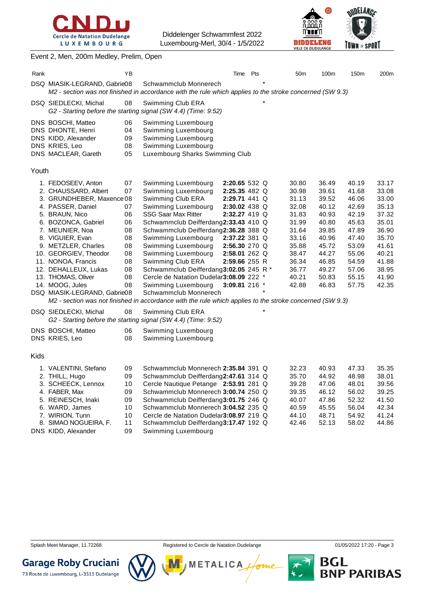



#### Event 2, Men, 200m Medley, Prelim, Open

| Rank  |                                                                                                                                                                                                                                                                                                                                                                              | ΥB                                                                               |                                                                                                                                                                                                                                                                                                                                                                                                                                                                                                                                                                      | Time                                                                                                                                                                   | Pts | 50 <sub>m</sub>                                                                                                            | 100m                                                                                                                       | 150m                                                                                                                       | 200m                                                                                                                       |
|-------|------------------------------------------------------------------------------------------------------------------------------------------------------------------------------------------------------------------------------------------------------------------------------------------------------------------------------------------------------------------------------|----------------------------------------------------------------------------------|----------------------------------------------------------------------------------------------------------------------------------------------------------------------------------------------------------------------------------------------------------------------------------------------------------------------------------------------------------------------------------------------------------------------------------------------------------------------------------------------------------------------------------------------------------------------|------------------------------------------------------------------------------------------------------------------------------------------------------------------------|-----|----------------------------------------------------------------------------------------------------------------------------|----------------------------------------------------------------------------------------------------------------------------|----------------------------------------------------------------------------------------------------------------------------|----------------------------------------------------------------------------------------------------------------------------|
|       | DSQ MIASIK-LEGRAND, Gabrie08                                                                                                                                                                                                                                                                                                                                                 |                                                                                  | Schwammclub Monnerech<br>M2 - section was not finished in accordance with the rule which applies to the stroke concerned (SW 9.3)                                                                                                                                                                                                                                                                                                                                                                                                                                    |                                                                                                                                                                        |     |                                                                                                                            |                                                                                                                            |                                                                                                                            |                                                                                                                            |
|       | DSQ SIEDLECKI, Michal                                                                                                                                                                                                                                                                                                                                                        | 08                                                                               | Swimming Club ERA<br>G2 - Starting before the starting signal (SW 4.4) (Time: 9:52)                                                                                                                                                                                                                                                                                                                                                                                                                                                                                  |                                                                                                                                                                        |     |                                                                                                                            |                                                                                                                            |                                                                                                                            |                                                                                                                            |
|       | DNS BOSCHI, Matteo<br>DNS DHONTE, Henri<br>DNS KIDD, Alexander<br>DNS KRIES, Leo<br>DNS MACLEAR, Gareth                                                                                                                                                                                                                                                                      | 06<br>04<br>09<br>08<br>05                                                       | Swimming Luxembourg<br>Swimming Luxembourg<br>Swimming Luxembourg<br>Swimming Luxembourg<br>Luxembourg Sharks Swimming Club                                                                                                                                                                                                                                                                                                                                                                                                                                          |                                                                                                                                                                        |     |                                                                                                                            |                                                                                                                            |                                                                                                                            |                                                                                                                            |
| Youth |                                                                                                                                                                                                                                                                                                                                                                              |                                                                                  |                                                                                                                                                                                                                                                                                                                                                                                                                                                                                                                                                                      |                                                                                                                                                                        |     |                                                                                                                            |                                                                                                                            |                                                                                                                            |                                                                                                                            |
|       | 1. FEDOSEEV, Anton<br>2. CHAUSSARD, Albert<br>3. GRUNDHEBER, Maxence 08<br>4. PASSER, Daniel<br>5. BRAUN, Nico<br>6. BOZONCA, Gabriel<br>7. MEUNIER, Noa<br>8. VIGUIER, Evan<br>9. METZLER, Charles<br>10. GEORGIEV, Theodor<br>11. NONOA, Francis<br>12. DEHALLEUX, Lukas<br>13. THOMAS, Oliver<br>14. MOOG, Jules<br>DSQ MIASIK-LEGRAND, Gabrie08<br>DSQ SIEDLECKI, Michal | 07<br>07<br>07<br>06<br>06<br>08<br>08<br>08<br>08<br>08<br>08<br>08<br>08<br>08 | Swimming Luxembourg<br>Swimming Luxembourg<br>Swimming Club ERA<br>Swimming Luxembourg<br><b>SSG Saar Max Ritter</b><br>Schwammclub Deifferdang2:33.43 410 Q<br>Schwammclub Deifferdang2:36.28 388 Q<br>Swimming Luxembourg<br>Swimming Luxembourg<br>Swimming Luxembourg<br>Swimming Club ERA<br>Schwammclub Deifferdang3:02.05 245 R *<br>Cercle de Natation Dudelar3:08.09 222 *<br>Swimming Luxembourg<br>Schwammclub Monnerech<br>M2 - section was not finished in accordance with the rule which applies to the stroke concerned (SW 9.3)<br>Swimming Club ERA | 2:20.65 532 Q<br>2:25.35 482 Q<br>2:29.71 441 Q<br>2:30.02 438 Q<br>2:32.27 419 Q<br>2:37.22 381 Q<br>2:56.30 270 Q<br>2:58.01 262 Q<br>2:59.66 255 R<br>3:09.81 216 * |     | 30.80<br>30.98<br>31.13<br>32.08<br>31.83<br>31.99<br>31.64<br>33.16<br>35.88<br>38.47<br>36.34<br>36.77<br>40.21<br>42.88 | 36.49<br>39.61<br>39.52<br>40.12<br>40.93<br>40.80<br>39.85<br>40.96<br>45.72<br>44.27<br>46.85<br>49.27<br>50.83<br>46.83 | 40.19<br>41.68<br>46.06<br>42.69<br>42.19<br>45.63<br>47.89<br>47.40<br>53.09<br>55.06<br>54.59<br>57.06<br>55.15<br>57.75 | 33.17<br>33.08<br>33.00<br>35.13<br>37.32<br>35.01<br>36.90<br>35.70<br>41.61<br>40.21<br>41.88<br>38.95<br>41.90<br>42.35 |
|       | DNS BOSCHI, Matteo                                                                                                                                                                                                                                                                                                                                                           | 06                                                                               | G2 - Starting before the starting signal (SW 4.4) (Time: 9:52)<br>Swimming Luxembourg                                                                                                                                                                                                                                                                                                                                                                                                                                                                                |                                                                                                                                                                        |     |                                                                                                                            |                                                                                                                            |                                                                                                                            |                                                                                                                            |
|       | DNS KRIES, Leo                                                                                                                                                                                                                                                                                                                                                               | 08                                                                               | Swimming Luxembourg                                                                                                                                                                                                                                                                                                                                                                                                                                                                                                                                                  |                                                                                                                                                                        |     |                                                                                                                            |                                                                                                                            |                                                                                                                            |                                                                                                                            |
| Kids  |                                                                                                                                                                                                                                                                                                                                                                              |                                                                                  |                                                                                                                                                                                                                                                                                                                                                                                                                                                                                                                                                                      |                                                                                                                                                                        |     |                                                                                                                            |                                                                                                                            |                                                                                                                            |                                                                                                                            |
|       | 1. VALENTINI, Stefano<br>2. THILL, Hugo<br>3. SCHEECK, Lennox<br>4. FABER, Max<br>5. REINESCH, Inaki<br>6. WARD, James<br>7. WIRION, Tunn                                                                                                                                                                                                                                    | 09<br>09<br>10<br>09<br>09<br>10<br>10                                           | Schwammclub Monnerech 2:35.84 391 Q<br>Schwammclub Deifferdang2:47.61 314 Q<br>Cercle Nautique Petange 2:53.91 281 Q<br>Schwammclub Monnerech 3:00.74 250 Q<br>Schwammclub Deifferdang3:01.75 246 Q<br>Schwammclub Monnerech 3:04.52 235 Q<br>Cercle de Natation Dudelar3:08.97 219 Q                                                                                                                                                                                                                                                                                |                                                                                                                                                                        |     | 32.23<br>35.70<br>39.28<br>39.35<br>40.07<br>40.59<br>44.10                                                                | 40.93<br>44.92<br>47.06<br>46.12<br>47.86<br>45.55<br>48.71                                                                | 47.33<br>48.98<br>48.01<br>56.02<br>52.32<br>56.04<br>54.92                                                                | 35.35<br>38.01<br>39.56<br>39.25<br>41.50<br>42.34<br>41.24                                                                |
|       | 8. SIMAO NOGUEIRA, F.                                                                                                                                                                                                                                                                                                                                                        | 11                                                                               | Schwammclub Deifferdang3:17.47 192 Q                                                                                                                                                                                                                                                                                                                                                                                                                                                                                                                                 |                                                                                                                                                                        |     | 42.46                                                                                                                      | 52.13                                                                                                                      | 58.02                                                                                                                      | 44.86                                                                                                                      |

DNS KIDD, Alexander 09 Swimming Luxembourg

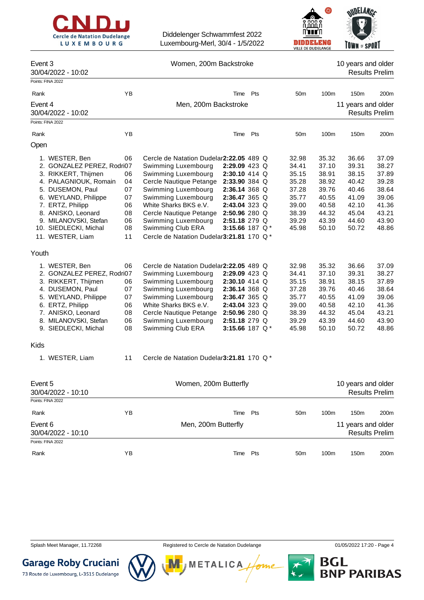



### Event 3 Nomen, 200m Backstroke 10 years and older

30/04/2022 - 10:02 Results Prelim

|         | Points: FINA 2022          |    |                                          |                   |     |                 |       |                       |                       |
|---------|----------------------------|----|------------------------------------------|-------------------|-----|-----------------|-------|-----------------------|-----------------------|
| Rank    |                            | YB |                                          | Time              | Pts | 50 <sub>m</sub> | 100m  | 150m                  | 200m                  |
| Event 4 |                            |    | Men, 200m Backstroke                     |                   |     |                 |       | 11 years and older    |                       |
|         | 30/04/2022 - 10:02         |    |                                          |                   |     |                 |       |                       | <b>Results Prelim</b> |
|         | Points: FINA 2022          |    |                                          |                   |     |                 |       |                       |                       |
| Rank    |                            | YB |                                          | Time              | Pts | 50 <sub>m</sub> | 100m  | 150m                  | 200m                  |
| Open    |                            |    |                                          |                   |     |                 |       |                       |                       |
|         | 1. WESTER, Ben             | 06 | Cercle de Natation Dudelar2:22.05 489 Q  |                   |     | 32.98           | 35.32 | 36.66                 | 37.09                 |
|         | 2. GONZALEZ PEREZ, Rodri07 |    | Swimming Luxembourg                      | 2:29.09 423 Q     |     | 34.41           | 37.10 | 39.31                 | 38.27                 |
|         | 3. RIKKERT, Thijmen        | 06 | Swimming Luxembourg                      | 2:30.10 414 Q     |     | 35.15           | 38.91 | 38.15                 | 37.89                 |
|         | 4. PALAGNIOUK, Romain      | 04 | Cercle Nautique Petange                  | 2:33.90 384 Q     |     | 35.28           | 38.92 | 40.42                 | 39.28                 |
|         | 5. DUSEMON, Paul           | 07 | Swimming Luxembourg                      | 2:36.14 368 Q     |     | 37.28           | 39.76 | 40.46                 | 38.64                 |
|         | 6. WEYLAND, Philippe       | 07 | Swimming Luxembourg                      | 2:36.47 365 Q     |     | 35.77           | 40.55 | 41.09                 | 39.06                 |
|         | 7. ERTZ, Philipp           | 06 | White Sharks BKS e.V.                    | 2:43.04 323 Q     |     | 39.00           | 40.58 | 42.10                 | 41.36                 |
|         | 8. ANISKO, Leonard         | 08 |                                          |                   |     | 38.39           | 44.32 | 45.04                 | 43.21                 |
|         |                            |    | Cercle Nautique Petange                  | 2:50.96 280 Q     |     |                 |       |                       |                       |
|         | 9. MILANOVSKI, Stefan      | 06 | Swimming Luxembourg                      | 2:51.18 279 Q     |     | 39.29           | 43.39 | 44.60                 | 43.90                 |
|         | 10. SIEDLECKI, Michal      | 08 | Swimming Club ERA                        | 3:15.66 187 Q*    |     | 45.98           | 50.10 | 50.72                 | 48.86                 |
|         | 11. WESTER, Liam           | 11 | Cercle de Natation Dudelar3:21.81 170 Q* |                   |     |                 |       |                       |                       |
| Youth   |                            |    |                                          |                   |     |                 |       |                       |                       |
|         | 1. WESTER, Ben             | 06 | Cercle de Natation Dudelar2:22.05 489 Q  |                   |     | 32.98           | 35.32 | 36.66                 | 37.09                 |
|         | 2. GONZALEZ PEREZ, Rodri07 |    | Swimming Luxembourg                      | 2:29.09 423 Q     |     | 34.41           | 37.10 | 39.31                 | 38.27                 |
|         | 3. RIKKERT, Thijmen        | 06 | Swimming Luxembourg                      | 2:30.10 414 Q     |     | 35.15           | 38.91 | 38.15                 | 37.89                 |
|         | 4. DUSEMON, Paul           | 07 | Swimming Luxembourg                      | 2:36.14 368 Q     |     | 37.28           | 39.76 | 40.46                 | 38.64                 |
|         | 5. WEYLAND, Philippe       | 07 | Swimming Luxembourg                      | 2:36.47 365 Q     |     | 35.77           | 40.55 | 41.09                 | 39.06                 |
|         |                            |    |                                          |                   |     |                 |       |                       |                       |
|         | 6. ERTZ, Philipp           | 06 | White Sharks BKS e.V.                    | 2:43.04 323 Q     |     | 39.00           | 40.58 | 42.10                 | 41.36                 |
|         | 7. ANISKO, Leonard         | 08 | Cercle Nautique Petange                  | 2:50.96 280 Q     |     | 38.39           | 44.32 | 45.04                 | 43.21                 |
|         | 8. MILANOVSKI, Stefan      | 06 | Swimming Luxembourg                      | 2:51.18 279 Q     |     | 39.29           | 43.39 | 44.60                 | 43.90                 |
|         | 9. SIEDLECKI, Michal       | 08 | Swimming Club ERA                        | 3:15.66 187 $Q^*$ |     | 45.98           | 50.10 | 50.72                 | 48.86                 |
| Kids    |                            |    |                                          |                   |     |                 |       |                       |                       |
|         | 1. WESTER, Liam            | 11 | Cercle de Natation Dudelar3:21.81 170 Q* |                   |     |                 |       |                       |                       |
| Event 5 |                            |    | Women, 200m Butterfly                    |                   |     |                 |       | 10 years and older    |                       |
|         | 30/04/2022 - 10:10         |    |                                          |                   |     |                 |       |                       | <b>Results Prelim</b> |
|         | Points: FINA 2022          |    |                                          |                   |     |                 |       |                       |                       |
| Rank    |                            | YB |                                          | Time              | Pts | 50 <sub>m</sub> | 100m  | 150m                  | 200m                  |
| Event 6 |                            |    | Men, 200m Butterfly                      |                   |     |                 |       | 11 years and older    |                       |
|         | 30/04/2022 - 10:10         |    |                                          |                   |     |                 |       | <b>Results Prelim</b> |                       |
|         | Points: FINA 2022          |    |                                          |                   |     |                 |       |                       |                       |
|         |                            |    |                                          |                   |     |                 |       |                       |                       |
| Rank    |                            | YB |                                          | Time              | Pts | 50 <sub>m</sub> | 100m  | 150m                  | 200m                  |



Splash Meet Manager, 11.72268 **Registered to Cercle de Natation Dudelange 11/05/2022 17:20** - Page 4

**METALICA** 



**Garage Roby Cruciani** 73 Route de Luxembourg, L-3515 Dudelange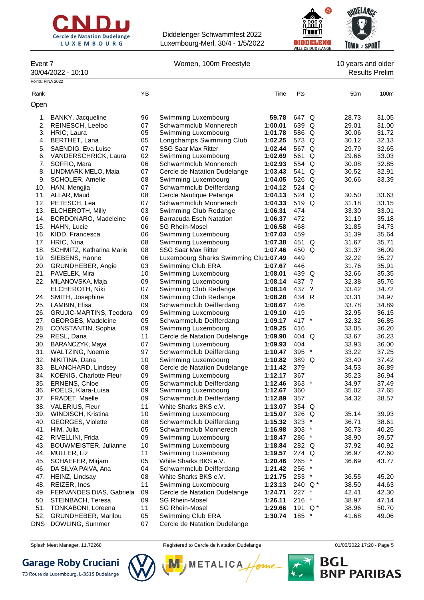



Event 7 Norman, 100m Freestyle 10 years and older

30/04/2022 - 10:10 Results Prelim

| Points: FINA 2022 |                                                   |          |                                                     |                    |                  |                 |                |
|-------------------|---------------------------------------------------|----------|-----------------------------------------------------|--------------------|------------------|-----------------|----------------|
| Rank              |                                                   | ΥB       |                                                     | Time               | Pts              | 50 <sub>m</sub> | 100m           |
| Open              |                                                   |          |                                                     |                    |                  |                 |                |
| 1.                | BANKY, Jacqueline                                 | 96       | Swimming Luxembourg                                 | 59.78              | 647 Q            | 28.73           | 31.05          |
| 2.                | REINESCH, Leeloo                                  | 07       | Schwammclub Monnerech                               | 1:00.01            | 639 Q            | 29.01           | 31.00          |
|                   | 3. HRIC, Laura                                    | 05       | Swimming Luxembourg                                 | 1:01.78            | 586 Q            | 30.06           | 31.72          |
| 4.                | BERTHET, Lana                                     | 05       | Longchamps Swimming Club                            | 1:02.25            | 573 Q            | 30.12           | 32.13          |
| 5.                | SAENDIG, Eva Luise                                | 07       | <b>SSG Saar Max Ritter</b>                          | 1:02.44            | 567 Q            | 29.79           | 32.65          |
|                   | 6. VANDERSCHRICK, Laura                           | 02       | Swimming Luxembourg                                 | 1:02.69            | 561 Q            | 29.66           | 33.03          |
|                   | 7. SOFFIO, Mara                                   | 06       | Schwammclub Monnerech                               | 1:02.93            | 554 Q            | 30.08           | 32.85          |
|                   | 8. LINDMARK MELO, Maia                            | 07       | Cercle de Natation Dudelange                        | 1:03.43            | 541 Q            | 30.52           | 32.91          |
| 9.                | SCHOLER, Amelie                                   | 08       | Swimming Luxembourg                                 | 1:04.05            | 526 Q            | 30.66           | 33.39          |
|                   | 10. HAN, Mengjia                                  | 07       | Schwammclub Deifferdang                             | 1:04.12            | 524 Q            |                 |                |
|                   | 11. ALLAR, Maud                                   | 08       | Cercle Nautique Petange                             | 1:04.13            | 524 Q            | 30.50           | 33.63          |
|                   | 12. PETESCH, Lea                                  | 07       | Schwammclub Monnerech                               | 1:04.33            | 519 Q            | 31.18           | 33.15          |
|                   | 13. ELCHEROTH, Milly                              | 03       | Swimming Club Redange                               | 1:06.31            | 474              | 33.30           | 33.01          |
| 14.               | BORDONARO, Madeleine                              | 06       | Barracuda Esch Natation                             | 1:06.37            | 472              | 31.19           | 35.18          |
| 15.               | HAHN, Lucie                                       | 06       | <b>SG Rhein-Mosel</b>                               | 1:06.58            | 468              | 31.85           | 34.73          |
| 16.               | KIDD, Francesca                                   | 06       | Swimming Luxembourg                                 | 1:07.03            | 459              | 31.39           | 35.64          |
| 17.               | HRIC, Nina                                        | 08       | Swimming Luxembourg                                 | 1:07.38            | 451 Q            | 31.67           | 35.71          |
|                   | 18. SCHMITZ, Katharina Marie                      | 08       | <b>SSG Saar Max Ritter</b>                          | 1:07.46            | 450 Q            | 31.37           | 36.09          |
|                   | 19. SIEBENS, Hanne                                | 06       | Luxembourg Sharks Swimming Clul1:07.49              |                    | 449              | 32.22           | 35.27          |
|                   | 20. GRUNDHEBER, Angie                             | 03       | Swimming Club ERA                                   | 1:07.67            | 446              | 31.76           | 35.91          |
|                   | 21. PAVELEK, Mira                                 | 10       | Swimming Luxembourg                                 | 1:08.01            | 439 Q            | 32.66           | 35.35          |
| 22.               | MILANOVSKA, Maja                                  | 09       | Swimming Luxembourg                                 | 1:08.14            | 437 ?            | 32.38           | 35.76          |
|                   | ELCHEROTH, Niki                                   | 07       | Swimming Club Redange                               | 1:08.14            | 437 ?            | 33.42           | 34.72          |
|                   | 24. SMITH, Josephine                              | 09       | Swimming Club Redange                               | 1:08.28            | 434 R            | 33.31           | 34.97          |
|                   | 25. LAMBIN, Elisa                                 | 09       | Schwammclub Deifferdang                             | 1:08.67            | 426              | 33.78           | 34.89          |
|                   | 26. GRUJIC-MARTINS, Teodora                       | 09       | Swimming Luxembourg                                 | 1:09.10            | 419              | 32.95           | 36.15          |
| 27.               | GEORGES, Madeleine                                | 05       | Schwammclub Deifferdang                             | 1:09.17            | 417 *            | 32.32           | 36.85          |
| 28.               | CONSTANTIN, Sophia                                | 09       | Swimming Luxembourg                                 | 1:09.25            | 416              | 33.05           | 36.20          |
| 29.               | RESL, Dana                                        | 11       | Cercle de Natation Dudelange                        | 1:09.90            | 404 Q            | 33.67           | 36.23          |
| 30.               | BARANCZYK, Maya                                   | 07       | Swimming Luxembourg                                 | 1:09.93            | 404              | 33.93           | 36.00          |
| 32.               | 31. WALTZING, Noemie<br>NIKITINA, Dana            | 97<br>10 | Schwammclub Deifferdang                             | 1:10.47<br>1:10.82 | $395$ *<br>389 Q | 33.22<br>33.40  | 37.25<br>37.42 |
| 33.               |                                                   | 08       | Swimming Luxembourg<br>Cercle de Natation Dudelange | 1:11.42            | 379              | 34.53           | 36.89          |
|                   | BLANCHARD, Lindsey<br>34. KOENIG, Charlotte Fleur | 09       | Swimming Luxembourg                                 | 1:12.17            | 367              | 35.23           | 36.94          |
| 35.               | <b>ERNENS, Chloe</b>                              | 05       | Schwammclub Deifferdang                             | 1:12.46            | $363$ *          | 34.97           | 37.49          |
|                   | 36. POELS, Klara-Luisa                            | 09       | Swimming Luxembourg                                 | 1:12.67            | 360              | 35.02           | 37.65          |
|                   | 37. FRADET, Maelle                                | 09       | Schwammclub Deifferdang                             | 1:12.89            | 357              | 34.32           | 38.57          |
|                   | 38. VALERIUS, Fleur                               | 11       | White Sharks BKS e.V.                               | 1:13.07            | 354 Q            |                 |                |
|                   | 39. WINDISCH, Kristina                            | 10       | Swimming Luxembourg                                 | 1:15.07            | 326 Q            | 35.14           | 39.93          |
| 40.               | <b>GEORGES, Violette</b>                          | 08       | Schwammclub Deifferdang                             | 1:15.32            | $323$ *          | 36.71           | 38.61          |
|                   | 41. HIM, Julia                                    | 05       | Schwammclub Monnerech                               | 1:16.98            | $303$ *          | 36.73           | 40.25          |
| 42.               | RIVELLINI, Frida                                  | 09       | Swimming Luxembourg                                 | 1:18.47            | 286 *            | 38.90           | 39.57          |
| 43.               | BOUWMEISTER, Julianne                             | 10       | Swimming Luxembourg                                 | 1:18.84            | 282 Q            | 37.92           | 40.92          |
| 44.               | MULLER, Liz                                       | 11       | Swimming Luxembourg                                 | 1:19.57            | 274 Q            | 36.97           | 42.60          |
| 45.               | SCHAEFER, Mirjam                                  | 05       | White Sharks BKS e.V.                               | 1:20.46            | $265$ *          | 36.69           | 43.77          |
| 46.               | DA SILVA PAIVA, Ana                               | 04       | Schwammclub Deifferdang                             | 1:21.42            | 256 *            |                 |                |
| 47.               | HEINZ, Lindsay                                    | 08       | White Sharks BKS e.V.                               | 1:21.75            | $253$ *          | 36.55           | 45.20          |
| 48.               | REIZER, Ines                                      | 11       | Swimming Luxembourg                                 | 1:23.13            | 240 $Q^*$        | 38.50           | 44.63          |
|                   | 49. FERNANDES DIAS, Gabriela                      | 09       | Cercle de Natation Dudelange                        | 1:24.71            | $227$ *          | 42.41           | 42.30          |
| 50.               | STEINBACH, Teresa                                 | 09       | <b>SG Rhein-Mosel</b>                               | 1:26.11            | $216$ *          | 38.97           | 47.14          |
| 51.               | <b>TONKABONI, Loreena</b>                         | 11       | <b>SG Rhein-Mosel</b>                               | 1:29.66            | 191 $Q^*$        | 38.96           | 50.70          |
| 52.               | <b>GRUNDHEBER, Marilou</b>                        | 05       | Swimming Club ERA                                   | 1:30.74            | 185 *            | 41.68           | 49.06          |
| DNS               | DOWLING, Summer                                   | 07       | Cercle de Natation Dudelange                        |                    |                  |                 |                |

# **Garage Roby Cruciani**



Splash Meet Manager, 11.72268 **Registered to Cercle de Natation Dudelange 11/05/2022 17:20** - Page 5

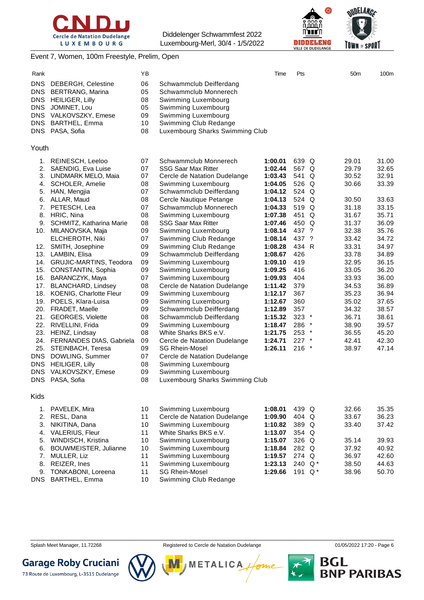



#### Event 7, Women, 100m Freestyle, Prelim, Open

| Rank                                                                             |                                                                                                                                                                                                                                                                                                                                                                                                                                                                | YΒ                                                                                                             |                                                                                                                                                                                                                                                                                                                                                                                                                                                                                                              | Time                                                                                                                                                              | Pts                                                                                                                         | 50 <sub>m</sub>                                                                                                                     | 100m                                                                                                                                |
|----------------------------------------------------------------------------------|----------------------------------------------------------------------------------------------------------------------------------------------------------------------------------------------------------------------------------------------------------------------------------------------------------------------------------------------------------------------------------------------------------------------------------------------------------------|----------------------------------------------------------------------------------------------------------------|--------------------------------------------------------------------------------------------------------------------------------------------------------------------------------------------------------------------------------------------------------------------------------------------------------------------------------------------------------------------------------------------------------------------------------------------------------------------------------------------------------------|-------------------------------------------------------------------------------------------------------------------------------------------------------------------|-----------------------------------------------------------------------------------------------------------------------------|-------------------------------------------------------------------------------------------------------------------------------------|-------------------------------------------------------------------------------------------------------------------------------------|
| <b>DNS</b><br><b>DNS</b><br><b>DNS</b><br><b>DNS</b><br><b>DNS</b><br><b>DNS</b> | <b>DEBERGH, Celestine</b><br><b>BERTRANG, Marina</b><br><b>HEILIGER, Lilly</b><br>JOMINET, Lou<br>VALKOVSZKY, Emese<br><b>BARTHEL, Emma</b><br>DNS PASA, Sofia                                                                                                                                                                                                                                                                                                 | 06<br>05<br>08<br>05<br>09<br>10<br>08                                                                         | Schwammclub Deifferdang<br>Schwammclub Monnerech<br>Swimming Luxembourg<br>Swimming Luxembourg<br>Swimming Luxembourg<br>Swimming Club Redange<br>Luxembourg Sharks Swimming Club                                                                                                                                                                                                                                                                                                                            |                                                                                                                                                                   |                                                                                                                             |                                                                                                                                     |                                                                                                                                     |
| Youth                                                                            |                                                                                                                                                                                                                                                                                                                                                                                                                                                                |                                                                                                                |                                                                                                                                                                                                                                                                                                                                                                                                                                                                                                              |                                                                                                                                                                   |                                                                                                                             |                                                                                                                                     |                                                                                                                                     |
| 2.<br>3.<br>4.<br>5.<br>6.<br>7.<br>8.                                           | 1. REINESCH, Leeloo<br>SAENDIG, Eva Luise<br>LINDMARK MELO, Maia<br><b>SCHOLER, Amelie</b><br>HAN, Mengjia<br>ALLAR, Maud<br>PETESCH, Lea<br>HRIC, Nina<br>9. SCHMITZ, Katharina Marie<br>10. MILANOVSKA, Maja                                                                                                                                                                                                                                                 | 07<br>07<br>07<br>08<br>07<br>08<br>07<br>08<br>08<br>09                                                       | Schwammclub Monnerech<br><b>SSG Saar Max Ritter</b><br>Cercle de Natation Dudelange<br>Swimming Luxembourg<br>Schwammclub Deifferdang<br>Cercle Nautique Petange<br>Schwammclub Monnerech<br>Swimming Luxembourg<br><b>SSG Saar Max Ritter</b><br>Swimming Luxembourg                                                                                                                                                                                                                                        | 1:00.01<br>1:02.44<br>1:03.43<br>1:04.05<br>1:04.12<br>1:04.13<br>1:04.33<br>1:07.38<br>1:07.46<br>1:08.14                                                        | 639 Q<br>567 Q<br>541 Q<br>526 Q<br>524 Q<br>524 Q<br>519 Q<br>451 Q<br>450 Q<br>437 ?                                      | 29.01<br>29.79<br>30.52<br>30.66<br>30.50<br>31.18<br>31.67<br>31.37<br>32.38                                                       | 31.00<br>32.65<br>32.91<br>33.39<br>33.63<br>33.15<br>35.71<br>36.09<br>35.76                                                       |
| 20.<br>23.<br>25.<br><b>DNS</b><br><b>DNS</b><br><b>DNS</b>                      | ELCHEROTH, Niki<br>12. SMITH, Josephine<br>13. LAMBIN, Elisa<br>14. GRUJIC-MARTINS, Teodora<br>15. CONSTANTIN, Sophia<br>16. BARANCZYK, Maya<br>17. BLANCHARD, Lindsey<br>18. KOENIG, Charlotte Fleur<br>19. POELS, Klara-Luisa<br>FRADET, Maelle<br>21. GEORGES, Violette<br>22. RIVELLINI, Frida<br>HEINZ, Lindsay<br>24. FERNANDES DIAS, Gabriela<br>STEINBACH, Teresa<br>DOWLING, Summer<br><b>HEILIGER, Lilly</b><br>VALKOVSZKY, Emese<br>DNS PASA, Sofia | 07<br>09<br>09<br>09<br>09<br>07<br>08<br>09<br>09<br>09<br>08<br>09<br>08<br>09<br>09<br>07<br>08<br>09<br>08 | Swimming Club Redange<br>Swimming Club Redange<br>Schwammclub Deifferdang<br>Swimming Luxembourg<br>Swimming Luxembourg<br>Swimming Luxembourg<br>Cercle de Natation Dudelange<br>Swimming Luxembourg<br>Swimming Luxembourg<br>Schwammclub Deifferdang<br>Schwammclub Deifferdang<br>Swimming Luxembourg<br>White Sharks BKS e.V.<br>Cercle de Natation Dudelange<br><b>SG Rhein-Mosel</b><br>Cercle de Natation Dudelange<br>Swimming Luxembourg<br>Swimming Luxembourg<br>Luxembourg Sharks Swimming Club | 1:08.14<br>1:08.28<br>1:08.67<br>1:09.10<br>1:09.25<br>1:09.93<br>1:11.42<br>1:12.17<br>1:12.67<br>1:12.89<br>1:15.32<br>1:18.47<br>1:21.75<br>1:24.71<br>1:26.11 | 437 ?<br>434 R<br>426<br>419<br>416<br>404<br>379<br>367<br>360<br>357<br>$323$ *<br>286 *<br>$253$ *<br>$227$ *<br>$216$ * | 33.42<br>33.31<br>33.78<br>32.95<br>33.05<br>33.93<br>34.53<br>35.23<br>35.02<br>34.32<br>36.71<br>38.90<br>36.55<br>42.41<br>38.97 | 34.72<br>34.97<br>34.89<br>36.15<br>36.20<br>36.00<br>36.89<br>36.94<br>37.65<br>38.57<br>38.61<br>39.57<br>45.20<br>42.30<br>47.14 |
| Kids                                                                             |                                                                                                                                                                                                                                                                                                                                                                                                                                                                |                                                                                                                |                                                                                                                                                                                                                                                                                                                                                                                                                                                                                                              |                                                                                                                                                                   |                                                                                                                             |                                                                                                                                     |                                                                                                                                     |
| 1.<br>2.<br>3.<br>4.                                                             | PAVELEK, Mira<br>RESL, Dana<br>NIKITINA, Dana<br>VALERIUS, Fleur                                                                                                                                                                                                                                                                                                                                                                                               | 10<br>11<br>10<br>11                                                                                           | Swimming Luxembourg<br>Cercle de Natation Dudelange<br>Swimming Luxembourg<br>White Sharks BKS e.V.                                                                                                                                                                                                                                                                                                                                                                                                          | 1:08.01<br>1:09.90<br>1:10.82<br>1:13.07                                                                                                                          | 439 Q<br>404 Q<br>389 Q<br>354 Q                                                                                            | 32.66<br>33.67<br>33.40                                                                                                             | 35.35<br>36.23<br>37.42                                                                                                             |
| 5.                                                                               | WINDISCH, Kristina                                                                                                                                                                                                                                                                                                                                                                                                                                             | 10                                                                                                             | Swimming Luxembourg                                                                                                                                                                                                                                                                                                                                                                                                                                                                                          | 1:15.07                                                                                                                                                           | 326 Q                                                                                                                       | 35.14                                                                                                                               | 39.93                                                                                                                               |

6. BOUWMEISTER, Julianne 10 Swimming Luxembourg **1:18.84** 282 Q 37.92 40.92 7. MULLER, Liz 11 Swimming Luxembourg **1:19.57** 274 Q 36.97 42.60

9. TONKABONI, Loreena 11 SG Rhein-Mosel **1:29.66** 191 Q \* 38.96 50.70

DNS BARTHEL, Emma 10 Swimming Club Redange





73 Route de Luxembourg, L-3515 Dudelange



**METALICA** 

11 Swimming Luxembourg **1:23.13** 240 Q \* 38.50 44.63

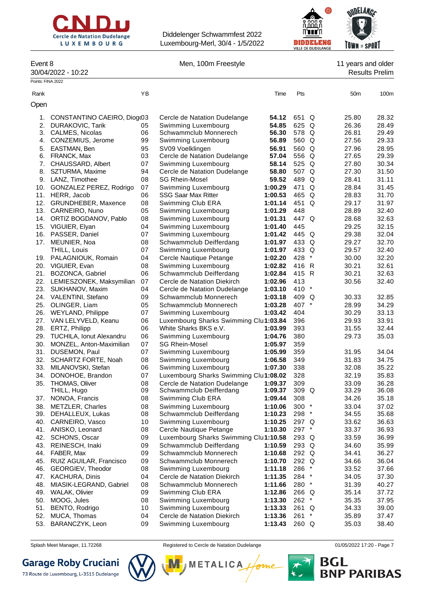



| _                |  |
|------------------|--|
| 30/04/2022 - 10: |  |

Event 8 Contract 2 Men, 100m Freestyle Contract 2 Men, 100m Freestyle 2 Men, 100m Freestyle 30/04/2022 - 10:22 Results Prelim

| Points: FINA 2022 |                                     |          |                                                |                    |                |          |                |                |
|-------------------|-------------------------------------|----------|------------------------------------------------|--------------------|----------------|----------|----------------|----------------|
| Rank              |                                     | ΥB       |                                                | Time               | Pts            |          | 50m            | 100m           |
| Open              |                                     |          |                                                |                    |                |          |                |                |
| 1.                | CONSTANTINO CAEIRO, Diogr03         |          | Cercle de Natation Dudelange                   | 54.12              | 651 Q          |          | 25.80          | 28.32          |
| 2.                | <b>DURAKOVIC, Tarik</b>             | 05       | Swimming Luxembourg                            | 54.85              | 625 Q          |          | 26.36          | 28.49          |
| 3.                | CALMES, Nicolas                     | 06       | Schwammclub Monnerech                          | 56.30              | 578 Q          |          | 26.81          | 29.49          |
| 4.                | CONZEMIUS, Jerome                   | 99       | Swimming Luxembourg                            | 56.89              | 560 Q          |          | 27.56          | 29.33          |
| 5.                | EASTMAN, Ben                        | 95       | SV09 Voelklingen                               | 56.91              | 560 Q          |          | 27.96          | 28.95          |
| 6.                | FRANCK, Max                         | 03       | Cercle de Natation Dudelange                   | 57.04              | 556 Q          |          | 27.65          | 29.39          |
| 7.                | CHAUSSARD, Albert                   | 07       | Swimming Luxembourg                            | 58.14              | 525 Q          |          | 27.80          | 30.34          |
| 8.                | SZTURMA, Maxime                     | 94       | Cercle de Natation Dudelange                   | 58.80              | 507 Q          |          | 27.30          | 31.50          |
|                   | 9. LANZ, Timothee                   | 08       | <b>SG Rhein-Mosel</b>                          | 59.52              | 489 Q          |          | 28.41          | 31.11          |
| 10.               | GONZALEZ PEREZ, Rodrigo             | 07       | Swimming Luxembourg                            | 1:00.29            | 471 Q          |          | 28.84          | 31.45          |
| 11.               | HERR, Jacob                         | 06       | <b>SSG Saar Max Ritter</b>                     | 1:00.53            | 465 Q          |          | 28.83          | 31.70          |
| 12.               | GRUNDHEBER, Maxence                 | 08       | Swimming Club ERA                              | 1:01.14            | 451 Q          |          | 29.17          | 31.97          |
|                   | 13. CARNEIRO, Nuno                  | 05       | Swimming Luxembourg                            | 1:01.29            | 448            |          | 28.89          | 32.40          |
|                   | 14. ORTIZ BOGDANOV, Pablo           | 08       | Swimming Luxembourg                            | 1:01.31            | 447 Q          |          | 28.68          | 32.63          |
|                   | 15. VIGUIER, Elyan                  | 04       | Swimming Luxembourg                            | 1:01.40            | 445            |          | 29.25          | 32.15          |
|                   | 16. PASSER, Daniel                  | 07<br>08 | Swimming Luxembourg<br>Schwammclub Deifferdang | 1:01.42            | 445 Q<br>433 Q |          | 29.38<br>29.27 | 32.04<br>32.70 |
| 17.               | MEUNIER, Noa<br>THILL, Louis        | 07       | Swimming Luxembourg                            | 1:01.97<br>1:01.97 | 433 Q          |          | 29.57          | 32.40          |
|                   | 19. PALAGNIOUK, Romain              | 04       | Cercle Nautique Petange                        | 1:02.20            | 428            | $\ast$   | 30.00          | 32.20          |
| 20.               | VIGUIER, Evan                       | 08       | Swimming Luxembourg                            | 1:02.82            | 416 R          |          | 30.21          | 32.61          |
| 21.               | BOZONCA, Gabriel                    | 06       | Schwammclub Deifferdang                        | 1:02.84            | 415 R          |          | 30.21          | 32.63          |
|                   | 22. LEMIESZONEK, Maksymilian        | 07       | Cercle de Natation Diekirch                    | 1:02.96            | 413            |          | 30.56          | 32.40          |
|                   | 23. SUKHANOV, Maxim                 | 04       | Cercle de Natation Dudelange                   | 1:03.10            | 410 *          |          |                |                |
|                   | 24. VALENTINI, Stefano              | 09       | Schwammclub Monnerech                          | 1:03.18            | 409 Q          |          | 30.33          | 32.85          |
| 25.               | OLINGER, Liam                       | 05       | Schwammclub Monnerech                          | 1:03.28            | 407 *          |          | 28.99          | 34.29          |
| 26.               | <b>WEYLAND, Philippe</b>            | 07       | Swimming Luxembourg                            | 1:03.42            | 404            |          | 30.29          | 33.13          |
| 27.               | VAN LELYVELD, Keanu                 | 06       | Luxembourg Sharks Swimming Clul1:03.84         |                    | 396            |          | 29.93          | 33.91          |
| 28.               | ERTZ, Philipp                       | 06       | White Sharks BKS e.V.                          | 1:03.99            | 393            |          | 31.55          | 32.44          |
| 29.               | TUCHILA, Ionut Alexandru            | 06       | Swimming Luxembourg                            | 1:04.76            | 380            |          | 29.73          | 35.03          |
| 30.               | MONZEL, Anton-Maximilian            | 07       | <b>SG Rhein-Mosel</b>                          | 1:05.97            | 359            |          |                |                |
| 31.               | DUSEMON, Paul                       | 07       | Swimming Luxembourg                            | 1:05.99            | 359            |          | 31.95          | 34.04          |
| 32.               | <b>SCHARTZ FORTE, Noah</b>          | 08       | Swimming Luxembourg                            | 1:06.58            | 349            |          | 31.83          | 34.75          |
| 33.               | MILANOVSKI, Stefan                  | 06       | Swimming Luxembourg                            | 1:07.30            | 338            |          | 32.08          | 35.22          |
| 34.               | DONOHOE, Brandon                    | 07       | Luxembourg Sharks Swimming Clul1:08.02         |                    | 328            |          | 32.19          | 35.83          |
| 35.               | <b>THOMAS, Oliver</b>               | 08       | Cercle de Natation Dudelange                   | 1:09.37            | 309            |          | 33.09          | 36.28          |
|                   | THILL, Hugo                         | 09       | Schwammclub Deifferdang                        | 1:09.37            | 309 Q          |          | 33.29          | 36.08          |
| 37.               | NONOA, Francis                      | 08       | Swimming Club ERA                              | 1:09.44            | 308            |          | 34.26          | 35.18          |
| 38.<br>39.        | <b>METZLER, Charles</b>             | 08<br>08 | Swimming Luxembourg<br>Schwammclub Deifferdang | 1:10.06<br>1:10.23 | 300 *<br>298 * |          | 33.04<br>34.55 | 37.02<br>35.68 |
| 40.               | DEHALLEUX, Lukas<br>CARNEIRO, Vasco | 10       | Swimming Luxembourg                            | 1:10.25            | 297 Q          |          | 33.62          | 36.63          |
|                   | 41. ANISKO, Leonard                 | 08       | Cercle Nautique Petange                        | 1:10.30            | 297 *          |          | 33.37          | 36.93          |
| 42.               | SCHONS, Oscar                       | 09       | Luxembourg Sharks Swimming Clul1:10.58         |                    | 293 Q          |          | 33.59          | 36.99          |
| 43.               | REINESCH, Inaki                     | 09       | Schwammclub Deifferdang                        | 1:10.59            | 293 Q          |          | 34.60          | 35.99          |
| 44.               | FABER, Max                          | 09       | Schwammclub Monnerech                          | 1:10.68            | 292 Q          |          | 34.41          | 36.27          |
| 45.               | RUIZ AGUILAR, Francisco             | 09       | Schwammclub Monnerech                          | 1:10.70            | 292 Q          |          | 34.66          | 36.04          |
| 46.               | GEORGIEV, Theodor                   | 08       | Swimming Luxembourg                            | 1:11.18            | 286            |          | 33.52          | 37.66          |
| 47.               | <b>KACHURA, Dinis</b>               | 04       | Cercle de Natation Diekirch                    | 1:11.35            | 284 *          |          | 34.05          | 37.30          |
| 48.               | MIASIK-LEGRAND, Gabriel             | 08       | Schwammclub Monnerech                          | 1:11.66            | 280 *          |          | 31.39          | 40.27          |
| 49.               | <b>WALAK, Olivier</b>               | 09       | Swimming Club ERA                              | 1:12.86            | 266 Q          |          | 35.14          | 37.72          |
| 50.               | MOOG, Jules                         | 08       | Swimming Luxembourg                            | 1:13.30            | 262 *          |          | 35.35          | 37.95          |
| 51.               | BENTO, Rodrigo                      | 10       | Swimming Luxembourg                            | 1:13.33            | 261 Q          |          | 34.33          | 39.00          |
| 52.               | MUCA, Thomas                        | 04       | Cercle de Natation Diekirch                    | 1:13.36            | 261            | $^\star$ | 35.89          | 37.47          |
| 53.               | BARANCZYK, Leon                     | 09       | Swimming Luxembourg                            | 1:13.43            | 260 Q          |          | 35.03          | 38.40          |

**Garage Roby Cruciani** 

73 Route de Luxembourg, L-3515 Dudelange



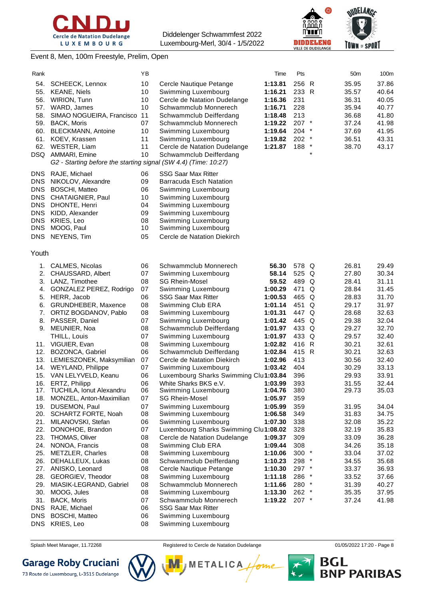





### Event 8, Men, 100m Freestyle, Prelim, Open

| Rank                                                                             |                                                                                                                                                                               | YΒ                                           |                                                                                                                                                                                                           | Time                                                                                 | Pts                                                                |   | 50 <sub>m</sub>                                                      | 100m                                                                 |
|----------------------------------------------------------------------------------|-------------------------------------------------------------------------------------------------------------------------------------------------------------------------------|----------------------------------------------|-----------------------------------------------------------------------------------------------------------------------------------------------------------------------------------------------------------|--------------------------------------------------------------------------------------|--------------------------------------------------------------------|---|----------------------------------------------------------------------|----------------------------------------------------------------------|
| 54.<br>55.<br>56.<br>57.<br>58.<br>59.<br>60.<br>61.                             | <b>SCHEECK, Lennox</b><br><b>KEANE, Niels</b><br><b>WIRION, Tunn</b><br>WARD, James<br>SIMAO NOGUEIRA, Francisco<br>BACK, Moris<br><b>BLECKMANN, Antoine</b><br>KOEV, Krassen | 10<br>10<br>10<br>10<br>11<br>07<br>10<br>11 | Cercle Nautique Petange<br>Swimming Luxembourg<br>Cercle de Natation Dudelange<br>Schwammclub Monnerech<br>Schwammclub Deifferdang<br>Schwammclub Monnerech<br>Swimming Luxembourg<br>Swimming Luxembourg | 1:13.81<br>1:16.21<br>1:16.36<br>1:16.71<br>1:18.48<br>1:19.22<br>1:19.64<br>1:19.82 | 256 R<br>233 R<br>231<br>228<br>213<br>207 *<br>$204$ *<br>$202$ * |   | 35.95<br>35.57<br>36.31<br>35.94<br>36.68<br>37.24<br>37.69<br>36.51 | 37.86<br>40.64<br>40.05<br>40.77<br>41.80<br>41.98<br>41.95<br>43.31 |
| 62.                                                                              | WESTER, Liam<br>DSQ AMMARI, Emine<br>G2 - Starting before the starting signal (SW 4.4) (Time: 10:27)                                                                          | 11<br>10                                     | Cercle de Natation Dudelange<br>Schwammclub Deifferdang                                                                                                                                                   | 1:21.87                                                                              | 188 *                                                              |   | 38.70                                                                | 43.17                                                                |
| DNS.                                                                             | RAJE, Michael                                                                                                                                                                 | 06                                           | <b>SSG Saar Max Ritter</b>                                                                                                                                                                                |                                                                                      |                                                                    |   |                                                                      |                                                                      |
| <b>DNS</b><br><b>DNS</b><br><b>DNS</b><br><b>DNS</b><br><b>DNS</b><br><b>DNS</b> | NIKOLOV, Alexandre<br><b>BOSCHI, Matteo</b><br>CHATAIGNIER, Paul<br>DHONTE, Henri<br>KIDD, Alexander<br>KRIES, Leo                                                            | 09<br>06<br>10<br>04<br>09<br>08             | <b>Barracuda Esch Natation</b><br>Swimming Luxembourg<br>Swimming Luxembourg<br>Swimming Luxembourg<br>Swimming Luxembourg<br>Swimming Luxembourg                                                         |                                                                                      |                                                                    |   |                                                                      |                                                                      |
| <b>DNS</b><br><b>DNS</b>                                                         | MOOG, Paul<br>NEYENS, Tim                                                                                                                                                     | 10<br>05                                     | Swimming Luxembourg<br>Cercle de Natation Diekirch                                                                                                                                                        |                                                                                      |                                                                    |   |                                                                      |                                                                      |
| Youth                                                                            |                                                                                                                                                                               |                                              |                                                                                                                                                                                                           |                                                                                      |                                                                    |   |                                                                      |                                                                      |
|                                                                                  | 1. CALMES, Nicolas                                                                                                                                                            | 06                                           | Schwammclub Monnerech                                                                                                                                                                                     | 56.30                                                                                | 578 Q                                                              |   | 26.81                                                                | 29.49                                                                |
| 2.                                                                               | CHAUSSARD, Albert                                                                                                                                                             | 07                                           | Swimming Luxembourg                                                                                                                                                                                       | 58.14                                                                                | 525 Q                                                              |   | 27.80                                                                | 30.34                                                                |
| 3.                                                                               | LANZ, Timothee                                                                                                                                                                | 08                                           | <b>SG Rhein-Mosel</b>                                                                                                                                                                                     | 59.52                                                                                | 489 Q                                                              |   | 28.41                                                                | 31.11                                                                |
| 4.                                                                               | GONZALEZ PEREZ, Rodrigo                                                                                                                                                       | 07                                           | Swimming Luxembourg                                                                                                                                                                                       | 1:00.29                                                                              | 471 Q                                                              |   | 28.84                                                                | 31.45                                                                |
| 5.                                                                               | HERR, Jacob                                                                                                                                                                   | 06                                           | <b>SSG Saar Max Ritter</b>                                                                                                                                                                                | 1:00.53                                                                              | 465 Q                                                              |   | 28.83                                                                | 31.70                                                                |
| 6.                                                                               | GRUNDHEBER, Maxence                                                                                                                                                           | 08                                           | Swimming Club ERA                                                                                                                                                                                         | 1:01.14                                                                              | 451                                                                | Q | 29.17                                                                | 31.97                                                                |
| 7.<br>8.                                                                         | ORTIZ BOGDANOV, Pablo<br>PASSER, Daniel                                                                                                                                       | 08<br>07                                     | Swimming Luxembourg<br>Swimming Luxembourg                                                                                                                                                                | 1:01.31<br>1:01.42                                                                   | 447 Q<br>445 Q                                                     |   | 28.68<br>29.38                                                       | 32.63<br>32.04                                                       |
| 9.                                                                               | MEUNIER, Noa                                                                                                                                                                  | 08                                           | Schwammclub Deifferdang                                                                                                                                                                                   | 1:01.97                                                                              | 433 Q                                                              |   | 29.27                                                                | 32.70                                                                |
|                                                                                  | THILL, Louis                                                                                                                                                                  | 07                                           | Swimming Luxembourg                                                                                                                                                                                       | 1:01.97                                                                              | 433 Q                                                              |   | 29.57                                                                | 32.40                                                                |
|                                                                                  | 11. VIGUIER, Evan                                                                                                                                                             | 08                                           | Swimming Luxembourg                                                                                                                                                                                       | 1:02.82                                                                              | 416 R                                                              |   | 30.21                                                                | 32.61                                                                |
|                                                                                  | 12. BOZONCA, Gabriel                                                                                                                                                          | 06                                           | Schwammclub Deifferdang                                                                                                                                                                                   | 1:02.84                                                                              | 415 R                                                              |   | 30.21                                                                | 32.63                                                                |
|                                                                                  | 13. LEMIESZONEK, Maksymilian                                                                                                                                                  | 07                                           | Cercle de Natation Diekirch                                                                                                                                                                               | 1:02.96                                                                              | 413                                                                |   | 30.56                                                                | 32.40                                                                |
|                                                                                  | 14. WEYLAND, Philippe                                                                                                                                                         | 07                                           | Swimming Luxembourg                                                                                                                                                                                       | 1:03.42                                                                              | 404                                                                |   | 30.29                                                                | 33.13                                                                |
| 15.                                                                              | VAN LELYVELD, Keanu                                                                                                                                                           | 06                                           | Luxembourg Sharks Swimming Clul1:03.84                                                                                                                                                                    |                                                                                      | 396                                                                |   | 29.93                                                                | 33.91                                                                |
|                                                                                  | 16. ERTZ, Philipp                                                                                                                                                             | 06                                           | White Sharks BKS e.V.                                                                                                                                                                                     | 1:03.99                                                                              | 393                                                                |   | 31.55                                                                | 32.44                                                                |
| 17.<br>18.                                                                       | TUCHILA, Ionut Alexandru<br>MONZEL, Anton-Maximilian                                                                                                                          | 06<br>07                                     | Swimming Luxembourg<br><b>SG Rhein-Mosel</b>                                                                                                                                                              | 1:04.76<br>1:05.97                                                                   | 380<br>359                                                         |   | 29.73                                                                | 35.03                                                                |
| 19.                                                                              | DUSEMON, Paul                                                                                                                                                                 | 07                                           | Swimming Luxembourg                                                                                                                                                                                       | 1:05.99                                                                              | 359                                                                |   | 31.95                                                                | 34.04                                                                |
| 20.                                                                              | SCHARTZ FORTE, Noah                                                                                                                                                           | 08                                           | Swimming Luxembourg                                                                                                                                                                                       | 1:06.58                                                                              | 349                                                                |   | 31.83                                                                | 34.75                                                                |
| 21.                                                                              | MILANOVSKI, Stefan                                                                                                                                                            | 06                                           | Swimming Luxembourg                                                                                                                                                                                       | 1:07.30                                                                              | 338                                                                |   | 32.08                                                                | 35.22                                                                |
| 22.                                                                              | DONOHOE, Brandon                                                                                                                                                              | 07                                           | Luxembourg Sharks Swimming Clul1:08.02                                                                                                                                                                    |                                                                                      | 328                                                                |   | 32.19                                                                | 35.83                                                                |
| 23.                                                                              | THOMAS, Oliver                                                                                                                                                                | 08                                           | Cercle de Natation Dudelange                                                                                                                                                                              | 1:09.37                                                                              | 309                                                                |   | 33.09                                                                | 36.28                                                                |
| 24.                                                                              | NONOA, Francis                                                                                                                                                                | 08                                           | Swimming Club ERA                                                                                                                                                                                         | 1:09.44                                                                              | 308                                                                |   | 34.26                                                                | 35.18                                                                |
| 25.                                                                              | METZLER, Charles                                                                                                                                                              | 08                                           | Swimming Luxembourg                                                                                                                                                                                       | 1:10.06                                                                              | 300 *                                                              |   | 33.04                                                                | 37.02                                                                |
| 26.                                                                              | DEHALLEUX, Lukas                                                                                                                                                              | 08                                           | Schwammclub Deifferdang                                                                                                                                                                                   | 1:10.23                                                                              | 298 *                                                              |   | 34.55                                                                | 35.68                                                                |
| 27.                                                                              | ANISKO, Leonard                                                                                                                                                               | 08                                           | Cercle Nautique Petange                                                                                                                                                                                   | 1:10.30                                                                              | 297 *                                                              |   | 33.37                                                                | 36.93                                                                |
| 28.                                                                              | GEORGIEV, Theodor                                                                                                                                                             | 08                                           | Swimming Luxembourg                                                                                                                                                                                       | 1:11.18                                                                              | 286 *                                                              |   | 33.52                                                                | 37.66                                                                |
| 29.<br>30.                                                                       | MIASIK-LEGRAND, Gabriel<br>MOOG, Jules                                                                                                                                        | 08<br>08                                     | Schwammclub Monnerech<br>Swimming Luxembourg                                                                                                                                                              | 1:11.66<br>1:13.30                                                                   | 280 *<br>262 *                                                     |   | 31.39<br>35.35                                                       | 40.27<br>37.95                                                       |
| 31.                                                                              | <b>BACK, Moris</b>                                                                                                                                                            | 07                                           | Schwammclub Monnerech                                                                                                                                                                                     | 1:19.22                                                                              | $207$ *                                                            |   | 37.24                                                                | 41.98                                                                |
| <b>DNS</b>                                                                       | RAJE, Michael                                                                                                                                                                 | 06                                           | <b>SSG Saar Max Ritter</b>                                                                                                                                                                                |                                                                                      |                                                                    |   |                                                                      |                                                                      |
| <b>DNS</b>                                                                       | <b>BOSCHI, Matteo</b>                                                                                                                                                         | 06                                           | Swimming Luxembourg                                                                                                                                                                                       |                                                                                      |                                                                    |   |                                                                      |                                                                      |
| <b>DNS</b>                                                                       | KRIES, Leo                                                                                                                                                                    | 08                                           | Swimming Luxembourg                                                                                                                                                                                       |                                                                                      |                                                                    |   |                                                                      |                                                                      |

# **Garage Roby Cruciani**



Splash Meet Manager, 11.72268 **Registered to Cercle de Natation Dudelange 11/05/2022 17:20** - Page 8

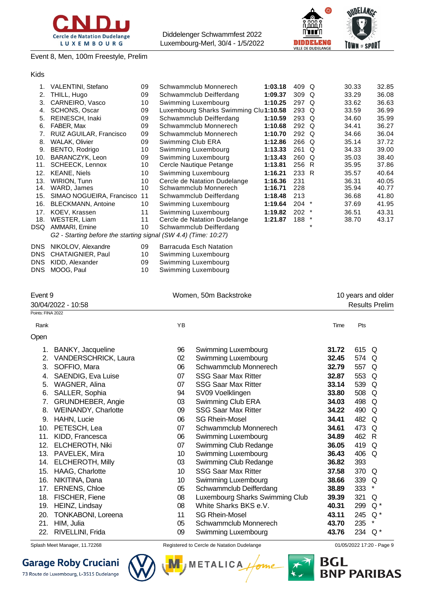





Event 8, Men, 100m Freestyle, Prelim

#### Kids

| 1.   | VALENTINI, Stefano                                              | 09 | Schwammclub Monnerech                  | 1:03.18 | 409 Q            |        | 30.33 | 32.85 |
|------|-----------------------------------------------------------------|----|----------------------------------------|---------|------------------|--------|-------|-------|
| 2.   | THILL, Hugo                                                     | 09 | Schwammclub Deifferdang                | 1:09.37 | 309 <sub>Q</sub> |        | 33.29 | 36.08 |
| 3.   | CARNEIRO, Vasco                                                 | 10 | Swimming Luxembourg                    | 1:10.25 | 297 Q            |        | 33.62 | 36.63 |
| 4.   | <b>SCHONS, Oscar</b>                                            | 09 | Luxembourg Sharks Swimming Clul1:10.58 |         | 293 Q            |        | 33.59 | 36.99 |
| 5.   | <b>REINESCH, Inaki</b>                                          | 09 | Schwammclub Deifferdang                | 1:10.59 | 293 Q            |        | 34.60 | 35.99 |
| 6.   | FABER, Max                                                      | 09 | Schwammclub Monnerech                  | 1:10.68 | 292 Q            |        | 34.41 | 36.27 |
| 7.   | RUIZ AGUILAR, Francisco                                         | 09 | Schwammclub Monnerech                  | 1:10.70 | 292 Q            |        | 34.66 | 36.04 |
| 8.   | <b>WALAK, Olivier</b>                                           | 09 | Swimming Club ERA                      | 1:12.86 | 266 Q            |        | 35.14 | 37.72 |
| 9.   | BENTO, Rodrigo                                                  | 10 | Swimming Luxembourg                    | 1:13.33 | 261 Q            |        | 34.33 | 39.00 |
| 10.  | BARANCZYK, Leon                                                 | 09 | Swimming Luxembourg                    | 1:13.43 | $260$ Q          |        | 35.03 | 38.40 |
| 11.  | SCHEECK, Lennox                                                 | 10 | Cercle Nautique Petange                | 1:13.81 | 256 R            |        | 35.95 | 37.86 |
| 12.  | <b>KEANE, Niels</b>                                             | 10 | Swimming Luxembourg                    | 1:16.21 | 233 R            |        | 35.57 | 40.64 |
| 13.  | <b>WIRION, Tunn</b>                                             | 10 | Cercle de Natation Dudelange           | 1:16.36 | 231              |        | 36.31 | 40.05 |
| 14.  | WARD, James                                                     | 10 | Schwammclub Monnerech                  | 1:16.71 | 228              |        | 35.94 | 40.77 |
| 15.  | SIMAO NOGUEIRA, Francisco                                       | 11 | Schwammclub Deifferdang                | 1:18.48 | 213              |        | 36.68 | 41.80 |
| 16.  | <b>BLECKMANN, Antoine</b>                                       | 10 | Swimming Luxembourg                    | 1:19.64 | 204              | $\ast$ | 37.69 | 41.95 |
| 17.  | KOEV, Krassen                                                   | 11 | Swimming Luxembourg                    | 1:19.82 | $202$ *          |        | 36.51 | 43.31 |
| 18.  | WESTER, Liam                                                    | 11 | Cercle de Natation Dudelange           | 1:21.87 | 188              | $\ast$ | 38.70 | 43.17 |
| DSQ  | AMMARI, Emine                                                   | 10 | Schwammclub Deifferdang                |         |                  | $\ast$ |       |       |
|      | G2 - Starting before the starting signal (SW 4.4) (Time: 10:27) |    |                                        |         |                  |        |       |       |
| DNS  | NIKOLOV, Alexandre                                              | 09 | Barracuda Esch Natation                |         |                  |        |       |       |
| DNS  | <b>CHATAIGNIER, Paul</b>                                        | 10 | Swimming Luxembourg                    |         |                  |        |       |       |
| DNS. | KIDD Alexander                                                  | 09 | Swimming Luxembourg                    |         |                  |        |       |       |

| DNS KIDD, Alexander | 09 | Swimming Luxembourg |
|---------------------|----|---------------------|
| DNS MOOG, Paul      |    | Swimming Luxembourg |

| Event 9           |                             |    | Women, 50m Backstroke           | 10 years and older    |       |          |  |
|-------------------|-----------------------------|----|---------------------------------|-----------------------|-------|----------|--|
|                   | 30/04/2022 - 10:58          |    |                                 | <b>Results Prelim</b> |       |          |  |
| Points: FINA 2022 |                             |    |                                 |                       |       |          |  |
| Rank              |                             | YB |                                 | Time                  | Pts   |          |  |
| Open              |                             |    |                                 |                       |       |          |  |
| 1.                | BANKY, Jacqueline           | 96 | Swimming Luxembourg             | 31.72                 | 615 Q |          |  |
| 2.                | <b>VANDERSCHRICK, Laura</b> | 02 | Swimming Luxembourg             | 32.45                 | 574 Q |          |  |
| 3.                | SOFFIO, Mara                | 06 | Schwammclub Monnerech           | 32.79                 | 557 Q |          |  |
| 4.                | SAENDIG, Eva Luise          | 07 | <b>SSG Saar Max Ritter</b>      | 32.87                 | 553 Q |          |  |
| 5.                | WAGNER, Alina               | 07 | <b>SSG Saar Max Ritter</b>      | 33.14                 | 539   | $\Omega$ |  |
| 6.                | SALLER, Sophia              | 94 | SV09 Voelklingen                | 33.80                 | 508   | Q        |  |
| 7.                | GRUNDHEBER, Angie           | 03 | Swimming Club ERA               | 34.03                 | 498   | Q        |  |
| 8.                | WEINANDY, Charlotte         | 09 | <b>SSG Saar Max Ritter</b>      | 34.22                 | 490 Q |          |  |
| 9.                | HAHN, Lucie                 | 06 | <b>SG Rhein-Mosel</b>           | 34.41                 | 482 Q |          |  |
| 10.               | PETESCH, Lea                | 07 | Schwammclub Monnerech           | 34.61                 | 473   | Q        |  |
| 11.               | KIDD, Francesca             | 06 | Swimming Luxembourg             | 34.89                 | 462 R |          |  |
| 12.               | ELCHEROTH, Niki             | 07 | Swimming Club Redange           | 36.05                 | 419   | Q        |  |
| 13.               | PAVELEK, Mira               | 10 | Swimming Luxembourg             | 36.43                 | 406   | Q        |  |
| 14.               | <b>ELCHEROTH, Milly</b>     | 03 | Swimming Club Redange           | 36.82                 | 393   |          |  |
| 15.               | HAAG, Charlotte             | 10 | <b>SSG Saar Max Ritter</b>      | 37.58                 | 370 Q |          |  |
| 16.               | NIKITINA, Dana              | 10 | Swimming Luxembourg             | 38.66                 | 339   | Q        |  |
| 17.               | <b>ERNENS, Chloe</b>        | 05 | Schwammclub Deifferdang         | 38.89                 | 333   | $\ast$   |  |
| 18.               | FISCHER, Fiene              | 08 | Luxembourg Sharks Swimming Club | 39.39                 | 321   | Q        |  |
| 19.               | HEINZ, Lindsay              | 08 | White Sharks BKS e.V.           | 40.31                 | 299   | $Q^*$    |  |
| 20.               | TONKABONI, Loreena          | 11 | <b>SG Rhein-Mosel</b>           | 43.11                 | 245   | $Q^*$    |  |
| 21.               | HIM, Julia                  | 05 | Schwammclub Monnerech           | 43.70                 | 235   | $\star$  |  |
| 22.               | RIVELLINI, Frida            | 09 | Swimming Luxembourg             | 43.76                 | 234   | $Q^*$    |  |

# **Garage Roby Cruciani**



Splash Meet Manager, 11.72268 **Registered to Cercle de Natation Dudelange 11/05/2022 17:20** - Page 9

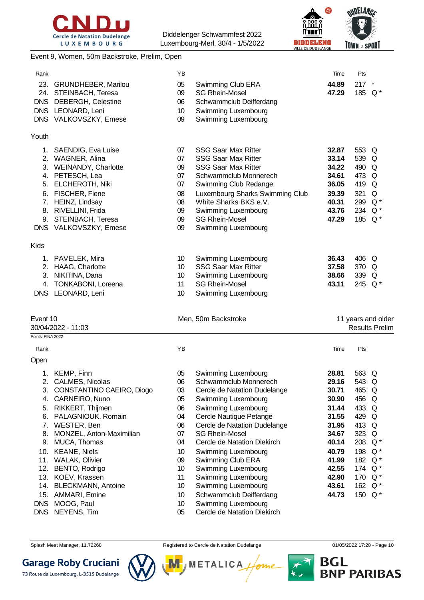



#### Event 9, Women, 50m Backstroke, Prelim, Open

|                                                                                                                                                                                                    | ΥB<br>05<br>09<br>06<br>10<br>09                                                                                                                                                                                                                                                                                                                                                                                                                                                                                                                | Swimming Club ERA<br><b>SG Rhein-Mosel</b><br>Schwammclub Deifferdang<br>Swimming Luxembourg<br>Swimming Luxembourg                                                                                                                                                                                                                                                                                              | Time<br>44.89<br>47.29                                                                                                              | Pts<br>217 | $\star$                                                                                                                                                                                                                                                                                                                                    |
|----------------------------------------------------------------------------------------------------------------------------------------------------------------------------------------------------|-------------------------------------------------------------------------------------------------------------------------------------------------------------------------------------------------------------------------------------------------------------------------------------------------------------------------------------------------------------------------------------------------------------------------------------------------------------------------------------------------------------------------------------------------|------------------------------------------------------------------------------------------------------------------------------------------------------------------------------------------------------------------------------------------------------------------------------------------------------------------------------------------------------------------------------------------------------------------|-------------------------------------------------------------------------------------------------------------------------------------|------------|--------------------------------------------------------------------------------------------------------------------------------------------------------------------------------------------------------------------------------------------------------------------------------------------------------------------------------------------|
|                                                                                                                                                                                                    |                                                                                                                                                                                                                                                                                                                                                                                                                                                                                                                                                 |                                                                                                                                                                                                                                                                                                                                                                                                                  |                                                                                                                                     |            |                                                                                                                                                                                                                                                                                                                                            |
| <b>ELCHEROTH, Niki</b><br>FISCHER, Fiene<br>HEINZ, Lindsay<br>RIVELLINI, Frida<br>STEINBACH, Teresa                                                                                                | 07<br>07<br>09<br>07<br>07<br>08<br>08<br>09<br>09<br>09                                                                                                                                                                                                                                                                                                                                                                                                                                                                                        | <b>SSG Saar Max Ritter</b><br><b>SSG Saar Max Ritter</b><br><b>SSG Saar Max Ritter</b><br>Schwammclub Monnerech<br>Swimming Club Redange<br>Luxembourg Sharks Swimming Club<br>White Sharks BKS e.V.<br>Swimming Luxembourg<br><b>SG Rhein-Mosel</b><br>Swimming Luxembourg                                                                                                                                      | 32.87<br>33.14<br>34.22<br>34.61<br>36.05<br>39.39<br>40.31<br>43.76<br>47.29                                                       | 321        | Q                                                                                                                                                                                                                                                                                                                                          |
|                                                                                                                                                                                                    |                                                                                                                                                                                                                                                                                                                                                                                                                                                                                                                                                 |                                                                                                                                                                                                                                                                                                                                                                                                                  |                                                                                                                                     |            |                                                                                                                                                                                                                                                                                                                                            |
| TONKABONI, Loreena                                                                                                                                                                                 | 10<br>10<br>10<br>11<br>10                                                                                                                                                                                                                                                                                                                                                                                                                                                                                                                      | Swimming Luxembourg<br><b>SSG Saar Max Ritter</b><br>Swimming Luxembourg<br><b>SG Rhein-Mosel</b><br>Swimming Luxembourg                                                                                                                                                                                                                                                                                         | 36.43<br>37.58<br>38.66<br>43.11                                                                                                    |            |                                                                                                                                                                                                                                                                                                                                            |
|                                                                                                                                                                                                    |                                                                                                                                                                                                                                                                                                                                                                                                                                                                                                                                                 |                                                                                                                                                                                                                                                                                                                                                                                                                  |                                                                                                                                     |            | <b>Results Prelim</b>                                                                                                                                                                                                                                                                                                                      |
|                                                                                                                                                                                                    | YB                                                                                                                                                                                                                                                                                                                                                                                                                                                                                                                                              |                                                                                                                                                                                                                                                                                                                                                                                                                  | Time                                                                                                                                | Pts        |                                                                                                                                                                                                                                                                                                                                            |
|                                                                                                                                                                                                    |                                                                                                                                                                                                                                                                                                                                                                                                                                                                                                                                                 |                                                                                                                                                                                                                                                                                                                                                                                                                  |                                                                                                                                     |            |                                                                                                                                                                                                                                                                                                                                            |
| CALMES, Nicolas<br>CONSTANTINO CAEIRO, Diogo<br>CARNEIRO, Nuno<br>RIKKERT, Thijmen<br>PALAGNIOUK, Romain<br>WESTER, Ben<br>MONZEL, Anton-Maximilian<br>MUCA, Thomas<br>AMMARI, Emine<br>MOOG, Paul | 05<br>06<br>03<br>05<br>06<br>04<br>06<br>07<br>04<br>10<br>09<br>10<br>11<br>10<br>10<br>10                                                                                                                                                                                                                                                                                                                                                                                                                                                    | Swimming Luxembourg<br>Schwammclub Monnerech<br>Cercle de Natation Dudelange<br>Swimming Luxembourg<br>Swimming Luxembourg<br>Cercle Nautique Petange<br>Cercle de Natation Dudelange<br><b>SG Rhein-Mosel</b><br>Cercle de Natation Diekirch<br>Swimming Luxembourg<br>Swimming Club ERA<br>Swimming Luxembourg<br>Swimming Luxembourg<br>Swimming Luxembourg<br>Schwammclub Deifferdang<br>Swimming Luxembourg | 28.81<br>29.16<br>30.71<br>30.90<br>31.44<br>31.55<br>31.95<br>34.67<br>40.14<br>40.79<br>41.99<br>42.55<br>42.90<br>43.61<br>44.73 |            |                                                                                                                                                                                                                                                                                                                                            |
|                                                                                                                                                                                                    | 23.<br><b>GRUNDHEBER, Marilou</b><br>24. STEINBACH, Teresa<br>DNS DEBERGH, Celestine<br>DNS LEONARD, Leni<br>DNS VALKOVSZKY, Emese<br>1. SAENDIG, Eva Luise<br>2. WAGNER, Alina<br>3. WEINANDY, Charlotte<br>4. PETESCH, Lea<br>DNS VALKOVSZKY, Emese<br>1. PAVELEK, Mira<br>2. HAAG, Charlotte<br>3. NIKITINA, Dana<br>DNS LEONARD, Leni<br>Event 10<br>30/04/2022 - 11:03<br>Points: FINA 2022<br>1. KEMP, Finn<br>10. KEANE, Niels<br>11. WALAK, Olivier<br>12. BENTO, Rodrigo<br>13. KOEV, Krassen<br>14. BLECKMANN, Antoine<br>NEYENS, Tim | 05                                                                                                                                                                                                                                                                                                                                                                                                               | Men, 50m Backstroke<br>Cercle de Natation Diekirch                                                                                  |            | 185 Q*<br>553 Q<br>539 Q<br>490 Q<br>473 Q<br>419 Q<br>299 Q*<br>234 Q*<br>185 Q*<br>406 Q<br>370 Q<br>339 Q<br>245 Q*<br>11 years and older<br>563 Q<br>543 Q<br>465 Q<br>456 Q<br>433 Q<br>429 Q<br>413 Q<br>323 Q<br>208 Q*<br>198 Q*<br>182 Q*<br>174 Q <sup>*</sup><br>170 Q <sup>*</sup><br>162 Q <sup>*</sup><br>150 Q <sup>*</sup> |

Splash Meet Manager, 11.72268 **Registered to Cercle de Natation Dudelange** 01/05/2022 17:20 - Page 10

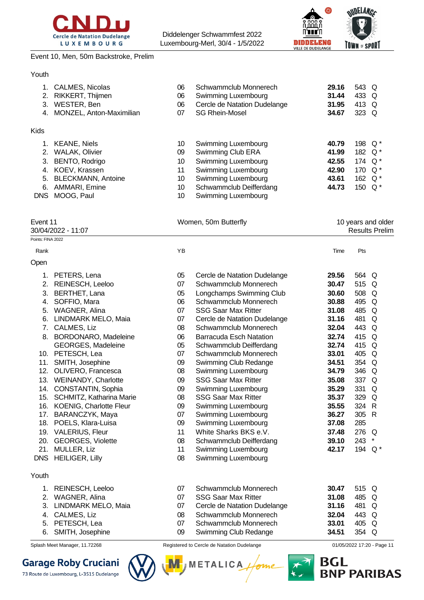



#### Event 10, Men, 50m Backstroke, Prelim

#### Youth

| 2.<br>3.                                 | CALMES, Nicolas<br>RIKKERT, Thijmen<br>WESTER, Ben<br>4. MONZEL, Anton-Maximilian                                                              | 06<br>06<br>06<br>07                   | Schwammclub Monnerech<br>Swimming Luxembourg<br>Cercle de Natation Dudelange<br><b>SG Rhein-Mosel</b>                                                           | 29.16<br>31.44<br>31.95<br>34.67                   | 543 Q<br>433<br>413 Q<br>323 Q            | Q                                           |
|------------------------------------------|------------------------------------------------------------------------------------------------------------------------------------------------|----------------------------------------|-----------------------------------------------------------------------------------------------------------------------------------------------------------------|----------------------------------------------------|-------------------------------------------|---------------------------------------------|
| <b>Kids</b>                              |                                                                                                                                                |                                        |                                                                                                                                                                 |                                                    |                                           |                                             |
| 1.<br>2.<br>3.<br>5.<br>6.<br><b>DNS</b> | <b>KEANE, Niels</b><br><b>WALAK, Olivier</b><br>BENTO, Rodrigo<br>4. KOEV, Krassen<br><b>BLECKMANN, Antoine</b><br>AMMARI, Emine<br>MOOG, Paul | 10<br>09<br>10<br>11<br>10<br>10<br>10 | Swimming Luxembourg<br>Swimming Club ERA<br>Swimming Luxembourg<br>Swimming Luxembourg<br>Swimming Luxembourg<br>Schwammclub Deifferdang<br>Swimming Luxembourg | 40.79<br>41.99<br>42.55<br>42.90<br>43.61<br>44.73 | 198<br>182<br>174 Q*<br>170<br>162<br>150 | $Q^*$<br>$Q^*$<br>$Q^*$<br>$Q^*$<br>$Q^*$   |
| Event 11                                 |                                                                                                                                                |                                        | Women, 50m Butterfly                                                                                                                                            |                                                    |                                           | 10 years and older<br><b>Results Prelim</b> |
| Points: FINA 2022                        | 30/04/2022 - 11:07                                                                                                                             |                                        |                                                                                                                                                                 |                                                    |                                           |                                             |
|                                          |                                                                                                                                                |                                        |                                                                                                                                                                 |                                                    |                                           |                                             |
| Rank                                     |                                                                                                                                                | YB                                     |                                                                                                                                                                 | Time                                               | Pts                                       |                                             |
| Open                                     |                                                                                                                                                |                                        |                                                                                                                                                                 |                                                    |                                           |                                             |
| 1.                                       | PETERS, Lena                                                                                                                                   | 05                                     | Cercle de Natation Dudelange                                                                                                                                    | 29.56                                              | 564 Q                                     |                                             |
| 2.                                       | REINESCH, Leeloo                                                                                                                               | 07                                     | Schwammclub Monnerech                                                                                                                                           | 30.47                                              | 515 Q                                     |                                             |
| 3.                                       | BERTHET, Lana                                                                                                                                  | 05                                     | Longchamps Swimming Club                                                                                                                                        | 30.60                                              | 508 Q                                     |                                             |
| 4.                                       | SOFFIO, Mara                                                                                                                                   | 06<br>07                               | Schwammclub Monnerech<br><b>SSG Saar Max Ritter</b>                                                                                                             | 30.88<br>31.08                                     | 495<br>485                                | Q<br>Q                                      |
| 5.<br>6.                                 | WAGNER, Alina<br>LINDMARK MELO, Maia                                                                                                           | 07                                     | Cercle de Natation Dudelange                                                                                                                                    | 31.16                                              | 481                                       | Q                                           |
| 7.                                       | CALMES, Liz                                                                                                                                    | 08                                     | Schwammclub Monnerech                                                                                                                                           | 32.04                                              | 443                                       | Q                                           |
|                                          | 8. BORDONARO, Madeleine                                                                                                                        | 06                                     | <b>Barracuda Esch Natation</b>                                                                                                                                  | 32.74                                              | 415                                       | Q                                           |
|                                          | GEORGES, Madeleine                                                                                                                             | 05                                     | Schwammclub Deifferdang                                                                                                                                         | 32.74                                              | 415 Q                                     |                                             |
|                                          | 10. PETESCH, Lea                                                                                                                               | 07                                     | Schwammclub Monnerech                                                                                                                                           | 33.01                                              | 405 Q                                     |                                             |
|                                          | 11. SMITH, Josephine                                                                                                                           | 09                                     | Swimming Club Redange                                                                                                                                           | 34.51                                              | 354 Q                                     |                                             |
| 12.                                      | OLIVERO, Francesca                                                                                                                             | 80                                     | Swimming Luxembourg                                                                                                                                             | 34.79                                              | 346                                       | Q                                           |
|                                          | 13. WEINANDY, Charlotte                                                                                                                        | 09                                     | <b>SSG Saar Max Ritter</b>                                                                                                                                      | 35.08                                              | 337 Q                                     |                                             |
| 14.                                      | CONSTANTIN, Sophia                                                                                                                             | 09                                     | Swimming Luxembourg                                                                                                                                             | 35.29                                              | 331                                       | Q                                           |
| 15.                                      | SCHMITZ, Katharina Marie                                                                                                                       | 08                                     | <b>SSG Saar Max Ritter</b>                                                                                                                                      | 35.37                                              | 329                                       | Q                                           |
|                                          | 16. KOENIG, Charlotte Fleur                                                                                                                    | 09                                     | Swimming Luxembourg                                                                                                                                             | 35.55                                              | 324 R                                     |                                             |
| 17.                                      | BARANCZYK, Maya                                                                                                                                | 07                                     | Swimming Luxembourg                                                                                                                                             | 36.27                                              | 305 R                                     |                                             |
| 18.                                      | POELS, Klara-Luisa                                                                                                                             | 09                                     | Swimming Luxembourg                                                                                                                                             | 37.08                                              | 285                                       |                                             |
|                                          | 19. VALERIUS, Fleur                                                                                                                            | 11                                     | White Sharks BKS e.V.                                                                                                                                           | 37.48                                              | 276 Q                                     |                                             |
| 20.                                      | <b>GEORGES, Violette</b>                                                                                                                       | 08                                     | Schwammclub Deifferdang                                                                                                                                         | 39.10                                              | 243                                       | $\star$                                     |
| 21.                                      | MULLER, Liz                                                                                                                                    | 11                                     | Swimming Luxembourg                                                                                                                                             | 42.17                                              | 194 Q <sup>*</sup>                        |                                             |
| <b>DNS</b>                               | <b>HEILIGER, Lilly</b>                                                                                                                         | 08                                     | Swimming Luxembourg                                                                                                                                             |                                                    |                                           |                                             |
| Youth                                    |                                                                                                                                                |                                        |                                                                                                                                                                 |                                                    |                                           |                                             |
| 1.                                       | REINESCH, Leeloo                                                                                                                               | 07                                     | Schwammclub Monnerech                                                                                                                                           | 30.47                                              | 515 Q                                     |                                             |
| 2.                                       | WAGNER, Alina                                                                                                                                  | 07                                     | <b>SSG Saar Max Ritter</b>                                                                                                                                      | 31.08                                              | 485 Q                                     |                                             |
| 3.                                       | LINDMARK MELO, Maia                                                                                                                            | 07                                     | Cercle de Natation Dudelange                                                                                                                                    | 31.16                                              | 481                                       | Q                                           |
| 4.                                       | CALMES, Liz                                                                                                                                    | 08                                     | Schwammclub Monnerech                                                                                                                                           | 32.04                                              | 443 Q                                     |                                             |
| 5.                                       | PETESCH, Lea                                                                                                                                   | 07                                     | Schwammclub Monnerech                                                                                                                                           | 33.01                                              | 405 Q                                     |                                             |
| 6.                                       | SMITH, Josephine                                                                                                                               | 09                                     | Swimming Club Redange                                                                                                                                           | 34.51                                              | 354 Q                                     |                                             |
|                                          | Splash Meet Manager, 11.72268                                                                                                                  |                                        | Registered to Cercle de Natation Dudelange                                                                                                                      |                                                    |                                           | 01/05/2022 17:20 - Page 11                  |

# **Garage Roby Cruciani**

73 Route de Luxembourg, L-3515 Dudelange

me

**M** METALICA

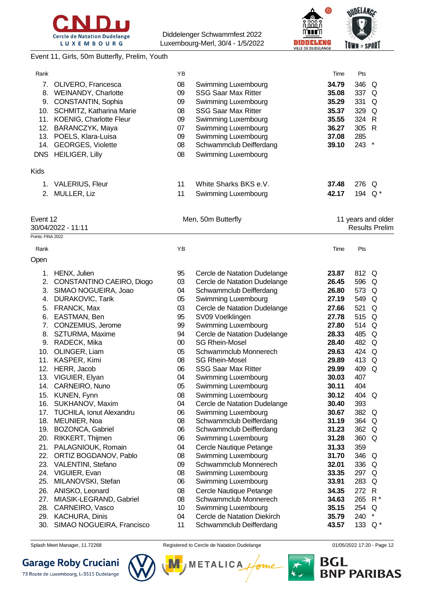



#### Event 11, Girls, 50m Butterfly, Prelim, Youth

| Rank              |                                            | ΥB       |                                                  | Time           | Pts                |                       |
|-------------------|--------------------------------------------|----------|--------------------------------------------------|----------------|--------------------|-----------------------|
| 7.                | OLIVERO, Francesca                         | 08       | Swimming Luxembourg                              | 34.79          | 346                | Q                     |
|                   | 8. WEINANDY, Charlotte                     | 09       | <b>SSG Saar Max Ritter</b>                       | 35.08          | 337 Q              |                       |
| 9.                | CONSTANTIN, Sophia                         | 09       | Swimming Luxembourg                              | 35.29          | 331                | Q                     |
|                   | 10. SCHMITZ, Katharina Marie               | 08       | <b>SSG Saar Max Ritter</b>                       | 35.37          | 329                | Q                     |
| 11.               | KOENIG, Charlotte Fleur                    | 09       | Swimming Luxembourg                              | 35.55          | 324                | $\mathsf{R}$          |
| 12.               | BARANCZYK, Maya                            | 07       | Swimming Luxembourg                              | 36.27          | 305 R              |                       |
|                   | 13. POELS, Klara-Luisa                     | 09       | Swimming Luxembourg                              | 37.08          | 285                |                       |
| 14.               | <b>GEORGES, Violette</b>                   | 08       | Schwammclub Deifferdang                          | 39.10          | 243                | $\star$               |
|                   | DNS HEILIGER, Lilly                        | 08       | Swimming Luxembourg                              |                |                    |                       |
| Kids              |                                            |          |                                                  |                |                    |                       |
| 1.                | <b>VALERIUS, Fleur</b>                     | 11       | White Sharks BKS e.V.                            | 37.48          | 276 Q              |                       |
| 2.                | MULLER, Liz                                | 11       | Swimming Luxembourg                              | 42.17          | 194                | Q *                   |
| Event 12          |                                            |          | Men, 50m Butterfly                               |                |                    | 11 years and older    |
|                   | 30/04/2022 - 11:11                         |          |                                                  |                |                    | <b>Results Prelim</b> |
| Points: FINA 2022 |                                            |          |                                                  |                |                    |                       |
| Rank              |                                            | YB       |                                                  | Time           | Pts                |                       |
| Open              |                                            |          |                                                  |                |                    |                       |
| 1.                | HENX, Julien                               | 95       | Cercle de Natation Dudelange                     | 23.87          | 812 Q              |                       |
| 2.                | CONSTANTINO CAEIRO, Diogo                  | 03       | Cercle de Natation Dudelange                     | 26.45          | 596 Q              |                       |
| 3.                | SIMAO NOGUEIRA, Joao                       | 04       | Schwammclub Deifferdang                          | 26.80          | 573 Q              |                       |
| 4.                | <b>DURAKOVIC, Tarik</b>                    | 05       | Swimming Luxembourg                              | 27.19          | 549                | Q                     |
| 5.                | FRANCK, Max                                | 03       | Cercle de Natation Dudelange                     | 27.66          | 521                | Q                     |
| 6.                | EASTMAN, Ben                               | 95       | SV09 Voelklingen                                 | 27.78          | 515                | Q                     |
| 7.                | CONZEMIUS, Jerome                          | 99       | Swimming Luxembourg                              | 27.80          | 514                | Q                     |
|                   | 8. SZTURMA, Maxime                         | 94       | Cercle de Natation Dudelange                     | 28.33          | 485                | Q                     |
|                   | 9. RADECK, Mika                            | 00       | <b>SG Rhein-Mosel</b>                            | 28.40          | 482                | Q                     |
|                   | 10. OLINGER, Liam                          | 05       | Schwammclub Monnerech                            | 29.63          | 424 Q              |                       |
|                   | 11. KASPER, Kimi                           | 08       | <b>SG Rhein-Mosel</b>                            | 29.89          | 413                | Q                     |
|                   | 12. HERR, Jacob                            | 06       | <b>SSG Saar Max Ritter</b>                       | 29.99          | 409                | Q                     |
|                   | 13. VIGUIER, Elyan                         | 04       | Swimming Luxembourg                              | 30.03          | 407                |                       |
|                   | 14. CARNEIRO, Nuno                         | 05       | Swimming Luxembourg                              | 30.11          | 404                |                       |
|                   | 15. KUNEN, Fynn                            | 08       | Swimming Luxembourg                              | 30.12          | 404 Q              |                       |
|                   | 16. SUKHANOV, Maxim                        | 04       | Cercle de Natation Dudelange                     | 30.40          | 393                |                       |
|                   | 17. TUCHILA, Ionut Alexandru               | 06       | Swimming Luxembourg                              | 30.67          | 382 Q              |                       |
|                   | 18. MEUNIER, Noa                           | 08       | Schwammclub Deifferdang                          | 31.19          | 364 Q              |                       |
|                   | 19. BOZONCA, Gabriel                       | 06       | Schwammclub Deifferdang                          | 31.23          | 362 Q              |                       |
| 20.               | RIKKERT, Thijmen                           | 06       | Swimming Luxembourg                              | 31.28          | 360 Q              |                       |
| 21.               | PALAGNIOUK, Romain                         | 04       | Cercle Nautique Petange                          | 31.33          | 359                |                       |
| 22.               | ORTIZ BOGDANOV, Pablo                      | 08       | Swimming Luxembourg                              | 31.70          | 346 Q              |                       |
| 23.               | VALENTINI, Stefano                         | 09       | Schwammclub Monnerech                            | 32.01          | 336 Q              |                       |
| 24.               | VIGUIER, Evan                              | 08       | Swimming Luxembourg                              | 33.35          | 297 Q              |                       |
| 25.               | MILANOVSKI, Stefan                         | 06       | Swimming Luxembourg                              | 33.91          | 283                | Q                     |
| 26.               | ANISKO, Leonard                            | 08       | Cercle Nautique Petange<br>Schwammclub Monnerech | 34.35          | 272 R              |                       |
| 27.<br>28.        | MIASIK-LEGRAND, Gabriel<br>CARNEIRO, Vasco | 08<br>10 | Swimming Luxembourg                              | 34.63<br>35.15 | 265 R*<br>254 Q    |                       |
| 29.               | KACHURA, Dinis                             | 04       | Cercle de Natation Diekirch                      | 35.79          | 240                | $\star$               |
| 30.               | SIMAO NOGUEIRA, Francisco                  | 11       | Schwammclub Deifferdang                          | 43.57          | 133 Q <sup>*</sup> |                       |
|                   |                                            |          |                                                  |                |                    |                       |

Splash Meet Manager, 11.72268 **Registered to Cercle de Natation Dudelange 11/05/2022 17:20** - Page 12

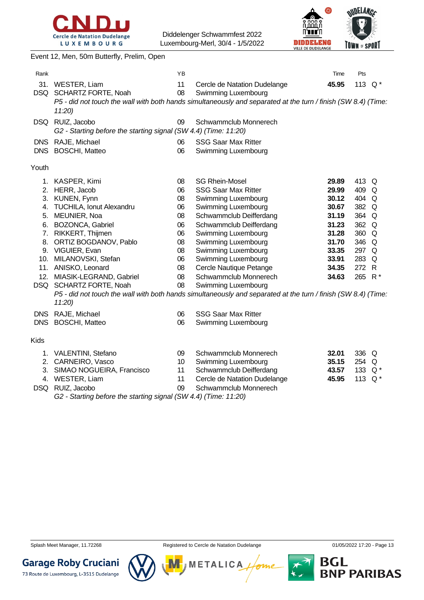



Event 12, Men, 50m Butterfly, Prelim, Open Rank **Rank Time Pts Proposed and Proposed Area** Time Pts and Proposed and Proposed and Proposed and Proposed and Proposed and Proposed and Proposed and Proposed and Proposed and Proposed and Proposed and Proposed and Pro 31. WESTER, Liam 11 Cercle de Natation Dudelange **45.95** 113 Q \* DSQ SCHARTZ FORTE, Noah 08 Swimming Luxembourg *P5 - did not touch the wall with both hands simultaneously and separated at the turn / finish (SW 8.4) (Time: 11:20)* DSQ RUIZ, Jacobo 09 Schwammclub Monnerech *G2 - Starting before the starting signal (SW 4.4) (Time: 11:20)* DNS RAJE, Michael 06 SSG Saar Max Ritter DNS BOSCHI, Matteo 06 Swimming Luxembourg Youth 1. KASPER, Kimi 08 SG Rhein-Mosel **29.89** 413 Q 2. HERR, Jacob 06 SSG Saar Max Ritter **29.99** 409 Q 3. KUNEN, Fynn 08 Swimming Luxembourg **30.12** 404 Q 4. TUCHILA, Ionut Alexandru 06 Swimming Luxembourg **30.67** 382 Q 5. MEUNIER, Noa 08 Schwammclub Deifferdang **31.19** 364 Q 6. BOZONCA, Gabriel 06 Schwammclub Deifferdang **31.23** 362 Q 7. RIKKERT, Thijmen 06 Swimming Luxembourg **31.28** 360 Q 8. ORTIZ BOGDANOV, Pablo 08 Swimming Luxembourg **31.70** 346 Q 9. VIGUIER, Evan 08 Swimming Luxembourg **33.35** 297 Q 10. MILANOVSKI, Stefan 06 Swimming Luxembourg **33.91** 283 Q 11. ANISKO, Leonard 08 Cercle Nautique Petange **34.35** 272 R 12. MIASIK-LEGRAND, Gabriel 08 Schwammclub Monnerech **34.63** 265 R \* DSQ SCHARTZ FORTE, Noah 08 Swimming Luxembourg *P5 - did not touch the wall with both hands simultaneously and separated at the turn / finish (SW 8.4) (Time: 11:20)* DNS RAJE, Michael 06 SSG Saar Max Ritter DNS BOSCHI, Matteo 06 Swimming Luxembourg Kids 1. VALENTINI, Stefano 09 Schwammclub Monnerech **32.01** 336 Q 2. CARNEIRO, Vasco 10 Swimming Luxembourg **35.15** 254 Q 3. SIMAO NOGUEIRA, Francisco 11 Schwammclub Deifferdang **43.57** 133 Q \* 4. WESTER, Liam 11 Cercle de Natation Dudelange **45.95** 113 Q \* DSQ RUIZ, Jacobo 09 Schwammclub Monnerech

*G2 - Starting before the starting signal (SW 4.4) (Time: 11:20)*

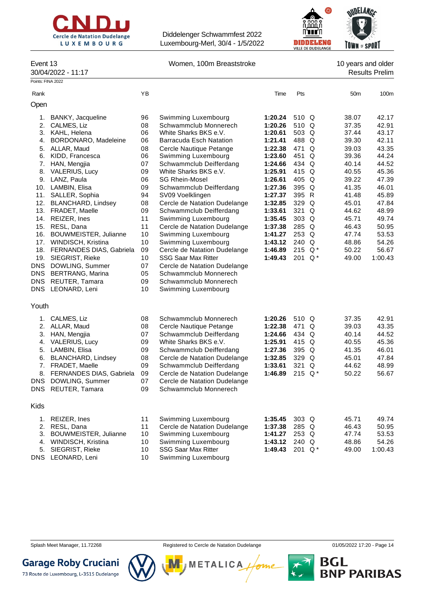



#### Event 13 **Event 13** Women, 100m Breaststroke 10 years and older

30/04/2022 - 11:17 Results Prelim

| Points: FINA 2022 |                                 |                 |                                |         |           |       |                 |         |
|-------------------|---------------------------------|-----------------|--------------------------------|---------|-----------|-------|-----------------|---------|
| Rank              |                                 | ΥB              |                                | Time    | Pts       |       | 50 <sub>m</sub> | 100m    |
| Open              |                                 |                 |                                |         |           |       |                 |         |
| 1.                | BANKY, Jacqueline               | 96              | Swimming Luxembourg            | 1:20.24 | 510 Q     |       | 38.07           | 42.17   |
| 2.                | CALMES, Liz                     | 08              | Schwammclub Monnerech          | 1:20.26 | 510 Q     |       | 37.35           | 42.91   |
| 3.                | KAHL, Helena                    | 06              | White Sharks BKS e.V.          | 1:20.61 | 503 Q     |       | 37.44           | 43.17   |
| 4.                | BORDONARO, Madeleine            | 06              | <b>Barracuda Esch Natation</b> | 1:21.41 | 488 Q     |       | 39.30           | 42.11   |
| 5.                | ALLAR, Maud                     | 08              | Cercle Nautique Petange        | 1:22.38 | 471       | Q     | 39.03           | 43.35   |
| 6.                | KIDD, Francesca                 | 06              | Swimming Luxembourg            | 1:23.60 | 451       | Q     | 39.36           | 44.24   |
| 7.                | HAN, Mengjia                    | 07              | Schwammclub Deifferdang        | 1:24.66 | 434 Q     |       | 40.14           | 44.52   |
| 8.                | VALERIUS, Lucy                  | 09              | White Sharks BKS e.V.          | 1:25.91 | 415 Q     |       | 40.55           | 45.36   |
| 9.                | LANZ, Paula                     | 06              | <b>SG Rhein-Mosel</b>          | 1:26.61 | 405 Q     |       | 39.22           | 47.39   |
| 10.               | LAMBIN, Elisa                   | 09              | Schwammclub Deifferdang        | 1:27.36 | 395 Q     |       | 41.35           | 46.01   |
| 11.               | SALLER, Sophia                  | 94              | SV09 Voelklingen               | 1:27.37 | 395 R     |       | 41.48           | 45.89   |
| 12.               | <b>BLANCHARD, Lindsey</b>       | 08              | Cercle de Natation Dudelange   | 1:32.85 | 329 Q     |       | 45.01           | 47.84   |
| 13.               | FRADET, Maelle                  | 09              | Schwammclub Deifferdang        | 1:33.61 | 321 Q     |       | 44.62           | 48.99   |
| 14.               | REIZER, Ines                    | 11              | Swimming Luxembourg            | 1:35.45 | 303 Q     |       | 45.71           | 49.74   |
| 15.               | RESL, Dana                      | 11              | Cercle de Natation Dudelange   | 1:37.38 | 285 Q     |       | 46.43           | 50.95   |
| 16.               | BOUWMEISTER, Julianne           | 10              | Swimming Luxembourg            | 1:41.27 | 253 Q     |       | 47.74           | 53.53   |
| 17.               | WINDISCH, Kristina              | 10              | Swimming Luxembourg            | 1:43.12 | 240 Q     |       | 48.86           | 54.26   |
| 18.               | <b>FERNANDES DIAS, Gabriela</b> | 09              | Cercle de Natation Dudelange   | 1:46.89 | 215 Q*    |       | 50.22           | 56.67   |
| 19.               | SIEGRIST, Rieke                 | 10              | <b>SSG Saar Max Ritter</b>     | 1:49.43 | 201       | $Q^*$ | 49.00           | 1:00.43 |
| <b>DNS</b>        | DOWLING, Summer                 | 07              | Cercle de Natation Dudelange   |         |           |       |                 |         |
| DNS               | <b>BERTRANG, Marina</b>         | 05              | Schwammclub Monnerech          |         |           |       |                 |         |
| DNS               | REUTER, Tamara                  | 09              | Schwammclub Monnerech          |         |           |       |                 |         |
| <b>DNS</b>        | LEONARD, Leni                   | 10 <sup>1</sup> | Swimming Luxembourg            |         |           |       |                 |         |
|                   |                                 |                 |                                |         |           |       |                 |         |
| Youth             |                                 |                 |                                |         |           |       |                 |         |
| 1.                | CALMES, Liz                     | 08              | Schwammclub Monnerech          | 1:20.26 | 510 Q     |       | 37.35           | 42.91   |
| 2.                | ALLAR, Maud                     | 08              | Cercle Nautique Petange        | 1:22.38 | 471 Q     |       | 39.03           | 43.35   |
| 3.                | HAN, Mengjia                    | 07              | Schwammclub Deifferdang        | 1:24.66 | 434 Q     |       | 40.14           | 44.52   |
| 4.                | <b>VALERIUS, Lucy</b>           | 09              | White Sharks BKS e.V.          | 1:25.91 | 415 Q     |       | 40.55           | 45.36   |
| 5.                | LAMBIN, Elisa                   | 09              | Schwammclub Deifferdang        | 1:27.36 | 395 Q     |       | 41.35           | 46.01   |
| 6.                | <b>BLANCHARD, Lindsey</b>       | 08              | Cercle de Natation Dudelange   | 1:32.85 | 329 Q     |       | 45.01           | 47.84   |
| 7.                | FRADET, Maelle                  | 09              | Schwammclub Deifferdang        | 1:33.61 | 321       | Q     | 44.62           | 48.99   |
| 8.                | FERNANDES DIAS, Gabriela        | 09              | Cercle de Natation Dudelange   | 1:46.89 | 215 $Q^*$ |       | 50.22           | 56.67   |
| <b>DNS</b>        | DOWLING, Summer                 | 07              | Cercle de Natation Dudelange   |         |           |       |                 |         |
| DNS               | REUTER, Tamara                  | 09              | Schwammclub Monnerech          |         |           |       |                 |         |
| Kids              |                                 |                 |                                |         |           |       |                 |         |
| 1.                | REIZER, Ines                    | 11              | Swimming Luxembourg            | 1:35.45 | 303 Q     |       | 45.71           | 49.74   |
| 2.                | RESL, Dana                      | 11              | Cercle de Natation Dudelange   | 1:37.38 | 285 Q     |       | 46.43           | 50.95   |
| 3.                | BOUWMEISTER, Julianne           | 10              | Swimming Luxembourg            | 1:41.27 | 253 Q     |       | 47.74           | 53.53   |
| 4.                | WINDISCH, Kristina              | 10              | Swimming Luxembourg            | 1:43.12 | 240 Q     |       | 48.86           | 54.26   |
| 5.                | SIEGRIST, Rieke                 | 10              | <b>SSG Saar Max Ritter</b>     | 1:49.43 | 201 Q*    |       | 49.00           | 1:00.43 |
|                   |                                 |                 |                                |         |           |       |                 |         |

DNS LEONARD, Leni 10 Swimming Luxembourg

Splash Meet Manager, 11.72268 **Registered to Cercle de Natation Dudelange 11/05/2022 17:20** - Page 14

**METALICA** 



**Garage Roby Cruciani** 73 Route de Luxembourg, L-3515 Dudelange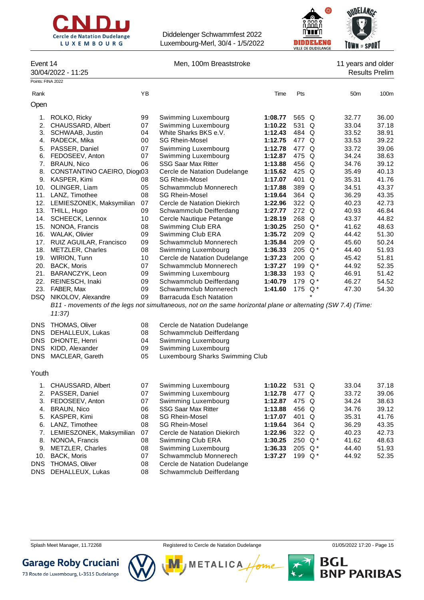



Event 14 **Event 14** Men, 100m Breaststroke 11 years and older

30/04/2022 - 11:25 Results Prelim

| Points: FINA 2022 |                             |    |                                                                                                               |         |       |          |                 |       |
|-------------------|-----------------------------|----|---------------------------------------------------------------------------------------------------------------|---------|-------|----------|-----------------|-------|
| Rank              |                             | YB |                                                                                                               | Time    | Pts   |          | 50 <sub>m</sub> | 100m  |
| Open              |                             |    |                                                                                                               |         |       |          |                 |       |
| 1.                | ROLKO, Ricky                | 99 | Swimming Luxembourg                                                                                           | 1:08.77 | 565 Q |          | 32.77           | 36.00 |
| 2.                | CHAUSSARD, Albert           | 07 | Swimming Luxembourg                                                                                           | 1:10.22 | 531   | $\Omega$ | 33.04           | 37.18 |
| 3.                | <b>SCHWAAB, Justin</b>      | 04 | White Sharks BKS e.V.                                                                                         | 1:12.43 | 484 Q |          | 33.52           | 38.91 |
| 4.                | RADECK, Mika                | 00 | <b>SG Rhein-Mosel</b>                                                                                         | 1:12.75 | 477 Q |          | 33.53           | 39.22 |
| 5.                | PASSER, Daniel              | 07 | Swimming Luxembourg                                                                                           | 1:12.78 | 477 Q |          | 33.72           | 39.06 |
| 6.                | FEDOSEEV, Anton             | 07 | Swimming Luxembourg                                                                                           | 1:12.87 | 475 Q |          | 34.24           | 38.63 |
| 7.                | <b>BRAUN, Nico</b>          | 06 | <b>SSG Saar Max Ritter</b>                                                                                    | 1:13.88 | 456 Q |          | 34.76           | 39.12 |
| 8.                | CONSTANTINO CAEIRO, Diog(03 |    | Cercle de Natation Dudelange                                                                                  | 1:15.62 | 425 Q |          | 35.49           | 40.13 |
| 9.                | KASPER, Kimi                | 08 | <b>SG Rhein-Mosel</b>                                                                                         | 1:17.07 | 401 Q |          | 35.31           | 41.76 |
| 10.               | OLINGER, Liam               | 05 | Schwammclub Monnerech                                                                                         | 1:17.88 | 389   | Q        | 34.51           | 43.37 |
| 11.               | LANZ, Timothee              | 08 | <b>SG Rhein-Mosel</b>                                                                                         | 1:19.64 | 364   | $\Omega$ | 36.29           | 43.35 |
| 12.               | LEMIESZONEK, Maksymilian    | 07 | Cercle de Natation Diekirch                                                                                   | 1:22.96 | 322 Q |          | 40.23           | 42.73 |
| 13.               | THILL, Hugo                 | 09 | Schwammclub Deifferdang                                                                                       | 1:27.77 | 272 Q |          | 40.93           | 46.84 |
| 14.               | SCHEECK, Lennox             | 10 | Cercle Nautique Petange                                                                                       | 1:28.19 | 268   | $\Omega$ | 43.37           | 44.82 |
| 15.               | NONOA, Francis              | 08 | Swimming Club ERA                                                                                             | 1:30.25 | 250   | $Q^*$    | 41.62           | 48.63 |
| 16.               | <b>WALAK, Olivier</b>       | 09 | Swimming Club ERA                                                                                             | 1:35.72 | 209   | Q        | 44.42           | 51.30 |
| 17.               | RUIZ AGUILAR, Francisco     | 09 | Schwammclub Monnerech                                                                                         | 1:35.84 | 209   | Q        | 45.60           | 50.24 |
| 18.               | <b>METZLER, Charles</b>     | 08 | Swimming Luxembourg                                                                                           | 1:36.33 | 205   | $Q^*$    | 44.40           | 51.93 |
| 19.               | <b>WIRION, Tunn</b>         | 10 | Cercle de Natation Dudelange                                                                                  | 1:37.23 | 200   | $\Omega$ | 45.42           | 51.81 |
| 20.               | <b>BACK, Moris</b>          | 07 | Schwammclub Monnerech                                                                                         | 1:37.27 | 199   | $Q^*$    | 44.92           | 52.35 |
| 21.               | BARANCZYK, Leon             | 09 | Swimming Luxembourg                                                                                           | 1:38.33 | 193   | Q        | 46.91           | 51.42 |
| 22.               | REINESCH, Inaki             | 09 | Schwammclub Deifferdang                                                                                       | 1:40.79 | 179   | $Q^*$    | 46.27           | 54.52 |
| 23.               | FABER, Max                  | 09 | Schwammclub Monnerech                                                                                         | 1:41.60 | 175   | $Q^*$    | 47.30           | 54.30 |
| DSQ.              | NIKOLOV, Alexandre          | 09 | Barracuda Esch Natation                                                                                       |         |       |          |                 |       |
|                   |                             |    | B11 - movements of the legs not simultaneous, not on the same horizontal plane or alternating (SW 7.4) (Time: |         |       |          |                 |       |
|                   | 11:37                       |    |                                                                                                               |         |       |          |                 |       |
|                   |                             |    |                                                                                                               |         |       |          |                 |       |

| DNS THOMAS, Oliver   |    | Cercle de Natation Dudelange |
|----------------------|----|------------------------------|
| DNS DEHALLEUX, Lukas |    | Schwammclub Deifferdang      |
| DNS DHONTE, Henri    | 04 | Swimming Luxembourg          |

DNS KIDD, Alexander 09 Swimming Luxembourg

DNS MACLEAR, Gareth 05 Luxembourg Sharks Swimming Club

#### Youth

|     | CHAUSSARD, Albert        | 07 | Swimming Luxembourg          | 1:10.22 | 531 Q     | 33.04 | 37.18 |
|-----|--------------------------|----|------------------------------|---------|-----------|-------|-------|
|     | 2. PASSER, Daniel        | 07 | Swimming Luxembourg          | 1:12.78 | 477 Q     | 33.72 | 39.06 |
| 3.  | FEDOSEEV, Anton          | 07 | Swimming Luxembourg          | 1:12.87 | 475 Q     | 34.24 | 38.63 |
| 4.  | BRAUN, Nico              | 06 | <b>SSG Saar Max Ritter</b>   | 1:13.88 | 456 Q     | 34.76 | 39.12 |
| 5.  | KASPER, Kimi             | 08 | <b>SG Rhein-Mosel</b>        | 1:17.07 | 401 Q     | 35.31 | 41.76 |
| 6.  | LANZ, Timothee           | 08 | <b>SG Rhein-Mosel</b>        | 1:19.64 | 364 Q     | 36.29 | 43.35 |
| 7.  | LEMIESZONEK, Maksymilian | 07 | Cercle de Natation Diekirch  | 1:22.96 | 322 Q     | 40.23 | 42.73 |
| 8.  | NONOA, Francis           | 08 | Swimming Club ERA            | 1:30.25 | 250 $Q^*$ | 41.62 | 48.63 |
| 9.  | METZLER, Charles         | 08 | Swimming Luxembourg          | 1:36.33 | 205 $Q^*$ | 44.40 | 51.93 |
| 10. | BACK, Moris              | 07 | Schwammclub Monnerech        | 1:37.27 | 199 $Q^*$ | 44.92 | 52.35 |
|     | DNS THOMAS, Oliver       | 08 | Cercle de Natation Dudelange |         |           |       |       |
|     | DNS DEHALLEUX, Lukas     | 08 | Schwammclub Deifferdang      |         |           |       |       |
|     |                          |    |                              |         |           |       |       |

М

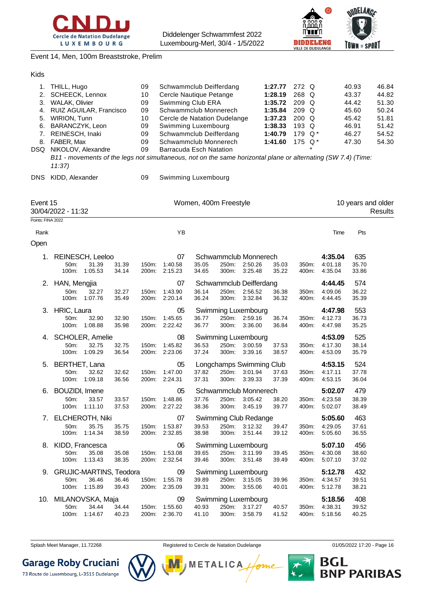



#### Event 14, Men, 100m Breaststroke, Prelim

| 1.<br>2.<br>3.<br>4.<br>5.<br>6.<br>7.<br>DSQ | THILL, Hugo<br><b>SCHEECK, Lennox</b><br><b>WALAK, Olivier</b><br>RUIZ AGUILAR, Francisco<br>WIRION, Tunn<br>BARANCZYK, Leon<br>REINESCH, Inaki<br>8. FABER, Max<br>NIKOLOV, Alexandre |                        |                | 09<br>10<br>09<br>09<br>10<br>09<br>09<br>09<br>09 | Schwammclub Deifferdang<br>1:27.77<br>272 Q<br>Cercle Nautique Petange<br>1:28.19<br>268 Q<br>Swimming Club ERA<br>1:35.72<br>209 Q<br>Schwammclub Monnerech<br>1:35.84<br>209 Q<br>1:37.23<br>200 Q<br>Cercle de Natation Dudelange<br>193 Q<br>Swimming Luxembourg<br>1:38.33<br>Schwammclub Deifferdang<br>1:40.79<br>179 Q*<br>175 Q*<br>Schwammclub Monnerech<br>1:41.60<br><b>Barracuda Esch Natation</b><br>B11 - movements of the legs not simultaneous, not on the same horizontal plane or alternating (SW 7.4) (Time: |                       |                |                                                         |                |                |                               | 40.93<br>43.37<br>44.42<br>45.60<br>45.42<br>46.91<br>46.27<br>47.30 | 46.84<br>44.82<br>51.30<br>50.24<br>51.81<br>51.42<br>54.52<br>54.30 |
|-----------------------------------------------|----------------------------------------------------------------------------------------------------------------------------------------------------------------------------------------|------------------------|----------------|----------------------------------------------------|----------------------------------------------------------------------------------------------------------------------------------------------------------------------------------------------------------------------------------------------------------------------------------------------------------------------------------------------------------------------------------------------------------------------------------------------------------------------------------------------------------------------------------|-----------------------|----------------|---------------------------------------------------------|----------------|----------------|-------------------------------|----------------------------------------------------------------------|----------------------------------------------------------------------|
| DNS.                                          | 11:37<br>KIDD, Alexander                                                                                                                                                               |                        |                | 09                                                 | Swimming Luxembourg                                                                                                                                                                                                                                                                                                                                                                                                                                                                                                              |                       |                |                                                         |                |                |                               |                                                                      |                                                                      |
| Event 15                                      | 30/04/2022 - 11:32                                                                                                                                                                     |                        |                |                                                    |                                                                                                                                                                                                                                                                                                                                                                                                                                                                                                                                  | Women, 400m Freestyle |                |                                                         |                |                |                               | 10 years and older                                                   | Results                                                              |
| Points: FINA 2022                             |                                                                                                                                                                                        |                        |                |                                                    |                                                                                                                                                                                                                                                                                                                                                                                                                                                                                                                                  |                       |                |                                                         |                |                |                               |                                                                      |                                                                      |
| Rank<br>Open                                  |                                                                                                                                                                                        |                        |                |                                                    | YB                                                                                                                                                                                                                                                                                                                                                                                                                                                                                                                               |                       |                |                                                         |                |                | Time                          | Pts                                                                  |                                                                      |
| 1.                                            | <b>REINESCH, Leeloo</b><br>50m:                                                                                                                                                        | 31.39<br>100m: 1:05.53 | 31.39<br>34.14 | 150m:                                              | 07<br>1:40.58<br>200m: 2:15.23                                                                                                                                                                                                                                                                                                                                                                                                                                                                                                   | 35.05<br>34.65        | 250m:<br>300m: | Schwammclub Monnerech<br>2:50.26<br>3:25.48             | 35.03<br>35.22 | 350m:<br>400m: | 4:35.04<br>4:01.18<br>4:35.04 | 635<br>35.70<br>33.86                                                |                                                                      |
| 2.                                            | HAN, Mengjia<br>50m:<br>100m:                                                                                                                                                          | 32.27<br>1:07.76       | 32.27<br>35.49 | 150m:                                              | 07<br>1:43.90<br>200m: 2:20.14                                                                                                                                                                                                                                                                                                                                                                                                                                                                                                   | 36.14<br>36.24        | 250m:<br>300m: | Schwammclub Deifferdang<br>2:56.52<br>3:32.84           | 36.38<br>36.32 | 350m:<br>400m: | 4:44.45<br>4:09.06<br>4:44.45 | 574<br>36.22<br>35.39                                                |                                                                      |
| 3.                                            | HRIC, Laura<br>50m:<br>100m:                                                                                                                                                           | 32.90<br>1:08.88       | 32.90<br>35.98 | 150m:                                              | 05<br>1:45.65<br>200m: 2:22.42                                                                                                                                                                                                                                                                                                                                                                                                                                                                                                   | 36.77<br>36.77        | 250m:<br>300m: | Swimming Luxembourg<br>2:59.16<br>3:36.00               | 36.74<br>36.84 | 350m:<br>400m: | 4:47.98<br>4:12.73<br>4:47.98 | 553<br>36.73<br>35.25                                                |                                                                      |
| 4.                                            | <b>SCHOLER, Amelie</b><br>50m:<br>100m:                                                                                                                                                | 32.75<br>1:09.29       | 32.75<br>36.54 | 150m:<br>200m:                                     | 08<br>1:45.82<br>2:23.06                                                                                                                                                                                                                                                                                                                                                                                                                                                                                                         | 36.53<br>37.24        | 250m:<br>300m: | Swimming Luxembourg<br>3:00.59<br>3:39.16               | 37.53<br>38.57 | 350m:<br>400m: | 4:53.09<br>4:17.30<br>4:53.09 | 525<br>38.14<br>35.79                                                |                                                                      |
| 5.                                            | BERTHET, Lana<br>50m:<br>100m:                                                                                                                                                         | 32.62<br>1:09.18       | 32.62<br>36.56 | 150m:<br>200m:                                     | 05<br>1:47.00<br>2:24.31                                                                                                                                                                                                                                                                                                                                                                                                                                                                                                         | 37.82<br>37.31        | 250m:<br>300m: | Longchamps Swimming Club<br>3:01.94<br>3:39.33          | 37.63<br>37.39 | 350m:<br>400m: | 4:53.15<br>4:17.11<br>4:53.15 | 524<br>37.78<br>36.04                                                |                                                                      |
| 6.                                            | BOUZIDI, Imene<br>50m:                                                                                                                                                                 | 33.57<br>100m: 1:11.10 | 33.57<br>37.53 |                                                    | 05<br>150m: 1:48.86<br>200m: 2:27.22                                                                                                                                                                                                                                                                                                                                                                                                                                                                                             | 37.76<br>38.36        |                | Schwammclub Monnerech<br>250m: 3:05.42<br>300m: 3:45.19 | 38.20<br>39.77 | 350m:<br>400m: | 5:02.07<br>4:23.58<br>5:02.07 | 479<br>38.39<br>38.49                                                |                                                                      |
|                                               | 7. ELCHEROTH, Niki<br>50m:<br>100m:                                                                                                                                                    | 35.75<br>1:14.34       | 35.75<br>38.59 | 150m:                                              | 07<br>1:53.87<br>200m: 2:32.85                                                                                                                                                                                                                                                                                                                                                                                                                                                                                                   | 39.53<br>38.98        | 300m:          | Swimming Club Redange<br>250m: 3:12.32<br>3:51.44       | 39.47<br>39.12 | 350m:<br>400m: | 5:05.60<br>4:29.05<br>5:05.60 | 463<br>37.61<br>36.55                                                |                                                                      |
| 8.                                            | KIDD, Francesca<br>50m:<br>100m:                                                                                                                                                       | 35.08<br>1:13.43       | 35.08<br>38.35 | 150m:                                              | 06<br>1:53.08<br>200m: 2:32.54                                                                                                                                                                                                                                                                                                                                                                                                                                                                                                   | 39.65<br>39.46        | 300m:          | Swimming Luxembourg<br>250m: 3:11.99<br>3:51.48         | 39.45<br>39.49 | 350m:<br>400m: | 5:07.10<br>4:30.08<br>5:07.10 | 456<br>38.60<br>37.02                                                |                                                                      |
| 9.                                            | <b>GRUJIC-MARTINS, Teodora</b><br>50m:<br>100m:                                                                                                                                        | 36.46<br>1:15.89       | 36.46<br>39.43 |                                                    | 09<br>150m: 1:55.78<br>200m: 2:35.09                                                                                                                                                                                                                                                                                                                                                                                                                                                                                             | 39.89<br>39.31        | 250m:<br>300m: | Swimming Luxembourg<br>3:15.05<br>3:55.06               | 39.96<br>40.01 | 350m:<br>400m: | 5:12.78<br>4:34.57<br>5:12.78 | 432<br>39.51<br>38.21                                                |                                                                      |
| 10.                                           | MILANOVSKA, Maja<br>50m:                                                                                                                                                               | 34.44<br>100m: 1:14.67 | 34.44<br>40.23 |                                                    | 09<br>150m: 1:55.60<br>200m: 2:36.70                                                                                                                                                                                                                                                                                                                                                                                                                                                                                             | 40.93<br>41.10        | 300m:          | Swimming Luxembourg<br>250m: 3:17.27<br>3:58.79         | 40.57<br>41.52 | 350m:<br>400m: | 5:18.56<br>4:38.31<br>5:18.56 | 408<br>39.52<br>40.25                                                |                                                                      |

Splash Meet Manager, 11.72268 **Registered to Cercle de Natation Dudelange 11/05/2022 17:20** - Page 16



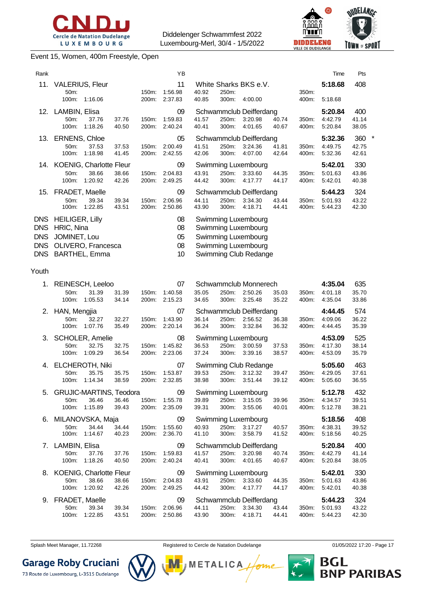



#### Event 15, Women, 400m Freestyle, Open

| Rank                                                               |                                                                                                    |                | YΒ                         | Time                                                                                                                                                   | Pts                   |
|--------------------------------------------------------------------|----------------------------------------------------------------------------------------------------|----------------|----------------------------|--------------------------------------------------------------------------------------------------------------------------------------------------------|-----------------------|
| 11.                                                                | <b>VALERIUS, Fleur</b>                                                                             |                | 11                         | 5:18.68<br>White Sharks BKS e.V.                                                                                                                       | 408                   |
|                                                                    | 50m:<br>100m:<br>1:16.06                                                                           | 150m:<br>200m: | 1:56.98<br>2:37.83         | 250m:<br>40.92<br>350m:<br>40.85<br>300m:<br>4:00.00<br>400m:<br>5:18.68                                                                               |                       |
|                                                                    | 12. LAMBIN, Elisa<br>50m:<br>37.76<br>37.76<br>1:18.26<br>100m:<br>40.50                           | 150m:<br>200m: | 09<br>1:59.83<br>2:40.24   | Schwammclub Deifferdang<br>5:20.84<br>41.57<br>250m:<br>3:20.98<br>40.74<br>350m:<br>4:42.79<br>40.41<br>300m:<br>4:01.65<br>400m:<br>5:20.84<br>40.67 | 400<br>41.14<br>38.05 |
| 13.                                                                | <b>ERNENS, Chloe</b><br>50m:<br>37.53<br>37.53<br>100m:<br>1:18.98<br>41.45                        | 150m:<br>200m: | 05<br>2:00.49<br>2:42.55   | Schwammclub Deifferdang<br>5:32.36<br>41.51<br>250m:<br>3:24.36<br>41.81<br>350m:<br>4:49.75<br>42.06<br>300m:<br>4:07.00<br>42.64<br>400m:<br>5:32.36 | 360<br>42.75<br>42.61 |
| 14.                                                                | KOENIG, Charlotte Fleur<br>50m:<br>38.66<br>38.66<br>100m:<br>1:20.92<br>42.26                     | 150m:<br>200m: | 09<br>2:04.83<br>2:49.25   | 5:42.01<br>Swimming Luxembourg<br>43.91<br>250m:<br>3:33.60<br>44.35<br>350m:<br>5:01.63<br>44.42<br>300m:<br>4:17.77<br>400m:<br>44.17<br>5:42.01     | 330<br>43.86<br>40.38 |
| 15.                                                                | FRADET, Maelle<br>50m:<br>39.34<br>39.34<br>100m:<br>1:22.85<br>43.51                              | 150m:<br>200m: | 09<br>2:06.96<br>2:50.86   | Schwammclub Deifferdang<br>5:44.23<br>44.11<br>250m:<br>3:34.30<br>43.44<br>350m:<br>5:01.93<br>43.90<br>300m:<br>4:18.71<br>44.41<br>400m:<br>5:44.23 | 324<br>43.22<br>42.30 |
| <b>DNS</b><br><b>DNS</b><br><b>DNS</b><br><b>DNS</b><br><b>DNS</b> | <b>HEILIGER, Lilly</b><br>HRIC, Nina<br>JOMINET, Lou<br>OLIVERO, Francesca<br><b>BARTHEL, Emma</b> |                | 08<br>08<br>05<br>08<br>10 | Swimming Luxembourg<br>Swimming Luxembourg<br>Swimming Luxembourg<br>Swimming Luxembourg<br>Swimming Club Redange                                      |                       |
| Youth                                                              |                                                                                                    |                |                            |                                                                                                                                                        |                       |
| 1.                                                                 | REINESCH, Leeloo<br>50m:<br>31.39<br>31.39<br>100m:<br>1:05.53<br>34.14                            | 150m:<br>200m: | 07<br>1:40.58<br>2:15.23   | Schwammclub Monnerech<br>4:35.04<br>35.05<br>250m:<br>2:50.26<br>35.03<br>350m:<br>4:01.18<br>34.65<br>300m:<br>3:25.48<br>35.22<br>400m:<br>4:35.04   | 635<br>35.70<br>33.86 |
| 2.                                                                 | HAN, Mengjia<br>50m:<br>32.27<br>32.27<br>1:07.76<br>35.49<br>100m:                                | 150m:<br>200m: | 07<br>1:43.90<br>2:20.14   | Schwammclub Deifferdang<br>4:44.45<br>36.14<br>250m:<br>2:56.52<br>36.38<br>350m:<br>4:09.06<br>36.24<br>3:32.84<br>300m:<br>36.32<br>400m:<br>4:44.45 | 574<br>36.22<br>35.39 |
| 3.                                                                 | SCHOLER, Amelie<br>32.75<br>50m:<br>32.75<br>1:09.29<br>100m:<br>36.54                             | 150m:<br>200m: | 08<br>1:45.82<br>2:23.06   | 4:53.09<br>Swimming Luxembourg<br>36.53<br>250m:<br>3:00.59<br>37.53<br>350m:<br>4:17.30<br>37.24<br>300m:<br>3:39.16<br>38.57<br>400m:<br>4:53.09     | 525<br>38.14<br>35.79 |
| 4.                                                                 | ELCHEROTH, Niki<br>50m:<br>35.75<br>35.75<br>100m:<br>1.14.34<br>38.59                             | 150m:<br>200m: | 07<br>1:53.87<br>2:32.85   | Swimming Club Redange<br>5:05.60<br>39.53<br>250m:<br>3:12.32<br>4:29.05<br>39.47<br>350m:<br>38.98<br>300m:<br>3:51.44<br>39.12<br>400m:<br>5:05.60   | 463<br>37.61<br>36.55 |
|                                                                    | 5. GRUJIC-MARTINS, Teodora<br>36.46<br>36.46<br>50m:<br>100m:<br>1:15.89<br>39.43                  | 150m:<br>200m: | 09<br>1:55.78<br>2:35.09   | Swimming Luxembourg<br>5:12.78<br>250m: 3:15.05<br>39.89<br>39.96<br>350m:<br>4:34.57<br>39.31<br>300m: 3:55.06<br>5:12.78<br>40.01<br>400m:           | 432<br>39.51<br>38.21 |
| 6.                                                                 | MILANOVSKA, Maja<br>50m:<br>34.44<br>34.44<br>100m:<br>1:14.67<br>40.23                            | 150m:<br>200m: | 09<br>1:55.60<br>2:36.70   | 5:18.56<br>Swimming Luxembourg<br>250m:<br>40.93<br>3:17.27<br>350m:<br>4:38.31<br>40.57<br>300m:<br>3:58.79<br>41.10<br>41.52<br>400m:<br>5:18.56     | 408<br>39.52<br>40.25 |
| $\mathcal{L}$                                                      | LAMBIN, Elisa<br>50m:<br>37.76<br>37.76<br>100m:<br>1:18.26<br>40.50                               | 150m:<br>200m: | 09<br>1:59.83<br>2:40.24   | Schwammclub Deifferdang<br>5:20.84<br>41.57<br>250m:<br>3:20.98<br>40.74<br>4:42.79<br>350m:<br>40.41<br>300m:<br>4:01.65<br>5:20.84<br>40.67<br>400m: | 400<br>41.14<br>38.05 |
|                                                                    | 8. KOENIG, Charlotte Fleur<br>50m:<br>38.66<br>38.66<br>1:20.92<br>100m:<br>42.26                  | 150m:<br>200m: | 09<br>2:04.83<br>2:49.25   | Swimming Luxembourg<br>5:42.01<br>43.91<br>250m:<br>3:33.60<br>44.35<br>350m:<br>5:01.63<br>44.42<br>300m:<br>4:17.77<br>44.17<br>400m:<br>5:42.01     | 330<br>43.86<br>40.38 |
|                                                                    | 9. FRADET, Maelle<br>39.34<br>50m:<br>39.34<br>100m: 1:22.85<br>43.51                              | 150m:<br>200m: | 09<br>2:06.96<br>2:50.86   | Schwammclub Deifferdang<br>5:44.23<br>44.11<br>250m: 3:34.30<br>43.44<br>350m:<br>5:01.93<br>43.90<br>300m: 4:18.71<br>44.41<br>400m:<br>5:44.23       | 324<br>43.22<br>42.30 |

Splash Meet Manager, 11.72268 **Registered to Cercle de Natation Dudelange 11.05/2022 17:20 - Page 17** 



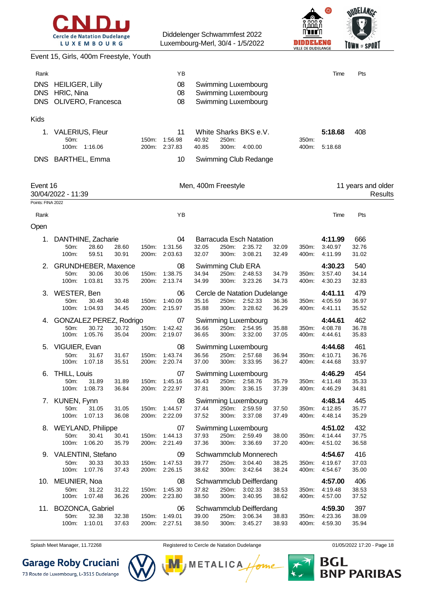



|                                                | Event 15, Girls, 400m Freestyle, Youth                                            |                |                                      |                                                                                                          |                |                                     |                               |
|------------------------------------------------|-----------------------------------------------------------------------------------|----------------|--------------------------------------|----------------------------------------------------------------------------------------------------------|----------------|-------------------------------------|-------------------------------|
| Rank<br><b>DNS</b><br><b>DNS</b><br><b>DNS</b> | <b>HEILIGER, Lilly</b><br>HRIC, Nina<br>OLIVERO, Francesca                        |                | ΥB<br>08<br>08<br>08                 | Swimming Luxembourg<br>Swimming Luxembourg<br>Swimming Luxembourg                                        |                | Time                                | Pts                           |
| Kids                                           |                                                                                   |                |                                      |                                                                                                          |                |                                     |                               |
| 1.                                             | <b>VALERIUS, Fleur</b><br>50m:<br>100m:<br>1:16.06                                | 150m:<br>200m: | 11<br>1:56.98<br>2:37.83             | White Sharks BKS e.V.<br>40.92<br>250m:<br>40.85<br>300m:<br>4:00.00                                     | 350m:<br>400m: | 5:18.68<br>5:18.68                  | 408                           |
|                                                | DNS BARTHEL, Emma                                                                 |                | 10                                   | Swimming Club Redange                                                                                    |                |                                     |                               |
| Event 16<br>Points: FINA 2022                  | 30/04/2022 - 11:39                                                                |                |                                      | Men, 400m Freestyle                                                                                      |                |                                     | 11 years and older<br>Results |
| Rank                                           |                                                                                   |                | ΥB                                   |                                                                                                          |                | Time                                | Pts                           |
| Open                                           |                                                                                   |                |                                      |                                                                                                          |                |                                     |                               |
| 1.                                             | DANTHINE, Zacharie<br>28.60<br>50m:<br>28.60<br>100m:<br>59.51<br>30.91           | 150m:<br>200m: | 04<br>1:31.56<br>2:03.63             | Barracuda Esch Natation<br>32.05<br>250m:<br>2:35.72<br>32.09<br>32.07<br>300m:<br>3:08.21<br>32.49      | 350m:<br>400m: | 4:11.99<br>3:40.97<br>4:11.99       | 666<br>32.76<br>31.02         |
|                                                | <b>GRUNDHEBER, Maxence</b><br>50m:<br>30.06<br>30.06<br>1:03.81<br>33.75<br>100m: | 150m:<br>200m: | 08<br>1:38.75<br>2:13.74             | Swimming Club ERA<br>34.94<br>250m:<br>2:48.53<br>34.79<br>34.99<br>300m:<br>3:23.26<br>34.73            | 350m:<br>400m: | 4:30.23<br>3:57.40<br>4:30.23       | 540<br>34.14<br>32.83         |
| 3.                                             | WESTER, Ben<br>50m:<br>30.48<br>30.48<br>100m:<br>1:04.93<br>34.45                | 150m:<br>200m: | 06<br>1:40.09<br>2:15.97             | Cercle de Natation Dudelange<br>35.16<br>2:52.33<br>250m:<br>36.36<br>35.88<br>300m:<br>3:28.62<br>36.29 | 350m:<br>400m: | 4:41.11<br>4:05.59<br>4:41.11       | 479<br>36.97<br>35.52         |
| 4.                                             | GONZALEZ PEREZ, Rodrigo<br>50m:<br>30.72<br>30.72<br>100m:<br>1:05.76<br>35.04    | 150m:<br>200m: | 07<br>1:42.42<br>2:19.07             | Swimming Luxembourg<br>2:54.95<br>36.66<br>250m:<br>35.88<br>36.65<br>300m:<br>3:32.00<br>37.05          | 350m:<br>400m: | 4:44.61<br>4:08.78<br>4:44.61       | 462<br>36.78<br>35.83         |
| 5.                                             | VIGUIER, Evan<br>50m:<br>31.67<br>31.67<br>1:07.18<br>100m:<br>35.51              | 150m:<br>200m: | 08<br>1:43.74<br>2:20.74             | Swimming Luxembourg<br>2:57.68<br>36.56<br>250m:<br>36.94<br>37.00<br>300m:<br>3:33.95<br>36.27          | 350m:<br>400m. | 4:44.68<br>4:10.71<br>4:44.68       | 461<br>36.76<br>33.97         |
| 6.                                             | THILL, Louis<br>50m:<br>31.89<br>31.89<br>100m: 1:08.73<br>36.84                  |                | 07<br>150m: 1:45.16<br>200m: 2:22.97 | Swimming Luxembourg<br>250m: 2:58.76<br>36.43<br>35.79<br>37.81<br>300m: 3:36.15<br>37.39                | 350m:<br>400m: | 4:46.29<br>4:11.48<br>4:46.29       | 454<br>35.33<br>34.81         |
| 7.                                             | KUNEN, Fynn<br>50m:<br>31.05<br>31.05<br>100m: 1:07.13<br>36.08                   | 150m:          | 08<br>1:44.57<br>200m: 2:22.09       | Swimming Luxembourg<br>37.44<br>250m: 2:59.59<br>37.50<br>37.52<br>300m: 3:37.08<br>37.49                | 350m:<br>400m: | 4:48.14<br>4:12.85<br>4:48.14       | 445<br>35.77<br>35.29         |
|                                                | 8. WEYLAND, Philippe<br>50m:<br>30.41<br>30.41<br>100m:<br>1:06.20<br>35.79       | 150m:          | 07<br>1:44.13<br>200m: 2:21.49       | Swimming Luxembourg<br>250m: 2:59.49<br>37.93<br>38.00<br>37.36<br>300m: 3:36.69<br>37.20                | 350m:<br>400m: | 4:51.02<br>4:14.44<br>4:51.02       | 432<br>37.75<br>36.58         |
|                                                | 9. VALENTINI, Stefano<br>50m:<br>30.33<br>30.33<br>1:07.76<br>100m:<br>37.43      | 150m:          | 09<br>1:47.53<br>200m: 2:26.15       | Schwammclub Monnerech<br>39.77<br>250m:<br>3:04.40<br>38.25<br>38.62<br>300m:<br>3:42.64<br>38.24        | 350m:<br>400m: | 4:54.67<br>4:19.67<br>4:54.67       | 416<br>37.03<br>35.00         |
|                                                | 10. MEUNIER, Noa<br>50m:<br>31.22<br>31.22<br>100m:<br>1:07.48<br>36.26           | 150m:          | 08<br>1:45.30<br>200m: 2:23.80       | Schwammclub Deifferdang<br>37.82<br>250m:<br>3:02.33<br>38.53<br>38.50<br>300m:<br>3:40.95<br>38.62      | 350m:<br>400m: | 4:57.00<br>4:19.48<br>4:57.00       | 406<br>38.53<br>37.52         |
|                                                | 11. BOZONCA, Gabriel<br>32.38<br>32.38<br>50m:<br>100m: 1:10.01<br>37.63          |                | 06<br>150m: 1:49.01<br>200m: 2:27.51 | Schwammclub Deifferdang<br>39.00<br>250m:<br>3:06.34<br>38.83<br>38.50<br>300m:<br>3:45.27<br>38.93      | 400m:          | 4:59.30<br>350m: 4:23.36<br>4:59.30 | 397<br>38.09<br>35.94         |

Splash Meet Manager, 11.72268 **Registered to Cercle de Natation Dudelange 11.05/2022 17:20** - Page 18

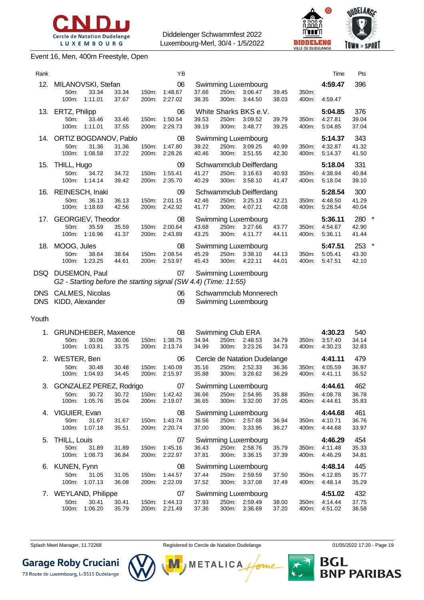

#### Event 16, Men, 400m Freestyle, Open



|                 | <b>Cercle de Natation Dudelange</b> | CINIDIU<br><b>LUXEMBOURG</b> |       |                    | Diddelenger Schwammfest 2022<br>Luxembourg-Merl, 30/4 - 1/5/2022 |       |       |                       |       | مممم<br>n'i itr'i<br>DELENG<br>VILLE DE DUDELANGE |         | $\frac{1}{2}$<br>TOWN of SPORT | Alik |
|-----------------|-------------------------------------|------------------------------|-------|--------------------|------------------------------------------------------------------|-------|-------|-----------------------|-------|---------------------------------------------------|---------|--------------------------------|------|
|                 | vent 16, Men, 400m Freestyle, Open  |                              |       |                    |                                                                  |       |       |                       |       |                                                   |         |                                |      |
| Rank            |                                     |                              |       |                    | YB                                                               |       |       |                       |       |                                                   | Time    | Pts                            |      |
| 12 <sub>1</sub> | MILANOVSKI, Stefan                  |                              |       |                    | 06                                                               |       |       | Swimming Luxembourg   |       |                                                   | 4:59.47 | 396                            |      |
|                 | $50m$ :                             | 33.34                        | 33.34 | $150m$ :           | 1:48.67                                                          | 37.66 | 250m: | 3:06.47               | 39.45 | 350m:                                             |         |                                |      |
|                 | 100m:                               | 1:11.01                      | 37.67 | 200 <sub>m</sub> : | 2:27.02                                                          | 38.35 | 300m: | 3:44.50               | 38.03 | 400m:                                             | 4:59.47 |                                |      |
| 13.             | ERTZ, Philipp                       |                              |       |                    | 06                                                               |       |       | White Sharks BKS e.V. |       |                                                   | 5:04.85 | 376                            |      |
|                 | $50m$ :                             | 33.46                        | 33.46 | 150m:              | 1:50.54                                                          | 39.53 | 250m: | 3:09.52               | 39.79 | $350m$ :                                          | 4:27.81 | 39.04                          |      |

|       | 13. ERTZ, Philipp                |                        |                |                | 06                                                                    |                |                   | White Sharks BKS e.V.                   |                |                | 5:04.85            | 376            |         |
|-------|----------------------------------|------------------------|----------------|----------------|-----------------------------------------------------------------------|----------------|-------------------|-----------------------------------------|----------------|----------------|--------------------|----------------|---------|
|       | 50m:<br>100m:                    | 33.46<br>1:11.01       | 33.46<br>37.55 | 150m:<br>200m: | 1:50.54<br>2:29.73                                                    | 39.53<br>39.19 | 250m:<br>300m:    | 3:09.52<br>3:48.77                      | 39.79<br>39.25 | 350m:<br>400m: | 4:27.81<br>5:04.85 | 39.04<br>37.04 |         |
| 14.   | ORTIZ BOGDANOV, Pablo            |                        |                |                | 08                                                                    |                |                   | Swimming Luxembourg                     |                |                | 5:14.37            | 343            |         |
|       | 50m:                             | 31.36                  | 31.36          | 150m:          | 1:47.80                                                               | 39.22          | 250m:             | 3:09.25                                 | 40.99          | 350m:          | 4:32.87            | 41.32          |         |
|       | 100m:                            | 1:08.58                | 37.22          | 200m:          | 2:28.26                                                               | 40.46          | 300m:             | 3:51.55                                 | 42.30          | 400m:          | 5:14.37            | 41.50          |         |
| 15.   | THILL, Hugo                      |                        |                |                | 09                                                                    |                |                   | Schwammclub Deifferdang                 |                |                | 5:18.04            | 331            |         |
|       | 50m:                             | 34.72                  | 34.72          | 150m:          | 1:55.41                                                               | 41.27          | 250m:             | 3:16.63                                 | 40.93          | 350m:          | 4:38.94            | 40.84          |         |
|       | 100m:                            | 1:14.14                | 39.42          | 200m:          | 2:35.70                                                               | 40.29          | 300m:             | 3:58.10                                 | 41.47          | 400m:          | 5:18.04            | 39.10          |         |
|       |                                  |                        |                |                |                                                                       |                |                   |                                         |                |                |                    |                |         |
| 16.   | REINESCH, Inaki                  |                        |                |                | 09                                                                    |                |                   | Schwammclub Deifferdang                 |                |                | 5:28.54            | 300            |         |
|       | 50m:<br>100m:                    | 36.13<br>1:18.69       | 36.13<br>42.56 | 150m:<br>200m: | 2:01.15<br>2:42.92                                                    | 42.46<br>41.77 | 250m:<br>300m:    | 3:25.13<br>4:07.21                      | 42.21<br>42.08 | 350m:<br>400m: | 4:48.50<br>5:28.54 | 41.29<br>40.04 |         |
|       |                                  |                        |                |                |                                                                       |                |                   |                                         |                |                |                    |                |         |
| 17.   | <b>GEORGIEV, Theodor</b>         |                        |                |                | 08                                                                    |                |                   | Swimming Luxembourg                     |                |                | 5:36.11            | 280            | $\star$ |
|       | 50m:                             | 35.59<br>100m: 1:16.96 | 35.59<br>41.37 | 150m:          | 2:00.64<br>200m: 2:43.89                                              | 43.68<br>43.25 | 250m:<br>300m:    | 3:27.66<br>4:11.77                      | 43.77          | 350m:<br>400m: | 4:54.67<br>5:36.11 | 42.90<br>41.44 |         |
|       |                                  |                        |                |                |                                                                       |                |                   |                                         | 44.11          |                |                    |                |         |
|       | 18. MOOG, Jules                  |                        |                |                | 08                                                                    |                |                   | Swimming Luxembourg                     |                |                | 5:47.51            | 253 *          |         |
|       | 50m:                             | 38.64                  | 38.64          | 150m:          | 2:08.54                                                               | 45.29          | 250m:             | 3:38.10                                 | 44.13          | 350m:          | 5:05.41            | 43.30          |         |
|       | 100m:                            | 1:23.25                | 44.61          | 200m:          | 2:53.97                                                               | 45.43          | 300m:             | 4:22.11                                 | 44.01          | 400m:          | 5:47.51            | 42.10          |         |
|       | DSQ DUSEMON, Paul                |                        |                |                | 07<br>G2 - Starting before the starting signal (SW 4.4) (Time: 11:55) |                |                   | Swimming Luxembourg                     |                |                |                    |                |         |
|       | DNS CALMES, Nicolas              |                        |                |                | 06                                                                    |                |                   | Schwammclub Monnerech                   |                |                |                    |                |         |
|       | DNS KIDD, Alexander              |                        |                |                | 09                                                                    |                |                   | Swimming Luxembourg                     |                |                |                    |                |         |
|       |                                  |                        |                |                |                                                                       |                |                   |                                         |                |                |                    |                |         |
| Youth |                                  |                        |                |                |                                                                       |                |                   |                                         |                |                |                    |                |         |
| 1.    | GRUNDHEBER, Maxence              |                        |                |                | 08                                                                    |                | Swimming Club ERA |                                         |                |                | 4:30.23            | 540            |         |
|       | 50m:                             | 30.06                  | 30.06          | 150m:          | 1:38.75                                                               | 34.94          | 250m:             | 2:48.53                                 | 34.79          | 350m:          | 3:57.40            | 34.14          |         |
|       | 100m:                            | 1:03.81                | 33.75          |                |                                                                       |                |                   |                                         |                |                |                    |                |         |
|       |                                  |                        |                | 200m:          | 2:13.74                                                               | 34.99          | 300m:             | 3:23.26                                 | 34.73          | 400m:          | 4:30.23            | 32.83          |         |
|       |                                  |                        |                |                | 06                                                                    |                |                   |                                         |                |                | 4:41.11            | 479            |         |
|       | 2. WESTER, Ben<br>50m:           | 30.48                  | 30.48          | 150m:          | 1:40.09                                                               | 35.16          | 250m:             | Cercle de Natation Dudelange<br>2:52.33 | 36.36          | 350m:          | 4:05.59            | 36.97          |         |
|       | 100m:                            | 1:04.93                | 34.45          | 200m:          | 2:15.97                                                               | 35.88          | 300m:             | 3:28.62                                 | 36.29          | 400m:          | 4:41.11            | 35.52          |         |
| 3.    |                                  |                        |                |                | 07                                                                    |                |                   |                                         |                |                | 4:44.61            | 462            |         |
|       | GONZALEZ PEREZ, Rodrigo<br>50m:  | 30.72                  | 30.72          | 150m:          | 1:42.42                                                               | 36.66          | 250m:             | Swimming Luxembourg<br>2:54.95          | 35.88          | 350m:          | 4:08.78            | 36.78          |         |
|       |                                  | 100m: 1:05.76          | 35.04          | 200m:          | 2:19.07                                                               | 36.65          | 300m:             | 3:32.00                                 | 37.05          | 400m:          | 4:44.61            | 35.83          |         |
|       |                                  |                        |                |                |                                                                       |                |                   |                                         |                |                |                    |                |         |
|       | 4. VIGUIER, Evan<br>50m:         | 31.67                  | 31.67          |                | 08<br>150m: 1:43.74                                                   | 36.56          |                   | Swimming Luxembourg<br>250m: 2:57.68    | 36.94          | 350m:          | 4:44.68<br>4:10.71 | 461<br>36.76   |         |
|       |                                  | 100m: 1:07.18          | 35.51          |                | 200m: 2:20.74                                                         | 37.00          | 300m:             | 3:33.95                                 | 36.27          | 400m:          | 4:44.68            | 33.97          |         |
|       |                                  |                        |                |                |                                                                       |                |                   |                                         |                |                |                    |                |         |
| 5.    | THILL, Louis                     |                        |                |                | 07                                                                    |                |                   | Swimming Luxembourg                     |                |                | 4:46.29            | 454            |         |
|       | 50m:<br>100m:                    | 31.89                  | 31.89          | 150m:<br>200m: | 1:45.16<br>2:22.97                                                    | 36.43<br>37.81 | 300m:             | 250m: 2:58.76                           | 35.79          | 350m:<br>400m: | 4:11.48<br>4:46.29 | 35.33          |         |
|       |                                  | 1:08.73                | 36.84          |                |                                                                       |                |                   | 3:36.15                                 | 37.39          |                |                    | 34.81          |         |
| 6.    | KUNEN, Fynn                      |                        |                |                | 08                                                                    |                |                   | Swimming Luxembourg                     |                |                | 4:48.14            | 445            |         |
|       | 50m:                             | 31.05                  | 31.05          | 150m:          | 1:44.57                                                               | 37.44<br>37.52 | 250m:             | 2:59.59                                 | 37.50          | 350m:          | 4:12.85            | 35.77          |         |
|       | 100m:                            | 1:07.13                | 36.08          | 200m:          | 2:22.09                                                               |                | 300m:             | 3:37.08                                 | 37.49          | 400m:          | 4:48.14            | 35.29          |         |
| 7.    | <b>WEYLAND, Philippe</b><br>50m: | 30.41                  | 30.41          | 150m:          | 07<br>1:44.13                                                         | 37.93          | 250m:             | Swimming Luxembourg<br>2:59.49          | 38.00          | 350m:          | 4:51.02<br>4:14.44 | 432<br>37.75   |         |

Splash Meet Manager, 11.72268 **Registered to Cercle de Natation Dudelange 19** 01/05/2022 17:20 - Page 19



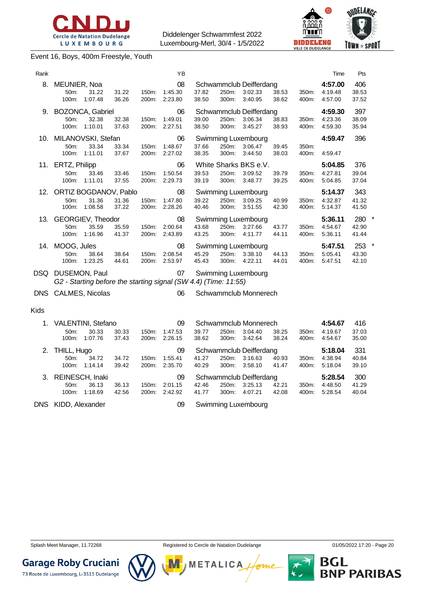





Event 16, Boys, 400m Freestyle, Youth

| Rank    |                                                                                      |                |                | YB                       |                |                |                                                     |                       |                | Time                                  | Pts                   |        |
|---------|--------------------------------------------------------------------------------------|----------------|----------------|--------------------------|----------------|----------------|-----------------------------------------------------|-----------------------|----------------|---------------------------------------|-----------------------|--------|
| 8.      | MEUNIER, Noa<br>50m:<br>31.22<br>1:07.48<br>100m:                                    | 31.22<br>36.26 | 150m:<br>200m: | 08<br>1:45.30<br>2:23.80 | 37.82<br>38.50 | 250m:<br>300m: | Schwammclub Deifferdang<br>3:02.33<br>3:40.95       | 38.53<br>38.62        | 350m:<br>400m: | 4:57.00<br>4:19.48<br>4:57.00         | 406<br>38.53<br>37.52 |        |
|         | 9. BOZONCA, Gabriel<br>50 <sub>m</sub> :<br>32.38<br>1:10.01<br>100m:                | 32.38<br>37.63 | 150m:<br>200m: | 06<br>1:49.01<br>2:27.51 | 39.00<br>38.50 | 250m:<br>300m: | Schwammclub Deifferdang<br>3:06.34<br>3:45.27       | 38.83<br>38.93        | 350m:<br>400m: | 4:59.30<br>4:23.36<br>4:59.30         | 397<br>38.09<br>35.94 |        |
|         | 10. MILANOVSKI, Stefan<br>33.34<br>50m:<br>100m: 1:11.01                             | 33.34<br>37.67 | 150m:<br>200m: | 06<br>1:48.67<br>2:27.02 | 37.66<br>38.35 | 250m:<br>300m: | Swimming Luxembourg<br>3:06.47<br>3:44.50           | 39.45<br>38.03        | 350m:<br>400m: | 4:59.47<br>4:59.47                    | 396                   |        |
|         | 11. ERTZ, Philipp<br>50m:<br>33.46<br>1:11.01<br>100m:                               | 33.46<br>37.55 | 150m.<br>200m: | 06<br>1:50.54<br>2:29.73 | 39.53<br>39.19 | 250m:<br>300m: | White Sharks BKS e.V.<br>3:09.52<br>3:48.77         | 39.79<br>39.25        | 350m:<br>400m: | 5:04.85<br>4:27.81<br>5:04.85         | 376<br>39.04<br>37.04 |        |
|         | 12. ORTIZ BOGDANOV, Pablo<br>31.36<br>50m:<br>100m:<br>1:08.58                       | 31.36<br>37.22 | 150m.<br>200m: | 08<br>1:47.80<br>2:28.26 | 39.22<br>40.46 | 250m:<br>300m: | Swimming Luxembourg<br>3:09.25<br>3:51.55           | 40.99<br>42.30        | 350m:<br>400m: | 5:14.37<br>4:32.87<br>5:14.37         | 343<br>41.32<br>41.50 |        |
| 13.     | GEORGIEV, Theodor<br>35.59<br>50m:<br>100m:<br>1:16.96                               | 35.59<br>41.37 | 150m:<br>200m: | 08<br>2:00.64<br>2:43.89 | 43.68<br>43.25 | 250m:<br>300m: | Swimming Luxembourg<br>3:27.66<br>4:11.77           | 43.77<br>44.11        | 350m:<br>400m: | 5:36.11<br>4:54.67<br>5:36.11         | 280<br>42.90<br>41.44 | $\ast$ |
|         | 14. MOOG, Jules<br>50m:<br>38.64<br>100m: 1:23.25                                    | 38.64<br>44.61 | 150m:<br>200m: | 08<br>2:08.54<br>2:53.97 | 45.29<br>45.43 | 250m:<br>300m: | Swimming Luxembourg<br>3:38.10<br>4:22.11           | 44.13<br>44.01        | 350m:<br>400m: | 5:47.51<br>5:05.41<br>5:47.51         | 253<br>43.30<br>42.10 | $\ast$ |
|         | DSQ DUSEMON, Paul<br>G2 - Starting before the starting signal (SW 4.4) (Time: 11:55) |                |                | 07                       |                |                | Swimming Luxembourg                                 |                       |                |                                       |                       |        |
|         | DNS CALMES, Nicolas                                                                  |                |                | 06                       |                |                | Schwammclub Monnerech                               |                       |                |                                       |                       |        |
| Kids    |                                                                                      |                |                |                          |                |                |                                                     |                       |                |                                       |                       |        |
| $1_{-}$ | <b>VALENTINI, Stefano</b><br>50m:<br>30.33<br>$100m - 1.0776$                        | 30.33<br>2712  | 150m:<br>200m  | 09<br>1:47.53<br>2.2615  | 39.77<br>າຊ ຂາ | 250m:          | Schwammclub Monnerech<br>3:04.40<br>$200m - 2.1261$ | 38.25<br><b>29.94</b> | 350m:<br>100m  | 4:54.67<br>4:19.67<br>$A - E A$ $E T$ | 416<br>37.03<br>25 UU |        |

|    | $50m$ :             | 30.33           | 30.33 | 150m: | 1:47.53 | 39.77 | 250m:    | 3:04.40                 | 38.25 | 350m: | 4:19.67 | 37.03 |
|----|---------------------|-----------------|-------|-------|---------|-------|----------|-------------------------|-------|-------|---------|-------|
|    | 100m:               | 1:07.76         | 37.43 | 200m: | 2:26.15 | 38.62 | 300m:    | 3:42.64                 | 38.24 | 400m: | 4:54.67 | 35.00 |
| 2. | THILL, Hugo         |                 |       |       | 09      |       |          | Schwammclub Deifferdang |       |       | 5:18.04 | 331   |
|    | $50m$ :             | 34.72           | 34.72 | 150m: | 1:55.41 | 41.27 | 250m:    | 3:16.63                 | 40.93 | 350m: | 4:38.94 | 40.84 |
|    | 100m:               | 1:14.14         | 39.42 | 200m: | 2:35.70 | 40.29 | 300m:    | 3:58.10                 | 41.47 | 400m: | 5:18.04 | 39.10 |
| 3. |                     | REINESCH, Inaki |       |       | 09      |       |          | Schwammclub Deifferdang |       |       | 5:28.54 | 300   |
|    | 50 <sub>m</sub>     | 36.13           | 36.13 | 150m: | 2:01.15 | 42.46 | 250m:    | 3:25.13                 | 42.21 | 350m: | 4:48.50 | 41.29 |
|    | $100m$ :            | 1:18.69         | 42.56 | 200m: | 2:42.92 | 41.77 | $300m$ : | 4:07.21                 | 42.08 | 400m: | 5:28.54 | 40.04 |
|    | DNS KIDD, Alexander |                 |       |       | 09      |       |          | Swimming Luxembourg     |       |       |         |       |
|    |                     |                 |       |       |         |       |          |                         |       |       |         |       |





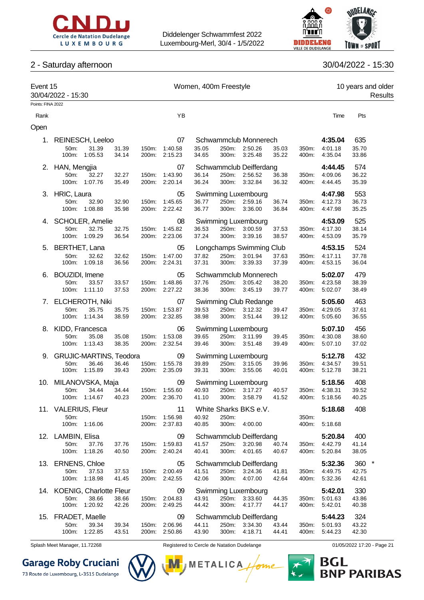



### 2 - Saturday afternoon 30/04/2022 - 15:30

| Event 15<br>30/04/2022 - 15:30<br>Points: FINA 2022 |                                |                        |                |       |                                | Women, 400m Freestyle |                |                          |                |                |                    | 10 years and older | Results |
|-----------------------------------------------------|--------------------------------|------------------------|----------------|-------|--------------------------------|-----------------------|----------------|--------------------------|----------------|----------------|--------------------|--------------------|---------|
|                                                     |                                |                        |                |       |                                |                       |                |                          |                |                |                    |                    |         |
| Rank                                                |                                |                        |                |       | YB                             |                       |                |                          |                |                | Time               | Pts                |         |
| Open                                                |                                |                        |                |       |                                |                       |                |                          |                |                |                    |                    |         |
| 1.                                                  |                                | REINESCH, Leeloo       |                |       | 07                             |                       |                | Schwammclub Monnerech    |                |                | 4:35.04            | 635                |         |
|                                                     | 50m:                           | 31.39                  | 31.39          | 150m: | 1:40.58                        | 35.05                 | 250m:          | 2:50.26                  | 35.03          | 350m:          | 4:01.18            | 35.70              |         |
|                                                     | 100m:                          | 1:05.53                | 34.14          |       | 200m: 2:15.23                  | 34.65                 | 300m:          | 3:25.48                  | 35.22          | 400m:          | 4:35.04            | 33.86              |         |
|                                                     | 2. HAN, Mengjia                |                        |                |       | 07                             |                       |                | Schwammclub Deifferdang  |                |                | 4:44.45            | 574                |         |
|                                                     | 50m:                           | 32.27                  | 32.27          | 150m: | 1:43.90                        | 36.14                 | 250m:          | 2:56.52                  | 36.38          | 350m:          | 4:09.06            | 36.22              |         |
|                                                     |                                | 100m: 1:07.76          | 35.49          |       | 200m: 2:20.14                  | 36.24                 |                | 300m: 3:32.84            | 36.32          | 400m:          | 4:44.45            | 35.39              |         |
|                                                     | 3. HRIC, Laura                 |                        |                |       | 05                             |                       |                | Swimming Luxembourg      |                |                | 4:47.98            | 553                |         |
|                                                     | 50m:                           | 32.90                  | 32.90          | 150m: | 1:45.65                        | 36.77                 |                | 250m: 2:59.16            | 36.74          | 350m:          | 4:12.73            | 36.73              |         |
|                                                     | 100m:                          | 1:08.88                | 35.98          |       | 200m: 2:22.42                  | 36.77                 | 300m:          | 3:36.00                  | 36.84          | 400m:          | 4:47.98            | 35.25              |         |
|                                                     | 4. SCHOLER, Amelie             |                        |                |       | 08                             |                       |                | Swimming Luxembourg      |                |                | 4:53.09            | 525                |         |
|                                                     | 50m:                           | 32.75                  | 32.75          | 150m: | 1:45.82                        | 36.53                 | 250m:          | 3:00.59                  | 37.53          | 350m:          | 4:17.30            | 38.14              |         |
|                                                     | 100m:                          | 1:09.29                | 36.54          |       | 200m: 2:23.06                  | 37.24                 | 300m:          | 3:39.16                  | 38.57          | 400m:          | 4:53.09            | 35.79              |         |
|                                                     | 5. BERTHET, Lana               |                        |                |       | 05                             |                       |                | Longchamps Swimming Club |                |                | 4:53.15            | 524                |         |
|                                                     | 50m:                           | 32.62                  | 32.62          | 150m: | 1:47.00                        | 37.82                 | 250m:          | 3:01.94                  | 37.63          | 350m:          | 4:17.11            | 37.78              |         |
|                                                     | 100m:                          | 1:09.18                | 36.56          |       | 200m: 2:24.31                  | 37.31                 | 300m:          | 3:39.33                  | 37.39          | 400m:          | 4:53.15            | 36.04              |         |
|                                                     | 6. BOUZIDI, Imene              |                        |                |       | 05                             |                       |                | Schwammclub Monnerech    |                |                | 5:02.07            | 479                |         |
|                                                     | 50m:                           | 33.57                  | 33.57          | 150m: | 1:48.86                        | 37.76                 |                | 250m: 3:05.42            | 38.20          | 350m:          | 4:23.58            | 38.39              |         |
|                                                     |                                | 100m: 1:11.10          | 37.53          |       | 200m: 2:27.22                  | 38.36                 |                | 300m: 3:45.19            | 39.77          | 400m:          | 5:02.07            | 38.49              |         |
|                                                     | 7. ELCHEROTH, Niki             |                        |                |       | 07                             |                       |                | Swimming Club Redange    |                |                | 5:05.60            | 463                |         |
|                                                     | 50m:                           | 35.75                  | 35.75          | 150m: | 1:53.87                        | 39.53                 |                | 250m: 3:12.32            | 39.47          | 350m:          | 4:29.05            | 37.61              |         |
|                                                     |                                | 100m: 1:14.34          | 38.59          |       | 200m: 2:32.85                  | 38.98                 |                | 300m: 3:51.44            | 39.12          | 400m:          | 5:05.60            | 36.55              |         |
|                                                     | 8. KIDD, Francesca             |                        |                |       | 06                             |                       |                | Swimming Luxembourg      |                |                | 5:07.10            | 456                |         |
|                                                     | 50m:                           | 35.08                  | 35.08          | 150m: | 1:53.08                        | 39.65                 |                | 250m: 3:11.99            | 39.45          | 350m:          | 4:30.08            | 38.60              |         |
|                                                     | 100m:                          | 1:13.43                | 38.35          |       | 200m: 2:32.54                  | 39.46                 |                | 300m: 3:51.48            | 39.49          | 400m:          | 5:07.10            | 37.02              |         |
| 9.                                                  | <b>GRUJIC-MARTINS, Teodora</b> |                        |                |       | 09                             |                       |                | Swimming Luxembourg      |                |                | 5:12.78            | 432                |         |
|                                                     | 50m:                           | 36.46                  | 36.46          | 150m: | 1:55.78                        | 39.89                 |                | 250m: 3:15.05            | 39.96          | 350m:          | 4:34.57            | 39.51              |         |
|                                                     |                                | 100m: 1:15.89          | 39.43          |       | 200m: 2:35.09                  | 39.31                 | 300m:          | 3:55.06                  | 40.01          | 400m:          | 5:12.78            | 38.21              |         |
|                                                     | 10. MILANOVSKA, Maja           |                        |                |       | 09                             |                       |                | Swimming Luxembourg      |                |                | 5:18.56            | 408                |         |
|                                                     | 50m:                           | 34.44                  | 34.44          |       | 150m: 1:55.60                  | 40.93                 |                | 250m: 3:17.27            | 40.57          |                | 350m: 4:38.31      | 39.52              |         |
|                                                     |                                | 100m: 1:14.67 40.23    |                |       | 200m: 2:36.70                  | 41.10                 |                | 300m: 3:58.79 41.52      |                |                | 400m: 5:18.56      | 40.25              |         |
|                                                     | 11. VALERIUS, Fleur            |                        |                |       | 11                             |                       |                | White Sharks BKS e.V.    |                |                | 5:18.68            | 408                |         |
|                                                     | 50m:                           |                        |                |       | 150m: 1:56.98                  | 40.92                 | 250m:          | 300m: 4:00.00            |                | 350m:          |                    |                    |         |
|                                                     |                                | 100m: 1:16.06          |                |       | 200m: 2:37.83                  | 40.85                 |                |                          |                | 400m:          | 5:18.68            |                    |         |
|                                                     | 12. LAMBIN, Elisa              |                        |                |       | 09                             |                       |                | Schwammclub Deifferdang  |                |                | 5:20.84            | 400                |         |
|                                                     | 50m:                           | 37.76                  | 37.76          |       | 150m: 1:59.83                  | 41.57                 | 250m:          | 3:20.98                  | 40.74          | 350m:          | 4:42.79            | 41.14              |         |
|                                                     |                                | 100m: 1:18.26          | 40.50          |       | 200m: 2:40.24                  | 40.41                 | 300m:          | 4:01.65                  | 40.67          | 400m:          | 5:20.84            | 38.05              |         |
|                                                     | 13. ERNENS, Chloe              |                        |                |       | 05                             |                       |                | Schwammclub Deifferdang  |                |                | 5:32.36            | 360 *              |         |
|                                                     | 50m:                           | 37.53                  | 37.53          |       | 150m: 2:00.49                  | 41.51                 | 250m:          | 3:24.36                  | 41.81          | 350m:          | 4:49.75            | 42.75              |         |
|                                                     |                                | 100m: 1:18.98          | 41.45          |       | 200m: 2:42.55                  | 42.06                 |                | 300m: 4:07.00            | 42.64          | 400m:          | 5:32.36            | 42.61              |         |
|                                                     | 14. KOENIG, Charlotte Fleur    |                        |                |       | 09                             |                       |                | Swimming Luxembourg      |                |                | 5:42.01            | 330                |         |
|                                                     | 50m:                           | 38.66<br>100m: 1:20.92 | 38.66<br>42.26 |       | 150m: 2:04.83<br>200m: 2:49.25 | 43.91<br>44.42        | 250m:<br>300m: | 3:33.60<br>4:17.77       | 44.35<br>44.17 | 350m:<br>400m: | 5:01.63<br>5:42.01 | 43.86<br>40.38     |         |
|                                                     |                                |                        |                |       |                                |                       |                |                          |                |                |                    |                    |         |
|                                                     | 15. FRADET, Maelle             |                        |                |       | 09                             |                       |                | Schwammclub Deifferdang  |                |                | 5:44.23            | 324                |         |
|                                                     | 50m:                           | 39.34<br>100m: 1:22.85 | 39.34<br>43.51 |       | 150m: 2:06.96<br>200m: 2:50.86 | 44.11<br>43.90        | 250m:<br>300m: | 3:34.30<br>4:18.71       | 43.44<br>44.41 | 350m:<br>400m: | 5:01.93<br>5:44.23 | 43.22<br>42.30     |         |
|                                                     |                                |                        |                |       |                                |                       |                |                          |                |                |                    |                    |         |

**Garage Roby Cruciani** 

73 Route de Luxembourg, L-3515 Dudelange



Splash Meet Manager, 11.72268 **Registered to Cercle de Natation Dudelange 11/05/2022 17:20 - Page 21** 

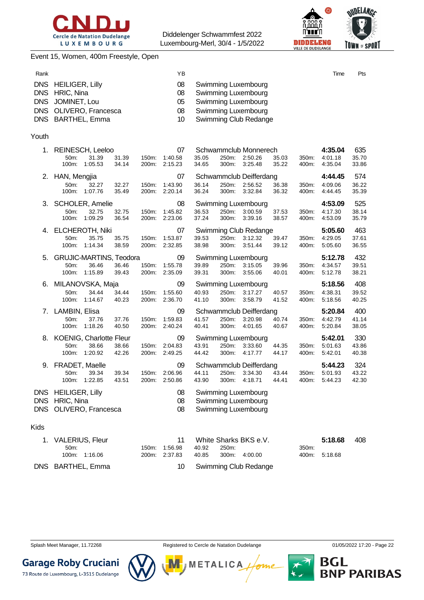



#### Event 15, Women, 400m Freestyle, Open

| Rank                                                               |                                                                                                    |                |                | YB                         |                |                |                                                                                                                   |                |                | Time                          | Pts                   |
|--------------------------------------------------------------------|----------------------------------------------------------------------------------------------------|----------------|----------------|----------------------------|----------------|----------------|-------------------------------------------------------------------------------------------------------------------|----------------|----------------|-------------------------------|-----------------------|
| <b>DNS</b><br><b>DNS</b><br><b>DNS</b><br><b>DNS</b><br><b>DNS</b> | <b>HEILIGER, Lilly</b><br>HRIC, Nina<br>JOMINET, Lou<br>OLIVERO, Francesca<br><b>BARTHEL, Emma</b> |                |                | 08<br>08<br>05<br>08<br>10 |                |                | Swimming Luxembourg<br>Swimming Luxembourg<br>Swimming Luxembourg<br>Swimming Luxembourg<br>Swimming Club Redange |                |                |                               |                       |
| Youth                                                              |                                                                                                    |                |                |                            |                |                |                                                                                                                   |                |                |                               |                       |
| 1.                                                                 | REINESCH, Leeloo<br>50m:<br>31.39<br>100m:<br>1:05.53                                              | 31.39<br>34.14 | 150m:<br>200m: | 07<br>1:40.58<br>2:15.23   | 35.05<br>34.65 | 250m:<br>300m: | Schwammclub Monnerech<br>2:50.26<br>3:25.48                                                                       | 35.03<br>35.22 | 350m:<br>400m: | 4:35.04<br>4:01.18<br>4:35.04 | 635<br>35.70<br>33.86 |
| 2.                                                                 | HAN, Mengjia                                                                                       |                |                | 07                         |                |                | Schwammclub Deifferdang                                                                                           |                |                | 4:44.45                       | 574                   |
|                                                                    | 50m:<br>32.27<br>100m:<br>1:07.76                                                                  | 32.27<br>35.49 | 150m:<br>200m: | 1:43.90<br>2:20.14         | 36.14<br>36.24 | 250m:<br>300m: | 2:56.52<br>3:32.84                                                                                                | 36.38<br>36.32 | 350m:<br>400m: | 4:09.06<br>4:44.45            | 36.22<br>35.39        |
| З.                                                                 | <b>SCHOLER, Amelie</b>                                                                             |                |                | 08                         |                |                | Swimming Luxembourg                                                                                               |                |                | 4:53.09                       | 525                   |
|                                                                    | 50m:<br>32.75<br>100m:<br>1:09.29                                                                  | 32.75<br>36.54 | 150m:<br>200m: | 1:45.82<br>2:23.06         | 36.53<br>37.24 | 250m:<br>300m: | 3:00.59<br>3:39.16                                                                                                | 37.53<br>38.57 | 350m:<br>400m: | 4:17.30<br>4:53.09            | 38.14<br>35.79        |
|                                                                    |                                                                                                    |                |                |                            |                |                |                                                                                                                   |                |                |                               |                       |
| 4.                                                                 | ELCHEROTH, Niki<br>50m:<br>35.75                                                                   | 35.75          | 150m:          | 07<br>1:53.87              | 39.53          | 250m:          | Swimming Club Redange<br>3:12.32                                                                                  | 39.47          | 350m:          | 5:05.60<br>4:29.05            | 463<br>37.61          |
|                                                                    | 100m:<br>1:14.34                                                                                   | 38.59          | 200m:          | 2:32.85                    | 38.98          | 300m:          | 3:51.44                                                                                                           | 39.12          | 400m:          | 5:05.60                       | 36.55                 |
| 5.                                                                 | <b>GRUJIC-MARTINS, Teodora</b><br>50m:<br>36.46                                                    | 36.46          | 150m:          | 09<br>1:55.78              | 39.89          | 250m:          | Swimming Luxembourg<br>3:15.05                                                                                    | 39.96          | 350m:          | 5:12.78<br>4:34.57            | 432<br>39.51          |
|                                                                    | 100m:<br>1:15.89                                                                                   | 39.43          | 200m:          | 2:35.09                    | 39.31          | 300m:          | 3:55.06                                                                                                           | 40.01          | 400m:          | 5:12.78                       | 38.21                 |
| 6.                                                                 | MILANOVSKA, Maja                                                                                   |                |                | 09                         |                |                | Swimming Luxembourg                                                                                               |                |                | 5:18.56                       | 408                   |
|                                                                    | 50m:<br>34.44<br>100m:<br>1:14.67                                                                  | 34.44<br>40.23 | 150m:<br>200m: | 1:55.60<br>2:36.70         | 40.93<br>41.10 | 250m:<br>300m: | 3:17.27<br>3:58.79                                                                                                | 40.57<br>41.52 | 350m:<br>400m: | 4:38.31<br>5:18.56            | 39.52<br>40.25        |
|                                                                    | 7. LAMBIN, Elisa                                                                                   |                |                | 09                         |                |                | Schwammclub Deifferdang                                                                                           |                |                | 5:20.84                       | 400                   |
|                                                                    | 50m:<br>37.76                                                                                      | 37.76          | 150m:          | 1:59.83                    | 41.57          | 250m:          | 3:20.98                                                                                                           | 40.74          | 350m:          | 4:42.79                       | 41.14                 |
|                                                                    | 100m:<br>1:18.26                                                                                   | 40.50          | 200m:          | 2:40.24                    | 40.41          | 300m:          | 4:01.65                                                                                                           | 40.67          | 400m:          | 5:20.84                       | 38.05                 |
| 8.                                                                 | KOENIG, Charlotte Fleur<br>50m:<br>38.66                                                           | 38.66          | 150m:          | 09<br>2:04.83              | 43.91          | 250m:          | Swimming Luxembourg<br>3:33.60                                                                                    | 44.35          | 350m:          | 5:42.01<br>5:01.63            | 330<br>43.86          |
|                                                                    | 100m:<br>1:20.92                                                                                   | 42.26          | 200m:          | 2:49.25                    | 44.42          | 300m:          | 4:17.77                                                                                                           | 44.17          | 400m:          | 5:42.01                       | 40.38                 |
| 9.                                                                 | FRADET, Maelle                                                                                     |                |                | 09                         |                |                | Schwammclub Deifferdang                                                                                           |                |                | 5:44.23                       | 324                   |
|                                                                    | 50m:<br>39.34<br>100m:<br>1:22.85                                                                  | 39.34<br>43.51 | 150m:<br>200m: | 2:06.96<br>2:50.86         | 44.11<br>43.90 | 250m:<br>300m: | 3:34.30<br>4:18.71                                                                                                | 43.44<br>44.41 | 350m:<br>400m: | 5:01.93<br>5:44.23            | 43.22<br>42.30        |
| DNS.                                                               | <b>HEILIGER, Lilly</b>                                                                             |                |                | 08                         |                |                | Swimming Luxembourg                                                                                               |                |                |                               |                       |
| <b>DNS</b>                                                         | HRIC, Nina                                                                                         |                |                | 08                         |                |                | Swimming Luxembourg                                                                                               |                |                |                               |                       |
| <b>DNS</b>                                                         | OLIVERO, Francesca                                                                                 |                |                | 08                         |                |                | Swimming Luxembourg                                                                                               |                |                |                               |                       |
|                                                                    |                                                                                                    |                |                |                            |                |                |                                                                                                                   |                |                |                               |                       |

| VALERIUS, Fleur   |                                   |       |       | White Sharks BKS e.V.    |       | 5:18.68       | 408 |
|-------------------|-----------------------------------|-------|-------|--------------------------|-------|---------------|-----|
| $50m$ :           | 150m. 1:56.98                     | 40.92 | 250m: |                          | 350m. |               |     |
| 100m: 1:16.06     | 200m: 2:37.83 40.85 300m: 4:00.00 |       |       |                          |       | 400m: 5:18.68 |     |
| DNS BARTHEL, Emma |                                   |       |       | 10 Swimming Club Redange |       |               |     |

Splash Meet Manager, 11.72268 **Registered to Cercle de Natation Dudelange 11/05/2022 17:20 - Page 22** 



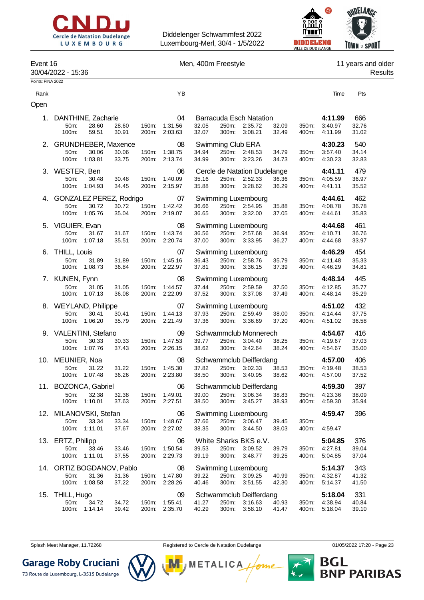



#### Event 16 **Event 16** Men, 400m Freestyle **11** years and older

30/04/2022 - 15:36 Results

| Points: FINA 2022 |                                                                                   |                |                                      |                |                                     |                                                           |                |                |                                     |                       |
|-------------------|-----------------------------------------------------------------------------------|----------------|--------------------------------------|----------------|-------------------------------------|-----------------------------------------------------------|----------------|----------------|-------------------------------------|-----------------------|
| Rank              |                                                                                   |                | ΥB                                   |                |                                     |                                                           |                |                | Time                                | Pts                   |
| Open              |                                                                                   |                |                                      |                |                                     |                                                           |                |                |                                     |                       |
| 1.                | DANTHINE, Zacharie<br>28.60<br>50m:<br>28.60<br>100m:<br>59.51<br>30.91           | 150m:<br>200m: | 04<br>1:31.56<br>2:03.63             | 32.05<br>32.07 | 250m:<br>300m:                      | <b>Barracuda Esch Natation</b><br>2:35.72<br>3:08.21      | 32.09<br>32.49 | 350m:<br>400m: | 4:11.99<br>3:40.97<br>4:11.99       | 666<br>32.76<br>31.02 |
| 2.                | <b>GRUNDHEBER, Maxence</b><br>30.06<br>50m:<br>30.06<br>1:03.81<br>33.75<br>100m: | 150m:<br>200m: | 08<br>1:38.75<br>2:13.74             | 34.94<br>34.99 | Swimming Club ERA<br>250m:<br>300m: | 2:48.53<br>3:23.26                                        | 34.79<br>34.73 | 350m:<br>400m: | 4:30.23<br>3:57.40<br>4:30.23       | 540<br>34.14<br>32.83 |
|                   | 3. WESTER, Ben<br>50m:<br>30.48<br>30.48<br>100m:<br>1:04.93<br>34.45             | 150m:<br>200m: | 06<br>1:40.09<br>2:15.97             | 35.16<br>35.88 | 250m:<br>300m:                      | Cercle de Natation Dudelange<br>2:52.33<br>3:28.62        | 36.36<br>36.29 | 350m:<br>400m: | 4:41.11<br>4:05.59<br>4:41.11       | 479<br>36.97<br>35.52 |
| 4.                | GONZALEZ PEREZ, Rodrigo<br>30.72<br>50m:<br>30.72<br>100m: 1:05.76<br>35.04       | 150m:<br>200m: | 07<br>1:42.42<br>2:19.07             | 36.66<br>36.65 | 250m:<br>300m:                      | <b>Swimming Luxembourg</b><br>2:54.95<br>3:32.00          | 35.88<br>37.05 | 350m:<br>400m: | 4:44.61<br>4:08.78<br>4:44.61       | 462<br>36.78<br>35.83 |
| 5.                | VIGUIER, Evan<br>50m:<br>31.67<br>31.67<br>100m:<br>1:07.18<br>35.51              | 150m:<br>200m: | 08<br>1:43.74<br>2:20.74             | 36.56<br>37.00 | 250m:<br>300m:                      | Swimming Luxembourg<br>2:57.68<br>3:33.95                 | 36.94<br>36.27 | 350m:<br>400m: | 4:44.68<br>4:10.71<br>4:44.68       | 461<br>36.76<br>33.97 |
| 6.                | <b>THILL, Louis</b><br>50m:<br>31.89<br>31.89<br>1:08.73<br>36.84<br>100m:        | 150m:<br>200m: | 07<br>1:45.16<br>2:22.97             | 36.43<br>37.81 | 250m:<br>300m:                      | Swimming Luxembourg<br>2:58.76<br>3:36.15                 | 35.79<br>37.39 | 350m:<br>400m: | 4:46.29<br>4:11.48<br>4:46.29       | 454<br>35.33<br>34.81 |
|                   | 7. KUNEN, Fynn<br>50m:<br>31.05<br>31.05<br>100m: 1:07.13<br>36.08                | 150m:<br>200m: | 08<br>1:44.57<br>2:22.09             | 37.44<br>37.52 | 250m:<br>300m:                      | Swimming Luxembourg<br>2:59.59<br>3:37.08                 | 37.50<br>37.49 | 350m:<br>400m: | 4:48.14<br>4:12.85<br>4:48.14       | 445<br>35.77<br>35.29 |
|                   | 8. WEYLAND, Philippe<br>50m:<br>30.41<br>30.41<br>1:06.20<br>100m:<br>35.79       | 150m:<br>200m: | 07<br>1:44.13<br>2:21.49             | 37.93<br>37.36 | 250m:<br>300m:                      | Swimming Luxembourg<br>2:59.49<br>3:36.69                 | 38.00<br>37.20 | 350m:<br>400m: | 4:51.02<br>4:14.44<br>4:51.02       | 432<br>37.75<br>36.58 |
|                   | 9. VALENTINI, Stefano<br>50m:<br>30.33<br>30.33<br>100m:<br>1:07.76<br>37.43      | 150m:<br>200m: | 09<br>1:47.53<br>2:26.15             | 39.77<br>38.62 | 250m:<br>300m:                      | Schwammclub Monnerech<br>3:04.40<br>3:42.64               | 38.25<br>38.24 | 350m:<br>400m: | 4:54.67<br>4:19.67<br>4:54.67       | 416<br>37.03<br>35.00 |
| 10.               | MEUNIER, Noa<br>50m:<br>31.22<br>31.22<br>1:07.48<br>36.26<br>100m:               | 150m:<br>200m: | 08<br>1:45.30<br>2:23.80             | 37.82<br>38.50 | 250m:<br>300m:                      | Schwammclub Deifferdang<br>3:02.33<br>3:40.95             | 38.53<br>38.62 | 350m:<br>400m: | 4:57.00<br>4:19.48<br>4:57.00       | 406<br>38.53<br>37.52 |
|                   | 11. BOZONCA, Gabriel<br>50m: 32.38<br>32.38<br>100m: 1:10.01<br>37.63             |                | 06<br>150m: 1:49.01<br>200m: 2:27.51 | 39.00<br>38.50 |                                     | Schwammclub Deifferdang<br>250m: 3:06.34<br>300m: 3:45.27 | 38.83<br>38.93 | 350m:          | 4:59.30<br>4:23.36<br>400m: 4:59.30 | 397<br>38.09<br>35.94 |
|                   | 12. MILANOVSKI, Stefan<br>33.34<br>50m:<br>33.34<br>100m: 1:11.01<br>37.67        | 200m:          | 06<br>150m: 1:48.67<br>2:27.02       | 37.66<br>38.35 | 250m:<br>300m:                      | Swimming Luxembourg<br>3:06.47<br>3:44.50                 | 39.45<br>38.03 | 350m:<br>400m: | 4:59.47<br>4:59.47                  | 396                   |
|                   | 13. ERTZ, Philipp<br>33.46<br>50m:<br>33.46<br>100m: 1:11.01<br>37.55             | 150m:          | 06<br>1:50.54<br>200m: 2:29.73       | 39.53<br>39.19 | 250m:<br>300m:                      | White Sharks BKS e.V.<br>3:09.52<br>3:48.77               | 39.79<br>39.25 | 350m:<br>400m: | 5:04.85<br>4:27.81<br>5:04.85       | 376<br>39.04<br>37.04 |
|                   | 14. ORTIZ BOGDANOV, Pablo<br>50m:<br>31.36<br>31.36<br>100m: 1:08.58<br>37.22     | 150m:          | 08<br>1:47.80<br>200m: 2:28.26       | 39.22<br>40.46 | 250m:<br>300m:                      | Swimming Luxembourg<br>3:09.25<br>3:51.55                 | 40.99<br>42.30 | 350m:<br>400m: | 5:14.37<br>4:32.87<br>5:14.37       | 343<br>41.32<br>41.50 |
| 15.               | THILL, Hugo<br>50m:<br>34.72<br>34.72<br>1:14.14<br>100m:<br>39.42                | 150m:<br>200m: | 09<br>1:55.41<br>2:35.70             | 41.27<br>40.29 | 250m:<br>300m:                      | Schwammclub Deifferdang<br>3:16.63<br>3:58.10             | 40.93<br>41.47 | 350m:<br>400m: | 5:18.04<br>4:38.94<br>5:18.04       | 331<br>40.84<br>39.10 |

**Garage Roby Cruciani** 

73 Route de Luxembourg, L-3515 Dudelange



Splash Meet Manager, 11.72268 **Registered to Cercle de Natation Dudelange 11/05/2022 17:20** - Page 23

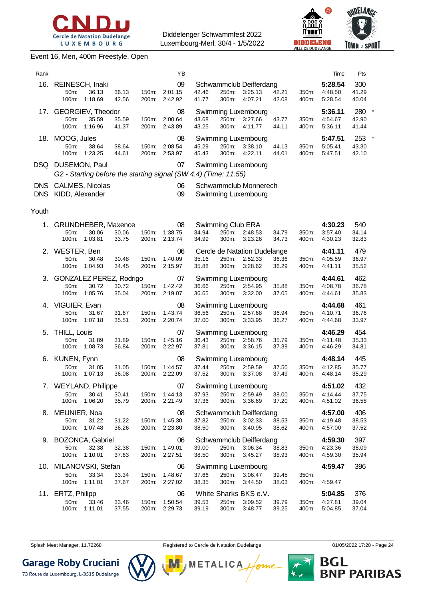



#### Event 16, Men, 400m Freestyle, Open

| Rank |                   |                                                                 |       |          | ΥB            |       |          |                                    |       |          | Time               | Pts          |         |
|------|-------------------|-----------------------------------------------------------------|-------|----------|---------------|-------|----------|------------------------------------|-------|----------|--------------------|--------------|---------|
| 16.  | 50 <sub>m</sub> : | REINESCH, Inaki<br>36.13                                        | 36.13 | 150m:    | 09<br>2:01.15 | 42.46 | $250m$ : | Schwammclub Deifferdang<br>3:25.13 | 42.21 | 350m:    | 5:28.54<br>4:48.50 | 300<br>41.29 |         |
|      | 100m:             | 1:18.69                                                         | 42.56 | 200m:    | 2:42.92       | 41.77 | 300m:    | 4:07.21                            | 42.08 | 400m:    | 5.28.54            | 40.04        |         |
| 17.  |                   | GEORGIEV, Theodor                                               |       |          | 08            |       |          | Swimming Luxembourg                |       |          | 5:36.11            | 280          | $\ast$  |
|      | $50m$ :           | 35.59                                                           | 35.59 | 150m:    | 2:00.64       | 43.68 | 250m:    | 3:27.66                            | 43.77 | 350m:    | 4:54.67            | 42.90        |         |
|      | 100m:             | 1:16.96                                                         | 41.37 | 200m:    | 2:43.89       | 43.25 | 300m:    | 4:11.77                            | 44.11 | 400m:    | 5:36.11            | 41.44        |         |
| 18.  | MOOG, Jules       |                                                                 |       |          | 08            |       |          | Swimming Luxembourg                |       |          | 5:47.51            | 253          | $\star$ |
|      | 50m               | 38.64                                                           | 38.64 | $150m$ : | 2:08.54       | 45.29 | 250m:    | 3:38.10                            | 44.13 | $350m$ : | 5:05.41            | 43.30        |         |
|      | 100m:             | 1:23.25                                                         | 44.61 | 200m:    | 2:53.97       | 45.43 | 300m:    | 4:22.11                            | 44.01 | 400m:    | 5:47.51            | 42.10        |         |
| DSQ. |                   | DUSEMON, Paul                                                   |       |          | 07            |       |          | Swimming Luxembourg                |       |          |                    |              |         |
|      |                   | G2 - Starting before the starting signal (SW 4.4) (Time: 11:55) |       |          |               |       |          |                                    |       |          |                    |              |         |
| DNS. |                   | <b>CALMES, Nicolas</b>                                          |       |          | 06            |       |          | Schwammclub Monnerech              |       |          |                    |              |         |

| DNS CALMES, NICOLAS | Schwammclub Monnerech |
|---------------------|-----------------------|
| DNS KIDD, Alexander | Swimming Luxembourg   |

#### Youth

| 1. GRUNDHEBER, Maxence                                             |                                  | 08                                    |                |                | Swimming Club ERA                                              |                |                | 4:30.23                             | 540                   |
|--------------------------------------------------------------------|----------------------------------|---------------------------------------|----------------|----------------|----------------------------------------------------------------|----------------|----------------|-------------------------------------|-----------------------|
| 30.06<br>50m:<br>100m:<br>1:03.81                                  | 30.06<br>150m:<br>33.75<br>200m: | 1:38.75<br>2:13.74                    | 34.94<br>34.99 | 300m:          | 250m: 2:48.53<br>3:23.26                                       | 34.79<br>34.73 | 350m:<br>400m: | 3:57.40<br>4:30.23                  | 34.14<br>32.83        |
| 2. WESTER, Ben<br>30.48<br>$50m$ :<br>100m:<br>1:04.93             | 34.45<br>200m:                   | 06<br>2:15.97                         | 35.16<br>35.88 |                | Cercle de Natation Dudelange<br>250m: 2:52.33<br>300m: 3:28.62 | 36.36<br>36.29 | 350m:<br>400m: | 4:41.11<br>4:05.59<br>4:41.11       | 479<br>36.97<br>35.52 |
| 3. GONZALEZ PEREZ, Rodrigo<br>30.72<br>$50m$ :<br>100m:<br>1:05.76 | 30.72<br>150m:<br>35.04<br>200m: | $\overline{07}$<br>1:42.42<br>2:19.07 | 36.66<br>36.65 |                | <b>Swimming Luxembourg</b><br>250m: 2:54.95<br>300m: 3:32.00   | 35.88<br>37.05 | 350m:<br>400m: | 4:44.61<br>4:08.78<br>4:44.61       | 462<br>36.78<br>35.83 |
| 4. VIGUIER, Evan<br>31.67<br>50m:<br>100m:<br>1:07.18              | 31.67<br>35.51<br>200m:          | 08<br>150m: 1:43.74<br>2:20.74        | 36.56<br>37.00 | 300m:          | Swimming Luxembourg<br>250m: 2:57.68<br>3:33.95                | 36.94<br>36.27 | 400m:          | 4:44.68<br>350m: 4:10.71<br>4:44.68 | 461<br>36.76<br>33.97 |
| 5. THILL, Louis<br>50m:<br>31.89<br>100m:<br>1:08.73               | 31.89<br>150m:<br>36.84<br>200m: | 07<br>1:45.16<br>2:22.97              | 36.43<br>37.81 | 300m:          | Swimming Luxembourg<br>250m: 2:58.76<br>3:36.15                | 35.79<br>37.39 | 400m:          | 4:46.29<br>350m: 4:11.48<br>4:46.29 | 454<br>35.33<br>34.81 |
| 6. KUNEN, Fynn<br>31.05<br>50m:<br>100m:<br>1:07.13                | 31.05<br>36.08<br>200m:          | 08<br>150m: 1:44.57<br>2:22.09        | 37.44<br>37.52 | 250m:<br>300m: | Swimming Luxembourg<br>2:59.59<br>3:37.08                      | 37.50<br>37.49 | 350m:<br>400m: | 4:48.14<br>4:12.85<br>4:48.14       | 445<br>35.77<br>35.29 |
| 7. WEYLAND, Philippe<br>30.41<br>50m:<br>1:06.20<br>100m:          | 30.41<br>150m:<br>35.79<br>200m: | 07<br>1:44.13<br>2:21.49              | 37.93<br>37.36 | 300m:          | Swimming Luxembourg<br>250m: 2:59.49<br>3:36.69                | 38.00<br>37.20 | 400m:          | 4:51.02<br>350m: 4:14.44<br>4:51.02 | 432<br>37.75<br>36.58 |
| 8. MEUNIER, Noa<br>50m:<br>31.22<br>100m:<br>1:07.48               | 31.22<br>150m:<br>36.26<br>200m: | 08<br>1:45.30<br>2:23.80              | 37.82<br>38.50 | 250m:<br>300m: | Schwammclub Deifferdang<br>3:02.33<br>3:40.95                  | 38.53<br>38.62 | 350m:<br>400m: | 4:57.00<br>4:19.48<br>4:57.00       | 406<br>38.53<br>37.52 |
| 9. BOZONCA, Gabriel<br>50m:<br>32.38<br>100m:<br>1:10.01           | 32.38<br>150m:<br>37.63<br>200m: | 06<br>1:49.01<br>2:27.51              | 39.00<br>38.50 | 300m:          | Schwammclub Deifferdang<br>250m: 3:06.34<br>3:45.27            | 38.83<br>38.93 | 400m:          | 4:59.30<br>350m: 4:23.36<br>4:59.30 | 397<br>38.09<br>35.94 |
| 10. MILANOVSKI, Stefan<br>33.34<br>50m:<br>1:11.01<br>100m:        | 33.34<br>150m:<br>37.67<br>200m: | 06<br>1:48.67<br>2:27.02              | 37.66<br>38.35 | 250m:<br>300m: | Swimming Luxembourg<br>3:06.47<br>3:44.50                      | 39.45<br>38.03 | 350m:<br>400m: | 4:59.47<br>4:59.47                  | 396                   |
| 11. ERTZ, Philipp<br>33.46<br>50m:<br>100m: 1:11.01                | 33.46<br>150m:<br>37.55<br>200m: | 06<br>1:50.54<br>2:29.73              | 39.53<br>39.19 | 300m:          | White Sharks BKS e.V.<br>250m: 3:09.52<br>3:48.77              | 39.79<br>39.25 | 350m:<br>400m: | 5:04.85<br>4:27.81<br>5:04.85       | 376<br>39.04<br>37.04 |

Splash Meet Manager, 11.72268 **Registered to Cercle de Natation Dudelange 11/05/2022 17:20** - Page 24



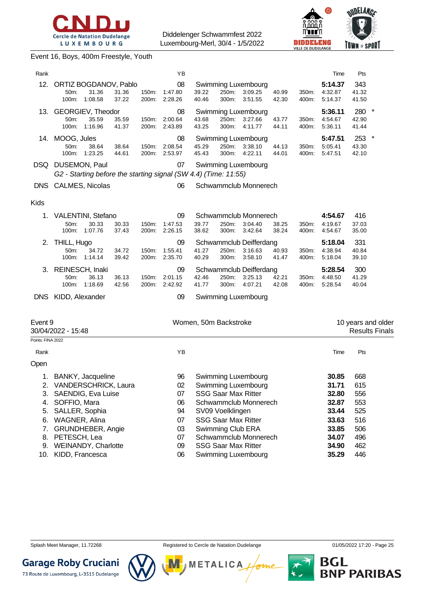



#### Event 16, Boys, 400m Freestyle, Youth

| Rank       |                              |                                           |                |                | YB                                                              |                       |                |                                                  |                |                | Time                          | Pts                   |                    |
|------------|------------------------------|-------------------------------------------|----------------|----------------|-----------------------------------------------------------------|-----------------------|----------------|--------------------------------------------------|----------------|----------------|-------------------------------|-----------------------|--------------------|
| 12.        | 50 <sub>m</sub> :<br>100m:   | ORTIZ BOGDANOV, Pablo<br>31.36<br>1:08.58 | 31.36<br>37.22 | 150m.<br>200m: | 08<br>1:47.80<br>2:28.26                                        | 39.22<br>40.46        | 250m:<br>300m: | Swimming Luxembourg<br>3:09.25<br>3:51.55        | 40.99<br>42.30 | 350m:<br>400m: | 5:14.37<br>4:32.87<br>5:14.37 | 343<br>41.32<br>41.50 |                    |
| 13.        | 50m:<br>$100m$ :             | GEORGIEV, Theodor<br>35.59<br>1:16.96     | 35.59<br>41.37 | 150m:<br>200m: | 08<br>2:00.64<br>2:43.89                                        | 43.68<br>43.25        | 250m:<br>300m: | <b>Swimming Luxembourg</b><br>3:27.66<br>4:11.77 | 43.77<br>44.11 | 350m:<br>400m: | 5:36.11<br>4:54.67<br>5:36.11 | 280<br>42.90<br>41.44 | $\star$            |
| 14.        | MOOG, Jules<br>50m:<br>100m: | 38.64<br>1:23.25                          | 38.64<br>44.61 | 150m:<br>200m: | 08<br>2:08.54<br>2:53.97                                        | 45.29<br>45.43        | 250m:<br>300m: | Swimming Luxembourg<br>3:38.10<br>4:22.11        | 44.13<br>44.01 | 350m:<br>400m: | 5:47.51<br>5:05.41<br>5:47.51 | 253<br>43.30<br>42.10 | $\star$            |
| DSQ        | DUSEMON, Paul                |                                           |                |                | 07                                                              |                       |                | Swimming Luxembourg                              |                |                |                               |                       |                    |
|            |                              |                                           |                |                | G2 - Starting before the starting signal (SW 4.4) (Time: 11:55) |                       |                |                                                  |                |                |                               |                       |                    |
| <b>DNS</b> |                              | CALMES, Nicolas                           |                |                | 06                                                              |                       |                | Schwammclub Monnerech                            |                |                |                               |                       |                    |
| Kids       |                              |                                           |                |                |                                                                 |                       |                |                                                  |                |                |                               |                       |                    |
| 1.         |                              | <b>VALENTINI, Stefano</b>                 |                |                | 09                                                              |                       |                | Schwammclub Monnerech                            |                |                | 4:54.67                       | 416                   |                    |
|            | 50m:<br>$100m$ :             | 30.33<br>1:07.76                          | 30.33<br>37.43 | 150m:<br>200m: | 1:47.53<br>2:26.15                                              | 39.77<br>38.62        | 250m:<br>300m: | 3:04.40<br>3:42.64                               | 38.25<br>38.24 | 350m:<br>400m: | 4:19.67<br>4:54.67            | 37.03<br>35.00        |                    |
| 2.         | THILL, Hugo                  |                                           |                |                | 09                                                              |                       |                | Schwammclub Deifferdang                          |                |                | 5:18.04                       | 331                   |                    |
|            | 50m:                         | 34.72                                     | 34.72          | 150m:          | 1:55.41                                                         | 41.27                 | 250m:          | 3:16.63                                          | 40.93          | 350m:          | 4:38.94                       | 40.84                 |                    |
|            | 100m:                        | 1:14.14                                   | 39.42          | 200m:          | 2:35.70                                                         | 40.29                 | 300m:          | 3:58.10                                          | 41.47          | 400m:          | 5:18.04                       | 39.10                 |                    |
| 3.         | REINESCH, Inaki              |                                           |                |                | 09                                                              |                       |                | Schwammclub Deifferdang                          |                |                | 5:28.54                       | 300                   |                    |
|            | 50m:<br>100m:                | 36.13<br>1:18.69                          | 36.13<br>42.56 | 150m.<br>200m: | 2:01.15<br>2:42.92                                              | 42.46<br>41.77        | 250m:<br>300m: | 3:25.13<br>4:07.21                               | 42.21<br>42.08 | 350m:<br>400m: | 4:48.50<br>5:28.54            | 41.29<br>40.04        |                    |
| <b>DNS</b> |                              |                                           |                |                | 09                                                              |                       |                |                                                  |                |                |                               |                       |                    |
|            | KIDD, Alexander              |                                           |                |                |                                                                 |                       |                | Swimming Luxembourg                              |                |                |                               |                       |                    |
| Event 9    |                              |                                           |                |                |                                                                 | Women, 50m Backstroke |                |                                                  |                |                |                               |                       | 10 years and older |

| ᆫ᠈ᄓᆢ<br>30/04/2022 - 15:48 |                             |    | ww.indi ooini badkolloko   | TO YOUR GIRL ORD.<br><b>Results Finals</b> |     |  |
|----------------------------|-----------------------------|----|----------------------------|--------------------------------------------|-----|--|
| Points: FINA 2022          |                             |    |                            |                                            |     |  |
| Rank                       |                             | ΥB |                            | Time                                       | Pts |  |
| Open                       |                             |    |                            |                                            |     |  |
| 1.                         | BANKY, Jacqueline           | 96 | Swimming Luxembourg        | 30.85                                      | 668 |  |
| 2.                         | <b>VANDERSCHRICK, Laura</b> | 02 | Swimming Luxembourg        | 31.71                                      | 615 |  |
| 3.                         | <b>SAENDIG, Eva Luise</b>   | 07 | <b>SSG Saar Max Ritter</b> | 32.80                                      | 556 |  |
| 4.                         | SOFFIO, Mara                | 06 | Schwammclub Monnerech      | 32.87                                      | 553 |  |
| 5.                         | SALLER, Sophia              | 94 | SV09 Voelklingen           | 33.44                                      | 525 |  |
| 6.                         | WAGNER, Alina               | 07 | <b>SSG Saar Max Ritter</b> | 33.63                                      | 516 |  |
|                            | <b>GRUNDHEBER, Angie</b>    | 03 | Swimming Club ERA          | 33.85                                      | 506 |  |
| 8.                         | PETESCH, Lea                | 07 | Schwammclub Monnerech      | 34.07                                      | 496 |  |
| 9.                         | WEINANDY, Charlotte         | 09 | <b>SSG Saar Max Ritter</b> | 34.90                                      | 462 |  |
| 10.                        | KIDD, Francesca             | 06 | Swimming Luxembourg        | 35.29                                      | 446 |  |

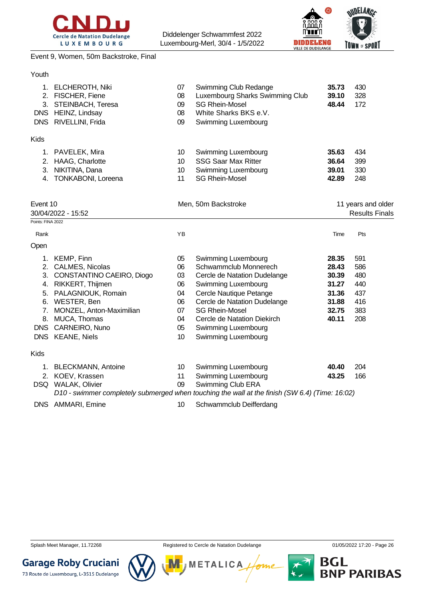



#### Event 9, Women, 50m Backstroke, Final

| Youth                                     |                                                                                                     |                            |                                                                                                                                   |                         |                       |
|-------------------------------------------|-----------------------------------------------------------------------------------------------------|----------------------------|-----------------------------------------------------------------------------------------------------------------------------------|-------------------------|-----------------------|
| $1_{-}$<br>2.<br>3.<br><b>DNS</b><br>DNS. | <b>ELCHEROTH, Niki</b><br>FISCHER, Fiene<br>STEINBACH, Teresa<br>HEINZ, Lindsay<br>RIVELLINI, Frida | 07<br>08<br>09<br>08<br>09 | Swimming Club Redange<br>Luxembourg Sharks Swimming Club<br><b>SG Rhein-Mosel</b><br>White Sharks BKS e.V.<br>Swimming Luxembourg | 35.73<br>39.10<br>48.44 | 430<br>328<br>172     |
| <b>Kids</b>                               |                                                                                                     |                            |                                                                                                                                   |                         |                       |
| 1.                                        | PAVELEK, Mira                                                                                       | 10                         | Swimming Luxembourg                                                                                                               | 35.63                   | 434                   |
| 2.                                        | HAAG, Charlotte                                                                                     | 10                         | <b>SSG Saar Max Ritter</b>                                                                                                        | 36.64                   | 399                   |
| 3.                                        | NIKITINA, Dana                                                                                      | 10                         | Swimming Luxembourg                                                                                                               | 39.01                   | 330                   |
| 4.                                        | TONKABONI, Loreena                                                                                  | 11                         | <b>SG Rhein-Mosel</b>                                                                                                             | 42.89                   | 248                   |
| Event 10                                  |                                                                                                     |                            | Men, 50m Backstroke                                                                                                               |                         | 11 years and older    |
|                                           | 30/04/2022 - 15:52                                                                                  |                            |                                                                                                                                   |                         | <b>Results Finals</b> |
| Points: FINA 2022                         |                                                                                                     |                            |                                                                                                                                   |                         |                       |
| Rank                                      |                                                                                                     | ΥB                         |                                                                                                                                   | Time                    | Pts                   |
| Open                                      |                                                                                                     |                            |                                                                                                                                   |                         |                       |
| 1.                                        | KEMP, Finn                                                                                          | 05                         | Swimming Luxembourg                                                                                                               | 28.35                   | 591                   |
| 2.                                        | CALMES, Nicolas                                                                                     | 06                         | Schwammclub Monnerech                                                                                                             | 28.43                   | 586                   |

|            | Z. CALIVIES, INICOIAS        | VO. | Scriwartificiup Monnerech                                                                      | Z0.43 | OOC |
|------------|------------------------------|-----|------------------------------------------------------------------------------------------------|-------|-----|
|            | 3. CONSTANTINO CAEIRO, Diogo | 03  | Cercle de Natation Dudelange                                                                   | 30.39 | 480 |
| 4.         | RIKKERT, Thijmen             | 06  | Swimming Luxembourg                                                                            | 31.27 | 440 |
|            | 5. PALAGNIOUK, Romain        | 04  | Cercle Nautique Petange                                                                        | 31.36 | 437 |
|            | 6. WESTER, Ben               | 06  | Cercle de Natation Dudelange                                                                   | 31.88 | 416 |
|            | 7. MONZEL, Anton-Maximilian  | 07  | <b>SG Rhein-Mosel</b>                                                                          | 32.75 | 383 |
|            | 8. MUCA, Thomas              | 04  | Cercle de Natation Diekirch                                                                    | 40.11 | 208 |
| DNS.       | CARNEIRO, Nuno               | 05  | Swimming Luxembourg                                                                            |       |     |
|            | DNS KEANE, Niels             | 10  | Swimming Luxembourg                                                                            |       |     |
| Kids       |                              |     |                                                                                                |       |     |
|            | 1. BLECKMANN, Antoine        | 10  | Swimming Luxembourg                                                                            | 40.40 | 204 |
|            | 2. KOEV, Krassen             | 11  | Swimming Luxembourg                                                                            | 43.25 | 166 |
| <b>DSQ</b> | <b>WALAK, Olivier</b>        | 09  | Swimming Club ERA                                                                              |       |     |
|            |                              |     | D10 - swimmer completely submerged when touching the wall at the finish (SW 6.4) (Time: 16:02) |       |     |
|            |                              |     |                                                                                                |       |     |

DNS AMMARI, Emine 10 Schwammclub Deifferdang



Splash Meet Manager, 11.72268 **Registered to Cercle de Natation Dudelange 11/05/2022 17:20 - Page 26** Splash Meet Manager, 11.72268

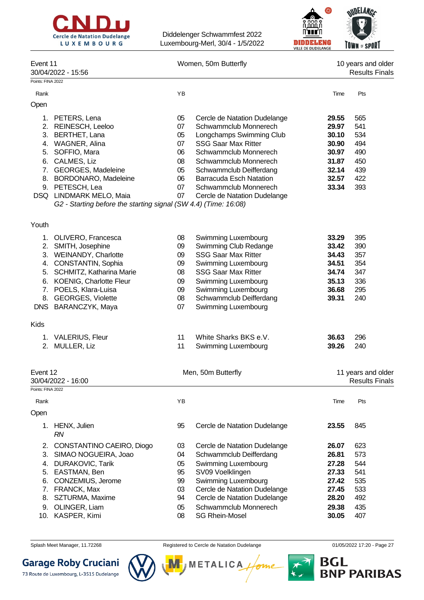



| Event 11<br>30/04/2022 - 15:56<br>Points: FINA 2022                                                                                                                                                                                  |                                                                        |                                                                                                                                                                                                                                                                                         |                                                                                                                                              | 10 years and older<br><b>Results Finals</b>                 |
|--------------------------------------------------------------------------------------------------------------------------------------------------------------------------------------------------------------------------------------|------------------------------------------------------------------------|-----------------------------------------------------------------------------------------------------------------------------------------------------------------------------------------------------------------------------------------------------------------------------------------|----------------------------------------------------------------------------------------------------------------------------------------------|-------------------------------------------------------------|
|                                                                                                                                                                                                                                      | YB                                                                     |                                                                                                                                                                                                                                                                                         | Time                                                                                                                                         | Pts                                                         |
|                                                                                                                                                                                                                                      |                                                                        |                                                                                                                                                                                                                                                                                         |                                                                                                                                              |                                                             |
| 1. PETERS, Lena<br>2. REINESCH, Leeloo<br>3. BERTHET, Lana<br>4. WAGNER, Alina<br>5. SOFFIO, Mara<br>CALMES, Liz<br>7. GEORGES, Madeleine<br>8. BORDONARO, Madeleine<br>9. PETESCH, Lea<br>DSQ LINDMARK MELO, Maia                   | 05<br>07<br>05<br>07<br>06<br>08<br>05<br>06<br>07<br>07               | Cercle de Natation Dudelange<br>Schwammclub Monnerech<br>Longchamps Swimming Club<br><b>SSG Saar Max Ritter</b><br>Schwammclub Monnerech<br>Schwammclub Monnerech<br>Schwammclub Deifferdang<br><b>Barracuda Esch Natation</b><br>Schwammclub Monnerech<br>Cercle de Natation Dudelange | 29.55<br>29.97<br>30.10<br>30.90<br>30.97<br>31.87<br>32.14<br>32.57<br>33.34                                                                | 565<br>541<br>534<br>494<br>490<br>450<br>439<br>422<br>393 |
|                                                                                                                                                                                                                                      |                                                                        |                                                                                                                                                                                                                                                                                         |                                                                                                                                              |                                                             |
| 1. OLIVERO, Francesca<br>2. SMITH, Josephine<br>3. WEINANDY, Charlotte<br>4. CONSTANTIN, Sophia<br>5. SCHMITZ, Katharina Marie<br>6. KOENIG, Charlotte Fleur<br>7. POELS, Klara-Luisa<br>8. GEORGES, Violette<br>DNS BARANCZYK, Maya | 08<br>09<br>09<br>09<br>08<br>09<br>09<br>08<br>07                     | Swimming Luxembourg<br>Swimming Club Redange<br><b>SSG Saar Max Ritter</b><br>Swimming Luxembourg<br><b>SSG Saar Max Ritter</b><br>Swimming Luxembourg<br>Swimming Luxembourg<br>Schwammclub Deifferdang<br>Swimming Luxembourg                                                         | 33.29<br>33.42<br>34.43<br>34.51<br>34.74<br>35.13<br>36.68<br>39.31                                                                         | 395<br>390<br>357<br>354<br>347<br>336<br>295<br>240        |
|                                                                                                                                                                                                                                      |                                                                        |                                                                                                                                                                                                                                                                                         |                                                                                                                                              |                                                             |
| 1. VALERIUS, Fleur<br>2. MULLER, Liz                                                                                                                                                                                                 | 11<br>11                                                               | White Sharks BKS e.V.<br>Swimming Luxembourg                                                                                                                                                                                                                                            | 36.63<br>39.26                                                                                                                               | 296<br>240                                                  |
| Event 12<br>30/04/2022 - 16:00                                                                                                                                                                                                       |                                                                        |                                                                                                                                                                                                                                                                                         |                                                                                                                                              | 11 years and older<br><b>Results Finals</b>                 |
|                                                                                                                                                                                                                                      |                                                                        |                                                                                                                                                                                                                                                                                         |                                                                                                                                              |                                                             |
|                                                                                                                                                                                                                                      |                                                                        |                                                                                                                                                                                                                                                                                         |                                                                                                                                              | Pts                                                         |
| HENX, Julien<br>1.                                                                                                                                                                                                                   | 95                                                                     | Cercle de Natation Dudelange                                                                                                                                                                                                                                                            | 23.55                                                                                                                                        | 845                                                         |
| CONSTANTINO CAEIRO, Diogo<br>SIMAO NOGUEIRA, Joao<br><b>DURAKOVIC, Tarik</b><br>EASTMAN, Ben<br>CONZEMIUS, Jerome<br>7. FRANCK, Max<br>SZTURMA, Maxime<br>8.<br>9. OLINGER, Liam                                                     | 03<br>04<br>05<br>95<br>99<br>03<br>94<br>05                           | Cercle de Natation Dudelange<br>Schwammclub Deifferdang<br>Swimming Luxembourg<br>SV09 Voelklingen<br>Swimming Luxembourg<br>Cercle de Natation Dudelange<br>Cercle de Natation Dudelange<br>Schwammclub Monnerech                                                                      | 26.07<br>26.81<br>27.28<br>27.33<br>27.42<br>27.45<br>28.20<br>29.38                                                                         | 623<br>573<br>544<br>541<br>535<br>533<br>492<br>435<br>407 |
|                                                                                                                                                                                                                                      | Points: FINA 2022<br>$R$ <sup><math>N</math></sup><br>10. KASPER, Kimi | YB                                                                                                                                                                                                                                                                                      | Women, 50m Butterfly<br>G2 - Starting before the starting signal (SW 4.4) (Time: 16:08)<br>Men, 50m Butterfly<br>08<br><b>SG Rhein-Mosel</b> | Time<br>30.05                                               |

Splash Meet Manager, 11.72268 **Registered to Cercle de Natation Dudelange 11/05/2022 17:20 - Page 27** COMBING



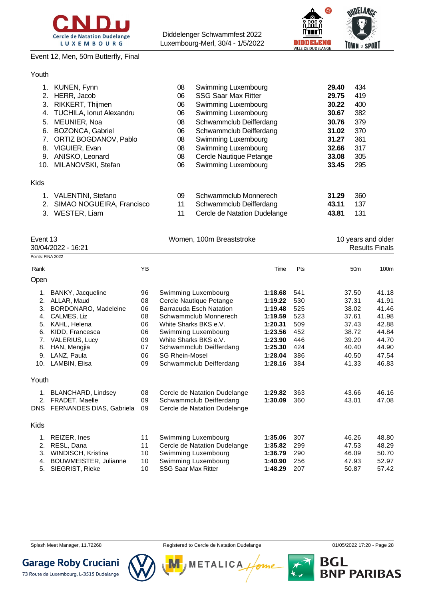

### Event 12, Men, 50m Butterfly, Final

Diddelenger Schwammfest 2022 Luxembourg-Merl, 30/4 - 1/5/2022



#### Youth

|      | 1. KUNEN, Fynn                  | 08 | Swimming Luxembourg          | 29.40 | 434 |
|------|---------------------------------|----|------------------------------|-------|-----|
|      | 2. HERR, Jacob                  | 06 | <b>SSG Saar Max Ritter</b>   | 29.75 | 419 |
|      | 3. RIKKERT, Thijmen             | 06 | Swimming Luxembourg          | 30.22 | 400 |
| 4.   | <b>TUCHILA, Ionut Alexandru</b> | 06 | Swimming Luxembourg          | 30.67 | 382 |
| 5.   | MEUNIER, Noa                    | 08 | Schwammclub Deifferdang      | 30.76 | 379 |
| 6.   | <b>BOZONCA, Gabriel</b>         | 06 | Schwammclub Deifferdang      | 31.02 | 370 |
|      | 7. ORTIZ BOGDANOV, Pablo        | 08 | Swimming Luxembourg          | 31.27 | 361 |
| 8.   | VIGUIER, Evan                   | 08 | Swimming Luxembourg          | 32.66 | 317 |
| 9.   | ANISKO, Leonard                 | 08 | Cercle Nautique Petange      | 33.08 | 305 |
|      | 10. MILANOVSKI, Stefan          | 06 | Swimming Luxembourg          | 33.45 | 295 |
| Kids |                                 |    |                              |       |     |
|      | 1. VALENTINI, Stefano           | 09 | Schwammclub Monnerech        | 31.29 | 360 |
|      | 2. SIMAO NOGUEIRA, Francisco    | 11 | Schwammclub Deifferdang      | 43.11 | 137 |
| 3.   | WESTER, Liam                    | 11 | Cercle de Natation Dudelange | 43.81 | 131 |

|       | Event 13<br>30/04/2022 - 16:21 |    | Women, 100m Breaststroke     |         | 10 years and older<br><b>Results Finals</b> |                 |       |
|-------|--------------------------------|----|------------------------------|---------|---------------------------------------------|-----------------|-------|
|       | Points: FINA 2022              |    |                              |         |                                             |                 |       |
| Rank  |                                | YB |                              | Time    | Pts                                         | 50 <sub>m</sub> | 100m  |
| Open  |                                |    |                              |         |                                             |                 |       |
| 1.    | BANKY, Jacqueline              | 96 | Swimming Luxembourg          | 1:18.68 | 541                                         | 37.50           | 41.18 |
| 2.    | ALLAR, Maud                    | 08 | Cercle Nautique Petange      | 1:19.22 | 530                                         | 37.31           | 41.91 |
| 3.    | BORDONARO, Madeleine           | 06 | Barracuda Esch Natation      | 1:19.48 | 525                                         | 38.02           | 41.46 |
| 4.    | CALMES, Liz                    | 08 | Schwammclub Monnerech        | 1:19.59 | 523                                         | 37.61           | 41.98 |
| 5.    | KAHL, Helena                   | 06 | White Sharks BKS e.V.        | 1:20.31 | 509                                         | 37.43           | 42.88 |
| 6.    | KIDD, Francesca                | 06 | Swimming Luxembourg          | 1:23.56 | 452                                         | 38.72           | 44.84 |
| 7.    | <b>VALERIUS, Lucy</b>          | 09 | White Sharks BKS e.V.        | 1:23.90 | 446                                         | 39.20           | 44.70 |
| 8.    | HAN, Mengjia                   | 07 | Schwammclub Deifferdang      | 1:25.30 | 424                                         | 40.40           | 44.90 |
| 9.    | LANZ, Paula                    | 06 | <b>SG Rhein-Mosel</b>        | 1:28.04 | 386                                         | 40.50           | 47.54 |
| 10.   | LAMBIN, Elisa                  | 09 | Schwammclub Deifferdang      | 1:28.16 | 384                                         | 41.33           | 46.83 |
| Youth |                                |    |                              |         |                                             |                 |       |
| 1.    | <b>BLANCHARD, Lindsey</b>      | 08 | Cercle de Natation Dudelange | 1:29.82 | 363                                         | 43.66           | 46.16 |
| 2.    | <b>FRADET, Maelle</b>          | 09 | Schwammclub Deifferdang      | 1:30.09 | 360                                         | 43.01           | 47.08 |
|       | DNS FERNANDES DIAS, Gabriela   | 09 | Cercle de Natation Dudelange |         |                                             |                 |       |
| Kids  |                                |    |                              |         |                                             |                 |       |
| 1.    | REIZER, Ines                   | 11 | Swimming Luxembourg          | 1:35.06 | 307                                         | 46.26           | 48.80 |
| 2.    | RESL, Dana                     | 11 | Cercle de Natation Dudelange | 1:35.82 | 299                                         | 47.53           | 48.29 |
| 3.    | WINDISCH, Kristina             | 10 | Swimming Luxembourg          | 1:36.79 | 290                                         | 46.09           | 50.70 |
| 4.    | BOUWMEISTER, Julianne          | 10 | Swimming Luxembourg          | 1:40.90 | 256                                         | 47.93           | 52.97 |
| 5.    | <b>SIEGRIST, Rieke</b>         | 10 | <b>SSG Saar Max Ritter</b>   | 1:48.29 | 207                                         | 50.87           | 57.42 |





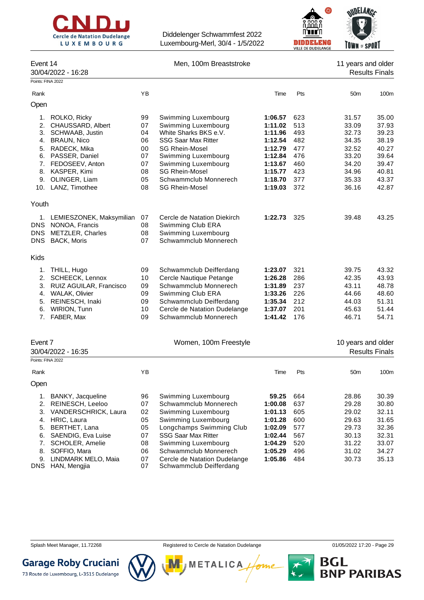

Event 14 Men, 100m Breaststroke 11 years and older



|             | 30/04/2022 - 16:28                      |          |                                              |                    |            |                    | <b>Results Finals</b> |
|-------------|-----------------------------------------|----------|----------------------------------------------|--------------------|------------|--------------------|-----------------------|
|             | Points: FINA 2022                       |          |                                              |                    |            |                    |                       |
| Rank        |                                         | YB       |                                              | Time               | Pts        | 50 <sub>m</sub>    | 100 <sub>m</sub>      |
| Open        |                                         |          |                                              |                    |            |                    |                       |
| 1.          | ROLKO, Ricky                            | 99       | Swimming Luxembourg                          | 1:06.57            | 623        | 31.57              | 35.00                 |
| 2.          | CHAUSSARD, Albert                       | 07       | Swimming Luxembourg                          | 1:11.02            | 513        | 33.09              | 37.93                 |
|             | 3. SCHWAAB, Justin                      | 04       | White Sharks BKS e.V.                        | 1:11.96            | 493        | 32.73              | 39.23                 |
| 4.          | <b>BRAUN, Nico</b>                      | 06       | <b>SSG Saar Max Ritter</b>                   | 1:12.54            | 482        | 34.35              | 38.19                 |
| 5.          | RADECK, Mika                            | 00       | <b>SG Rhein-Mosel</b>                        | 1:12.79            | 477        | 32.52              | 40.27                 |
|             | 6. PASSER, Daniel                       | 07       | Swimming Luxembourg                          | 1:12.84            | 476        | 33.20              | 39.64                 |
|             | 7. FEDOSEEV, Anton                      | 07       | Swimming Luxembourg                          | 1:13.67            | 460        | 34.20              | 39.47                 |
|             | 8. KASPER, Kimi                         | 08       | <b>SG Rhein-Mosel</b>                        | 1:15.77            | 423        | 34.96              | 40.81                 |
|             | 9. OLINGER, Liam                        | 05       | Schwammclub Monnerech                        | 1:18.70            | 377        | 35.33              | 43.37                 |
|             | 10. LANZ, Timothee                      | 08       | <b>SG Rhein-Mosel</b>                        | 1:19.03            | 372        | 36.16              | 42.87                 |
| Youth       |                                         |          |                                              |                    |            |                    |                       |
|             | 1. LEMIESZONEK, Maksymilian             | 07       | Cercle de Natation Diekirch                  | 1:22.73            | 325        | 39.48              | 43.25                 |
|             | DNS NONOA, Francis                      | 08       | Swimming Club ERA                            |                    |            |                    |                       |
| <b>DNS</b>  | <b>METZLER, Charles</b>                 | 08       | Swimming Luxembourg                          |                    |            |                    |                       |
| DNS         | <b>BACK, Moris</b>                      | 07       | Schwammclub Monnerech                        |                    |            |                    |                       |
| <b>Kids</b> |                                         |          |                                              |                    |            |                    |                       |
| 1.          | THILL, Hugo                             | 09       | Schwammclub Deifferdang                      | 1:23.07            | 321        | 39.75              | 43.32                 |
| 2.          | SCHEECK, Lennox                         | 10       | Cercle Nautique Petange                      | 1:26.28            | 286        | 42.35              | 43.93                 |
| 3.          | RUIZ AGUILAR, Francisco                 | 09       | Schwammclub Monnerech                        | 1:31.89            | 237        | 43.11              | 48.78                 |
| 4.          | <b>WALAK, Olivier</b>                   | 09       | Swimming Club ERA                            | 1:33.26            | 226        | 44.66              | 48.60                 |
| 5.          | REINESCH, Inaki                         | 09       | Schwammclub Deifferdang                      | 1:35.34            | 212        | 44.03              | 51.31                 |
|             | 6. WIRION, Tunn                         | 10       | Cercle de Natation Dudelange                 | 1:37.07            | 201        | 45.63              | 51.44                 |
|             | 7. FABER, Max                           | 09       | Schwammclub Monnerech                        | 1:41.42            | 176        | 46.71              | 54.71                 |
|             |                                         |          |                                              |                    |            |                    |                       |
| Event 7     |                                         |          | Women, 100m Freestyle                        |                    |            | 10 years and older |                       |
|             | 30/04/2022 - 16:35<br>Points: FINA 2022 |          |                                              |                    |            |                    | <b>Results Finals</b> |
| Rank        |                                         | YB       |                                              | Time               | Pts        | 50 <sub>m</sub>    | 100 <sub>m</sub>      |
| Open        |                                         |          |                                              |                    |            |                    |                       |
|             |                                         |          |                                              |                    |            |                    |                       |
| 1.          | BANKY, Jacqueline                       | 96       | Swimming Luxembourg                          | 59.25              | 664        | 28.86              | 30.39                 |
| 2.          | REINESCH, Leeloo                        | 07       | Schwammclub Monnerech                        | 1:00.08            | 637        | 29.28              | 30.80                 |
| 3.          | VANDERSCHRICK, Laura                    | 02       | Swimming Luxembourg                          | 1:01.13            | 605        | 29.02              | 32.11                 |
| 4.          | HRIC, Laura                             | 05       | Swimming Luxembourg                          | 1:01.28            | 600        | 29.63              | 31.65                 |
| 5.          | BERTHET, Lana                           | 05       | Longchamps Swimming Club                     | 1:02.09            | 577        | 29.73              | 32.36                 |
| 6.          | SAENDIG, Eva Luise                      | 07       | SSG Saar Max Ritter                          | 1:02.44            | 567        | 30.13              | 32.31                 |
| 7.<br>8.    | SCHOLER, Amelie<br>SOFFIO, Mara         | 08<br>06 | Swimming Luxembourg<br>Schwammclub Monnerech | 1:04.29<br>1:05.29 | 520<br>496 | 31.22<br>31.02     | 33.07<br>34.27        |
| 9.          | LINDMARK MELO, Maia                     | 07       | Cercle de Natation Dudelange                 | 1:05.86            | 484        | 30.73              | 35.13                 |
| <b>DNS</b>  | HAN, Mengjia                            | 07       | Schwammclub Deifferdang                      |                    |            |                    |                       |



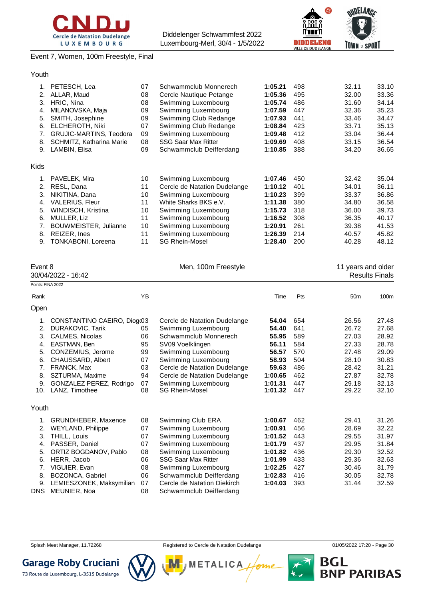



Event 7, Women, 100m Freestyle, Final

| 1.          | PETESCH, Lea                   | 07 | Schwammclub Monnerech        | 1:05.21 | 498 | 32.11 | 33.10 |
|-------------|--------------------------------|----|------------------------------|---------|-----|-------|-------|
| 2.          | ALLAR, Maud                    | 08 | Cercle Nautique Petange      | 1:05.36 | 495 | 32.00 | 33.36 |
| 3.          | HRIC, Nina                     | 08 | Swimming Luxembourg          | 1:05.74 | 486 | 31.60 | 34.14 |
| 4.          | MILANOVSKA, Maja               | 09 | Swimming Luxembourg          | 1:07.59 | 447 | 32.36 | 35.23 |
| 5.          | SMITH, Josephine               | 09 | Swimming Club Redange        | 1:07.93 | 441 | 33.46 | 34.47 |
| 6.          | ELCHEROTH, Niki                | 07 | Swimming Club Redange        | 1:08.84 | 423 | 33.71 | 35.13 |
| 7.          | <b>GRUJIC-MARTINS, Teodora</b> | 09 | Swimming Luxembourg          | 1:09.48 | 412 | 33.04 | 36.44 |
| 8.          | SCHMITZ, Katharina Marie       | 08 | <b>SSG Saar Max Ritter</b>   | 1:09.69 | 408 | 33.15 | 36.54 |
| 9.          | LAMBIN, Elisa                  | 09 | Schwammclub Deifferdang      | 1:10.85 | 388 | 34.20 | 36.65 |
| <b>Kids</b> |                                |    |                              |         |     |       |       |
| 1.          | PAVELEK, Mira                  | 10 | Swimming Luxembourg          | 1:07.46 | 450 | 32.42 | 35.04 |
| 2.          | RESL, Dana                     | 11 | Cercle de Natation Dudelange | 1:10.12 | 401 | 34.01 | 36.11 |
| 3.          | NIKITINA, Dana                 | 10 | Swimming Luxembourg          | 1:10.23 | 399 | 33.37 | 36.86 |
| 4.          | <b>VALERIUS, Fleur</b>         | 11 | White Sharks BKS e.V.        | 1:11.38 | 380 | 34.80 | 36.58 |
| 5.          | WINDISCH, Kristina             | 10 | Swimming Luxembourg          | 1:15.73 | 318 | 36.00 | 39.73 |
| 6.          | MULLER, Liz                    | 11 | Swimming Luxembourg          | 1:16.52 | 308 | 36.35 | 40.17 |
| 7.          | BOUWMEISTER, Julianne          | 10 | Swimming Luxembourg          | 1:20.91 | 261 | 39.38 | 41.53 |
| 8.          | REIZER, Ines                   | 11 | Swimming Luxembourg          | 1:26.39 | 214 | 40.57 | 45.82 |
| 9.          | TONKABONI, Loreena             | 11 | <b>SG Rhein-Mosel</b>        | 1:28.40 | 200 | 40.28 | 48.12 |

| Event 8            |                             |           | Men, 100m Freestyle          |         |     | 11 years and older |                       |
|--------------------|-----------------------------|-----------|------------------------------|---------|-----|--------------------|-----------------------|
| 30/04/2022 - 16:42 |                             |           |                              |         |     |                    | <b>Results Finals</b> |
|                    | Points: FINA 2022           |           |                              |         |     |                    |                       |
| Rank               |                             | <b>YB</b> |                              | Time    | Pts | 50 <sub>m</sub>    | 100 <sub>m</sub>      |
| Open               |                             |           |                              |         |     |                    |                       |
| 1.                 | CONSTANTINO CAEIRO, Diogr03 |           | Cercle de Natation Dudelange | 54.04   | 654 | 26.56              | 27.48                 |
| 2.                 | <b>DURAKOVIC, Tarik</b>     | 05        | Swimming Luxembourg          | 54.40   | 641 | 26.72              | 27.68                 |
| 3.                 | CALMES, Nicolas             | 06        | Schwammclub Monnerech        | 55.95   | 589 | 27.03              | 28.92                 |
| 4.                 | EASTMAN, Ben                | 95        | SV09 Voelklingen             | 56.11   | 584 | 27.33              | 28.78                 |
| 5.                 | CONZEMIUS, Jerome           | 99        | Swimming Luxembourg          | 56.57   | 570 | 27.48              | 29.09                 |
| 6.                 | CHAUSSARD, Albert           | 07        | Swimming Luxembourg          | 58.93   | 504 | 28.10              | 30.83                 |
| 7.                 | FRANCK, Max                 | 03        | Cercle de Natation Dudelange | 59.63   | 486 | 28.42              | 31.21                 |
| 8.                 | SZTURMA, Maxime             | 94        | Cercle de Natation Dudelange | 1:00.65 | 462 | 27.87              | 32.78                 |
| 9.                 | GONZALEZ PEREZ, Rodrigo     | 07        | Swimming Luxembourg          | 1:01.31 | 447 | 29.18              | 32.13                 |
| 10.                | LANZ, Timothee              | 08        | <b>SG Rhein-Mosel</b>        | 1:01.32 | 447 | 29.22              | 32.10                 |
| Youth              |                             |           |                              |         |     |                    |                       |
| 1.                 | <b>GRUNDHEBER, Maxence</b>  | 08        | Swimming Club ERA            | 1:00.67 | 462 | 29.41              | 31.26                 |
| 2.                 | <b>WEYLAND, Philippe</b>    | 07        | Swimming Luxembourg          | 1:00.91 | 456 | 28.69              | 32.22                 |
| 3.                 | THILL, Louis                | 07        | Swimming Luxembourg          | 1:01.52 | 443 | 29.55              | 31.97                 |
| 4.                 | PASSER, Daniel              | 07        | Swimming Luxembourg          | 1:01.79 | 437 | 29.95              | 31.84                 |
| 5.                 | ORTIZ BOGDANOV, Pablo       | 08        | Swimming Luxembourg          | 1:01.82 | 436 | 29.30              | 32.52                 |
| 6.                 | HERR, Jacob                 | 06        | <b>SSG Saar Max Ritter</b>   | 1:01.99 | 433 | 29.36              | 32.63                 |
| 7.                 | VIGUIER, Evan               | 08        | Swimming Luxembourg          | 1:02.25 | 427 | 30.46              | 31.79                 |
| 8.                 | BOZONCA, Gabriel            | 06        | Schwammclub Deifferdang      | 1:02.83 | 416 | 30.05              | 32.78                 |
| 9.                 | LEMIESZONEK, Maksymilian    | 07        | Cercle de Natation Diekirch  | 1:04.03 | 393 | 31.44              | 32.59                 |
| DNS                | MEUNIER, Noa                | 08        | Schwammclub Deifferdang      |         |     |                    |                       |
|                    |                             |           |                              |         |     |                    |                       |



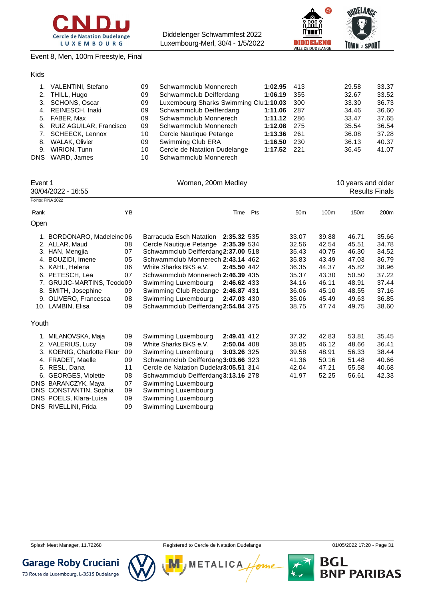



Event 8, Men, 100m Freestyle, Final

#### Kids

|    | VALENTINI, Stefano         | 09 | Schwammclub Monnerech                 | 1:02.95 | 413  | 29.58 | 33.37 |
|----|----------------------------|----|---------------------------------------|---------|------|-------|-------|
|    | 2. THILL, Hugo             | 09 | Schwammclub Deifferdang               | 1:06.19 | 355  | 32.67 | 33.52 |
|    | 3. SCHONS, Oscar           | 09 | Luxembourg Sharks Swimming Clu1:10.03 |         | 300  | 33.30 | 36.73 |
|    | 4. REINESCH, Inaki         | 09 | Schwammclub Deifferdang               | 1:11.06 | 287  | 34.46 | 36.60 |
| 5. | FABER, Max                 | 09 | Schwammclub Monnerech                 | 1:11.12 | 286  | 33.47 | 37.65 |
|    | 6. RUIZ AGUILAR, Francisco | 09 | Schwammclub Monnerech                 | 1:12.08 | -275 | 35.54 | 36.54 |
|    | 7. SCHEECK, Lennox         | 10 | Cercle Nautique Petange               | 1:13.36 | 261  | 36.08 | 37.28 |
| 8. | WALAK, Olivier             | 09 | Swimming Club ERA                     | 1:16.50 | 230  | 36.13 | 40.37 |
| 9. | WIRION, Tunn               | 10 | Cercle de Natation Dudelange          | 1:17.52 | 221  | 36.45 | 41.07 |
|    | DNS WARD, James            | 10 | Schwammclub Monnerech                 |         |      |       |       |

| Event 1<br>30/04/2022 - 16:55 |                            |    | Women, 200m Medley                     |             |     |                 | 10 years and older<br><b>Results Finals</b> |                  |       |  |  |  |
|-------------------------------|----------------------------|----|----------------------------------------|-------------|-----|-----------------|---------------------------------------------|------------------|-------|--|--|--|
|                               | Points: FINA 2022          |    |                                        |             |     |                 |                                             |                  |       |  |  |  |
| Rank                          |                            | YB |                                        | Time        | Pts | 50 <sub>m</sub> | 100 <sub>m</sub>                            | 150 <sub>m</sub> | 200m  |  |  |  |
| Open                          |                            |    |                                        |             |     |                 |                                             |                  |       |  |  |  |
|                               | 1. BORDONARO, Madeleine 06 |    | Barracuda Esch Natation                | 2:35.32 535 |     | 33.07           | 39.88                                       | 46.71            | 35.66 |  |  |  |
|                               | 2. ALLAR, Maud             | 08 | Cercle Nautique Petange 2:35.39 534    |             |     | 32.56           | 42.54                                       | 45.51            | 34.78 |  |  |  |
|                               | 3. HAN, Mengjia            | 07 | Schwammclub Deifferdang2:37.00 518     |             |     | 35.43           | 40.75                                       | 46.30            | 34.52 |  |  |  |
|                               | 4. BOUZIDI, Imene          | 05 | Schwammclub Monnerech 2:43.14 462      |             |     | 35.83           | 43.49                                       | 47.03            | 36.79 |  |  |  |
|                               | 5. KAHL, Helena            | 06 | White Sharks BKS e.V.                  | 2:45.50 442 |     | 36.35           | 44.37                                       | 45.82            | 38.96 |  |  |  |
|                               | 6. PETESCH, Lea            | 07 | Schwammclub Monnerech 2:46.39 435      |             |     | 35.37           | 43.30                                       | 50.50            | 37.22 |  |  |  |
|                               | 7. GRUJIC-MARTINS, Teodo09 |    | Swimming Luxembourg                    | 2:46.62 433 |     | 34.16           | 46.11                                       | 48.91            | 37.44 |  |  |  |
|                               | 8. SMITH, Josephine        | 09 | Swimming Club Redange 2:46.87 431      |             |     | 36.06           | 45.10                                       | 48.55            | 37.16 |  |  |  |
|                               | 9. OLIVERO, Francesca      | 08 | Swimming Luxembourg                    | 2:47.03 430 |     | 35.06           | 45.49                                       | 49.63            | 36.85 |  |  |  |
|                               | 10. LAMBIN, Elisa          | 09 | Schwammclub Deifferdang2:54.84 375     |             |     | 38.75           | 47.74                                       | 49.75            | 38.60 |  |  |  |
| Youth                         |                            |    |                                        |             |     |                 |                                             |                  |       |  |  |  |
|                               | 1. MILANOVSKA, Maja        | 09 | Swimming Luxembourg                    | 2:49.41 412 |     | 37.32           | 42.83                                       | 53.81            | 35.45 |  |  |  |
|                               | 2. VALERIUS, Lucy          | 09 | White Sharks BKS e.V.                  | 2:50.04 408 |     | 38.85           | 46.12                                       | 48.66            | 36.41 |  |  |  |
|                               | 3. KOENIG, Charlotte Fleur | 09 | Swimming Luxembourg                    | 3:03.26 325 |     | 39.58           | 48.91                                       | 56.33            | 38.44 |  |  |  |
|                               | 4. FRADET, Maelle          | 09 | Schwammclub Deifferdang3:03.66 323     |             |     | 41.36           | 50.16                                       | 51.48            | 40.66 |  |  |  |
|                               | 5. RESL, Dana              | 11 | Cercle de Natation Dudelar 3:05.51 314 |             |     | 42.04           | 47.21                                       | 55.58            | 40.68 |  |  |  |
| 6.                            | <b>GEORGES, Violette</b>   | 08 | Schwammclub Deifferdang3:13.16 278     |             |     | 41.97           | 52.25                                       | 56.61            | 42.33 |  |  |  |
|                               | DNS BARANCZYK, Maya        | 07 | Swimming Luxembourg                    |             |     |                 |                                             |                  |       |  |  |  |
|                               | DNS CONSTANTIN, Sophia     | 09 | Swimming Luxembourg                    |             |     |                 |                                             |                  |       |  |  |  |
|                               | DNS POELS, Klara-Luisa     | 09 | Swimming Luxembourg                    |             |     |                 |                                             |                  |       |  |  |  |

DNS RIVELLINI, Frida 09 Swimming Luxembourg

**Garage Roby Cruciani** 

73 Route de Luxembourg, L-3515 Dudelange

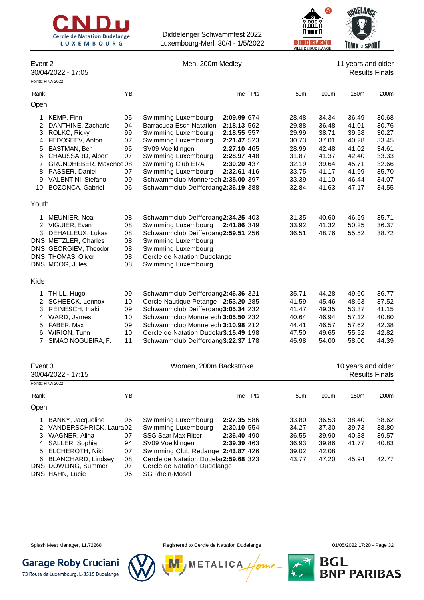



| Event 2<br>30/04/2022 - 17:05                                                                                                                           |                                        | Men, 200m Medley                                                                                                                                                                                                                                                         | 11 years and older<br><b>Results Finals</b> |                                                             |                                                             |                                                             |                                                             |
|---------------------------------------------------------------------------------------------------------------------------------------------------------|----------------------------------------|--------------------------------------------------------------------------------------------------------------------------------------------------------------------------------------------------------------------------------------------------------------------------|---------------------------------------------|-------------------------------------------------------------|-------------------------------------------------------------|-------------------------------------------------------------|-------------------------------------------------------------|
| Points: FINA 2022                                                                                                                                       |                                        |                                                                                                                                                                                                                                                                          |                                             |                                                             |                                                             |                                                             |                                                             |
| Rank                                                                                                                                                    | YB                                     | Time                                                                                                                                                                                                                                                                     | Pts                                         | 50 <sub>m</sub>                                             | 100m                                                        | 150m                                                        | 200 <sub>m</sub>                                            |
| Open                                                                                                                                                    |                                        |                                                                                                                                                                                                                                                                          |                                             |                                                             |                                                             |                                                             |                                                             |
| 1. KEMP, Finn<br>2. DANTHINE, Zacharie<br>3. ROLKO, Ricky<br>4. FEDOSEEV, Anton<br>5. EASTMAN, Ben<br>6. CHAUSSARD, Albert<br>7. GRUNDHEBER, Maxence 08 | 05<br>04<br>99<br>07<br>95<br>07       | Swimming Luxembourg<br>2:09.99 674<br>Barracuda Esch Natation<br>2:18.13 562<br>Swimming Luxembourg<br>2:18.55 557<br>Swimming Luxembourg<br>2:21.47 523<br>SV09 Voelklingen<br>2:27.10 465<br>Swimming Luxembourg<br>2:28.97 448<br>Swimming Club ERA<br>2:30.20 437    |                                             | 28.48<br>29.88<br>29.99<br>30.73<br>28.99<br>31.87<br>32.19 | 34.34<br>36.48<br>38.71<br>37.01<br>42.48<br>41.37<br>39.64 | 36.49<br>41.01<br>39.58<br>40.28<br>41.02<br>42.40<br>45.71 | 30.68<br>30.76<br>30.27<br>33.45<br>34.61<br>33.33<br>32.66 |
| 8. PASSER, Daniel<br>9. VALENTINI, Stefano<br>10. BOZONCA, Gabriel                                                                                      | 07<br>09<br>06                         | Swimming Luxembourg<br>2:32.61 416<br>Schwammclub Monnerech 2:35.00 397<br>Schwammclub Deifferdang2:36.19 388                                                                                                                                                            |                                             | 33.75<br>33.39<br>32.84                                     | 41.17<br>41.10<br>41.63                                     | 41.99<br>46.44<br>47.17                                     | 35.70<br>34.07<br>34.55                                     |
| Youth                                                                                                                                                   |                                        |                                                                                                                                                                                                                                                                          |                                             |                                                             |                                                             |                                                             |                                                             |
| 1. MEUNIER, Noa<br>2. VIGUIER, Evan<br>3. DEHALLEUX, Lukas<br>DNS METZLER, Charles<br>DNS GEORGIEV, Theodor<br>DNS THOMAS, Oliver<br>DNS MOOG, Jules    | 08<br>08<br>08<br>08<br>08<br>08<br>08 | Schwammclub Deifferdang2:34.25 403<br>Swimming Luxembourg<br>2:41.86 349<br>Schwammclub Deifferdang2:59.51 256<br>Swimming Luxembourg<br>Swimming Luxembourg<br>Cercle de Natation Dudelange<br>Swimming Luxembourg                                                      |                                             | 31.35<br>33.92<br>36.51                                     | 40.60<br>41.32<br>48.76                                     | 46.59<br>50.25<br>55.52                                     | 35.71<br>36.37<br>38.72                                     |
| Kids                                                                                                                                                    |                                        |                                                                                                                                                                                                                                                                          |                                             |                                                             |                                                             |                                                             |                                                             |
| 1. THILL, Hugo<br>2. SCHEECK, Lennox<br>3. REINESCH, Inaki<br>4. WARD, James<br>5. FABER, Max<br>6. WIRION, Tunn<br>7. SIMAO NOGUEIRA, F.               | 09<br>10<br>09<br>10<br>09<br>10<br>11 | Schwammclub Deifferdang2:46.36 321<br>Cercle Nautique Petange 2:53.20 285<br>Schwammclub Deifferdang3:05.34 232<br>Schwammclub Monnerech 3:05.50 232<br>Schwammclub Monnerech 3:10.98 212<br>Cercle de Natation Dudelar3:15.49 198<br>Schwammclub Deifferdang3:22.37 178 |                                             | 35.71<br>41.59<br>41.47<br>40.64<br>44.41<br>47.50<br>45.98 | 44.28<br>45.46<br>49.35<br>46.94<br>46.57<br>49.65<br>54.00 | 49.60<br>48.63<br>53.37<br>57.12<br>57.62<br>55.52<br>58.00 | 36.77<br>37.52<br>41.15<br>40.80<br>42.38<br>42.82<br>44.39 |
| Event 3<br>30/04/2022 - 17:15<br>Points: FINA 2022                                                                                                      |                                        | Women, 200m Backstroke                                                                                                                                                                                                                                                   |                                             |                                                             |                                                             | 10 years and older                                          | <b>Results Finals</b>                                       |
| Rank                                                                                                                                                    | YB                                     | Time Pts                                                                                                                                                                                                                                                                 |                                             | 50 <sub>m</sub>                                             | 100m                                                        | 150m                                                        | 200 <sub>m</sub>                                            |
| Open                                                                                                                                                    |                                        |                                                                                                                                                                                                                                                                          |                                             |                                                             |                                                             |                                                             |                                                             |
| 1. BANKY, Jacqueline<br>2. VANDERSCHRICK, Laura02<br>3. WAGNER, Alina<br>4. SALLER, Sophia<br>5. ELCHEROTH, Niki                                        | 96<br>07<br>94<br>07                   | Swimming Luxembourg<br>2:27.35 586<br>Swimming Luxembourg<br>2:30.10 554<br><b>SSG Saar Max Ritter</b><br>2:36.40 490<br>SV09 Voelklingen<br>2:39.39 463<br>Swimming Club Redange 2:43.87 426                                                                            |                                             | 33.80<br>34.27<br>36.55<br>36.93<br>39.02                   | 36.53<br>37.30<br>39.90<br>39.86<br>42.08                   | 38.40<br>39.73<br>40.38<br>41.77                            | 38.62<br>38.80<br>39.57<br>40.83                            |

6. BLANCHARD, Lindsey 08 Cercle de Natation Dudelange **2:59.68** 323 43.77 47.20 45.94 42.77 Cercle de Natation Dudelange DNS HAHN, Lucie 06 SG Rhein-Mosel

Splash Meet Manager, 11.72268 **Registered to Cercle de Natation Dudelange 11/05/2022 17:20 - Page 32** Splash Meet Manager, 11.72268

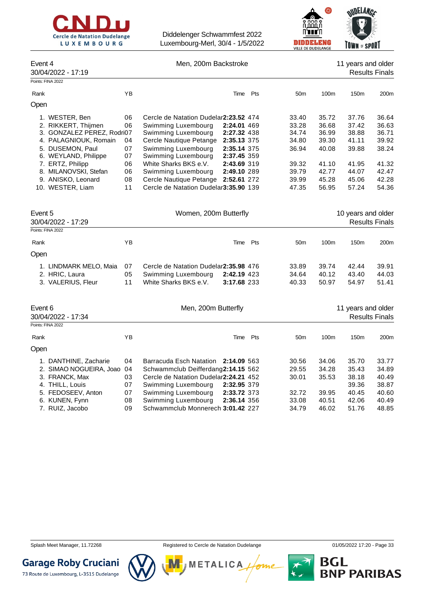



|                                                   |          |                                                                              |                            |                 | VILLE DE DUDELANGE | <b>IDMN E</b> SPUNI |                       |
|---------------------------------------------------|----------|------------------------------------------------------------------------------|----------------------------|-----------------|--------------------|---------------------|-----------------------|
| Event 4<br>30/04/2022 - 17:19                     |          | Men, 200m Backstroke                                                         |                            |                 |                    | 11 years and older  | <b>Results Finals</b> |
| Points: FINA 2022                                 |          |                                                                              |                            |                 |                    |                     |                       |
| Rank                                              | YB       |                                                                              | Time Pts                   | 50 <sub>m</sub> | 100m               | 150m                | 200m                  |
| Open                                              |          |                                                                              |                            |                 |                    |                     |                       |
| 1. WESTER, Ben                                    | 06       | Cercle de Natation Dudelar2:23.52 474                                        |                            | 33.40           | 35.72              | 37.76               | 36.64                 |
| 2. RIKKERT, Thijmen<br>3. GONZALEZ PEREZ, Rodri07 | 06       | Swimming Luxembourg<br>Swimming Luxembourg                                   | 2:24.01 469<br>2:27.32 438 | 33.28<br>34.74  | 36.68<br>36.99     | 37.42<br>38.88      | 36.63<br>36.71        |
| 4. PALAGNIOUK, Romain                             | 04       | Cercle Nautique Petange                                                      | 2:35.13 375                | 34.80           | 39.30              | 41.11               | 39.92                 |
| 5. DUSEMON, Paul<br>6. WEYLAND, Philippe          | 07<br>07 | Swimming Luxembourg<br>Swimming Luxembourg                                   | 2:35.14 375<br>2:37.45 359 | 36.94           | 40.08              | 39.88               | 38.24                 |
| 7. ERTZ, Philipp                                  | 06       | White Sharks BKS e.V.                                                        | 2:43.69 319                | 39.32           | 41.10              | 41.95               | 41.32                 |
| 8. MILANOVSKI, Stefan                             | 06       | Swimming Luxembourg                                                          | 2:49.10 289                | 39.79           | 42.77              | 44.07               | 42.47                 |
| 9. ANISKO, Leonard<br>10. WESTER, Liam            | 08<br>11 | Cercle Nautique Petange 2:52.61 272<br>Cercle de Natation Dudelar3:35.90 139 |                            | 39.99<br>47.35  | 45.28<br>56.95     | 45.06<br>57.24      | 42.28<br>54.36        |
| Event 5<br>30/04/2022 - 17:29                     |          | Women, 200m Butterfly                                                        |                            |                 |                    | 10 years and older  | <b>Results Finals</b> |
| Points: FINA 2022                                 |          |                                                                              |                            |                 |                    |                     |                       |
| Rank                                              | ΥB       |                                                                              | Time Pts                   | 50 <sub>m</sub> | 100m               | 150m                | 200m                  |
| Open                                              |          |                                                                              |                            |                 |                    |                     |                       |
| 1. LINDMARK MELO, Maia                            | 07       | Cercle de Natation Dudelar2:35.98 476                                        |                            | 33.89           | 39.74              | 42.44               | 39.91                 |
| 2. HRIC, Laura                                    | 05       | Swimming Luxembourg                                                          | 2:42.19 423                | 34.64           | 40.12              | 43.40               | 44.03                 |
| 3. VALERIUS, Fleur                                | 11       | White Sharks BKS e.V.                                                        | 3:17.68 233                | 40.33           | 50.97              | 54.97               | 51.41                 |
| Event 6<br>30/04/2022 - 17:34                     |          | Men, 200m Butterfly                                                          |                            |                 |                    | 11 years and older  | <b>Results Finals</b> |
| Points: FINA 2022                                 |          |                                                                              |                            |                 |                    |                     |                       |
| Rank                                              | YB       | Time                                                                         | Pts                        | 50 <sub>m</sub> | 100m               | 150m                | 200m                  |
| Open                                              |          |                                                                              |                            |                 |                    |                     |                       |
| 1. DANTHINE, Zacharie                             | 04       | Barracuda Esch Natation 2:14.09 563                                          |                            | 30.56           | 34.06              | 35.70               | 33.77                 |
| 2. SIMAO NOGUEIRA, Joao 04                        |          | Schwammclub Deifferdang2:14.15 562                                           |                            | 29.55           | 34.28              | 35.43               | 34.89                 |
| 3. FRANCK, Max                                    | 03       | Cercle de Natation Dudelar2:24.21 452                                        |                            | 30.01           | 35.53              | 38.18               | 40.49                 |
| 4. THILL, Louis                                   | 07       | Swimming Luxembourg                                                          | 2:32.95 379                |                 |                    | 39.36               | 38.87                 |
| 5. FEDOSEEV, Anton                                | 07       | Swimming Luxembourg                                                          | 2:33.72 373                | 32.72           | 39.95              | 40.45               | 40.60                 |

**METALICA** 

6. KUNEN, Fynn 08 Swimming Luxembourg **2:36.14** 356 33.08 40.51 42.06 40.49 7. RUIZ, Jacobo 09 Schwammclub Monnerech **3:01.42** 227 34.79 46.02 51.76 48.85

**BGL<br>BNP PARIBAS** 



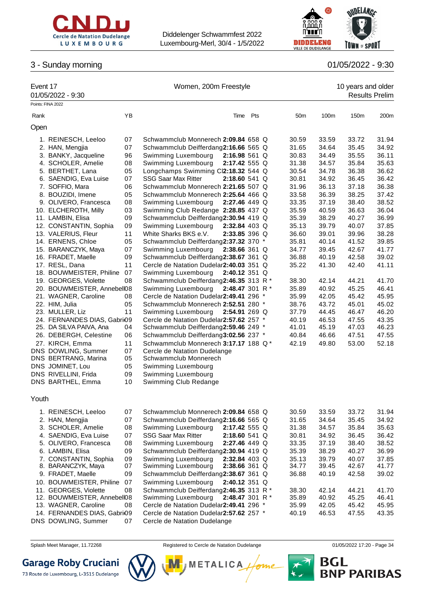



# 3 - Sunday morning 01/05/2022 - 9:30

| Event 17          |                                                      |    |                                                                                 | Women, 200m Freestyle |  |                 |                |                       | 10 years and older |  |  |  |
|-------------------|------------------------------------------------------|----|---------------------------------------------------------------------------------|-----------------------|--|-----------------|----------------|-----------------------|--------------------|--|--|--|
|                   | 01/05/2022 - 9:30                                    |    |                                                                                 |                       |  |                 |                | <b>Results Prelim</b> |                    |  |  |  |
| Points: FINA 2022 |                                                      |    |                                                                                 |                       |  |                 |                |                       |                    |  |  |  |
| Rank              |                                                      | YB | Time Pts                                                                        |                       |  | 50 <sub>m</sub> | 100m           | 150m                  | 200m               |  |  |  |
| Open              |                                                      |    |                                                                                 |                       |  |                 |                |                       |                    |  |  |  |
|                   | 1. REINESCH, Leeloo                                  | 07 | Schwammclub Monnerech 2:09.84 658 Q                                             |                       |  | 30.59           | 33.59          | 33.72                 | 31.94              |  |  |  |
|                   | 2. HAN, Mengjia                                      | 07 | Schwammclub Deifferdang2:16.66 565 Q                                            |                       |  | 31.65           | 34.64          | 35.45                 | 34.92              |  |  |  |
|                   | 3. BANKY, Jacqueline                                 | 96 | Swimming Luxembourg<br>$2:16.98561$ Q                                           |                       |  | 30.83           | 34.49          | 35.55                 | 36.11              |  |  |  |
|                   | 4. SCHOLER, Amelie                                   | 08 | Swimming Luxembourg<br>2:17.42 555 Q                                            |                       |  | 31.38           | 34.57          | 35.84                 | 35.63              |  |  |  |
|                   | 5. BERTHET, Lana                                     | 05 | Longchamps Swimming Cl2:18.32 544 Q                                             |                       |  | 30.54           | 34.78          | 36.38                 | 36.62              |  |  |  |
|                   | 6. SAENDIG, Eva Luise                                | 07 | <b>SSG Saar Max Ritter</b><br>2:18.60 541 Q                                     |                       |  | 30.81           | 34.92          | 36.45                 | 36.42              |  |  |  |
|                   | 7. SOFFIO, Mara                                      | 06 | Schwammclub Monnerech 2:21.65 507 Q                                             |                       |  | 31.96           | 36.13          | 37.18                 | 36.38              |  |  |  |
|                   | 8. BOUZIDI, Imene                                    | 05 | Schwammclub Monnerech 2:25.64 466 Q                                             |                       |  | 33.58           | 36.39          | 38.25                 | 37.42              |  |  |  |
|                   | 9. OLIVERO, Francesca                                | 08 | Swimming Luxembourg<br>2:27.46 449 Q                                            |                       |  | 33.35           | 37.19          | 38.40                 | 38.52              |  |  |  |
|                   | 10. ELCHEROTH, Milly                                 | 03 | Swimming Club Redange 2:28.85 437 Q                                             |                       |  | 35.59           | 40.59          | 36.63                 | 36.04              |  |  |  |
|                   | 11. LAMBIN, Elisa                                    | 09 | Schwammclub Deifferdang2:30.94 419 Q                                            |                       |  | 35.39           | 38.29          | 40.27                 | 36.99              |  |  |  |
|                   | 12. CONSTANTIN, Sophia                               | 09 | Swimming Luxembourg<br>2:32.84 403 Q                                            |                       |  | 35.13           | 39.79          | 40.07                 | 37.85              |  |  |  |
|                   | 13. VALERIUS, Fleur                                  | 11 | White Sharks BKS e.V.<br>2:33.85 396 Q                                          |                       |  | 36.60           | 39.01          | 39.96                 | 38.28              |  |  |  |
|                   | 14. ERNENS, Chloe                                    | 05 | Schwammclub Deifferdang2:37.32 370 *                                            |                       |  | 35.81           | 40.14          | 41.52                 | 39.85              |  |  |  |
|                   | 15. BARANCZYK, Maya                                  | 07 | Swimming Luxembourg<br>2:38.66 361 Q                                            |                       |  | 34.77           | 39.45          | 42.67                 | 41.77              |  |  |  |
|                   | 16. FRADET, Maelle                                   | 09 | Schwammclub Deifferdang2:38.67 361 Q                                            |                       |  | 36.88           | 40.19          | 42.58                 | 39.02              |  |  |  |
|                   | 17. RESL, Dana                                       | 11 | Cercle de Natation Dudelar2:40.03 351 Q                                         |                       |  | 35.22           | 41.30          | 42.40                 | 41.11              |  |  |  |
|                   | 18. BOUWMEISTER, Philine                             | 07 | Swimming Luxembourg<br>$2:40.12$ 351 Q                                          |                       |  |                 |                |                       |                    |  |  |  |
|                   | 19. GEORGES, Violette<br>20. BOUWMEISTER, Annebell08 | 08 | Schwammclub Deifferdang2:46.35 313 R *<br>Swimming Luxembourg<br>2:48.47 301 R* |                       |  | 38.30<br>35.89  | 42.14<br>40.92 | 44.21<br>45.25        | 41.70<br>46.41     |  |  |  |
|                   | 21. WAGNER, Caroline                                 | 08 | Cercle de Natation Dudelar2:49.41 296 *                                         |                       |  | 35.99           | 42.05          | 45.42                 | 45.95              |  |  |  |
|                   | 22. HIM, Julia                                       | 05 | Schwammclub Monnerech 2:52.51 280 *                                             |                       |  | 38.76           | 43.72          | 45.01                 | 45.02              |  |  |  |
|                   | 23. MULLER, Liz                                      | 11 | Swimming Luxembourg<br>2:54.91 269 Q                                            |                       |  | 37.79           | 44.45          | 46.47                 | 46.20              |  |  |  |
|                   | 24. FERNANDES DIAS, Gabri <sub>09</sub>              |    | Cercle de Natation Dudelar2:57.62 257 *                                         |                       |  | 40.19           | 46.53          | 47.55                 | 43.35              |  |  |  |
|                   | 25. DA SILVA PAIVA, Ana                              | 04 | Schwammclub Deifferdang2:59.46 249 *                                            |                       |  | 41.01           | 45.19          | 47.03                 | 46.23              |  |  |  |
|                   | 26. DEBERGH, Celestine                               | 06 | Schwammclub Deifferdang3:02.56 237 *                                            |                       |  | 40.84           | 46.66          | 47.51                 | 47.55              |  |  |  |
|                   | 27. KIRCH, Emma                                      | 11 | Schwammclub Monnerech 3:17.17 188 Q*                                            |                       |  | 42.19           | 49.80          | 53.00                 | 52.18              |  |  |  |
|                   | DNS DOWLING, Summer                                  | 07 | Cercle de Natation Dudelange                                                    |                       |  |                 |                |                       |                    |  |  |  |
|                   | DNS BERTRANG, Marina                                 | 05 | Schwammclub Monnerech                                                           |                       |  |                 |                |                       |                    |  |  |  |
|                   | DNS JOMINET, Lou                                     | 05 | Swimming Luxembourg                                                             |                       |  |                 |                |                       |                    |  |  |  |
|                   | DNS RIVELLINI, Frida                                 | 09 | Swimming Luxembourg                                                             |                       |  |                 |                |                       |                    |  |  |  |
|                   | DNS BARTHEL, Emma                                    | 10 | Swimming Club Redange                                                           |                       |  |                 |                |                       |                    |  |  |  |
| Youth             |                                                      |    |                                                                                 |                       |  |                 |                |                       |                    |  |  |  |
|                   | 1. REINESCH, Leeloo                                  | 07 | Schwammclub Monnerech 2:09.84 658 Q                                             |                       |  | 30.59           | 33.59          | 33.72                 | 31.94              |  |  |  |
|                   | 2. HAN, Mengjia                                      | 07 | Schwammclub Deifferdang2:16.66 565 Q                                            |                       |  | 31.65           | 34.64          | 35.45                 | 34.92              |  |  |  |
|                   | 3. SCHOLER, Amelie                                   | 08 | Swimming Luxembourg<br>2:17.42 555 Q                                            |                       |  | 31.38           | 34.57          | 35.84                 | 35.63              |  |  |  |
|                   | 4. SAENDIG, Eva Luise                                | 07 | <b>SSG Saar Max Ritter</b><br>2:18.60 541 Q                                     |                       |  | 30.81           | 34.92          | 36.45                 | 36.42              |  |  |  |
|                   | 5. OLIVERO, Francesca                                | 08 | Swimming Luxembourg<br>2:27.46 449 Q                                            |                       |  | 33.35           | 37.19          | 38.40                 | 38.52              |  |  |  |
|                   | 6. LAMBIN, Elisa                                     | 09 | Schwammclub Deifferdang2:30.94 419 Q                                            |                       |  | 35.39           | 38.29          | 40.27                 | 36.99              |  |  |  |
|                   | 7. CONSTANTIN, Sophia                                | 09 | Swimming Luxembourg<br>2:32.84 403 Q                                            |                       |  | 35.13           | 39.79          | 40.07                 | 37.85              |  |  |  |
|                   | 8. BARANCZYK, Maya                                   | 07 | Swimming Luxembourg<br>2:38.66 361 Q                                            |                       |  | 34.77           | 39.45          | 42.67                 | 41.77              |  |  |  |
|                   | 9. FRADET, Maelle                                    | 09 | Schwammclub Deifferdang2:38.67 361 Q                                            |                       |  | 36.88           | 40.19          | 42.58                 | 39.02              |  |  |  |
|                   | 10. BOUWMEISTER, Philine                             | 07 | Swimming Luxembourg<br>2:40.12 351 Q                                            |                       |  |                 |                |                       |                    |  |  |  |
|                   | 11. GEORGES, Violette                                | 08 | Schwammclub Deifferdang2:46.35 313 R *                                          |                       |  | 38.30           | 42.14          | 44.21                 | 41.70              |  |  |  |
|                   | 12. BOUWMEISTER, Annebell08                          |    | Swimming Luxembourg<br>2:48.47 301 R *                                          |                       |  | 35.89           | 40.92          | 45.25                 | 46.41              |  |  |  |
|                   | 13. WAGNER, Caroline                                 | 08 | Cercle de Natation Dudelar2:49.41 296 *                                         |                       |  | 35.99           | 42.05          | 45.42                 | 45.95              |  |  |  |
|                   | 14. FERNANDES DIAS, Gabri <sub>09</sub>              |    | Cercle de Natation Dudelar2:57.62 257 *                                         |                       |  | 40.19           | 46.53          | 47.55                 | 43.35              |  |  |  |
|                   | DNS DOWLING, Summer                                  | 07 | Cercle de Natation Dudelange                                                    |                       |  |                 |                |                       |                    |  |  |  |

Splash Meet Manager, 11.72268 **Registered to Cercle de Natation Dudelange 11/05/2022 17:20** - Page 34

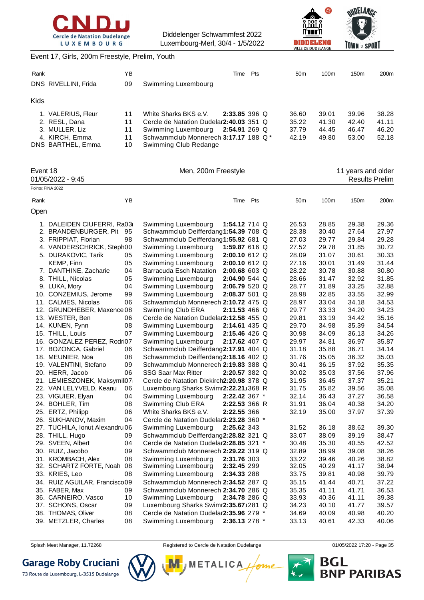





#### Event 17, Girls, 200m Freestyle, Prelim, Youth

| Points: FINA 2022 |                      |    |                                          |                |     |                 |       |                    |                       |
|-------------------|----------------------|----|------------------------------------------|----------------|-----|-----------------|-------|--------------------|-----------------------|
|                   | $01/05/2022 - 9:45$  |    |                                          |                |     |                 |       |                    | <b>Results Prelim</b> |
| Event 18          |                      |    | Men, 200m Freestyle                      |                |     |                 |       | 11 years and older |                       |
|                   | DNS BARTHEL, Emma    | 10 | Swimming Club Redange                    |                |     |                 |       |                    |                       |
|                   | 4. KIRCH, Emma       | 11 | Schwammclub Monnerech 3:17.17 188 Q*     |                |     | 42.19           | 49.80 | 53.00              | 52.18                 |
|                   | 3. MULLER, Liz       | 11 | Swimming Luxembourg                      | 2:54.91 269 Q  |     | 37.79           | 44.45 | 46.47              | 46.20                 |
|                   | 2. RESL, Dana        | 11 | Cercle de Natation Dudelar 2:40.03 351 Q |                |     | 35.22           | 41.30 | 42.40              | 41.11                 |
|                   | 1. VALERIUS, Fleur   | 11 | White Sharks BKS e.V.                    | $2:33.85396$ Q |     | 36.60           | 39.01 | 39.96              | 38.28                 |
| <b>Kids</b>       |                      |    |                                          |                |     |                 |       |                    |                       |
|                   | DNS RIVELLINI, Frida | 09 | Swimming Luxembourg                      |                |     |                 |       |                    |                       |
| Rank              |                      | ΥB |                                          | Time           | Pts | 50 <sub>m</sub> | 100m  | 150 <sub>m</sub>   | 200 <sub>m</sub>      |
|                   |                      |    |                                          |                |     |                 |       |                    |                       |

Rank YB Time Pts 50m 100m 150m 200m

| Open |                                 |    |                                          |               |  |       |       |       |       |
|------|---------------------------------|----|------------------------------------------|---------------|--|-------|-------|-------|-------|
|      | 1. DALEIDEN CIUFERRI, Ra03      |    | Swimming Luxembourg                      | 1:54.12 714 Q |  | 26.53 | 28.85 | 29.38 | 29.36 |
|      | 2. BRANDENBURGER, Pit           | 95 | Schwammclub Deifferdang1:54.39 708 Q     |               |  | 28.38 | 30.40 | 27.64 | 27.97 |
|      | 3. FRIPPIAT, Florian            | 98 | Schwammclub Deifferdang1:55.92 681 Q     |               |  | 27.03 | 29.77 | 29.84 | 29.28 |
|      | 4. VANDERSCHRICK, Steph00       |    | Swimming Luxembourg                      | 1:59.87 616 Q |  | 27.52 | 29.78 | 31.85 | 30.72 |
|      | 5. DURAKOVIC, Tarik             | 05 | Swimming Luxembourg                      | 2:00.10 612 Q |  | 28.09 | 31.07 | 30.61 | 30.33 |
|      | <b>KEMP, Finn</b>               | 05 | Swimming Luxembourg                      | 2:00.10 612 Q |  | 27.16 | 30.01 | 31.49 | 31.44 |
|      | 7. DANTHINE, Zacharie           | 04 | Barracuda Esch Natation                  | 2:00.68 603 Q |  | 28.22 | 30.78 | 30.88 | 30.80 |
|      | 8. THILL, Nicolas               | 05 | Swimming Luxembourg                      | 2:04.90 544 Q |  | 28.66 | 31.47 | 32.92 | 31.85 |
|      | 9. LUKA, Mory                   | 04 | Swimming Luxembourg                      | 2:06.79 520 Q |  | 28.77 | 31.89 | 33.25 | 32.88 |
|      | 10. CONZEMIUS, Jerome           | 99 | Swimming Luxembourg                      | 2:08.37 501 Q |  | 28.98 | 32.85 | 33.55 | 32.99 |
|      | 11. CALMES, Nicolas             | 06 | Schwammclub Monnerech 2:10.72 475 Q      |               |  | 28.97 | 33.04 | 34.18 | 34.53 |
|      | 12. GRUNDHEBER, Maxence 08      |    | Swimming Club ERA                        | 2:11.53 466 Q |  | 29.77 | 33.33 | 34.20 | 34.23 |
|      | 13. WESTER, Ben                 | 06 | Cercle de Natation Dudelar2:12.58 455 Q  |               |  | 29.81 | 33.19 | 34.42 | 35.16 |
|      | 14. KUNEN, Fynn                 | 08 | Swimming Luxembourg                      | 2:14.61 435 Q |  | 29.70 | 34.98 | 35.39 | 34.54 |
|      | 15. THILL, Louis                | 07 | Swimming Luxembourg                      | 2:15.46 426 Q |  | 30.98 | 34.09 | 36.13 | 34.26 |
|      | 16. GONZALEZ PEREZ, Rodri07     |    | Swimming Luxembourg                      | 2:17.62 407 Q |  | 29.97 | 34.81 | 36.97 | 35.87 |
|      | 17. BOZONCA, Gabriel            | 06 | Schwammclub Deifferdang2:17.91 404 Q     |               |  | 31.18 | 35.88 | 36.71 | 34.14 |
|      | 18. MEUNIER, Noa                | 08 | Schwammclub Deifferdang2:18.16 402 Q     |               |  | 31.76 | 35.05 | 36.32 | 35.03 |
|      | 19. VALENTINI, Stefano          | 09 | Schwammclub Monnerech 2:19.83 388 Q      |               |  | 30.41 | 36.15 | 37.92 | 35.35 |
|      | 20. HERR, Jacob                 | 06 | <b>SSG Saar Max Ritter</b>               | 2:20.57 382 Q |  | 30.02 | 35.03 | 37.56 | 37.96 |
|      | 21. LEMIESZONEK, Maksymil07     |    | Cercle de Natation Diekirch2:20.98 378 Q |               |  | 31.95 | 36.45 | 37.37 | 35.21 |
|      | 22. VAN LELYVELD, Keanu         | 06 | Luxembourg Sharks Swimr2:22.21J368 R     |               |  | 31.75 | 35.82 | 39.56 | 35.08 |
|      | 23. VIGUIER, Elyan              | 04 | Swimming Luxembourg                      | 2:22.42 367 * |  | 32.14 | 36.43 | 37.27 | 36.58 |
|      | 24. BOHLER, Tim                 | 08 | Swimming Club ERA                        | 2:22.53 366 R |  | 31.91 | 36.04 | 40.38 | 34.20 |
|      | 25. ERTZ, Philipp               | 06 | White Sharks BKS e.V.                    | 2:22.55 366   |  | 32.19 | 35.00 | 37.97 | 37.39 |
|      | 26. SUKHANOV, Maxim             | 04 | Cercle de Natation Dudelar2:23.28 360 *  |               |  |       |       |       |       |
|      | 27. TUCHILA, Ionut Alexandru 06 |    | Swimming Luxembourg                      | 2:25.62 343   |  | 31.52 | 36.18 | 38.62 | 39.30 |
|      | 28. THILL, Hugo                 | 09 | Schwammclub Deifferdang2:28.82 321 Q     |               |  | 33.07 | 38.09 | 39.19 | 38.47 |
|      | 29. SVEEN, Albert               | 04 | Cercle de Natation Dudelar2:28.85 321 *  |               |  | 30.48 | 35.30 | 40.55 | 42.52 |
|      | 30. RUIZ, Jacobo                | 09 | Schwammclub Monnerech 2:29.22 319 Q      |               |  | 32.89 | 38.99 | 39.08 | 38.26 |
|      | 31. KROMBACH, Alex              | 08 | Swimming Luxembourg                      | 2:31.76 303   |  | 33.22 | 39.46 | 40.26 | 38.82 |
|      | 32. SCHARTZ FORTE, Noah         | 08 | Swimming Luxembourg                      | 2:32.45 299   |  | 32.05 | 40.29 | 41.17 | 38.94 |
|      | 33. KRIES, Leo                  | 08 | Swimming Luxembourg                      | 2:34.33 288   |  | 33.75 | 39.81 | 40.98 | 39.79 |
|      | 34. RUIZ AGUILAR, Francisco09   |    | Schwammclub Monnerech 2:34.52 287 Q      |               |  | 35.15 | 41.44 | 40.71 | 37.22 |
|      | 35. FABER, Max                  | 09 | Schwammclub Monnerech 2:34.70 286 Q      |               |  | 35.35 | 41.11 | 41.71 | 36.53 |
|      | 36. CARNEIRO, Vasco             | 10 | Swimming Luxembourg                      | 2:34.78 286 Q |  | 33.93 | 40.36 | 41.11 | 39.38 |
|      | 37. SCHONS, Oscar               | 09 | Luxembourg Sharks Swimr2:35.67J281 Q     |               |  | 34.23 | 40.10 | 41.77 | 39.57 |
|      | 38. THOMAS, Oliver              | 08 | Cercle de Natation Dudelar2:35.96 279 *  |               |  | 34.69 | 40.09 | 40.98 | 40.20 |
|      | 39. METZLER, Charles            | 08 | Swimming Luxembourg                      | 2:36.13 278 * |  | 33.13 | 40.61 | 42.33 | 40.06 |
|      |                                 |    |                                          |               |  |       |       |       |       |

Splash Meet Manager, 11.72268 **Registered to Cercle de Natation Dudelange** 01/05/2022 17:20 - Page 35

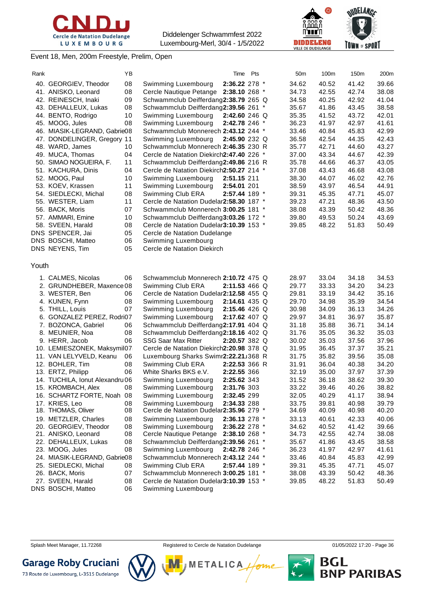





#### Event 18, Men, 200m Freestyle, Prelim, Open

| Rank  |                                 | ΥB |                                          | Time Pts        |  | 50m   | 100m  | 150m  | 200m  |
|-------|---------------------------------|----|------------------------------------------|-----------------|--|-------|-------|-------|-------|
|       | 40. GEORGIEV, Theodor           | 08 | Swimming Luxembourg                      | 2:36.22 278 *   |  | 34.62 | 40.52 | 41.42 | 39.66 |
|       | 41. ANISKO, Leonard             | 08 | Cercle Nautique Petange 2:38.10 268 *    |                 |  | 34.73 | 42.55 | 42.74 | 38.08 |
|       | 42. REINESCH, Inaki             | 09 | Schwammclub Deifferdang2:38.79 265 Q     |                 |  | 34.58 | 40.25 | 42.92 | 41.04 |
|       | 43. DEHALLEUX, Lukas            | 08 | Schwammclub Deifferdang2:39.56 261 *     |                 |  | 35.67 | 41.86 | 43.45 | 38.58 |
|       | 44. BENTO, Rodrigo              | 10 | Swimming Luxembourg                      | 2:42.60 246 Q   |  | 35.35 | 41.52 | 43.72 | 42.01 |
|       | 45. MOOG, Jules                 | 08 | Swimming Luxembourg                      | 2:42.78 246 *   |  | 36.23 | 41.97 | 42.97 | 41.61 |
|       | 46. MIASIK-LEGRAND, Gabrie08    |    | Schwammclub Monnerech 2:43.12 244 *      |                 |  | 33.46 | 40.84 | 45.83 | 42.99 |
|       | 47. DONDELINGER, Gregory 11     |    | Swimming Luxembourg                      | 2:45.90 232 Q   |  | 36.58 | 42.54 | 44.35 | 42.43 |
|       | 48. WARD, James                 | 10 | Schwammclub Monnerech 2:46.35 230 R      |                 |  | 35.77 | 42.71 | 44.60 | 43.27 |
|       | 49. MUCA, Thomas                | 04 | Cercle de Natation Diekirch2:47.40 226 * |                 |  | 37.00 | 43.34 | 44.67 | 42.39 |
|       | 50. SIMAO NOGUEIRA, F.          | 11 | Schwammclub Deifferdang2:49.86 216 R     |                 |  | 35.78 | 44.66 | 46.37 | 43.05 |
|       | 51. KACHURA, Dinis              | 04 | Cercle de Natation Diekirch2:50.27 214 * |                 |  | 37.08 | 43.43 | 46.68 | 43.08 |
|       | 52. MOOG, Paul                  | 10 | Swimming Luxembourg                      | 2:51.15 211     |  | 38.30 | 44.07 | 46.02 | 42.76 |
|       | 53. KOEV, Krassen               | 11 | Swimming Luxembourg                      | 2:54.01 201     |  | 38.59 | 43.97 | 46.54 | 44.91 |
|       | 54. SIEDLECKI, Michal           | 08 | Swimming Club ERA                        | 2:57.44 189 *   |  | 39.31 | 45.35 | 47.71 | 45.07 |
|       | 55. WESTER, Liam                | 11 | Cercle de Natation Dudelar 2:58.30 187 * |                 |  | 39.23 | 47.21 | 48.36 | 43.50 |
|       | 56. BACK, Moris                 | 07 | Schwammclub Monnerech 3:00.25 181 *      |                 |  | 38.08 | 43.39 | 50.42 | 48.36 |
|       | 57. AMMARI, Emine               | 10 | Schwammclub Deifferdang3:03.26 172 *     |                 |  | 39.80 | 49.53 | 50.24 | 43.69 |
|       | 58. SVEEN, Harald               | 08 | Cercle de Natation Dudelar3:10.39 153 *  |                 |  | 39.85 | 48.22 | 51.83 | 50.49 |
|       | DNS SPENCER, Jai                | 05 | Cercle de Natation Dudelange             |                 |  |       |       |       |       |
|       | DNS BOSCHI, Matteo              | 06 | Swimming Luxembourg                      |                 |  |       |       |       |       |
|       | DNS NEYENS, Tim                 | 05 | Cercle de Natation Diekirch              |                 |  |       |       |       |       |
|       |                                 |    |                                          |                 |  |       |       |       |       |
| Youth |                                 |    |                                          |                 |  |       |       |       |       |
|       | 1. CALMES, Nicolas              | 06 | Schwammclub Monnerech 2:10.72 475 Q      |                 |  | 28.97 | 33.04 | 34.18 | 34.53 |
|       | 2. GRUNDHEBER, Maxence 08       |    | Swimming Club ERA                        | 2:11.53 466 Q   |  | 29.77 | 33.33 | 34.20 | 34.23 |
|       | 3. WESTER, Ben                  | 06 | Cercle de Natation Dudelar2:12.58 455 Q  |                 |  | 29.81 | 33.19 | 34.42 | 35.16 |
|       | 4. KUNEN, Fynn                  | 08 | Swimming Luxembourg                      | $2:14.61$ 435 Q |  | 29.70 | 34.98 | 35.39 | 34.54 |
|       | 5. THILL, Louis                 | 07 | Swimming Luxembourg                      | 2:15.46 426 Q   |  | 30.98 | 34.09 | 36.13 | 34.26 |
|       | 6. GONZALEZ PEREZ, Rodri07      |    | Swimming Luxembourg                      | 2:17.62 407 Q   |  | 29.97 | 34.81 | 36.97 | 35.87 |
|       | 7. BOZONCA, Gabriel             | 06 | Schwammclub Deifferdang2:17.91 404 Q     |                 |  | 31.18 | 35.88 | 36.71 | 34.14 |
|       | 8. MEUNIER, Noa                 | 08 | Schwammclub Deifferdang2:18.16 402 Q     |                 |  | 31.76 | 35.05 | 36.32 | 35.03 |
|       | 9. HERR, Jacob                  | 06 | <b>SSG Saar Max Ritter</b>               | $2:20.57$ 382 Q |  | 30.02 | 35.03 | 37.56 | 37.96 |
|       | 10. LEMIESZONEK, Maksymil07     |    | Cercle de Natation Diekirch2:20.98 378 Q |                 |  | 31.95 | 36.45 | 37.37 | 35.21 |
|       | 11. VAN LELYVELD, Keanu         | 06 | Luxembourg Sharks Swimr2:22.21J368 R     |                 |  | 31.75 | 35.82 | 39.56 | 35.08 |
|       | 12. BOHLER, Tim                 | 08 | Swimming Club ERA                        | 2:22.53 366 R   |  | 31.91 | 36.04 | 40.38 | 34.20 |
|       | 13. ERTZ, Philipp               | 06 | White Sharks BKS e.V.                    | 2:22.55 366     |  | 32.19 | 35.00 | 37.97 | 37.39 |
|       | 14. TUCHILA, Ionut Alexandru 06 |    | Swimming Luxembourg                      | 2:25.62 343     |  | 31.52 | 36.18 | 38.62 | 39.30 |
|       | 15. KROMBACH, Alex              | 08 | Swimming Luxembourg                      | 2:31.76 303     |  | 33.22 | 39.46 | 40.26 | 38.82 |
|       | 16. SCHARTZ FORTE, Noah 08      |    | Swimming Luxembourg                      | 2:32.45 299     |  | 32.05 | 40.29 | 41.17 | 38.94 |
|       | 17. KRIES, Leo                  | 08 | Swimming Luxembourg                      | 2:34.33 288     |  | 33.75 | 39.81 | 40.98 | 39.79 |
|       | 18. THOMAS, Oliver              | 08 | Cercle de Natation Dudelar2:35.96 279 *  |                 |  | 34.69 | 40.09 | 40.98 | 40.20 |
|       | 19. METZLER, Charles            | 08 | Swimming Luxembourg                      | 2:36.13 278 *   |  | 33.13 | 40.61 | 42.33 | 40.06 |
|       | 20. GEORGIEV, Theodor           | 08 | Swimming Luxembourg                      | 2:36.22 278 *   |  | 34.62 | 40.52 | 41.42 | 39.66 |
|       | 21. ANISKO, Leonard             | 08 | Cercle Nautique Petange                  | 2:38.10 268 *   |  | 34.73 | 42.55 | 42.74 | 38.08 |
|       | 22. DEHALLEUX, Lukas            | 08 | Schwammclub Deifferdang2:39.56 261 *     |                 |  | 35.67 | 41.86 | 43.45 | 38.58 |
|       | 23. MOOG, Jules                 | 08 | Swimming Luxembourg                      | 2:42.78 246 *   |  | 36.23 | 41.97 | 42.97 | 41.61 |
|       | 24. MIASIK-LEGRAND, Gabrie08    |    | Schwammclub Monnerech 2:43.12 244 *      |                 |  | 33.46 | 40.84 | 45.83 | 42.99 |
|       | 25. SIEDLECKI, Michal           | 08 | Swimming Club ERA                        | 2:57.44 189 *   |  | 39.31 | 45.35 | 47.71 | 45.07 |
|       | 26. BACK, Moris                 | 07 | Schwammclub Monnerech 3:00.25 181 *      |                 |  | 38.08 | 43.39 | 50.42 | 48.36 |
|       | 27. SVEEN, Harald               | 08 | Cercle de Natation Dudelar3:10.39 153 *  |                 |  | 39.85 | 48.22 | 51.83 | 50.49 |
|       | DNS BOSCHI, Matteo              | 06 | Swimming Luxembourg                      |                 |  |       |       |       |       |

**METALICA** 

**BGL<br>BNP PARIBAS** 



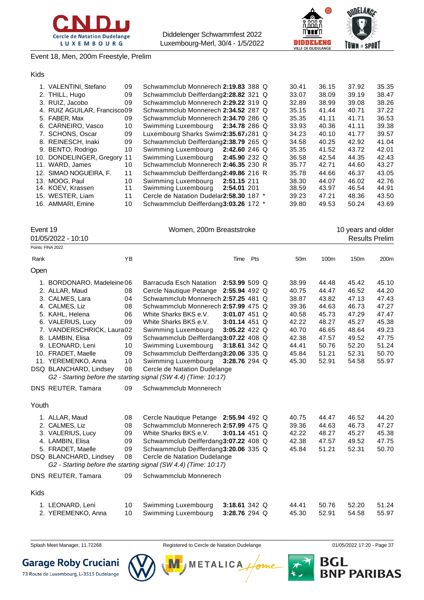



Event 18, Men, 200m Freestyle, Prelim

#### Kids

| 1. VALENTINI, Stefano        | 09 | Schwammclub Monnerech 2:19.83 388 Q      |               |  | 30.41 | 36.15 | 37.92 | 35.35 |
|------------------------------|----|------------------------------------------|---------------|--|-------|-------|-------|-------|
| 2. THILL, Hugo               | 09 | Schwammclub Deifferdang2:28.82 321 Q     |               |  | 33.07 | 38.09 | 39.19 | 38.47 |
| 3. RUIZ. Jacobo              | 09 | Schwammclub Monnerech 2:29.22 319 Q      |               |  | 32.89 | 38.99 | 39.08 | 38.26 |
| 4. RUIZ AGUILAR, Francisco09 |    | Schwammclub Monnerech 2:34.52 287 Q      |               |  | 35.15 | 41.44 | 40.71 | 37.22 |
| 5. FABER, Max                | 09 | Schwammclub Monnerech 2:34.70 286 Q      |               |  | 35.35 | 41.11 | 41.71 | 36.53 |
| 6. CARNEIRO, Vasco           | 10 | Swimming Luxembourg 2:34.78 286 Q        |               |  | 33.93 | 40.36 | 41.11 | 39.38 |
| 7. SCHONS, Oscar             | 09 | Luxembourg Sharks Swimr2:35.67J281 Q     |               |  | 34.23 | 40.10 | 41.77 | 39.57 |
| 8. REINESCH, Inaki           | 09 | Schwammclub Deifferdang2:38.79 265 Q     |               |  | 34.58 | 40.25 | 42.92 | 41.04 |
| 9. BENTO, Rodrigo            | 10 | Swimming Luxembourg 2:42.60 246 Q        |               |  | 35.35 | 41.52 | 43.72 | 42.01 |
| 10. DONDELINGER, Gregory 11  |    | Swimming Luxembourg                      | 2:45.90 232 Q |  | 36.58 | 42.54 | 44.35 | 42.43 |
| 11. WARD, James              | 10 | Schwammclub Monnerech 2:46.35 230 R      |               |  | 35.77 | 42.71 | 44.60 | 43.27 |
| 12. SIMAO NOGUEIRA. F.       | 11 | Schwammclub Deifferdang2:49.86 216 R     |               |  | 35.78 | 44.66 | 46.37 | 43.05 |
| 13. MOOG, Paul               | 10 | Swimming Luxembourg                      | 2:51.15 211   |  | 38.30 | 44.07 | 46.02 | 42.76 |
| 14. KOEV, Krassen            | 11 | Swimming Luxembourg                      | 2:54.01 201   |  | 38.59 | 43.97 | 46.54 | 44.91 |
| 15. WESTER, Liam             | 11 | Cercle de Natation Dudelar 2:58.30 187 * |               |  | 39.23 | 47.21 | 48.36 | 43.50 |
| 16. AMMARI, Emine            | 10 | Schwammclub Deifferdang3:03.26 172 *     |               |  | 39.80 | 49.53 | 50.24 | 43.69 |

| Event 19 |                            |    | Women, 200m Breaststroke                                        |                 |     |  |                 |       | 10 years and older    |       |  |
|----------|----------------------------|----|-----------------------------------------------------------------|-----------------|-----|--|-----------------|-------|-----------------------|-------|--|
|          | 01/05/2022 - 10:10         |    |                                                                 |                 |     |  |                 |       | <b>Results Prelim</b> |       |  |
|          | Points: FINA 2022          |    |                                                                 |                 |     |  |                 |       |                       |       |  |
| Rank     |                            | YB |                                                                 | Time            | Pts |  | 50 <sub>m</sub> | 100m  | 150m                  | 200m  |  |
| Open     |                            |    |                                                                 |                 |     |  |                 |       |                       |       |  |
|          | 1. BORDONARO, Madeleine 06 |    | Barracuda Esch Natation                                         | $2:53.99509$ Q  |     |  | 38.99           | 44.48 | 45.42                 | 45.10 |  |
|          | 2. ALLAR, Maud             | 08 | Cercle Nautique Petange                                         | 2:55.94 492 Q   |     |  | 40.75           | 44.47 | 46.52                 | 44.20 |  |
|          | 3. CALMES, Lara            | 04 | Schwammclub Monnerech 2:57.25 481 Q                             |                 |     |  | 38.87           | 43.82 | 47.13                 | 47.43 |  |
|          | 4. CALMES, Liz             | 08 | Schwammclub Monnerech 2:57.99 475 Q                             |                 |     |  | 39.36           | 44.63 | 46.73                 | 47.27 |  |
|          | 5. KAHL, Helena            | 06 | White Sharks BKS e.V.                                           | 3:01.07 451 Q   |     |  | 40.58           | 45.73 | 47.29                 | 47.47 |  |
|          | 6. VALERIUS, Lucy          | 09 | White Sharks BKS e.V.                                           | $3:01.14$ 451 Q |     |  | 42.22           | 48.27 | 45.27                 | 45.38 |  |
|          | 7. VANDERSCHRICK, Laura02  |    | Swimming Luxembourg                                             | 3:05.22 422 Q   |     |  | 40.70           | 46.65 | 48.64                 | 49.23 |  |
|          | 8. LAMBIN, Elisa           | 09 | Schwammclub Deifferdang3:07.22 408 Q                            |                 |     |  | 42.38           | 47.57 | 49.52                 | 47.75 |  |
|          | 9. LEONARD, Leni           | 10 | Swimming Luxembourg                                             | 3:18.61 342 Q   |     |  | 44.41           | 50.76 | 52.20                 | 51.24 |  |
|          | 10. FRADET, Maelle         | 09 | Schwammclub Deifferdang3:20.06 335 Q                            |                 |     |  | 45.84           | 51.21 | 52.31                 | 50.70 |  |
|          | 11. YEREMENKO, Anna        | 10 | Swimming Luxembourg                                             | 3:28.76 294 Q   |     |  | 45.30           | 52.91 | 54.58                 | 55.97 |  |
|          | DSQ BLANCHARD, Lindsey     | 08 | Cercle de Natation Dudelange                                    |                 |     |  |                 |       |                       |       |  |
|          |                            |    | G2 - Starting before the starting signal (SW 4.4) (Time: 10:17) |                 |     |  |                 |       |                       |       |  |
|          | DNS REUTER, Tamara         | 09 | Schwammclub Monnerech                                           |                 |     |  |                 |       |                       |       |  |
| Youth    |                            |    |                                                                 |                 |     |  |                 |       |                       |       |  |
|          | 1. ALLAR, Maud             | 08 | Cercle Nautique Petange 2:55.94 492 Q                           |                 |     |  | 40.75           | 44.47 | 46.52                 | 44.20 |  |
|          | 2. CALMES, Liz             | 08 | Schwammclub Monnerech 2:57.99 475 Q                             |                 |     |  | 39.36           | 44.63 | 46.73                 | 47.27 |  |
|          | 3. VALERIUS, Lucy          | 09 | White Sharks BKS e.V.                                           | 3:01.14 451 Q   |     |  | 42.22           | 48.27 | 45.27                 | 45.38 |  |
|          | 4. LAMBIN, Elisa           | 09 | Schwammclub Deifferdang3:07.22 408 Q                            |                 |     |  | 42.38           | 47.57 | 49.52                 | 47.75 |  |
|          | 5. FRADET, Maelle          | 09 | Schwammclub Deifferdang3:20.06 335 Q                            |                 |     |  | 45.84           | 51.21 | 52.31                 | 50.70 |  |
|          | DSQ BLANCHARD, Lindsey     | 08 | Cercle de Natation Dudelange                                    |                 |     |  |                 |       |                       |       |  |
|          |                            |    | G2 - Starting before the starting signal (SW 4.4) (Time: 10:17) |                 |     |  |                 |       |                       |       |  |
|          | DNS REUTER, Tamara         | 09 | Schwammclub Monnerech                                           |                 |     |  |                 |       |                       |       |  |
| Kids     |                            |    |                                                                 |                 |     |  |                 |       |                       |       |  |
|          | 1. LEONARD, Leni           | 10 | Swimming Luxembourg                                             | 3:18.61 342 Q   |     |  | 44.41           | 50.76 | 52.20                 | 51.24 |  |
|          | 2. YEREMENKO, Anna         | 10 | Swimming Luxembourg                                             | 3:28.76 294 Q   |     |  | 45.30           | 52.91 | 54.58                 | 55.97 |  |
|          |                            |    |                                                                 |                 |     |  |                 |       |                       |       |  |



Splash Meet Manager, 11.72268 **Registered to Cercle de Natation Dudelange 11/05/2022 17:20 - Page 37** 

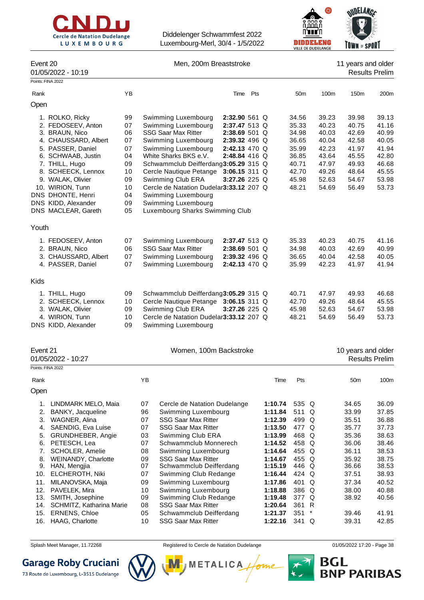



| Event 20 | 01/05/2022 - 10:19                      |          | Men, 200m Breaststroke |                                                       |                                 |     |                    | 11 years and older<br><b>Results Prelim</b> |          |                |                    |                       |
|----------|-----------------------------------------|----------|------------------------|-------------------------------------------------------|---------------------------------|-----|--------------------|---------------------------------------------|----------|----------------|--------------------|-----------------------|
|          | Points: FINA 2022                       |          |                        |                                                       |                                 |     |                    |                                             |          |                |                    |                       |
| Rank     |                                         | YB       |                        |                                                       | Time                            | Pts |                    | 50 <sub>m</sub>                             |          | 100m           | 150m               | 200m                  |
| Open     |                                         |          |                        |                                                       |                                 |     |                    |                                             |          |                |                    |                       |
|          | 1. ROLKO, Ricky                         | 99       |                        | Swimming Luxembourg                                   | 2:32.90 561 Q                   |     |                    | 34.56                                       |          | 39.23          | 39.98              | 39.13                 |
|          | 2. FEDOSEEV, Anton                      | 07       |                        | Swimming Luxembourg                                   | 2:37.47 513 Q                   |     |                    | 35.33                                       |          | 40.23          | 40.75              | 41.16                 |
|          | 3. BRAUN, Nico                          | 06       |                        | <b>SSG Saar Max Ritter</b>                            | 2:38.69 501 Q                   |     |                    | 34.98                                       |          | 40.03          | 42.69              | 40.99                 |
|          | 4. CHAUSSARD, Albert                    | 07       |                        | Swimming Luxembourg                                   | 2:39.32 496 Q                   |     |                    | 36.65                                       |          | 40.04          | 42.58              | 40.05                 |
|          | 5. PASSER, Daniel                       | 07       |                        | Swimming Luxembourg                                   | 2:42.13 470 Q                   |     |                    | 35.99                                       |          | 42.23          | 41.97              | 41.94                 |
|          | 6. SCHWAAB, Justin                      | 04       |                        | White Sharks BKS e.V.                                 | 2:48.84 416 Q                   |     |                    | 36.85                                       |          | 43.64          | 45.55              | 42.80                 |
|          | 7. THILL, Hugo                          | 09<br>10 |                        | Schwammclub Deifferdang3:05.29 315 Q                  |                                 |     |                    | 40.71<br>42.70                              |          | 47.97<br>49.26 | 49.93<br>48.64     | 46.68<br>45.55        |
|          | 8. SCHEECK, Lennox<br>9. WALAK, Olivier | 09       |                        | Cercle Nautique Petange<br>Swimming Club ERA          | $3:06.15311$ Q<br>3:27.26 225 Q |     |                    | 45.98                                       |          | 52.63          | 54.67              | 53.98                 |
|          | 10. WIRION, Tunn                        | 10       |                        | Cercle de Natation Dudelar3:33.12 207 Q               |                                 |     |                    | 48.21                                       |          | 54.69          | 56.49              | 53.73                 |
|          | DNS DHONTE, Henri                       | 04       |                        | Swimming Luxembourg                                   |                                 |     |                    |                                             |          |                |                    |                       |
|          | DNS KIDD, Alexander                     | 09       |                        | Swimming Luxembourg                                   |                                 |     |                    |                                             |          |                |                    |                       |
|          | DNS MACLEAR, Gareth                     | 05       |                        | Luxembourg Sharks Swimming Club                       |                                 |     |                    |                                             |          |                |                    |                       |
|          |                                         |          |                        |                                                       |                                 |     |                    |                                             |          |                |                    |                       |
| Youth    |                                         |          |                        |                                                       |                                 |     |                    |                                             |          |                |                    |                       |
|          | 1. FEDOSEEV, Anton                      | 07       |                        | Swimming Luxembourg                                   | 2:37.47 513 Q                   |     |                    | 35.33                                       |          | 40.23          | 40.75              | 41.16                 |
|          | 2. BRAUN, Nico                          | 06       |                        | <b>SSG Saar Max Ritter</b>                            | 2:38.69 501 Q                   |     |                    | 34.98                                       |          | 40.03          | 42.69              | 40.99                 |
|          | 3. CHAUSSARD, Albert                    | 07       |                        | Swimming Luxembourg                                   | 2:39.32 496 Q                   |     |                    | 36.65                                       |          | 40.04          | 42.58              | 40.05                 |
|          | 4. PASSER, Daniel                       | 07       |                        | Swimming Luxembourg                                   | 2:42.13 470 Q                   |     |                    | 35.99                                       |          | 42.23          | 41.97              | 41.94                 |
| Kids     |                                         |          |                        |                                                       |                                 |     |                    |                                             |          |                |                    |                       |
|          | 1. THILL, Hugo                          | 09       |                        | Schwammclub Deifferdang3:05.29 315 Q                  |                                 |     |                    | 40.71                                       |          | 47.97          | 49.93              | 46.68                 |
|          | 2. SCHEECK, Lennox                      | 10       |                        | Cercle Nautique Petange 3:06.15 311 Q                 |                                 |     |                    | 42.70                                       |          | 49.26          | 48.64              | 45.55                 |
|          | 3. WALAK, Olivier                       | 09       |                        | Swimming Club ERA                                     | 3:27.26 225 Q                   |     |                    | 45.98                                       |          | 52.63          | 54.67              | 53.98                 |
|          | 4. WIRION, Tunn                         | 10       |                        | Cercle de Natation Dudelar3:33.12 207 Q               |                                 |     |                    | 48.21                                       |          | 54.69          | 56.49              | 53.73                 |
|          | DNS KIDD, Alexander                     | 09       |                        | Swimming Luxembourg                                   |                                 |     |                    |                                             |          |                |                    |                       |
|          |                                         |          |                        |                                                       |                                 |     |                    |                                             |          |                |                    |                       |
| Event 21 |                                         |          |                        | Women, 100m Backstroke                                |                                 |     |                    |                                             |          |                | 10 years and older |                       |
|          | 01/05/2022 - 10:27                      |          |                        |                                                       |                                 |     |                    |                                             |          |                |                    | <b>Results Prelim</b> |
|          | Points: FINA 2022                       |          |                        |                                                       |                                 |     |                    |                                             |          |                |                    |                       |
| Rank     |                                         |          | ΥB                     |                                                       |                                 |     | Time               | Pts                                         |          |                | 50 <sub>m</sub>    | 100m                  |
| Open     |                                         |          |                        |                                                       |                                 |     |                    |                                             |          |                |                    |                       |
| 1.       | LINDMARK MELO, Maia                     |          | 07                     | Cercle de Natation Dudelange                          |                                 |     | 1:10.74            | 535 Q                                       |          |                | 34.65              | 36.09                 |
| 2.       | BANKY, Jacqueline                       |          | 96                     | Swimming Luxembourg                                   |                                 |     | 1:11.84            | 511 Q                                       |          |                | 33.99              | 37.85                 |
| 3.       | WAGNER, Alina                           |          | 07                     | <b>SSG Saar Max Ritter</b>                            |                                 |     | 1:12.39            | 499 Q                                       |          |                | 35.51              | 36.88                 |
| 4.       | SAENDIG, Eva Luise                      |          | 07                     | <b>SSG Saar Max Ritter</b>                            |                                 |     | 1:13.50            | 477 Q                                       |          |                | 35.77              | 37.73                 |
| 5.       | GRUNDHEBER, Angie                       |          | 03                     | Swimming Club ERA                                     |                                 |     | 1:13.99            | 468 Q                                       |          |                | 35.36              | 38.63                 |
| 6.       | PETESCH, Lea                            |          | 07                     | Schwammclub Monnerech                                 |                                 |     | 1:14.52            | 458 Q                                       |          |                | 36.06              | 38.46                 |
| 7.       | SCHOLER, Amelie                         |          | 08                     | Swimming Luxembourg                                   |                                 |     | 1:14.64            | 455 Q                                       |          |                | 36.11              | 38.53                 |
| 8.<br>9. | WEINANDY, Charlotte<br>HAN, Mengjia     |          | 09<br>07               | <b>SSG Saar Max Ritter</b><br>Schwammclub Deifferdang |                                 |     | 1:14.67<br>1:15.19 | 455 Q<br>446 Q                              |          |                | 35.92<br>36.66     | 38.75<br>38.53        |
| 10.      | ELCHEROTH, Niki                         |          | 07                     | Swimming Club Redange                                 |                                 |     | 1:16.44            | 424 Q                                       |          |                | 37.51              | 38.93                 |
| 11.      | MILANOVSKA, Maja                        |          | 09                     | Swimming Luxembourg                                   |                                 |     | 1:17.86            | 401 Q                                       |          |                | 37.34              | 40.52                 |
| 12.      | PAVELEK, Mira                           |          | 10                     | Swimming Luxembourg                                   |                                 |     | 1:18.88            | 386 Q                                       |          |                | 38.00              | 40.88                 |
| 13.      | SMITH, Josephine                        |          | 09                     | Swimming Club Redange                                 |                                 |     | 1:19.48            | 377 Q                                       |          |                | 38.92              | 40.56                 |
| 14.      | SCHMITZ, Katharina Marie                |          | 08                     | <b>SSG Saar Max Ritter</b>                            |                                 |     | 1:20.64            | 361 R                                       |          |                |                    |                       |
| 15.      | ERNENS, Chloe                           |          | 05                     | Schwammclub Deifferdang                               |                                 |     | 1:21.37            | 351                                         | $^\star$ |                | 39.46              | 41.91                 |
| 16.      | HAAG, Charlotte                         |          | 10                     | <b>SSG Saar Max Ritter</b>                            |                                 |     | 1:22.16            | 341 Q                                       |          |                | 39.31              | 42.85                 |

Splash Meet Manager, 11.72268 **Registered to Cercle de Natation Dudelange 11/05/2022 17:20 - Page 38** 

М

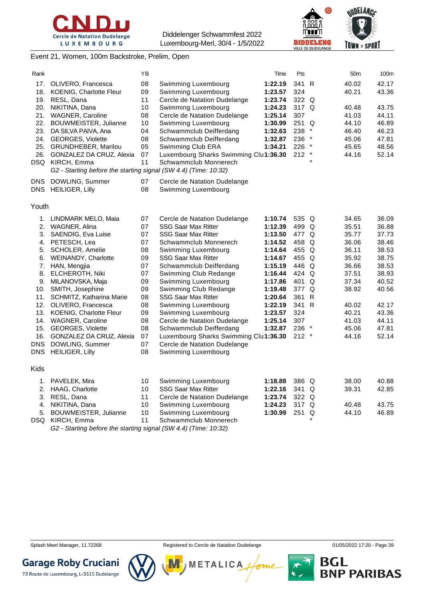





#### Event 21, Women, 100m Backstroke, Prelim, Open

| Rank        |                                                                 | ΥB |                                        | Time    | Pts     |          | 50 <sub>m</sub> | 100m  |
|-------------|-----------------------------------------------------------------|----|----------------------------------------|---------|---------|----------|-----------------|-------|
| 17.         | OLIVERO, Francesca                                              | 08 | Swimming Luxembourg                    | 1:22.19 | 341 R   |          | 40.02           | 42.17 |
| 18.         | <b>KOENIG, Charlotte Fleur</b>                                  | 09 | Swimming Luxembourg                    | 1:23.57 | 324     |          | 40.21           | 43.36 |
| 19.         | RESL, Dana                                                      | 11 | Cercle de Natation Dudelange           | 1:23.74 | 322 Q   |          |                 |       |
| 20.         | NIKITINA, Dana                                                  | 10 | Swimming Luxembourg                    | 1:24.23 | 317 Q   |          | 40.48           | 43.75 |
| 21.         | <b>WAGNER, Caroline</b>                                         | 08 | Cercle de Natation Dudelange           | 1:25.14 | 307     |          | 41.03           | 44.11 |
| 22.         | BOUWMEISTER, Julianne                                           | 10 | Swimming Luxembourg                    | 1:30.99 | 251 Q   |          | 44.10           | 46.89 |
| 23.         | DA SILVA PAIVA, Ana                                             | 04 | Schwammclub Deifferdang                | 1:32.63 | 238     |          | 46.40           | 46.23 |
| 24.         | <b>GEORGES, Violette</b>                                        | 08 | Schwammclub Deifferdang                | 1:32.87 | 236     | $\ast$   | 45.06           | 47.81 |
| 25.         | GRUNDHEBER, Marilou                                             | 05 | Swimming Club ERA                      | 1:34.21 | 226     | $^\star$ | 45.65           | 48.56 |
| 26.         | GONZALEZ DA CRUZ, Alexia                                        | 07 | Luxembourg Sharks Swimming Clul1:36.30 |         | 212     | $\ast$   | 44.16           | 52.14 |
|             | DSQ KIRCH, Emma                                                 | 11 | Schwammclub Monnerech                  |         |         | $\star$  |                 |       |
|             | G2 - Starting before the starting signal (SW 4.4) (Time: 10:32) |    |                                        |         |         |          |                 |       |
| DNS.        | DOWLING, Summer                                                 | 07 | Cercle de Natation Dudelange           |         |         |          |                 |       |
|             | DNS HEILIGER, Lilly                                             | 08 | Swimming Luxembourg                    |         |         |          |                 |       |
| Youth       |                                                                 |    |                                        |         |         |          |                 |       |
| 1.          | LINDMARK MELO, Maia                                             | 07 | Cercle de Natation Dudelange           | 1:10.74 | 535 Q   |          | 34.65           | 36.09 |
| 2.          | WAGNER, Alina                                                   | 07 | <b>SSG Saar Max Ritter</b>             | 1:12.39 | 499 Q   |          | 35.51           | 36.88 |
| 3.          | SAENDIG, Eva Luise                                              | 07 | <b>SSG Saar Max Ritter</b>             | 1:13.50 | 477 Q   |          | 35.77           | 37.73 |
| 4.          | PETESCH, Lea                                                    | 07 | Schwammclub Monnerech                  | 1:14.52 | 458 Q   |          | 36.06           | 38.46 |
| 5.          | <b>SCHOLER, Amelie</b>                                          | 08 | Swimming Luxembourg                    | 1:14.64 | 455 Q   |          | 36.11           | 38.53 |
| 6.          | WEINANDY, Charlotte                                             | 09 | <b>SSG Saar Max Ritter</b>             | 1:14.67 | 455 Q   |          | 35.92           | 38.75 |
| 7.          | HAN, Mengjia                                                    | 07 | Schwammclub Deifferdang                | 1:15.19 | 446 Q   |          | 36.66           | 38.53 |
| 8.          | ELCHEROTH, Niki                                                 | 07 | Swimming Club Redange                  | 1:16.44 | 424 Q   |          | 37.51           | 38.93 |
| 9.          | MILANOVSKA, Maja                                                | 09 | Swimming Luxembourg                    | 1:17.86 | 401 Q   |          | 37.34           | 40.52 |
|             | 10. SMITH, Josephine                                            | 09 | Swimming Club Redange                  | 1:19.48 | 377 Q   |          | 38.92           | 40.56 |
| 11.         | SCHMITZ, Katharina Marie                                        | 08 | <b>SSG Saar Max Ritter</b>             | 1:20.64 | 361 R   |          |                 |       |
|             | 12. OLIVERO, Francesca                                          | 08 | Swimming Luxembourg                    | 1:22.19 | 341 R   |          | 40.02           | 42.17 |
| 13.         | <b>KOENIG, Charlotte Fleur</b>                                  | 09 | Swimming Luxembourg                    | 1:23.57 | 324     |          | 40.21           | 43.36 |
|             | 14. WAGNER, Caroline                                            | 08 | Cercle de Natation Dudelange           | 1:25.14 | 307     |          | 41.03           | 44.11 |
|             | 15. GEORGES, Violette                                           | 08 | Schwammclub Deifferdang                | 1:32.87 | 236 *   |          | 45.06           | 47.81 |
| 16.         | <b>GONZALEZ DA CRUZ, Alexia</b>                                 | 07 | Luxembourg Sharks Swimming Clu1:36.30  |         | $212$ * |          | 44.16           | 52.14 |
| DNS         | DOWLING, Summer                                                 | 07 | Cercle de Natation Dudelange           |         |         |          |                 |       |
| DNS.        | <b>HEILIGER, Lilly</b>                                          | 08 | Swimming Luxembourg                    |         |         |          |                 |       |
| <b>Kids</b> |                                                                 |    |                                        |         |         |          |                 |       |
| 1.          | PAVELEK, Mira                                                   | 10 | Swimming Luxembourg                    | 1:18.88 | 386 Q   |          | 38.00           | 40.88 |
| 2.          | HAAG, Charlotte                                                 | 10 | <b>SSG Saar Max Ritter</b>             | 1:22.16 | 341 Q   |          | 39.31           | 42.85 |
| 3.          | RESL, Dana                                                      | 11 | Cercle de Natation Dudelange           | 1:23.74 | 322 Q   |          |                 |       |
| 4.          | NIKITINA, Dana                                                  | 10 | Swimming Luxembourg                    | 1:24.23 | 317 Q   |          | 40.48           | 43.75 |
| 5.          | BOUWMEISTER, Julianne                                           | 10 | Swimming Luxembourg                    | 1:30.99 | 251     | Q        | 44.10           | 46.89 |
| DSQ         | KIRCH, Emma                                                     | 11 | Schwammclub Monnerech                  |         |         |          |                 |       |

*G2 - Starting before the starting signal (SW 4.4) (Time: 10:32)*



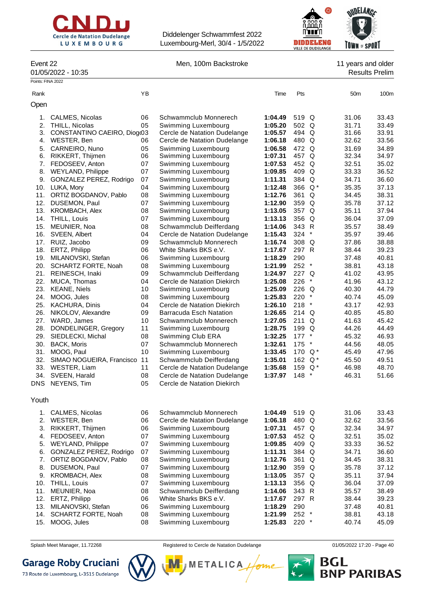



Event 22 **Men, 100m Backstroke** 11 years and older

# 01/05/2022 - 10:35 Results Prelim

| Points: FINA 2022 |                                  |          |                                                             |                    |                  |        |                 |                |
|-------------------|----------------------------------|----------|-------------------------------------------------------------|--------------------|------------------|--------|-----------------|----------------|
| Rank              |                                  | YB       |                                                             | Time               | Pts              |        | 50 <sub>m</sub> | 100m           |
| Open              |                                  |          |                                                             |                    |                  |        |                 |                |
| 1.                | CALMES, Nicolas                  | 06       | Schwammclub Monnerech                                       | 1:04.49            | 519 Q            |        | 31.06           | 33.43          |
| 2.                | THILL, Nicolas                   | 05       | Swimming Luxembourg                                         | 1:05.20            | 502 Q            |        | 31.71           | 33.49          |
| 3.                | CONSTANTINO CAEIRO, Diog(03      |          | Cercle de Natation Dudelange                                | 1:05.57            | 494 Q            |        | 31.66           | 33.91          |
| 4.                | WESTER, Ben                      | 06       | Cercle de Natation Dudelange                                | 1:06.18            | 480 Q            |        | 32.62           | 33.56          |
| 5.                | CARNEIRO, Nuno                   | 05       | Swimming Luxembourg                                         | 1:06.58            | 472 Q            |        | 31.69           | 34.89          |
| 6.                | RIKKERT, Thijmen                 | 06       | Swimming Luxembourg                                         | 1:07.31            | 457 Q            |        | 32.34           | 34.97          |
| 7.                | FEDOSEEV, Anton                  | 07       | Swimming Luxembourg                                         | 1:07.53            | 452 Q            |        | 32.51           | 35.02          |
| 8.                | WEYLAND, Philippe                | 07       | Swimming Luxembourg                                         | 1:09.85            | 409 Q            |        | 33.33           | 36.52          |
| 9.                | GONZALEZ PEREZ, Rodrigo          | 07       | Swimming Luxembourg                                         | 1:11.31            | 384 Q            |        | 34.71           | 36.60          |
| 10.               | LUKA, Mory                       | 04       | Swimming Luxembourg                                         | 1:12.48            | 366 Q*           |        | 35.35           | 37.13          |
| 11.               | ORTIZ BOGDANOV, Pablo            | 08       | Swimming Luxembourg                                         | 1:12.76            | 361 Q            |        | 34.45           | 38.31          |
| 12.               | DUSEMON, Paul                    | 07       | Swimming Luxembourg                                         | 1:12.90            | 359 Q            |        | 35.78           | 37.12          |
| 13.               | <b>KROMBACH, Alex</b>            | 08       | Swimming Luxembourg                                         | 1:13.05            | 357 Q            |        | 35.11           | 37.94          |
| 14.               | THILL, Louis                     | 07       | Swimming Luxembourg                                         | 1:13.13            | 356 Q            |        | 36.04           | 37.09          |
| 15.               | MEUNIER, Noa                     | 08       | Schwammclub Deifferdang                                     | 1:14.06            | 343 R            |        | 35.57           | 38.49          |
| 16.               | SVEEN, Albert                    | 04       | Cercle de Natation Dudelange                                | 1:15.43            | $324$ *          |        | 35.97           | 39.46          |
|                   | 17. RUIZ, Jacobo                 | 09       | Schwammclub Monnerech                                       | 1:16.74            | 308 Q            |        | 37.86           | 38.88          |
|                   | 18. ERTZ, Philipp                | 06       | White Sharks BKS e.V.                                       | 1:17.67            | 297 R            |        | 38.44           | 39.23          |
| 19.               | MILANOVSKI, Stefan               | 06       | Swimming Luxembourg                                         | 1:18.29            | 290              |        | 37.48           | 40.81          |
| 20.               | <b>SCHARTZ FORTE, Noah</b>       | 08       | Swimming Luxembourg                                         | 1:21.99            | $252$ *          |        | 38.81           | 43.18          |
| 21.               | REINESCH, Inaki                  | 09       | Schwammclub Deifferdang                                     | 1:24.97            | 227 Q            |        | 41.02           | 43.95          |
| 22.               | MUCA, Thomas                     | 04       | Cercle de Natation Diekirch                                 | 1:25.08            | $226$ *          |        | 41.96           | 43.12          |
| 23.               | <b>KEANE, Niels</b>              | 10       | Swimming Luxembourg                                         | 1:25.09            | 226 Q            |        | 40.30           | 44.79          |
| 24.               | MOOG, Jules                      | 08       | Swimming Luxembourg                                         | 1:25.83            | 220              | $\ast$ | 40.74           | 45.09          |
| 25.               | KACHURA, Dinis                   | 04       | Cercle de Natation Diekirch                                 | 1:26.10            | 218              | $\ast$ | 43.17           | 42.93          |
| 26.               | NIKOLOV, Alexandre               | 09       | Barracuda Esch Natation                                     | 1:26.65            | $214$ Q          |        | 40.85           | 45.80          |
| 27.               | WARD, James                      | 10       | Schwammclub Monnerech                                       | 1:27.05            | 211 Q            |        | 41.63           | 45.42          |
| 28.               | DONDELINGER, Gregory             | 11       | Swimming Luxembourg                                         | 1:28.75            | 199 Q            |        | 44.26           | 44.49          |
| 29.               | SIEDLECKI, Michal                | 08       | Swimming Club ERA                                           | 1:32.25            | $177$ *          |        | 45.32           | 46.93          |
|                   | 30. BACK, Moris                  | 07       | Schwammclub Monnerech                                       | 1:32.61            | 175              | $\ast$ | 44.56           | 48.05          |
| 31.               | MOOG, Paul                       | 10       | Swimming Luxembourg                                         | 1:33.45            | 170 $Q^*$        |        | 45.49           | 47.96          |
| 32.               | SIMAO NOGUEIRA, Francisco        | 11<br>11 | Schwammclub Deifferdang                                     | 1:35.01            | 162 $Q^*$        |        | 45.50           | 49.51<br>48.70 |
| 34.               | 33. WESTER, Liam                 | 08       | Cercle de Natation Dudelange                                | 1:35.68<br>1:37.97 | 159 $Q^*$<br>148 | $\ast$ | 46.98           | 51.66          |
|                   | SVEEN, Harald<br>DNS NEYENS, Tim | 05       | Cercle de Natation Dudelange<br>Cercle de Natation Diekirch |                    |                  |        | 46.31           |                |
|                   |                                  |          |                                                             |                    |                  |        |                 |                |
| Youth             |                                  |          |                                                             |                    |                  |        |                 |                |
| 1.                | <b>CALMES, Nicolas</b>           | 06       | Schwammclub Monnerech                                       | 1:04.49            | 519 Q            |        | 31.06           | 33.43          |
| 2.                | WESTER, Ben                      | 06       | Cercle de Natation Dudelange                                | 1:06.18            | 480 Q            |        | 32.62           | 33.56          |
| 3.                | RIKKERT, Thijmen                 | 06       | Swimming Luxembourg                                         | 1:07.31            | 457 Q            |        | 32.34           | 34.97          |
| 4.                | FEDOSEEV, Anton                  | 07       | Swimming Luxembourg                                         | 1:07.53            | 452 Q            |        | 32.51           | 35.02          |
| 5.                | <b>WEYLAND, Philippe</b>         | 07       | Swimming Luxembourg                                         | 1:09.85            | 409 Q            |        | 33.33           | 36.52          |
| 6.                | GONZALEZ PEREZ, Rodrigo          | 07       | Swimming Luxembourg                                         | 1:11.31            | 384 Q            |        | 34.71           | 36.60          |
| 7.                | ORTIZ BOGDANOV, Pablo            | 08       | Swimming Luxembourg                                         | 1:12.76            | 361 Q            |        | 34.45           | 38.31          |
| 8.                | DUSEMON, Paul                    | 07       | Swimming Luxembourg                                         | 1:12.90            | 359 Q            |        | 35.78           | 37.12          |
| 9.                | <b>KROMBACH, Alex</b>            | 08       | Swimming Luxembourg                                         | 1:13.05            | 357 Q            |        | 35.11           | 37.94          |
| 10.               | THILL, Louis                     | 07       | Swimming Luxembourg                                         | 1:13.13            | 356 Q            |        | 36.04           | 37.09          |
| 11.               | MEUNIER, Noa                     | 08       | Schwammclub Deifferdang                                     | 1:14.06            | 343 R            |        | 35.57           | 38.49          |
| 12.               | ERTZ, Philipp                    | 06       | White Sharks BKS e.V.                                       | 1:17.67            | 297 R            |        | 38.44           | 39.23          |
| 13.               | MILANOVSKI, Stefan               | 06       | Swimming Luxembourg                                         | 1:18.29            | 290              |        | 37.48           | 40.81          |
| 14.               | SCHARTZ FORTE, Noah              | 08       | Swimming Luxembourg                                         | 1:21.99            | 252 *            |        | 38.81           | 43.18          |
| 15.               | MOOG, Jules                      | 08       | Swimming Luxembourg                                         | 1:25.83            | 220 *            |        | 40.74           | 45.09          |

**Garage Roby Cruciani** 



Splash Meet Manager, 11.72268 **Registered to Cercle de Natation Dudelange 11/05/2022 17:20 - Page 40** 

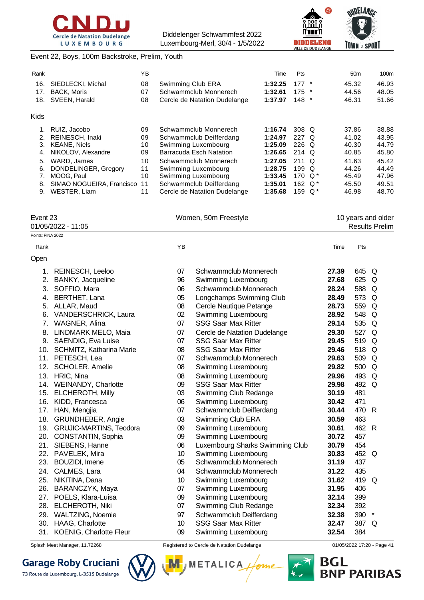



OUDELANGE **TOWN of SPORT** 

### Event 22, Boys, 100m Backstroke, Prelim, Youth

| Rank        |                           | YB |                              | Time    | <b>Pts</b>       |         | 50 <sub>m</sub> | 100m  |
|-------------|---------------------------|----|------------------------------|---------|------------------|---------|-----------------|-------|
| 16.         | SIEDLECKI, Michal         | 08 | Swimming Club ERA            | 1:32.25 | $177 *$          |         | 45.32           | 46.93 |
| 17.         | <b>BACK, Moris</b>        | 07 | Schwammclub Monnerech        | 1:32.61 | $175$ *          |         | 44.56           | 48.05 |
| 18.         | SVEEN, Harald             | 08 | Cercle de Natation Dudelange | 1:37.97 | 148              | $\star$ | 46.31           | 51.66 |
| <b>Kids</b> |                           |    |                              |         |                  |         |                 |       |
|             | RUIZ, Jacobo              | 09 | Schwammclub Monnerech        | 1:16.74 | 308 Q            |         | 37.86           | 38.88 |
| 2.          | REINESCH, Inaki           | 09 | Schwammclub Deifferdang      | 1:24.97 | 227 Q            |         | 41.02           | 43.95 |
| 3.          | <b>KEANE, Niels</b>       | 10 | Swimming Luxembourg          | 1:25.09 | $226$ Q          |         | 40.30           | 44.79 |
| 4.          | NIKOLOV, Alexandre        | 09 | Barracuda Esch Natation      | 1:26.65 | 214 Q            |         | 40.85           | 45.80 |
| 5.          | WARD, James               | 10 | Schwammclub Monnerech        | 1:27.05 | $211$ Q          |         | 41.63           | 45.42 |
| 6.          | DONDELINGER, Gregory      | 11 | Swimming Luxembourg          | 1:28.75 | 199 <sub>o</sub> |         | 44.26           | 44.49 |
|             | MOOG, Paul                | 10 | Swimming Luxembourg          | 1:33.45 | 170 $Q^*$        |         | 45.49           | 47.96 |
| 8.          | SIMAO NOGUEIRA, Francisco | 11 | Schwammclub Deifferdang      | 1:35.01 | 162 $Q^*$        |         | 45.50           | 49.51 |
| 9.          | WESTER, Liam              | 11 | Cercle de Natation Dudelange | 1:35.68 | 159              | Q *     | 46.98           | 48.70 |

| Event 23<br>01/05/2022 - 11:05 | Women, 50m Freestyle | 10 years and older<br>Results Prelim |
|--------------------------------|----------------------|--------------------------------------|
| Points: FINA 2022              |                      |                                      |
| Rank                           | ΥB                   | <b>Pts</b><br>Time                   |
| Open                           |                      |                                      |

| 1.  | REINESCH, Leeloo               | 07 | Schwammclub Monnerech           | 27.39 | 645 Q |        |
|-----|--------------------------------|----|---------------------------------|-------|-------|--------|
| 2.  | BANKY, Jacqueline              | 96 | Swimming Luxembourg             | 27.68 | 625   | Q      |
| 3.  | SOFFIO, Mara                   | 06 | Schwammclub Monnerech           | 28.24 | 588   | Q      |
| 4.  | BERTHET, Lana                  | 05 | Longchamps Swimming Club        | 28.49 | 573   | Q      |
| 5.  | ALLAR, Maud                    | 08 | Cercle Nautique Petange         | 28.73 | 559   | Q      |
| 6.  | <b>VANDERSCHRICK, Laura</b>    | 02 | Swimming Luxembourg             | 28.92 | 548   | Q      |
| 7.  | WAGNER, Alina                  | 07 | <b>SSG Saar Max Ritter</b>      | 29.14 | 535   | Q      |
| 8.  | LINDMARK MELO, Maia            | 07 | Cercle de Natation Dudelange    | 29.30 | 527   | Q      |
| 9.  | <b>SAENDIG, Eva Luise</b>      | 07 | <b>SSG Saar Max Ritter</b>      | 29.45 | 519   | Q      |
| 10. | SCHMITZ, Katharina Marie       | 08 | <b>SSG Saar Max Ritter</b>      | 29.46 | 518   | Q      |
| 11. | PETESCH, Lea                   | 07 | Schwammclub Monnerech           | 29.63 | 509   | Q      |
| 12. | <b>SCHOLER, Amelie</b>         | 08 | Swimming Luxembourg             | 29.82 | 500   | Q      |
| 13. | HRIC, Nina                     | 08 | Swimming Luxembourg             | 29.96 | 493   | Q      |
| 14. | WEINANDY, Charlotte            | 09 | <b>SSG Saar Max Ritter</b>      | 29.98 | 492   | Q      |
| 15. | <b>ELCHEROTH, Milly</b>        | 03 | Swimming Club Redange           | 30.19 | 481   |        |
| 16. | KIDD, Francesca                | 06 | Swimming Luxembourg             | 30.42 | 471   |        |
| 17. | HAN, Mengjia                   | 07 | Schwammclub Deifferdang         | 30.44 | 470   | R      |
| 18. | GRUNDHEBER, Angie              | 03 | Swimming Club ERA               | 30.59 | 463   |        |
| 19. | GRUJIC-MARTINS, Teodora        | 09 | Swimming Luxembourg             | 30.61 | 462 R |        |
| 20. | CONSTANTIN, Sophia             | 09 | Swimming Luxembourg             | 30.72 | 457   |        |
| 21. | SIEBENS, Hanne                 | 06 | Luxembourg Sharks Swimming Club | 30.79 | 454   |        |
| 22. | PAVELEK, Mira                  | 10 | Swimming Luxembourg             | 30.83 | 452   | Q      |
| 23. | <b>BOUZIDI, Imene</b>          | 05 | Schwammclub Monnerech           | 31.19 | 437   |        |
| 24. | CALMES, Lara                   | 04 | Schwammclub Monnerech           | 31.22 | 435   |        |
| 25. | NIKITINA, Dana                 | 10 | Swimming Luxembourg             | 31.62 | 419   | Q      |
| 26. | BARANCZYK, Maya                | 07 | Swimming Luxembourg             | 31.95 | 406   |        |
| 27. | POELS, Klara-Luisa             | 09 | Swimming Luxembourg             | 32.14 | 399   |        |
| 28. | ELCHEROTH, Niki                | 07 | Swimming Club Redange           | 32.34 | 392   |        |
| 29. | WALTZING, Noemie               | 97 | Schwammclub Deifferdang         | 32.38 | 390   | $\ast$ |
| 30. | HAAG, Charlotte                | 10 | <b>SSG Saar Max Ritter</b>      | 32.47 | 387   | Q      |
| 31. | <b>KOENIG, Charlotte Fleur</b> | 09 | Swimming Luxembourg             | 32.54 | 384   |        |

# **Garage Roby Cruciani**



Splash Meet Manager, 11.72268 **Registered to Cercle de Natation Dudelange 11/05/2022 17:20 - Page 41** 

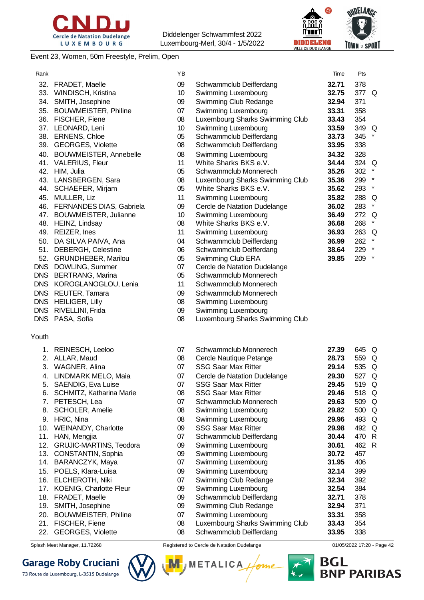



#### Event 23, Women, 50m Freestyle, Prelim, Open

| Rank       |                                | YB |                                 | Time  | Pts                 |
|------------|--------------------------------|----|---------------------------------|-------|---------------------|
| 32.        | FRADET, Maelle                 | 09 | Schwammclub Deifferdang         | 32.71 | 378                 |
|            | 33. WINDISCH, Kristina         | 10 | Swimming Luxembourg             | 32.75 | 377 Q               |
|            | 34. SMITH, Josephine           | 09 | Swimming Club Redange           | 32.94 | 371                 |
|            | 35. BOUWMEISTER, Philine       | 07 | Swimming Luxembourg             | 33.31 | 358                 |
|            | 36. FISCHER, Fiene             | 08 | Luxembourg Sharks Swimming Club | 33.43 | 354                 |
|            | 37. LEONARD, Leni              | 10 | Swimming Luxembourg             | 33.59 | 349 Q               |
|            | 38. ERNENS, Chloe              | 05 | Schwammclub Deifferdang         | 33.73 | 345                 |
|            | 39. GEORGES, Violette          | 08 | Schwammclub Deifferdang         | 33.95 | 338                 |
|            | 40. BOUWMEISTER, Annebelle     | 08 | Swimming Luxembourg             | 34.32 | 328                 |
|            | 41. VALERIUS, Fleur            | 11 | White Sharks BKS e.V.           | 34.44 | 324 Q               |
|            | 42. HIM, Julia                 | 05 | Schwammclub Monnerech           | 35.26 | 302<br>$\star$      |
|            | 43. LANSBERGEN, Sara           | 08 | Luxembourg Sharks Swimming Club | 35.36 | $\pmb{\ast}$<br>299 |
|            | 44. SCHAEFER, Mirjam           | 05 | White Sharks BKS e.V.           | 35.62 | $\star$<br>293      |
|            | 45. MULLER, Liz                | 11 | Swimming Luxembourg             | 35.82 | 288 Q               |
|            | 46. FERNANDES DIAS, Gabriela   | 09 | Cercle de Natation Dudelange    | 36.02 | $\star$<br>283      |
|            | 47. BOUWMEISTER, Julianne      | 10 | Swimming Luxembourg             | 36.49 | 272 Q               |
|            | 48. HEINZ, Lindsay             | 08 | White Sharks BKS e.V.           | 36.68 | $\star$<br>268      |
| 49.        | REIZER, Ines                   | 11 | Swimming Luxembourg             | 36.93 | 263<br>Q            |
| 50.        | DA SILVA PAIVA, Ana            | 04 | Schwammclub Deifferdang         | 36.99 | 262                 |
| 51.        | <b>DEBERGH, Celestine</b>      | 06 | Schwammclub Deifferdang         | 38.64 | 229                 |
| 52.        | GRUNDHEBER, Marilou            | 05 | Swimming Club ERA               | 39.85 | 209                 |
|            | DNS DOWLING, Summer            | 07 | Cercle de Natation Dudelange    |       |                     |
| <b>DNS</b> | <b>BERTRANG, Marina</b>        | 05 | Schwammclub Monnerech           |       |                     |
| <b>DNS</b> | KOROGLANOGLOU, Lenia           | 11 | Schwammclub Monnerech           |       |                     |
| <b>DNS</b> | REUTER, Tamara                 | 09 | Schwammclub Monnerech           |       |                     |
| <b>DNS</b> | <b>HEILIGER, Lilly</b>         | 08 | Swimming Luxembourg             |       |                     |
| <b>DNS</b> | RIVELLINI, Frida               | 09 | Swimming Luxembourg             |       |                     |
| <b>DNS</b> | PASA, Sofia                    | 08 | Luxembourg Sharks Swimming Club |       |                     |
| Youth      |                                |    |                                 |       |                     |
| 1.         | REINESCH, Leeloo               | 07 | Schwammclub Monnerech           | 27.39 | 645 Q               |
|            | 2. ALLAR, Maud                 | 08 | Cercle Nautique Petange         | 28.73 | 559 Q               |
|            | 3. WAGNER, Alina               | 07 | <b>SSG Saar Max Ritter</b>      | 29.14 | 535 Q               |
|            | 4. LINDMARK MELO, Maia         | 07 | Cercle de Natation Dudelange    | 29.30 | 527<br>Q            |
| 5.         | SAENDIG, Eva Luise             | 07 | <b>SSG Saar Max Ritter</b>      | 29.45 | 519 Q               |
| 6.         | SCHMITZ, Katharina Marie       | 08 | <b>SSG Saar Max Ritter</b>      | 29.46 | 518 Q               |
| 7.         | PETESCH, Lea                   | 07 | Schwammclub Monnerech           | 29.63 | 509 Q               |
| 8.         | SCHOLER, Amelie                | 08 | Swimming Luxembourg             | 29.82 | 500 Q               |
| 9.         | HRIC, Nina                     | 08 | Swimming Luxembourg             | 29.96 | 493 Q               |
| 10.        | WEINANDY, Charlotte            | 09 | <b>SSG Saar Max Ritter</b>      | 29.98 | 492 Q               |
| 11.        | HAN, Mengjia                   | 07 | Schwammclub Deifferdang         | 30.44 | 470 R               |
| 12.        | <b>GRUJIC-MARTINS, Teodora</b> | 09 | Swimming Luxembourg             | 30.61 | 462 R               |
| 13.        | CONSTANTIN, Sophia             | 09 | Swimming Luxembourg             | 30.72 | 457                 |
| 14.        | BARANCZYK, Maya                | 07 | Swimming Luxembourg             | 31.95 | 406                 |

- 
- 15. POELS, Klara-Luisa 09 Swimming Luxembourg **32.14** 399
- 16. ELCHEROTH, Niki 07 Swimming Club Redange **32.34** 392
- 17. KOENIG, Charlotte Fleur 09 Swimming Luxembourg **32.54** 384
- 18. FRADET, Maelle 09 Schwammclub Deifferdang **32.71** 378
- 19. SMITH, Josephine 09 Swimming Club Redange **32.94** 371
- 20. BOUWMEISTER, Philine 07 Swimming Luxembourg **33.31** 358
- 21. FISCHER, Fiene 08 Luxembourg Sharks Swimming Club **33.43** 354
- 22. GEORGES, Violette 08 Schwammclub Deifferdang **33.95** 338

# **Garage Roby Cruciani**



Splash Meet Manager, 11.72268 **Registered to Cercle de Natation Dudelange Capacase 17:20 - Page 42** Computer of Page 42



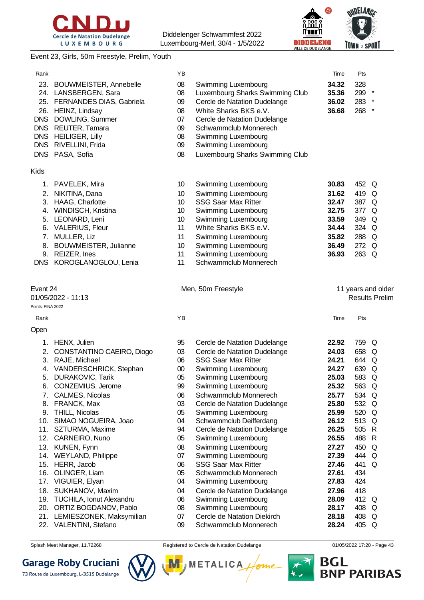



#### Event 23, Girls, 50m Freestyle, Prelim, Youth

| Rank        |                               | ΥB |                                 | Time  | Pts |          |
|-------------|-------------------------------|----|---------------------------------|-------|-----|----------|
| 23.         | <b>BOUWMEISTER, Annebelle</b> | 08 | Swimming Luxembourg             | 34.32 | 328 |          |
| 24.         | LANSBERGEN, Sara              | 08 | Luxembourg Sharks Swimming Club | 35.36 | 299 | *        |
|             |                               |    |                                 |       |     |          |
| 25.         | FERNANDES DIAS, Gabriela      | 09 | Cercle de Natation Dudelange    | 36.02 | 283 | *        |
| 26.         | HEINZ, Lindsay                | 08 | White Sharks BKS e.V.           | 36.68 | 268 | *        |
| <b>DNS</b>  | DOWLING, Summer               | 07 | Cercle de Natation Dudelange    |       |     |          |
| <b>DNS</b>  | REUTER, Tamara                | 09 | Schwammclub Monnerech           |       |     |          |
| <b>DNS</b>  | <b>HEILIGER, Lilly</b>        | 08 | Swimming Luxembourg             |       |     |          |
| <b>DNS</b>  | RIVELLINI, Frida              | 09 | Swimming Luxembourg             |       |     |          |
| <b>DNS</b>  | PASA, Sofia                   | 08 | Luxembourg Sharks Swimming Club |       |     |          |
| <b>Kids</b> |                               |    |                                 |       |     |          |
| 1.          | PAVELEK, Mira                 | 10 | Swimming Luxembourg             | 30.83 | 452 | Q        |
| 2.          | NIKITINA, Dana                | 10 | Swimming Luxembourg             | 31.62 | 419 | Q        |
| 3.          | HAAG, Charlotte               | 10 | <b>SSG Saar Max Ritter</b>      | 32.47 | 387 | Q        |
| 4.          | WINDISCH, Kristina            | 10 | Swimming Luxembourg             | 32.75 | 377 | Q        |
| 5.          | LEONARD, Leni                 | 10 | Swimming Luxembourg             | 33.59 | 349 | Q        |
| 6.          | <b>VALERIUS, Fleur</b>        | 11 | White Sharks BKS e.V.           | 34.44 | 324 | Q        |
| 7.          | MULLER, Liz                   | 11 | Swimming Luxembourg             | 35.82 | 288 | $\Omega$ |
| 8.          | BOUWMEISTER, Julianne         | 10 | Swimming Luxembourg             | 36.49 | 272 | Q        |
| 9.          | REIZER, Ines                  | 11 | Swimming Luxembourg             | 36.93 | 263 | Q        |

DNS KOROGLANOGLOU, Lenia 11 Schwammclub Monnerech

Event 24 **Event 24** Men, 50m Freestyle **11** years and older

01/05/2022 - 11:13 Results Prelim

| Points: FINA 2022 |                           |        |                              |       |       |          |
|-------------------|---------------------------|--------|------------------------------|-------|-------|----------|
| Rank              |                           | YB     |                              | Time  | Pts   |          |
| Open              |                           |        |                              |       |       |          |
| 1.                | HENX, Julien              | 95     | Cercle de Natation Dudelange | 22.92 | 759   | Q        |
| 2.                | CONSTANTINO CAEIRO, Diogo | 03     | Cercle de Natation Dudelange | 24.03 | 658   | Q        |
| 3.                | RAJE, Michael             | 06     | <b>SSG Saar Max Ritter</b>   | 24.21 | 644   | $\Omega$ |
| 4.                | VANDERSCHRICK, Stephan    | $00\,$ | Swimming Luxembourg          | 24.27 | 639   | $\Omega$ |
| 5.                | DURAKOVIC, Tarik          | 05     | Swimming Luxembourg          | 25.03 | 583   | $\Omega$ |
| 6.                | CONZEMIUS, Jerome         | 99     | Swimming Luxembourg          | 25.32 | 563 Q |          |
| 7.                | CALMES, Nicolas           | 06     | Schwammclub Monnerech        | 25.77 | 534   | $\Omega$ |
| 8.                | FRANCK, Max               | 03     | Cercle de Natation Dudelange | 25.80 | 532 Q |          |
| 9.                | THILL, Nicolas            | 05     | Swimming Luxembourg          | 25.99 | 520   | Q        |
| 10.               | SIMAO NOGUEIRA, Joao      | 04     | Schwammclub Deifferdang      | 26.12 | 513 Q |          |
| 11.               | SZTURMA, Maxime           | 94     | Cercle de Natation Dudelange | 26.25 | 505   | -R       |
| 12.               | CARNEIRO, Nuno            | 05     | Swimming Luxembourg          | 26.55 | 488   | R        |
| 13.               | KUNEN, Fynn               | 08     | Swimming Luxembourg          | 27.27 | 450   | $\Omega$ |
| 14.               | <b>WEYLAND, Philippe</b>  | 07     | Swimming Luxembourg          | 27.39 | 444   | $\Omega$ |
| 15.               | HERR, Jacob               | 06     | <b>SSG Saar Max Ritter</b>   | 27.46 | 441   | Q        |
| 16.               | OLINGER, Liam             | 05     | Schwammclub Monnerech        | 27.61 | 434   |          |
| 17.               | VIGUIER, Elyan            | 04     | Swimming Luxembourg          | 27.83 | 424   |          |
| 18.               | SUKHANOV, Maxim           | 04     | Cercle de Natation Dudelange | 27.96 | 418   |          |
| 19.               | TUCHILA, Ionut Alexandru  | 06     | Swimming Luxembourg          | 28.09 | 412   | Q        |
| 20.               | ORTIZ BOGDANOV, Pablo     | 08     | Swimming Luxembourg          | 28.17 | 408   | Q        |
| 21.               | LEMIESZONEK, Maksymilian  | 07     | Cercle de Natation Diekirch  | 28.18 | 408   | Q        |
| 22.               | VALENTINI, Stefano        | 09     | Schwammclub Monnerech        | 28.24 | 405   | Q        |

Splash Meet Manager, 11.72268 **Registered to Cercle de Natation Dudelange 11/05/2022 17:20 - Page 43** 



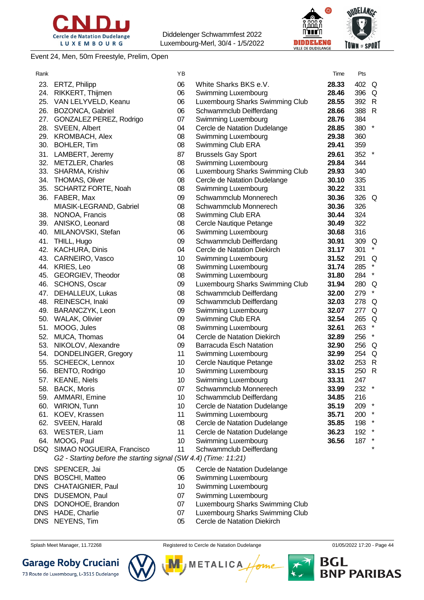



Event 24, Men, 50m Freestyle, Prelim, Open

| Rank       |                                                                 | YB |                                 | Time  | Pts   |         |
|------------|-----------------------------------------------------------------|----|---------------------------------|-------|-------|---------|
| 23.        | <b>ERTZ, Philipp</b>                                            | 06 | White Sharks BKS e.V.           | 28.33 | 402 Q |         |
| 24.        | RIKKERT, Thijmen                                                | 06 | Swimming Luxembourg             | 28.46 | 396 Q |         |
| 25.        | VAN LELYVELD, Keanu                                             | 06 | Luxembourg Sharks Swimming Club | 28.55 | 392 R |         |
| 26.        | BOZONCA, Gabriel                                                | 06 | Schwammclub Deifferdang         | 28.66 | 388 R |         |
| 27.        | GONZALEZ PEREZ, Rodrigo                                         | 07 | Swimming Luxembourg             | 28.76 | 384   |         |
| 28.        | SVEEN, Albert                                                   | 04 | Cercle de Natation Dudelange    | 28.85 | 380   | $\star$ |
| 29.        | KROMBACH, Alex                                                  | 08 | Swimming Luxembourg             | 29.38 | 360   |         |
| 30.        | <b>BOHLER, Tim</b>                                              | 08 | Swimming Club ERA               | 29.41 | 359   |         |
| 31.        | LAMBERT, Jeremy                                                 | 87 | <b>Brussels Gay Sport</b>       | 29.61 | 352   | $\star$ |
| 32.        | <b>METZLER, Charles</b>                                         | 08 | Swimming Luxembourg             | 29.84 | 344   |         |
| 33.        | SHARMA, Krishiv                                                 | 06 | Luxembourg Sharks Swimming Club | 29.93 | 340   |         |
| 34.        | <b>THOMAS, Oliver</b>                                           | 08 | Cercle de Natation Dudelange    | 30.10 | 335   |         |
| 35.        | SCHARTZ FORTE, Noah                                             | 08 | Swimming Luxembourg             | 30.22 | 331   |         |
| 36.        | FABER, Max                                                      | 09 | Schwammclub Monnerech           | 30.36 | 326 Q |         |
|            | MIASIK-LEGRAND, Gabriel                                         | 08 | Schwammclub Monnerech           | 30.36 | 326   |         |
|            | 38. NONOA, Francis                                              | 08 | Swimming Club ERA               | 30.44 | 324   |         |
|            | 39. ANISKO, Leonard                                             | 08 | Cercle Nautique Petange         | 30.49 | 322   |         |
| 40.        | MILANOVSKI, Stefan                                              | 06 | Swimming Luxembourg             | 30.68 | 316   |         |
| 41.        | THILL, Hugo                                                     | 09 | Schwammclub Deifferdang         | 30.91 | 309 Q |         |
|            | 42. KACHURA, Dinis                                              | 04 | Cercle de Natation Diekirch     | 31.17 | 301   | $\star$ |
|            | 43. CARNEIRO, Vasco                                             | 10 | Swimming Luxembourg             | 31.52 | 291   | Q       |
|            | 44. KRIES, Leo                                                  | 08 | Swimming Luxembourg             | 31.74 | 285   |         |
|            | 45. GEORGIEV, Theodor                                           | 08 | Swimming Luxembourg             | 31.80 | 284   | $\star$ |
|            | 46. SCHONS, Oscar                                               | 09 | Luxembourg Sharks Swimming Club | 31.94 | 280 Q |         |
|            | 47. DEHALLEUX, Lukas                                            | 08 | Schwammclub Deifferdang         | 32.00 | 279   | $\star$ |
|            | 48. REINESCH, Inaki                                             | 09 | Schwammclub Deifferdang         | 32.03 | 278 Q |         |
| 49.        | BARANCZYK, Leon                                                 | 09 | Swimming Luxembourg             | 32.07 | 277 Q |         |
| 50.        | <b>WALAK, Olivier</b>                                           | 09 | Swimming Club ERA               | 32.54 | 265 Q |         |
| 51.        | MOOG, Jules                                                     | 08 | Swimming Luxembourg             | 32.61 | 263   | $\star$ |
| 52.        | MUCA, Thomas                                                    | 04 | Cercle de Natation Diekirch     | 32.89 | 256   | $\star$ |
| 53.        | NIKOLOV, Alexandre                                              | 09 | <b>Barracuda Esch Natation</b>  | 32.90 | 256 Q |         |
| 54.        | DONDELINGER, Gregory                                            | 11 | Swimming Luxembourg             | 32.99 | 254 Q |         |
| 55.        | <b>SCHEECK, Lennox</b>                                          | 10 | Cercle Nautique Petange         | 33.02 | 253 R |         |
| 56.        | BENTO, Rodrigo                                                  | 10 | Swimming Luxembourg             | 33.15 | 250 R |         |
| 57.        | <b>KEANE, Niels</b>                                             | 10 | Swimming Luxembourg             | 33.31 | 247   |         |
|            | 58. BACK, Moris                                                 | 07 | Schwammclub Monnerech           | 33.99 | 232   |         |
| 59.        | AMMARI, Emine                                                   | 10 | Schwammclub Deifferdang         | 34.85 | 216   |         |
| 60.        | <b>WIRION, Tunn</b>                                             | 10 | Cercle de Natation Dudelange    | 35.19 | 209 * |         |
| 61.        | KOEV, Krassen                                                   | 11 | Swimming Luxembourg             | 35.71 | 200   |         |
| 62.        | SVEEN, Harald                                                   | 08 | Cercle de Natation Dudelange    | 35.85 | 198   |         |
| 63.        | WESTER, Liam                                                    | 11 | Cercle de Natation Dudelange    | 36.23 | 192 * |         |
| 64.        | MOOG, Paul                                                      | 10 | Swimming Luxembourg             | 36.56 | 187   |         |
|            | DSQ SIMAO NOGUEIRA, Francisco                                   | 11 | Schwammclub Deifferdang         |       |       |         |
|            | G2 - Starting before the starting signal (SW 4.4) (Time: 11:21) |    |                                 |       |       |         |
| <b>DNS</b> | SPENCER, Jai                                                    | 05 | Cercle de Natation Dudelange    |       |       |         |
| <b>DNS</b> | <b>BOSCHI, Matteo</b>                                           | 06 | Swimming Luxembourg             |       |       |         |
| <b>DNS</b> | CHATAIGNIER, Paul                                               | 10 | Swimming Luxembourg             |       |       |         |
| <b>DNS</b> | DUSEMON, Paul                                                   | 07 | Swimming Luxembourg             |       |       |         |
| <b>DNS</b> | DONOHOE, Brandon                                                | 07 | Luxembourg Sharks Swimming Club |       |       |         |
| <b>DNS</b> | HADE, Charlie                                                   | 07 | Luxembourg Sharks Swimming Club |       |       |         |
|            | DNS NEYENS, Tim                                                 | 05 | Cercle de Natation Diekirch     |       |       |         |

- 
- 

Splash Meet Manager, 11.72268 **Registered to Cercle de Natation Dudelange 11/05/2022 17:20 - Page 44** 

**METALICA** 



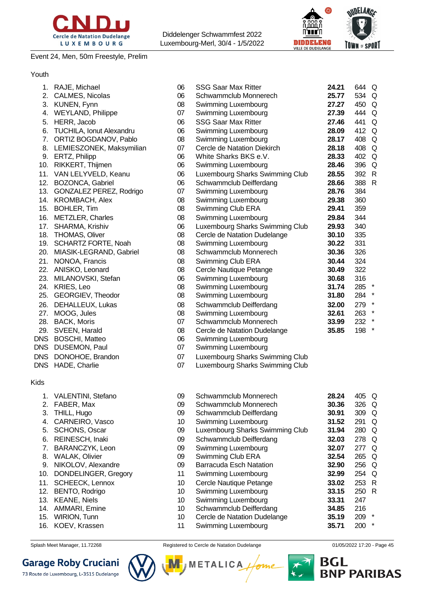

Event 24, Men, 50m Freestyle, Prelim

Diddelenger Schwammfest 2022 Luxembourg-Merl, 30/4 - 1/5/2022



Youth

| 1.         | RAJE, Michael              | 06 | <b>SSG Saar Max Ritter</b>      | 24.21 | 644 Q |         |
|------------|----------------------------|----|---------------------------------|-------|-------|---------|
| 2.         | CALMES, Nicolas            | 06 | Schwammclub Monnerech           | 25.77 | 534 Q |         |
| 3.         | KUNEN, Fynn                | 08 | Swimming Luxembourg             | 27.27 | 450 Q |         |
| 4.         | <b>WEYLAND, Philippe</b>   | 07 | Swimming Luxembourg             | 27.39 | 444   | Q       |
| 5.         | HERR, Jacob                | 06 | <b>SSG Saar Max Ritter</b>      | 27.46 | 441   | Q       |
| 6.         | TUCHILA, Ionut Alexandru   | 06 | Swimming Luxembourg             | 28.09 | 412 Q |         |
| 7.         | ORTIZ BOGDANOV, Pablo      | 08 | Swimming Luxembourg             | 28.17 | 408   | Q       |
| 8.         | LEMIESZONEK, Maksymilian   | 07 | Cercle de Natation Diekirch     | 28.18 | 408   | Q       |
| 9.         | ERTZ, Philipp              | 06 | White Sharks BKS e.V.           | 28.33 | 402 Q |         |
| 10.        | RIKKERT, Thijmen           | 06 | Swimming Luxembourg             | 28.46 | 396 Q |         |
| 11.        | VAN LELYVELD, Keanu        | 06 | Luxembourg Sharks Swimming Club | 28.55 | 392   | -R      |
| 12.        | BOZONCA, Gabriel           | 06 | Schwammclub Deifferdang         | 28.66 | 388 R |         |
| 13.        | GONZALEZ PEREZ, Rodrigo    | 07 | Swimming Luxembourg             | 28.76 | 384   |         |
| 14.        | <b>KROMBACH, Alex</b>      | 08 | Swimming Luxembourg             | 29.38 | 360   |         |
| 15.        | <b>BOHLER, Tim</b>         | 08 | Swimming Club ERA               | 29.41 | 359   |         |
| 16.        | <b>METZLER, Charles</b>    | 08 | Swimming Luxembourg             | 29.84 | 344   |         |
| 17.        | SHARMA, Krishiv            | 06 | Luxembourg Sharks Swimming Club | 29.93 | 340   |         |
| 18.        | <b>THOMAS, Oliver</b>      | 08 | Cercle de Natation Dudelange    | 30.10 | 335   |         |
| 19.        | <b>SCHARTZ FORTE, Noah</b> | 08 | Swimming Luxembourg             | 30.22 | 331   |         |
| 20.        | MIASIK-LEGRAND, Gabriel    | 08 | Schwammclub Monnerech           | 30.36 | 326   |         |
| 21.        | NONOA, Francis             | 08 | Swimming Club ERA               | 30.44 | 324   |         |
| 22.        | ANISKO, Leonard            | 08 | Cercle Nautique Petange         | 30.49 | 322   |         |
| 23.        | MILANOVSKI, Stefan         | 06 | Swimming Luxembourg             | 30.68 | 316   |         |
| 24.        | KRIES, Leo                 | 08 | Swimming Luxembourg             | 31.74 | 285   |         |
| 25.        | GEORGIEV, Theodor          | 08 | Swimming Luxembourg             | 31.80 | 284   | $\star$ |
| 26.        | DEHALLEUX, Lukas           | 08 | Schwammclub Deifferdang         | 32.00 | 279   | $\star$ |
| 27.        | MOOG, Jules                | 08 | Swimming Luxembourg             | 32.61 | 263   | $\star$ |
| 28.        | <b>BACK, Moris</b>         | 07 | Schwammclub Monnerech           | 33.99 | 232   |         |
| 29.        | SVEEN, Harald              | 08 | Cercle de Natation Dudelange    | 35.85 | 198   | $\star$ |
| <b>DNS</b> | <b>BOSCHI, Matteo</b>      | 06 | Swimming Luxembourg             |       |       |         |
| <b>DNS</b> | DUSEMON, Paul              | 07 | Swimming Luxembourg             |       |       |         |
| <b>DNS</b> | DONOHOE, Brandon           | 07 | Luxembourg Sharks Swimming Club |       |       |         |
| <b>DNS</b> | HADE, Charlie              | 07 | Luxembourg Sharks Swimming Club |       |       |         |

Kids

| 09 | Schwammclub Monnerech           | 28.24 | 405 | Q       |
|----|---------------------------------|-------|-----|---------|
| 09 | Schwammclub Monnerech           | 30.36 | 326 | Q       |
| 09 | Schwammclub Deifferdang         | 30.91 | 309 | Q       |
| 10 | Swimming Luxembourg             | 31.52 | 291 | Q       |
| 09 | Luxembourg Sharks Swimming Club | 31.94 | 280 | Q       |
| 09 | Schwammclub Deifferdang         | 32.03 | 278 | Q       |
| 09 | Swimming Luxembourg             | 32.07 | 277 | Q       |
| 09 | Swimming Club ERA               | 32.54 | 265 | Q       |
| 09 | Barracuda Esch Natation         | 32.90 | 256 | Q       |
| 11 | Swimming Luxembourg             | 32.99 | 254 | Q       |
| 10 | Cercle Nautique Petange         | 33.02 | 253 | R       |
| 10 | Swimming Luxembourg             | 33.15 | 250 | R       |
| 10 | Swimming Luxembourg             | 33.31 | 247 |         |
| 10 | Schwammclub Deifferdang         | 34.85 | 216 |         |
| 10 | Cercle de Natation Dudelange    | 35.19 | 209 | $\star$ |
| 11 | Swimming Luxembourg             | 35.71 | 200 | $\star$ |

**Garage Roby Cruciani** 

1. VALENTINI, Stefano 2. FABER, Max 3. THILL, Hugo 4. CARNEIRO, Vasco 5. SCHONS, Oscar 6. REINESCH, Inaki 7. BARANCZYK, Leon 8. WALAK, Olivier 9. NIKOLOV, Alexandre 10. DONDELINGER, Gregory 11. SCHEECK, Lennox 12. BENTO, Rodrigo 13. KEANE, Niels 14. AMMARI, Emine 15. WIRION, Tunn 16. KOEV, Krassen



Splash Meet Manager, 11.72268 Registered to Cercle de Natation Dudelange **12.20 August 2019** 17:20 - Page 45

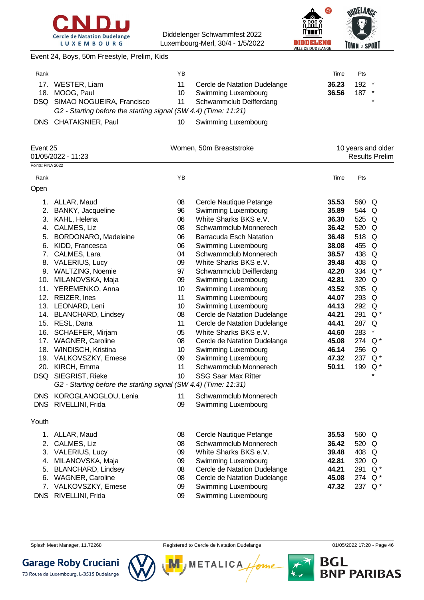



Event 24, Boys, 50m Freestyle, Prelim, Kids

|                               | ΥB |                              | Time                                                                                       | <b>Pts</b> |                                          |
|-------------------------------|----|------------------------------|--------------------------------------------------------------------------------------------|------------|------------------------------------------|
| WESTER, Liam                  | 11 | Cercle de Natation Dudelange | 36.23                                                                                      |            |                                          |
| MOOG, Paul                    | 10 | Swimming Luxembourg          | 36.56                                                                                      |            |                                          |
| DSQ SIMAO NOGUEIRA, Francisco | 11 | Schwammclub Deifferdang      |                                                                                            |            | $\star$                                  |
|                               |    |                              |                                                                                            |            |                                          |
| DNS CHATAIGNIER, Paul         | 10 | Swimming Luxembourg          |                                                                                            |            |                                          |
| Event 25                      |    |                              |                                                                                            |            |                                          |
|                               |    |                              | G2 - Starting before the starting signal (SW 4.4) (Time: 11:21)<br>Women, 50m Breaststroke |            | $192$ *<br>$187$ *<br>10 years and older |

01/05/2022 - 11:23 Results Prelim Points: FINA 2022

| Rank  |                                                                 | ΥB |                                | Time  | Pts   |         |
|-------|-----------------------------------------------------------------|----|--------------------------------|-------|-------|---------|
| Open  |                                                                 |    |                                |       |       |         |
| 1.    | ALLAR, Maud                                                     | 08 | Cercle Nautique Petange        | 35.53 | 560 Q |         |
| 2.    | BANKY, Jacqueline                                               | 96 | Swimming Luxembourg            | 35.89 | 544   | Q       |
|       | 3. KAHL, Helena                                                 | 06 | White Sharks BKS e.V.          | 36.30 | 525   | Q       |
| 4.    | CALMES, Liz                                                     | 08 | Schwammclub Monnerech          | 36.42 | 520   | Q       |
| 5.    | BORDONARO, Madeleine                                            | 06 | <b>Barracuda Esch Natation</b> | 36.48 | 518   | Q       |
| 6.    | KIDD, Francesca                                                 | 06 | Swimming Luxembourg            | 38.08 | 455   | Q       |
| 7.    | CALMES, Lara                                                    | 04 | Schwammclub Monnerech          | 38.57 | 438   | Q       |
|       | 8. VALERIUS, Lucy                                               | 09 | White Sharks BKS e.V.          | 39.48 | 408   | Q       |
|       | 9. WALTZING, Noemie                                             | 97 | Schwammclub Deifferdang        | 42.20 | 334   | $Q^*$   |
|       | 10. MILANOVSKA, Maja                                            | 09 | Swimming Luxembourg            | 42.81 | 320   | Q       |
| 11.   | YEREMENKO, Anna                                                 | 10 | Swimming Luxembourg            | 43.52 | 305   | Q       |
|       | 12. REIZER, Ines                                                | 11 | Swimming Luxembourg            | 44.07 | 293   | Q       |
|       | 13. LEONARD, Leni                                               | 10 | Swimming Luxembourg            | 44.13 | 292   | Q       |
|       | 14. BLANCHARD, Lindsey                                          | 08 | Cercle de Natation Dudelange   | 44.21 | 291   | $Q^*$   |
|       | 15. RESL, Dana                                                  | 11 | Cercle de Natation Dudelange   | 44.41 | 287   | Q       |
| 16.   | SCHAEFER, Mirjam                                                | 05 | White Sharks BKS e.V.          | 44.60 | 283   | $\star$ |
|       | 17. WAGNER, Caroline                                            | 08 | Cercle de Natation Dudelange   | 45.08 | 274   | $Q^*$   |
|       | 18. WINDISCH, Kristina                                          | 10 | Swimming Luxembourg            | 46.14 | 256   | Q       |
|       | 19. VALKOVSZKY, Emese                                           | 09 | Swimming Luxembourg            | 47.32 | 237   | $Q^*$   |
|       | 20. KIRCH, Emma                                                 | 11 | Schwammclub Monnerech          | 50.11 | 199   | $Q^*$   |
|       | DSQ SIEGRIST, Rieke                                             | 10 | <b>SSG Saar Max Ritter</b>     |       |       | $\star$ |
|       | G2 - Starting before the starting signal (SW 4.4) (Time: 11:31) |    |                                |       |       |         |
|       | DNS KOROGLANOGLOU, Lenia                                        | 11 | Schwammclub Monnerech          |       |       |         |
|       | DNS RIVELLINI, Frida                                            | 09 | Swimming Luxembourg            |       |       |         |
| Youth |                                                                 |    |                                |       |       |         |
|       | 1. ALLAR, Maud                                                  | 08 | Cercle Nautique Petange        | 35.53 | 560 Q |         |
|       | 2. CALMES, Liz                                                  | 08 | Schwammclub Monnerech          | 36.42 | 520   | Q       |
|       | 3. VALERIUS, Lucy                                               | 09 | White Sharks BKS e.V.          | 39.48 | 408   | Q       |
|       | 4. MILANOVSKA, Maja                                             | 09 | Swimming Luxembourg            | 42.81 | 320   | Q       |
|       | 5. BLANCHARD, Lindsey                                           | 08 | Cercle de Natation Dudelange   | 44.21 | 291   | $Q^*$   |
| 6.    | <b>WAGNER, Caroline</b>                                         | 08 | Cercle de Natation Dudelange   | 45.08 | 274   | $Q^*$   |
| 7.    | VALKOVSZKY, Emese                                               | 09 | Swimming Luxembourg            | 47.32 | 237   | $Q^*$   |

DNS RIVELLINI, Frida 09 Swimming Luxembourg

Splash Meet Manager, 11.72268 **Registered to Cercle de Natation Dudelange 11/05/2022 17:20 - Page 46** Splash Meet Manager, 11.72268



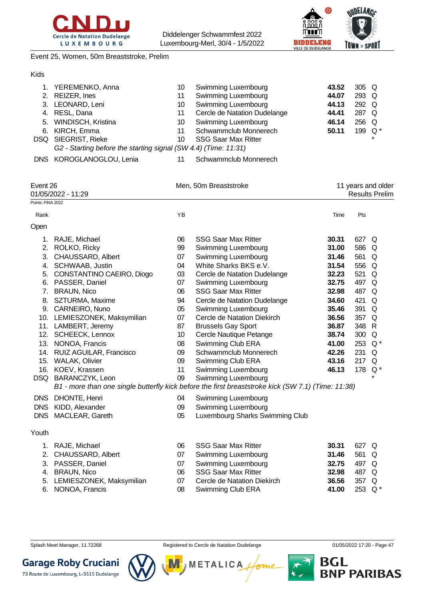



Event 25, Women, 50m Breaststroke, Prelim

| Kids |                                                                 |    |                              |       |         |         |
|------|-----------------------------------------------------------------|----|------------------------------|-------|---------|---------|
|      | 1. YEREMENKO, Anna                                              | 10 | Swimming Luxembourg          | 43.52 | $305$ Q |         |
|      | 2. REIZER, Ines                                                 | 11 | <b>Swimming Luxembourg</b>   | 44.07 | 293 Q   |         |
|      | 3. LEONARD, Leni                                                | 10 | <b>Swimming Luxembourg</b>   | 44.13 | 292 Q   |         |
|      | 4. RESL, Dana                                                   | 11 | Cercle de Natation Dudelange | 44.41 | 287 Q   |         |
|      | 5. WINDISCH, Kristina                                           | 10 | <b>Swimming Luxembourg</b>   | 46.14 | 256     | - Q     |
| 6.   | KIRCH, Emma                                                     | 11 | Schwammclub Monnerech        | 50.11 | 199     | . Q     |
|      | DSQ SIEGRIST, Rieke                                             | 10 | <b>SSG Saar Max Ritter</b>   |       |         | $\star$ |
|      | G2 - Starting before the starting signal (SW 4.4) (Time: 11:31) |    |                              |       |         |         |
|      |                                                                 |    |                              |       |         |         |

DNS KOROGLANOGLOU, Lenia 11 Schwammclub Monnerech

|            | Event 26<br>01/05/2022 - 11:29<br>Points: FINA 2022 |    | Men, 50m Breaststroke                                                                              |       | 11 years and older<br><b>Results Prelim</b> |              |
|------------|-----------------------------------------------------|----|----------------------------------------------------------------------------------------------------|-------|---------------------------------------------|--------------|
|            |                                                     |    |                                                                                                    |       |                                             |              |
| Rank       |                                                     | YB |                                                                                                    | Time  | Pts                                         |              |
| Open       |                                                     |    |                                                                                                    |       |                                             |              |
| 1.         | RAJE, Michael                                       | 06 | <b>SSG Saar Max Ritter</b>                                                                         | 30.31 | 627                                         | Q            |
| 2.         | ROLKO, Ricky                                        | 99 | Swimming Luxembourg                                                                                | 31.00 | 586                                         | Q            |
| 3.         | CHAUSSARD, Albert                                   | 07 | Swimming Luxembourg                                                                                | 31.46 | 561                                         | Q            |
| 4.         | SCHWAAB, Justin                                     | 04 | White Sharks BKS e.V.                                                                              | 31.54 | 556                                         | Q            |
| 5.         | CONSTANTINO CAEIRO, Diogo                           | 03 | Cercle de Natation Dudelange                                                                       | 32.23 | 521                                         | Q            |
| 6.         | PASSER, Daniel                                      | 07 | Swimming Luxembourg                                                                                | 32.75 | 497                                         | Q            |
| 7.         | <b>BRAUN, Nico</b>                                  | 06 | <b>SSG Saar Max Ritter</b>                                                                         | 32.98 | 487                                         | Q            |
| 8.         | SZTURMA, Maxime                                     | 94 | Cercle de Natation Dudelange                                                                       | 34.60 | 421                                         | $\Omega$     |
|            | 9. CARNEIRO, Nuno                                   | 05 | Swimming Luxembourg                                                                                | 35.46 | 391                                         | Q            |
|            | 10. LEMIESZONEK, Maksymilian                        | 07 | Cercle de Natation Diekirch                                                                        | 36.56 | 357                                         | Q            |
|            | 11. LAMBERT, Jeremy                                 | 87 | <b>Brussels Gay Sport</b>                                                                          | 36.87 | 348                                         | $\mathsf{R}$ |
|            | 12. SCHEECK, Lennox                                 | 10 | Cercle Nautique Petange                                                                            | 38.74 | 300                                         | Q            |
| 13.        | NONOA, Francis                                      | 08 | Swimming Club ERA                                                                                  | 41.00 | 253                                         | $Q^*$        |
| 14.        | RUIZ AGUILAR, Francisco                             | 09 | Schwammclub Monnerech                                                                              | 42.26 | 231                                         | Q            |
|            | 15. WALAK, Olivier                                  | 09 | Swimming Club ERA                                                                                  | 43.16 | 217                                         | Q            |
|            | 16. KOEV, Krassen                                   | 11 | Swimming Luxembourg                                                                                | 46.13 | 178                                         | $Q^*$        |
|            | DSQ BARANCZYK, Leon                                 | 09 | Swimming Luxembourg                                                                                |       |                                             | $\star$      |
|            |                                                     |    | B1 - more than one single butterfly kick before the first breaststroke kick (SW 7.1) (Time: 11:38) |       |                                             |              |
|            |                                                     |    |                                                                                                    |       |                                             |              |
| <b>DNS</b> | DHONTE, Henri                                       | 04 | <b>Swimming Luxembourg</b>                                                                         |       |                                             |              |
| <b>DNS</b> | KIDD, Alexander                                     | 09 | Swimming Luxembourg                                                                                |       |                                             |              |
| <b>DNS</b> | MACLEAR, Gareth                                     | 05 | Luxembourg Sharks Swimming Club                                                                    |       |                                             |              |
| Youth      |                                                     |    |                                                                                                    |       |                                             |              |
| 1.         | RAJE, Michael                                       | 06 | <b>SSG Saar Max Ritter</b>                                                                         | 30.31 | 627                                         | Q            |
| 2.         | CHAUSSARD, Albert                                   | 07 | Swimming Luxembourg                                                                                | 31.46 | 561                                         | Q            |
| 3.         | PASSER, Daniel                                      | 07 | Swimming Luxembourg                                                                                | 32.75 | 497                                         | Q            |
| 4.         | <b>BRAUN, Nico</b>                                  | 06 | <b>SSG Saar Max Ritter</b>                                                                         | 32.98 | 487                                         | Q            |
| 5.         | LEMIESZONEK, Maksymilian                            | 07 | Cercle de Natation Diekirch                                                                        | 36.56 | 357                                         | Q            |
| 6.         | NONOA, Francis                                      | 08 | Swimming Club ERA                                                                                  | 41.00 | 253                                         | $Q^*$        |

- 
- Splash Meet Manager, 11.72268 **Registered to Cercle de Natation Dudelange 11/05/2022 17:20 Page 47**



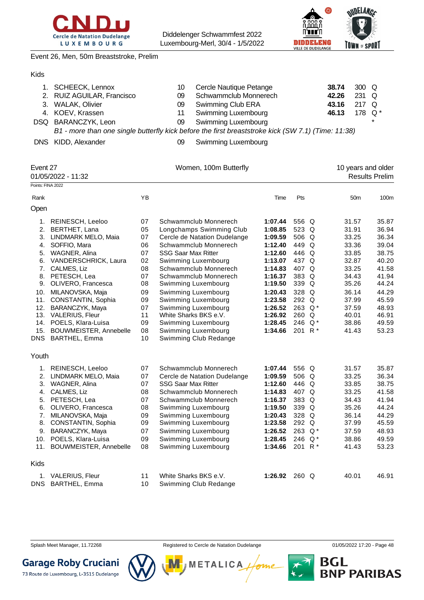



Event 26, Men, 50m Breaststroke, Prelim

#### Kids

| 1. SCHEECK, Lennox         | 10. | Cercle Nautique Petange                                                                            | 38.74 | $300\quad\Omega$ |         |
|----------------------------|-----|----------------------------------------------------------------------------------------------------|-------|------------------|---------|
| 2. RUIZ AGUILAR, Francisco | 09  | Schwammclub Monnerech                                                                              | 42.26 | $231$ Q          |         |
| 3. WALAK, Olivier          | 09  | Swimming Club ERA                                                                                  | 43.16 | 217 $\Omega$     |         |
| 4. KOEV, Krassen           | 11  | Swimming Luxembourg                                                                                | 46.13 | 178 $Q^*$        |         |
| DSQ BARANCZYK, Leon        | 09  | Swimming Luxembourg                                                                                |       |                  | $\star$ |
|                            |     | B1 - more than one single butterfly kick before the first breaststroke kick (SW 7.1) (Time: 11:38) |       |                  |         |

DNS KIDD, Alexander 09 Swimming Luxembourg

| Event 27          | 01/05/2022 - 11:32     |    | Women, 100m Butterfly        |         |                    |       | 10 years and older | <b>Results Prelim</b> |
|-------------------|------------------------|----|------------------------------|---------|--------------------|-------|--------------------|-----------------------|
| Points: FINA 2022 |                        |    |                              |         |                    |       |                    |                       |
| Rank              |                        | YB |                              | Time    | Pts                |       | 50 <sub>m</sub>    | 100m                  |
| Open              |                        |    |                              |         |                    |       |                    |                       |
|                   | 1. REINESCH, Leeloo    | 07 | Schwammclub Monnerech        | 1:07.44 | 556 Q              |       | 31.57              | 35.87                 |
| 2.                | <b>BERTHET, Lana</b>   | 05 | Longchamps Swimming Club     | 1:08.85 | 523 Q              |       | 31.91              | 36.94                 |
| 3.                | LINDMARK MELO, Maia    | 07 | Cercle de Natation Dudelange | 1:09.59 | 506 Q              |       | 33.25              | 36.34                 |
| 4.                | SOFFIO, Mara           | 06 | Schwammclub Monnerech        | 1:12.40 | 449 Q              |       | 33.36              | 39.04                 |
| 5.                | WAGNER, Alina          | 07 | <b>SSG Saar Max Ritter</b>   | 1:12.60 | 446 Q              |       | 33.85              | 38.75                 |
| 6.                | VANDERSCHRICK, Laura   | 02 | Swimming Luxembourg          | 1:13.07 | 437 Q              |       | 32.87              | 40.20                 |
| 7.                | CALMES, Liz            | 08 | Schwammclub Monnerech        | 1:14.83 | 407 Q              |       | 33.25              | 41.58                 |
| 8.                | PETESCH, Lea           | 07 | Schwammclub Monnerech        | 1:16.37 | 383 Q              |       | 34.43              | 41.94                 |
| 9.                | OLIVERO, Francesca     | 08 | Swimming Luxembourg          | 1:19.50 | 339 Q              |       | 35.26              | 44.24                 |
| 10.               | MILANOVSKA, Maja       | 09 | Swimming Luxembourg          | 1:20.43 | 328 Q              |       | 36.14              | 44.29                 |
| 11.               | CONSTANTIN, Sophia     | 09 | Swimming Luxembourg          | 1:23.58 | 292 Q              |       | 37.99              | 45.59                 |
| 12.               | BARANCZYK, Maya        | 07 | Swimming Luxembourg          | 1:26.52 | 263                | $Q^*$ | 37.59              | 48.93                 |
| 13.               | VALERIUS, Fleur        | 11 | White Sharks BKS e.V.        | 1:26.92 | 260                | Q     | 40.01              | 46.91                 |
|                   | 14. POELS, Klara-Luisa | 09 | Swimming Luxembourg          | 1:28.45 | 246                | $Q^*$ | 38.86              | 49.59                 |
| 15.               | BOUWMEISTER, Annebelle | 08 | Swimming Luxembourg          | 1:34.66 | 201                | $R^*$ | 41.43              | 53.23                 |
| <b>DNS</b>        | BARTHEL, Emma          | 10 | Swimming Club Redange        |         |                    |       |                    |                       |
| Youth             |                        |    |                              |         |                    |       |                    |                       |
|                   | 1. REINESCH, Leeloo    | 07 | Schwammclub Monnerech        | 1:07.44 | 556 Q              |       | 31.57              | 35.87                 |
| 2.                | LINDMARK MELO, Maia    | 07 | Cercle de Natation Dudelange | 1:09.59 | 506 Q              |       | 33.25              | 36.34                 |
| 3.                | WAGNER, Alina          | 07 | <b>SSG Saar Max Ritter</b>   | 1:12.60 | 446 Q              |       | 33.85              | 38.75                 |
| 4.                | CALMES, Liz            | 08 | Schwammclub Monnerech        | 1:14.83 | 407 Q              |       | 33.25              | 41.58                 |
| 5.                | PETESCH, Lea           | 07 | Schwammclub Monnerech        | 1:16.37 | 383 Q              |       | 34.43              | 41.94                 |
| 6.                | OLIVERO, Francesca     | 08 | Swimming Luxembourg          | 1:19.50 | 339 Q              |       | 35.26              | 44.24                 |
| 7.                | MILANOVSKA, Maja       | 09 | Swimming Luxembourg          | 1:20.43 | 328 Q              |       | 36.14              | 44.29                 |
| 8.                | CONSTANTIN, Sophia     | 09 | Swimming Luxembourg          | 1:23.58 | 292 Q              |       | 37.99              | 45.59                 |
| 9.                | BARANCZYK, Maya        | 07 | Swimming Luxembourg          | 1:26.52 | 263                | $Q^*$ | 37.59              | 48.93                 |
| 10.               | POELS, Klara-Luisa     | 09 | Swimming Luxembourg          | 1:28.45 | 246                | $Q^*$ | 38.86              | 49.59                 |
| 11.               | BOUWMEISTER, Annebelle | 08 | Swimming Luxembourg          | 1:34.66 | 201 R <sup>*</sup> |       | 41.43              | 53.23                 |
| Kids              |                        |    |                              |         |                    |       |                    |                       |
| 1.                | VALERIUS, Fleur        | 11 | White Sharks BKS e.V.        | 1:26.92 | 260 Q              |       | 40.01              | 46.91                 |
| <b>DNS</b>        | BARTHEL, Emma          | 10 | Swimming Club Redange        |         |                    |       |                    |                       |

Splash Meet Manager, 11.72268 **Registered to Cercle de Natation Dudelange 11/05/2022 17:20 - Page 48** 

**BGL<br>BNP PARIBAS** 



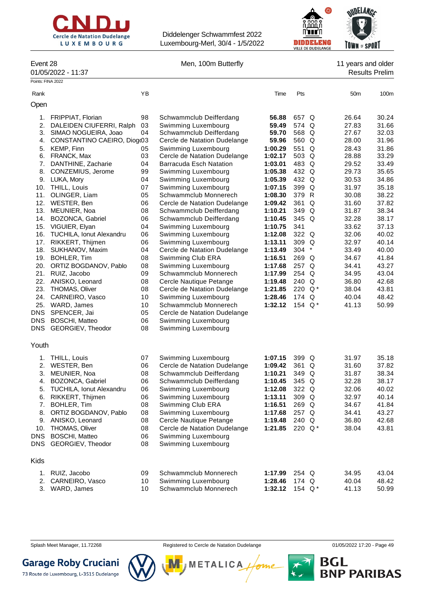



Event 28 **Event 28** Men, 100m Butterfly **11** years and older 01/05/2022 - 11:37 Results Prelim

| Points: FINA 2022 |                                 |    |                                |         |        |          |       |       |
|-------------------|---------------------------------|----|--------------------------------|---------|--------|----------|-------|-------|
| Rank              |                                 | ΥB |                                | Time    | Pts    |          | 50m   | 100m  |
| Open              |                                 |    |                                |         |        |          |       |       |
| 1.                | <b>FRIPPIAT, Florian</b>        | 98 | Schwammclub Deifferdang        | 56.88   | 657 Q  |          | 26.64 | 30.24 |
| 2.                | DALEIDEN CIUFERRI, Ralph        | 03 | Swimming Luxembourg            | 59.49   | 574 Q  |          | 27.83 | 31.66 |
| 3.                | SIMAO NOGUEIRA, Joao            | 04 | Schwammclub Deifferdang        | 59.70   | 568 Q  |          | 27.67 | 32.03 |
| 4.                | CONSTANTINO CAEIRO, Diogo3      |    | Cercle de Natation Dudelange   | 59.96   | 560 Q  |          | 28.00 | 31.96 |
| 5.                | KEMP, Finn                      | 05 | Swimming Luxembourg            | 1:00.29 | 551 Q  |          | 28.43 | 31.86 |
| 6.                | FRANCK, Max                     | 03 | Cercle de Natation Dudelange   | 1:02.17 | 503 Q  |          | 28.88 | 33.29 |
| 7.                | DANTHINE, Zacharie              | 04 | <b>Barracuda Esch Natation</b> | 1:03.01 | 483 Q  |          | 29.52 | 33.49 |
| 8.                | CONZEMIUS, Jerome               | 99 | Swimming Luxembourg            | 1:05.38 | 432 Q  |          | 29.73 | 35.65 |
| 9.                | LUKA, Mory                      | 04 | Swimming Luxembourg            | 1:05.39 | 432 Q  |          | 30.53 | 34.86 |
| 10.               | THILL, Louis                    | 07 | Swimming Luxembourg            | 1:07.15 | 399 Q  |          | 31.97 | 35.18 |
| 11.               | OLINGER, Liam                   | 05 | Schwammclub Monnerech          | 1:08.30 | 379 R  |          | 30.08 | 38.22 |
| 12.               | WESTER, Ben                     | 06 | Cercle de Natation Dudelange   | 1:09.42 | 361    | Q        | 31.60 | 37.82 |
| 13.               | MEUNIER, Noa                    | 08 | Schwammclub Deifferdang        | 1:10.21 | 349 Q  |          | 31.87 | 38.34 |
| 14.               | BOZONCA, Gabriel                | 06 | Schwammclub Deifferdang        | 1:10.45 | 345 Q  |          | 32.28 | 38.17 |
| 15.               | VIGUIER, Elyan                  | 04 | Swimming Luxembourg            | 1:10.75 | 341    |          | 33.62 | 37.13 |
| 16.               | <b>TUCHILA, Ionut Alexandru</b> | 06 | Swimming Luxembourg            | 1:12.08 | 322 Q  |          | 32.06 | 40.02 |
| 17.               | RIKKERT, Thijmen                | 06 | Swimming Luxembourg            | 1:13.11 | 309 Q  |          | 32.97 | 40.14 |
| 18.               | SUKHANOV, Maxim                 | 04 | Cercle de Natation Dudelange   | 1:13.49 | 304    | $^\star$ | 33.49 | 40.00 |
| 19.               | BOHLER, Tim                     | 08 | Swimming Club ERA              | 1:16.51 | 269 Q  |          | 34.67 | 41.84 |
| 20.               | ORTIZ BOGDANOV, Pablo           | 08 | Swimming Luxembourg            | 1:17.68 | 257 Q  |          | 34.41 | 43.27 |
| 21.               | RUIZ, Jacobo                    | 09 | Schwammclub Monnerech          | 1:17.99 | 254 Q  |          | 34.95 | 43.04 |
| 22.               | ANISKO, Leonard                 | 08 | Cercle Nautique Petange        | 1:19.48 | 240 Q  |          | 36.80 | 42.68 |
| 23.               | <b>THOMAS, Oliver</b>           | 08 | Cercle de Natation Dudelange   | 1:21.85 | 220 Q* |          | 38.04 | 43.81 |
| 24.               | CARNEIRO, Vasco                 | 10 | Swimming Luxembourg            | 1:28.46 | 174    | Q        | 40.04 | 48.42 |
| 25.               | WARD, James                     | 10 | Schwammclub Monnerech          | 1:32.12 | 154    | $Q^*$    | 41.13 | 50.99 |
| <b>DNS</b>        | SPENCER, Jai                    | 05 | Cercle de Natation Dudelange   |         |        |          |       |       |
| DNS               | <b>BOSCHI, Matteo</b>           | 06 | Swimming Luxembourg            |         |        |          |       |       |
| DNS               | GEORGIEV, Theodor               | 08 | Swimming Luxembourg            |         |        |          |       |       |
| Youth             |                                 |    |                                |         |        |          |       |       |
| 1.                | THILL, Louis                    | 07 | Swimming Luxembourg            | 1:07.15 | 399 Q  |          | 31.97 | 35.18 |
| 2.                | WESTER, Ben                     | 06 | Cercle de Natation Dudelange   | 1:09.42 | 361 Q  |          | 31.60 | 37.82 |
| 3.                | MEUNIER, Noa                    | 08 | Schwammclub Deifferdang        | 1:10.21 | 349 Q  |          | 31.87 | 38.34 |
| 4.                | BOZONCA, Gabriel                | 06 | Schwammclub Deifferdang        | 1:10.45 | 345 Q  |          | 32.28 | 38.17 |
| 5.                | <b>TUCHILA, Ionut Alexandru</b> | 06 | Swimming Luxembourg            | 1:12.08 | 322 Q  |          | 32.06 | 40.02 |
| 6.                | RIKKERT, Thijmen                | 06 | Swimming Luxembourg            | 1:13.11 | 309    | Q        | 32.97 | 40.14 |
|                   | 7. BOHLER, Tim                  | 08 | Swimming Club ERA              | 1:16.51 | 269 Q  |          | 34.67 | 41.84 |
| 8.                | ORTIZ BOGDANOV, Pablo           | 08 | Swimming Luxembourg            | 1:17.68 | 257 Q  |          | 34.41 | 43.27 |
| 9.                | ANISKO, Leonard                 | 08 | Cercle Nautique Petange        | 1:19.48 | 240 Q  |          | 36.80 | 42.68 |
| 10.               | THOMAS, Oliver                  | 08 | Cercle de Natation Dudelange   | 1:21.85 | 220 Q* |          | 38.04 | 43.81 |
| <b>DNS</b>        | <b>BOSCHI, Matteo</b>           | 06 | Swimming Luxembourg            |         |        |          |       |       |
| DNS               | GEORGIEV, Theodor               | 08 | Swimming Luxembourg            |         |        |          |       |       |
| Kids              |                                 |    |                                |         |        |          |       |       |
| 1.                | RUIZ, Jacobo                    | 09 | Schwammclub Monnerech          | 1:17.99 | 254 Q  |          | 34.95 | 43.04 |
| 2.                | CARNEIRO, Vasco                 | 10 | Swimming Luxembourg            | 1:28.46 | 174 Q  |          | 40.04 | 48.42 |
| 3.                | WARD, James                     | 10 | Schwammclub Monnerech          | 1:32.12 | 154 Q* |          | 41.13 | 50.99 |

Splash Meet Manager, 11.72268 **Registered to Cercle de Natation Dudelange 11/05/2022 17:20 - Page 49** 

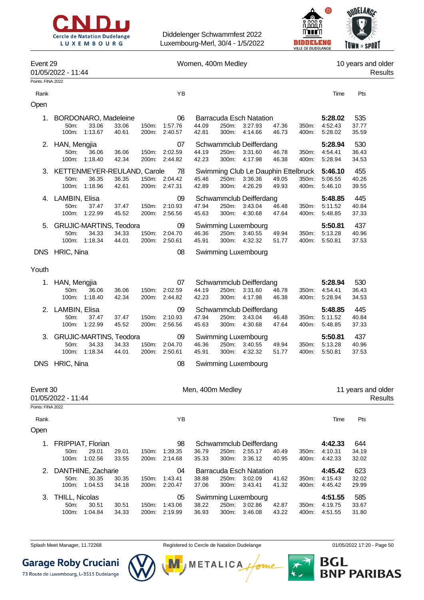



| Event 29          | 01/05/2022 - 11:44                |                                                          |                | Women, 400m Medley |                                |                  |                |                                                           |                |                | 10 years and older<br>Results |                       |                               |
|-------------------|-----------------------------------|----------------------------------------------------------|----------------|--------------------|--------------------------------|------------------|----------------|-----------------------------------------------------------|----------------|----------------|-------------------------------|-----------------------|-------------------------------|
| Points: FINA 2022 |                                   |                                                          |                |                    |                                |                  |                |                                                           |                |                |                               |                       |                               |
| Rank              |                                   |                                                          |                |                    | YB                             |                  |                |                                                           |                |                | Time                          | Pts                   |                               |
| Open              |                                   |                                                          |                |                    |                                |                  |                |                                                           |                |                |                               |                       |                               |
| 1.                | 50m:<br>100m:                     | BORDONARO, Madeleine<br>33.06<br>1:13.67                 | 33.06<br>40.61 | 150m:<br>200m:     | 06<br>1:57.76<br>2:40.57       | 44.09<br>42.81   | 250m:<br>300m: | <b>Barracuda Esch Natation</b><br>3:27.93<br>4:14.66      | 47.36<br>46.73 | 350m:<br>400m: | 5:28.02<br>4:52.43<br>5:28.02 | 535<br>37.77<br>35.59 |                               |
|                   | 2. HAN, Mengjia<br>50m:<br>100m:  | 36.06<br>1:18.40                                         | 36.06<br>42.34 | 150m:<br>200m:     | 07<br>2:02.59<br>2:44.82       | 44.19<br>42.23   | 250m:<br>300m: | Schwammclub Deifferdang<br>3:31.60<br>4:17.98             | 46.78<br>46.38 | 350m:<br>400m: | 5:28.94<br>4:54.41<br>5:28.94 | 530<br>36.43<br>34.53 |                               |
| 3.                | 50m:<br>100m:                     | KETTENMEYER-REULAND, Carole<br>36.35<br>1:18.96          | 36.35<br>42.61 | 200m:              | 78<br>150m: 2:04.42<br>2:47.31 | 45.46<br>42.89   | 250m:<br>300m: | Swimming Club Le Dauphin Ettelbruck<br>3:36.36<br>4:26.29 | 49.05<br>49.93 | 350m:<br>400m: | 5:46.10<br>5:06.55<br>5:46.10 | 455<br>40.26<br>39.55 |                               |
|                   | 4. LAMBIN, Elisa<br>50m:<br>100m: | 37.47<br>1:22.99                                         | 37.47<br>45.52 | 150m:<br>200m:     | 09<br>2:10.93<br>2:56.56       | 47.94<br>45.63   | 250m:<br>300m: | Schwammclub Deifferdang<br>3:43.04<br>4:30.68             | 46.48<br>47.64 | 350m:<br>400m: | 5:48.85<br>5:11.52<br>5:48.85 | 445<br>40.84<br>37.33 |                               |
|                   | 50m:                              | <b>GRUJIC-MARTINS, Teodora</b><br>34.33<br>100m: 1:18.34 | 34.33<br>44.01 | 150m:<br>200m:     | 09<br>2:04.70<br>2:50.61       | 46.36<br>45.91   | 250m:<br>300m: | Swimming Luxembourg<br>3:40.55<br>4:32.32                 | 49.94<br>51.77 | 350m:<br>400m: | 5:50.81<br>5:13.28<br>5:50.81 | 437<br>40.96<br>37.53 |                               |
|                   | DNS HRIC, Nina                    |                                                          |                |                    | 08                             |                  |                | Swimming Luxembourg                                       |                |                |                               |                       |                               |
| Youth             |                                   |                                                          |                |                    |                                |                  |                |                                                           |                |                |                               |                       |                               |
| 1.                | HAN, Mengjia<br>50m:<br>100m:     | 36.06<br>1:18.40                                         | 36.06<br>42.34 | 150m:<br>200m:     | 07<br>2:02.59<br>2:44.82       | 44.19<br>42.23   | 250m:<br>300m: | Schwammclub Deifferdang<br>3:31.60<br>4:17.98             | 46.78<br>46.38 | 350m:<br>400m: | 5:28.94<br>4:54.41<br>5:28.94 | 530<br>36.43<br>34.53 |                               |
| 2.                | LAMBIN, Elisa<br>50m:<br>100m:    | 37.47<br>1:22.99                                         | 37.47<br>45.52 | 150m:<br>200m:     | 09<br>2:10.93<br>2:56.56       | 47.94<br>45.63   | 250m:<br>300m: | Schwammclub Deifferdang<br>3:43.04<br>4:30.68             | 46.48<br>47.64 | 350m:<br>400m: | 5:48.85<br>5:11.52<br>5:48.85 | 445<br>40.84<br>37.33 |                               |
| 3.                | 50m:                              | <b>GRUJIC-MARTINS, Teodora</b><br>34.33<br>100m: 1:18.34 | 34.33<br>44.01 | 150m:<br>200m:     | 09<br>2:04.70<br>2:50.61       | 46.36<br>45.91   | 250m:<br>300m: | Swimming Luxembourg<br>3:40.55<br>4:32.32                 | 49.94<br>51.77 | 350m:<br>400m: | 5:50.81<br>5:13.28<br>5:50.81 | 437<br>40.96<br>37.53 |                               |
|                   | DNS HRIC, Nina                    |                                                          |                |                    | 08                             |                  |                | Swimming Luxembourg                                       |                |                |                               |                       |                               |
| Event 30          | 01/05/2022 - 11:44                |                                                          |                |                    |                                | Men, 400m Medley |                |                                                           |                |                |                               |                       | 11 years and older<br>Results |
| Points: FINA 2022 |                                   |                                                          |                |                    |                                |                  |                |                                                           |                |                |                               |                       |                               |
| Rank<br>Open      |                                   |                                                          |                |                    | YB                             |                  |                |                                                           |                |                | Time                          | Pts                   |                               |
|                   |                                   |                                                          |                |                    |                                |                  |                |                                                           |                |                |                               |                       |                               |
| 1.                | 50m:                              | FRIPPIAT, Florian<br>29.01<br>100m: 1:02.56              | 29.01<br>33.55 | 150m:<br>200m:     | 98<br>1:39.35<br>2:14.68       | 36.79<br>35.33   | 250m:<br>300m: | Schwammclub Deifferdang<br>2:55.17<br>3:36.12             | 40.49<br>40.95 | 350m:<br>400m: | 4:42.33<br>4:10.31<br>4:42.33 | 644<br>34.19<br>32.02 |                               |
|                   | 50m:<br>100m:                     | DANTHINE, Zacharie<br>30.35<br>1:04.53                   | 30.35<br>34.18 | 150m:<br>200m:     | 04<br>1:43.41<br>2:20.47       | 38.88<br>37.06   | 250m:<br>300m: | <b>Barracuda Esch Natation</b><br>3:02.09<br>3:43.41      | 41.62<br>41.32 | 350m:<br>400m: | 4:45.42<br>4:15.43<br>4:45.42 | 623<br>32.02<br>29.99 |                               |
| 3.                | THILL, Nicolas<br>50m:<br>100m:   | 30.51<br>1:04.84                                         | 30.51<br>34.33 | 150m:<br>200m:     | 05<br>1:43.06<br>2:19.99       | 38.22<br>36.93   | 250m:<br>300m: | Swimming Luxembourg<br>3:02.86<br>3:46.08                 | 42.87<br>43.22 | 350m:<br>400m: | 4:51.55<br>4:19.75<br>4:51.55 | 585<br>33.67<br>31.80 |                               |

Splash Meet Manager, 11.72268 **Registered to Cercle de Natation Dudelange 11/05/2022 17:20 - Page 50** 



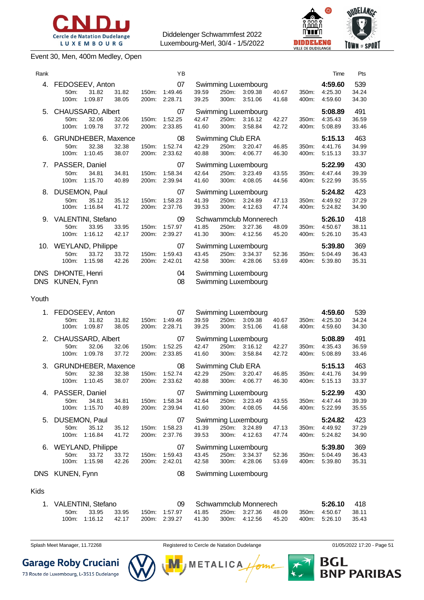

#### Event 30, Men, 400m Medley, Open

Diddelenger Schwammfest 2022 Luxembourg-Merl, 30/4 - 1/5/2022



| Rank                     |                                                          |                                       |                |                | ΥB                       |                |                                     |                                             |                |                | Time                          | Pts                   |
|--------------------------|----------------------------------------------------------|---------------------------------------|----------------|----------------|--------------------------|----------------|-------------------------------------|---------------------------------------------|----------------|----------------|-------------------------------|-----------------------|
| 4.                       | FEDOSEEV, Anton<br>50m:<br>100m:                         | 31.82<br>1:09.87                      | 31.82<br>38.05 | 150m:<br>200m: | 07<br>1:49.46<br>2:28.71 | 39.59<br>39.25 | 250m:<br>300m:                      | Swimming Luxembourg<br>3:09.38<br>3:51.06   | 40.67<br>41.68 | 350m:<br>400m: | 4:59.60<br>4:25.30<br>4:59.60 | 539<br>34.24<br>34.30 |
| 5.                       | 50 <sub>m</sub> :<br>100m:                               | CHAUSSARD, Albert<br>32.06<br>1:09.78 | 32.06<br>37.72 | 150m:<br>200m: | 07<br>1:52.25<br>2:33.85 | 42.47<br>41.60 | 250m:<br>300m:                      | Swimming Luxembourg<br>3:16.12<br>3:58.84   | 42.27<br>42.72 | 350m:<br>400m: | 5:08.89<br>4:35.43<br>5:08.89 | 491<br>36.59<br>33.46 |
| 6.                       | <b>GRUNDHEBER, Maxence</b><br>50 <sub>m</sub> :<br>100m: | 32.38<br>1:10.45                      | 32.38<br>38.07 | 150m:<br>200m: | 08<br>1:52.74<br>2:33.62 | 42.29<br>40.88 | Swimming Club ERA<br>250m:<br>300m: | 3:20.47<br>4:06.77                          | 46.85<br>46.30 | 350m:<br>400m: | 5:15.13<br>4:41.76<br>5:15.13 | 463<br>34.99<br>33.37 |
| 7.                       | PASSER, Daniel<br>50m:<br>100m:                          | 34.81<br>1:15.70                      | 34.81<br>40.89 | 150m:<br>200m: | 07<br>1:58.34<br>2:39.94 | 42.64<br>41.60 | 250m:<br>300m:                      | Swimming Luxembourg<br>3:23.49<br>4:08.05   | 43.55<br>44.56 | 350m:<br>400m: | 5:22.99<br>4:47.44<br>5:22.99 | 430<br>39.39<br>35.55 |
| 8.                       | 50m:<br>100m:                                            | DUSEMON, Paul<br>35.12<br>1:16.84     | 35.12<br>41.72 | 150m:<br>200m: | 07<br>1:58.23<br>2:37.76 | 41.39<br>39.53 | 250m:<br>300m:                      | Swimming Luxembourg<br>3:24.89<br>4:12.63   | 47.13<br>47.74 | 350m:<br>400m: | 5:24.82<br>4:49.92<br>5:24.82 | 423<br>37.29<br>34.90 |
| 9.                       | VALENTINI, Stefano<br>50m:<br>100m:                      | 33.95<br>1:16.12                      | 33.95<br>42.17 | 150m:<br>200m: | 09<br>1:57.97<br>2:39.27 | 41.85<br>41.30 | 250m:<br>300m:                      | Schwammclub Monnerech<br>3:27.36<br>4:12.56 | 48.09<br>45.20 | 350m:<br>400m: | 5:26.10<br>4:50.67<br>5:26.10 | 418<br>38.11<br>35.43 |
| 10.                      | <b>WEYLAND, Philippe</b><br>50 <sub>m</sub> :<br>100m:   | 33.72<br>1:15.98                      | 33.72<br>42.26 | 150m:<br>200m: | 07<br>1:59.43<br>2:42.01 | 43.45<br>42.58 | 250m:<br>300m:                      | Swimming Luxembourg<br>3:34.37<br>4:28.06   | 52.36<br>53.69 | 350m:<br>400m: | 5:39.80<br>5:04.49<br>5:39.80 | 369<br>36.43<br>35.31 |
| <b>DNS</b><br><b>DNS</b> | DHONTE, Henri<br>KUNEN, Fynn                             |                                       |                |                | 04<br>08                 |                |                                     | Swimming Luxembourg<br>Swimming Luxembourg  |                |                |                               |                       |

Youth

| 1. |                      | FEDOSEEV, Anton<br>07<br>Swimming Luxembourg |       |       |         |       |       |                     | 4:59.60 | 539   |         |       |
|----|----------------------|----------------------------------------------|-------|-------|---------|-------|-------|---------------------|---------|-------|---------|-------|
|    | 50m:                 | 31.82                                        | 31.82 | 150m: | 1:49.46 | 39.59 | 250m: | 3:09.38             | 40.67   | 350m: | 4:25.30 | 34.24 |
|    | 100m:                | 1:09.87                                      | 38.05 | 200m: | 2:28.71 | 39.25 | 300m: | 3:51.06             | 41.68   | 400m: | 4:59.60 | 34.30 |
|    | 2. CHAUSSARD, Albert |                                              |       |       | 07      |       |       | Swimming Luxembourg |         |       | 5:08.89 | 491   |
|    | 50m:                 | 32.06                                        | 32.06 | 150m. | 1:52.25 | 42.47 | 250m: | 3:16.12             | 42.27   | 350m: | 4:35.43 | 36.59 |
|    | 100m:                | 1:09.78                                      | 37.72 | 200m: | 2:33.85 | 41.60 | 300m: | 3:58.84             | 42.72   | 400m: | 5:08.89 | 33.46 |
| 3. |                      | <b>GRUNDHEBER, Maxence</b>                   |       |       | 08      |       |       | Swimming Club ERA   |         |       | 5:15.13 | 463   |
|    | 50 <sub>m</sub> :    | 32.38                                        | 32.38 | 150m. | 1:52.74 | 42.29 | 250m: | 3:20.47             | 46.85   | 350m: | 4:41.76 | 34.99 |
|    | 100m:                | 1:10.45                                      | 38.07 | 200m: | 2:33.62 | 40.88 | 300m: | 4:06.77             | 46.30   | 400m: | 5:15.13 | 33.37 |
| 4. | PASSER, Daniel       |                                              |       |       | 07      |       |       | Swimming Luxembourg |         |       | 5:22.99 | 430   |
|    | 50m:                 | 34.81                                        | 34.81 | 150m: | 1:58.34 | 42.64 | 250m: | 3:23.49             | 43.55   | 350m: | 4:47.44 | 39.39 |
|    | 100m:                | 1:15.70                                      | 40.89 | 200m: | 2:39.94 | 41.60 | 300m: | 4:08.05             | 44.56   | 400m: | 5:22.99 | 35.55 |
|    | 5. DUSEMON, Paul     |                                              |       |       | 07      |       |       | Swimming Luxembourg |         |       | 5:24.82 | 423   |
|    | 50m:                 | 35.12                                        | 35.12 | 150m: | 1:58.23 | 41.39 | 250m: | 3:24.89             | 47.13   | 350m: | 4:49.92 | 37.29 |
|    | 100m:                | 1:16.84                                      | 41.72 | 200m: | 2:37.76 | 39.53 | 300m: | 4:12.63             | 47.74   | 400m: | 5:24.82 | 34.90 |
| 6. |                      | <b>WEYLAND, Philippe</b>                     |       |       | 07      |       |       | Swimming Luxembourg |         |       | 5:39.80 | 369   |
|    | 50m:                 | 33.72                                        | 33.72 | 150m: | 1:59.43 | 43.45 | 250m: | 3:34.37             | 52.36   | 350m: | 5:04.49 | 36.43 |
|    | 100m:                | 1:15.98                                      | 42.26 | 200m: | 2:42.01 | 42.58 | 300m: | 4:28.06             | 53.69   | 400m: | 5:39.80 | 35.31 |
|    |                      |                                              |       |       |         |       |       |                     |         |       |         |       |

DNS KUNEN, Fynn 1980 - 1991 - 1992 - 1993 - 1994 - 1995 - 1996 - 1997 - 1998 - 1999 - 1999 - 1999 - 1999 - 199

#### Kids

| 1. VALENTINI, Stefano |               |       |  |               |       | Schwammclub Monnerech |               |       |  |               | - 418 |
|-----------------------|---------------|-------|--|---------------|-------|-----------------------|---------------|-------|--|---------------|-------|
| $50m$ :               | 33.95         | 33.95 |  | 150m: 1:57.97 | 41.85 |                       | 250m: 3:27.36 | 48.09 |  | 350m: 4:50.67 | 38.11 |
|                       | 100m: 1:16.12 | 42.17 |  | 200m: 2:39.27 | 41.30 |                       | 300m: 4:12.56 | 45.20 |  | 400m. 5:26.10 | 35.43 |

**Garage Roby Cruciani** 

73 Route de Luxembourg, L-3515 Dudelange



Splash Meet Manager, 11.72268 **Registered to Cercle de Natation Dudelange 11/05/2022 17:20 - Page 51** 

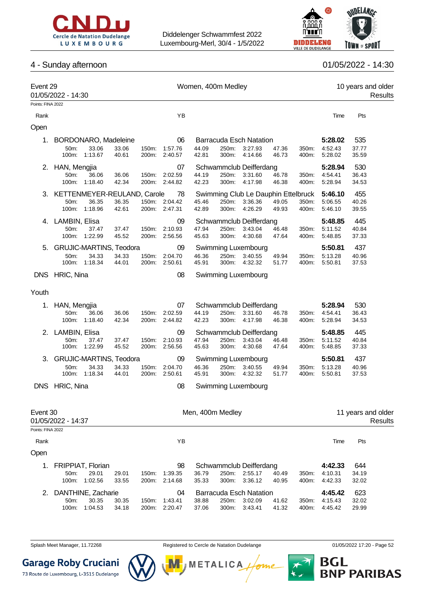



### 4 - Sunday afternoon 01/05/2022 - 14:30

| Event 29          | 01/05/2022 - 14:30                |                |                | Women, 400m Medley |                  |                |                                     |                |                |                    | 10 years and older<br>Results |         |  |
|-------------------|-----------------------------------|----------------|----------------|--------------------|------------------|----------------|-------------------------------------|----------------|----------------|--------------------|-------------------------------|---------|--|
| Points: FINA 2022 |                                   |                |                |                    |                  |                |                                     |                |                |                    |                               |         |  |
| Rank              |                                   |                |                | ΥB                 |                  |                |                                     |                |                | Time               | Pts                           |         |  |
| Open              |                                   |                |                |                    |                  |                |                                     |                |                |                    |                               |         |  |
| 1.                | BORDONARO, Madeleine              |                |                | 06                 |                  |                | <b>Barracuda Esch Natation</b>      |                |                | 5:28.02            | 535                           |         |  |
|                   | 50m:<br>33.06                     | 33.06          | 150m.          | 1:57.76            | 44.09            | 250m:          | 3:27.93                             | 47.36          | 350m:          | 4:52.43            | 37.77                         |         |  |
|                   | 1:13.67<br>100m:                  | 40.61          | 200m:          | 2:40.57            | 42.81            | 300m:          | 4:14.66                             | 46.73          | 400m:          | 5:28.02            | 35.59                         |         |  |
|                   | 2. HAN, Mengjia                   |                |                | 07                 |                  |                | Schwammclub Deifferdang             |                |                | 5:28.94            | 530                           |         |  |
|                   | 50m:<br>36.06<br>1:18.40<br>100m: | 36.06<br>42.34 | 150m:<br>200m: | 2:02.59<br>2:44.82 | 44.19<br>42.23   | 250m:<br>300m: | 3:31.60<br>4:17.98                  | 46.78<br>46.38 | 350m:<br>400m: | 4:54.41<br>5:28.94 | 36.43<br>34.53                |         |  |
| 3.                | KETTENMEYER-REULAND, Carole       |                |                | 78                 |                  |                | Swimming Club Le Dauphin Ettelbruck |                |                | 5:46.10            | 455                           |         |  |
|                   | 36.35<br>50m:                     | 36.35          |                | 150m: 2:04.42      | 45.46            | 250m:          | 3:36.36                             | 49.05          | 350m:          | 5:06.55            | 40.26                         |         |  |
|                   | 1:18.96<br>100m:                  | 42.61          |                | 200m: 2:47.31      | 42.89            | 300m:          | 4:26.29                             | 49.93          | 400m:          | 5:46.10            | 39.55                         |         |  |
|                   | 4. LAMBIN, Elisa                  |                |                | 09                 |                  |                | Schwammclub Deifferdang             |                |                | 5:48.85            | 445                           |         |  |
|                   | 50m:<br>37.47                     | 37.47          | 150m:          | 2:10.93            | 47.94            | 250m:          | 3:43.04                             | 46.48          | 350m:          | 5:11.52            | 40.84                         |         |  |
|                   | 100m: 1:22.99                     | 45.52          | 200m:          | 2:56.56            | 45.63            | 300m:          | 4:30.68                             | 47.64          | 400m:          | 5:48.85            | 37.33                         |         |  |
|                   | <b>GRUJIC-MARTINS, Teodora</b>    |                |                | 09                 |                  |                | Swimming Luxembourg                 |                |                | 5:50.81            | 437                           |         |  |
|                   | 50m:<br>34.33<br>100m:<br>1:18.34 | 34.33<br>44.01 | 150m:<br>200m: | 2:04.70<br>2:50.61 | 46.36<br>45.91   | 250m:<br>300m: | 3:40.55<br>4:32.32                  | 49.94<br>51.77 | 350m:<br>400m: | 5:13.28<br>5.50.81 | 40.96<br>37.53                |         |  |
|                   | DNS HRIC, Nina                    |                |                | 08                 |                  |                | Swimming Luxembourg                 |                |                |                    |                               |         |  |
| Youth             |                                   |                |                |                    |                  |                |                                     |                |                |                    |                               |         |  |
| 1.                | HAN, Mengjia                      |                |                | 07                 |                  |                | Schwammclub Deifferdang             |                |                | 5:28.94            | 530                           |         |  |
|                   | 36.06<br>50m:                     | 36.06          | 150m:          | 2:02.59            | 44.19            | 250m:          | 3:31.60                             | 46.78          | 350m:          | 4:54.41            | 36.43                         |         |  |
|                   | 1:18.40<br>100m:                  | 42.34          | 200m:          | 2:44.82            | 42.23            | 300m:          | 4:17.98                             | 46.38          | 400m:          | 5:28.94            | 34.53                         |         |  |
|                   | 2. LAMBIN, Elisa                  |                |                | 09                 |                  |                | Schwammclub Deifferdang             |                |                | 5:48.85            | 445                           |         |  |
|                   | 50m:<br>37.47<br>100m: 1:22.99    | 37.47<br>45.52 | 150m:<br>200m: | 2:10.93<br>2:56.56 | 47.94<br>45.63   | 250m:<br>300m: | 3:43.04<br>4:30.68                  | 46.48<br>47.64 | 350m:<br>400m: | 5:11.52<br>5:48.85 | 40.84<br>37.33                |         |  |
| 3.                | <b>GRUJIC-MARTINS, Teodora</b>    |                |                | 09                 |                  |                | Swimming Luxembourg                 |                |                | 5:50.81            | 437                           |         |  |
|                   | 50m:<br>34.33                     | 34.33          | 150m:          | 2:04.70            | 46.36            | 250m:          | 3:40.55                             | 49.94          | 350m:          | 5:13.28            | 40.96                         |         |  |
|                   | 1:18.34<br>100m:                  | 44.01          | 200m:          | 2:50.61            | 45.91            | 300m:          | 4:32.32                             | 51.77          | 400m:          | 5:50.81            | 37.53                         |         |  |
|                   | DNS HRIC, Nina                    |                |                | 08                 |                  |                | Swimming Luxembourg                 |                |                |                    |                               |         |  |
| Event 30          |                                   |                |                |                    | Men, 400m Medley |                |                                     |                |                |                    | 11 years and older            |         |  |
|                   | 01/05/2022 - 14:37                |                |                |                    |                  |                |                                     |                |                |                    |                               | Results |  |
| Points: FINA 2022 |                                   |                |                |                    |                  |                |                                     |                |                |                    |                               |         |  |
| Rank              |                                   |                |                | YB                 |                  |                |                                     |                |                | Time               | Pts                           |         |  |
| Open              |                                   |                |                |                    |                  |                |                                     |                |                |                    |                               |         |  |
| 1.                | FRIPPIAT, Florian                 |                |                | 98                 |                  |                | Schwammclub Deifferdang             |                |                | 4:42.33            | 644                           |         |  |
|                   | 50m:<br>29.01                     | 29.01          | 150m:          | 1:39.35            | 36.79            | 250m:          | 2:55.17                             | 40.49          | 350m:          | 4:10.31            | 34.19                         |         |  |
|                   | 100m: 1:02.56                     | 33.55          | 200m:          | 2:14.68            | 35.33            | 300m:          | 3:36.12                             | 40.95          | 400m:          | 4:42.33            | 32.02                         |         |  |
| 2.                | DANTHINE, Zacharie                |                |                | 04                 |                  |                | <b>Barracuda Esch Natation</b>      |                |                | 4:45.42            | 623                           |         |  |
|                   | 50m:<br>30.35<br>100m:<br>1:04.53 | 30.35          | 150m:          | 1.43.41            | 38.88            | 250m:<br>300m: | 3:02.09<br>3:43.41                  | 41.62          | 350m:          | 4:15.43            | 32.02<br>29.99                |         |  |
|                   |                                   | 34.18          | 200m:          | 2:20.47            | 37.06            |                |                                     | 41.32          | 400m:          | 4:45.42            |                               |         |  |

Splash Meet Manager, 11.72268 **Registered to Cercle de Natation Dudelange 11/05/2022 17:20** - Page 52

**Garage Roby Cruciani** 

73 Route de Luxembourg, L-3515 Dudelange

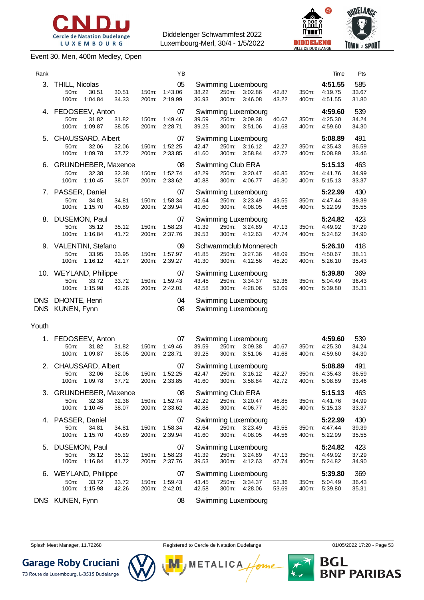

#### Event 30, Men, 400m Medley, Open





| Rank  |                                                            |                |                | YB                       |                |                |                                                  |                |                | Time                          | Pts                   |
|-------|------------------------------------------------------------|----------------|----------------|--------------------------|----------------|----------------|--------------------------------------------------|----------------|----------------|-------------------------------|-----------------------|
|       | 3. THILL, Nicolas<br>30.51<br>50m:<br>1:04.84<br>100m:     | 30.51<br>34.33 | 150m:<br>200m: | 05<br>1:43.06<br>2:19.99 | 38.22<br>36.93 | 250m:<br>300m: | Swimming Luxembourg<br>3:02.86<br>3:46.08        | 42.87<br>43.22 | 350m:<br>400m: | 4:51.55<br>4:19.75<br>4:51.55 | 585<br>33.67<br>31.80 |
|       | 4. FEDOSEEV, Anton<br>50m:<br>31.82<br>100m:<br>1:09.87    | 31.82<br>38.05 | 150m:<br>200m: | 07<br>1:49.46<br>2:28.71 | 39.59<br>39.25 | 250m:<br>300m: | <b>Swimming Luxembourg</b><br>3:09.38<br>3:51.06 | 40.67<br>41.68 | 350m:<br>400m: | 4:59.60<br>4:25.30<br>4:59.60 | 539<br>34.24<br>34.30 |
| 5.    | CHAUSSARD, Albert<br>50m:<br>32.06<br>1:09.78<br>100m:     | 32.06<br>37.72 | 150m:<br>200m: | 07<br>1:52.25<br>2:33.85 | 42.47<br>41.60 | 250m:<br>300m: | <b>Swimming Luxembourg</b><br>3:16.12<br>3:58.84 | 42.27<br>42.72 | 350m:<br>400m: | 5:08.89<br>4:35.43<br>5:08.89 | 491<br>36.59<br>33.46 |
| 6.    | GRUNDHEBER, Maxence<br>32.38<br>50m:<br>100m:<br>1:10.45   | 32.38<br>38.07 | 150m:<br>200m: | 08<br>1:52.74<br>2:33.62 | 42.29<br>40.88 | 250m:<br>300m: | Swimming Club ERA<br>3:20.47<br>4:06.77          | 46.85<br>46.30 | 350m:<br>400m: | 5:15.13<br>4:41.76<br>5:15.13 | 463<br>34.99<br>33.37 |
|       | 7. PASSER, Daniel<br>50m:<br>34.81<br>100m: 1:15.70        | 34.81<br>40.89 | 150m:<br>200m: | 07<br>1:58.34<br>2:39.94 | 42.64<br>41.60 | 250m:<br>300m: | <b>Swimming Luxembourg</b><br>3:23.49<br>4:08.05 | 43.55<br>44.56 | 350m:<br>400m: | 5:22.99<br>4:47.44<br>5:22.99 | 430<br>39.39<br>35.55 |
| 8.    | DUSEMON, Paul<br>35.12<br>50m:<br>100m:<br>1:16.84         | 35.12<br>41.72 | 150m:<br>200m: | 07<br>1:58.23<br>2:37.76 | 41.39<br>39.53 | 250m:<br>300m: | <b>Swimming Luxembourg</b><br>3:24.89<br>4:12.63 | 47.13<br>47.74 | 350m:<br>400m: | 5:24.82<br>4:49.92<br>5:24.82 | 423<br>37.29<br>34.90 |
|       | 9. VALENTINI, Stefano<br>50m:<br>33.95<br>1:16.12<br>100m: | 33.95<br>42.17 | 150m:<br>200m: | 09<br>1:57.97<br>2:39.27 | 41.85<br>41.30 | 250m:<br>300m: | Schwammclub Monnerech<br>3:27.36<br>4:12.56      | 48.09<br>45.20 | 350m:<br>400m: | 5:26.10<br>4:50.67<br>5:26.10 | 418<br>38.11<br>35.43 |
|       | 10. WEYLAND, Philippe<br>33.72<br>50m:<br>1:15.98<br>100m: | 33.72<br>42.26 | 150m:<br>200m: | 07<br>1:59.43<br>2:42.01 | 43.45<br>42.58 | 250m:<br>300m: | Swimming Luxembourg<br>3:34.37<br>4:28.06        | 52.36<br>53.69 | 350m:<br>400m: | 5:39.80<br>5:04.49<br>5:39.80 | 369<br>36.43<br>35.31 |
|       | DNS DHONTE, Henri<br>DNS KUNEN, Fynn                       |                |                | 04<br>08                 |                |                | Swimming Luxembourg<br>Swimming Luxembourg       |                |                |                               |                       |
| Youth |                                                            |                |                |                          |                |                |                                                  |                |                |                               |                       |
| 1.    | FEDOSEEV, Anton<br>31.82<br>50m:<br>1:09.87<br>100m:       | 31.82<br>38.05 | 150m:<br>200m: | 07<br>1:49.46<br>2:28.71 | 39.59<br>39.25 | 250m:<br>300m: | Swimming Luxembourg<br>3:09.38<br>3:51.06        | 40.67<br>41.68 | 350m:<br>400m: | 4:59.60<br>4:25.30<br>4:59.60 | 539<br>34.24<br>34.30 |
|       | 2. CHAUSSARD, Albert<br>32.06<br>50m:                      | 32.06          | 150m:          | 07<br>1:52.25            | 42.47          |                | Swimming Luxembourg<br>250m: 3:16.12             | 42.27          | 350m:          | 5:08.89<br>4:35.43            | 491<br>36.59          |

100m: 1:09.78 37.72 200m: 2:33.85 41.60 300m: 3:58.84 42.72 400m: 5:08.89 33.46 3. GRUNDHEBER, Maxence 08 Swimming Club ERA **5:15.13** 463 50m: 32.38 32.38 150m: 1:52.74 42.29 250m: 3:20.47 46.85 350m: 4:41.76 34.99 100m: 1:10.45 38.07 200m: 2:33.62 40.88 300m: 4:06.77 46.30 400m: 5:15.13 33.37 4. PASSER, Daniel 07 Swimming Luxembourg **5:22.99** 430 50m: 34.81 34.81 150m: 1:58.34 42.64 250m: 3:23.49 43.55 350m: 4:47.44 39.39 100m: 1:15.70 40.89 200m: 2:39.94 41.60 300m: 4:08.05 44.56 400m: 5:22.99 35.55 5. DUSEMON, Paul 07 Swimming Luxembourg **5:24.82** 423 50m: 35.12 35.12 150m: 1:58.23 41.39 250m: 3:24.89 47.13 350m: 4:49.92 37.29 100m: 1:16.84 41.72 200m: 2:37.76 39.53 300m: 4:12.63 47.74 400m: 5:24.82 34.90 6. WEYLAND, Philippe 07 Swimming Luxembourg **5:39.80** 369 50m: 33.72 33.72 150m: 1:59.43 43.45 250m: 3:34.37 52.36 350m: 5:04.49 36.43

| 50m: 33.72 33.72 |       |  |
|------------------|-------|--|
| 100m: 1:15.98    | 42.26 |  |
|                  |       |  |

DNS KUNEN, Fynn 1980 - 1990 - 1991 - 1991 - 1991 - 1991 - 1991 - 1991 - 1991 - 1991 - 1991 - 1991 - 1991 - 199

300m: 4:28.06

Splash Meet Manager, 11.72268 Registered to Cercle de Natation Dudelange **1996** 01/05/2022 17:20 - Page 53

**METALICA** 

**BNP PARIBAS** 

**BGL** 



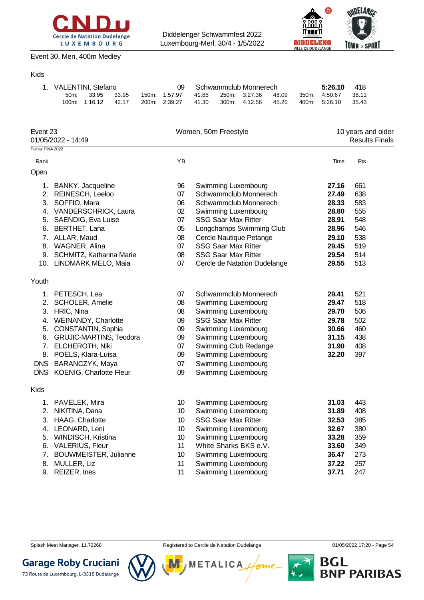



#### Event 30, Men, 400m Medley

### Kids

| 1. VALENTINI, Stefano |               |       |  |               |       | Schwammclub Monnerech |       | 5:26.10       | -418    |
|-----------------------|---------------|-------|--|---------------|-------|-----------------------|-------|---------------|---------|
| $50m$ :               | 33.95         | 33.95 |  | 150m. 1:57.97 | 41.85 | 250m. 3:27.36         | 48.09 | 350m: 4:50.67 | - 38.11 |
|                       | 100m: 1:16.12 | 42.17 |  | 200m: 2:39.27 | 41.30 | 300m: 4:12.56         | 45.20 | 400m: 5:26.10 | 35.43   |

| Event 23<br>01/05/2022 - 14:49 |                             |    | Women, 50m Freestyle         | 10 years and older<br><b>Results Finals</b> |     |  |
|--------------------------------|-----------------------------|----|------------------------------|---------------------------------------------|-----|--|
| Points: FINA 2022              |                             |    |                              |                                             |     |  |
| Rank                           |                             | YB |                              | Time                                        | Pts |  |
| Open                           |                             |    |                              |                                             |     |  |
|                                | 1. BANKY, Jacqueline        | 96 | Swimming Luxembourg          | 27.16                                       | 661 |  |
|                                | 2. REINESCH, Leeloo         | 07 | Schwammclub Monnerech        | 27.49                                       | 638 |  |
|                                | 3. SOFFIO, Mara             | 06 | Schwammclub Monnerech        | 28.33                                       | 583 |  |
|                                | 4. VANDERSCHRICK, Laura     | 02 | Swimming Luxembourg          | 28.80                                       | 555 |  |
|                                | 5. SAENDIG, Eva Luise       | 07 | <b>SSG Saar Max Ritter</b>   | 28.91                                       | 548 |  |
|                                | 6. BERTHET, Lana            | 05 | Longchamps Swimming Club     | 28.96                                       | 546 |  |
|                                | 7. ALLAR, Maud              | 08 | Cercle Nautique Petange      | 29.10                                       | 538 |  |
|                                | 8. WAGNER, Alina            | 07 | <b>SSG Saar Max Ritter</b>   | 29.45                                       | 519 |  |
|                                | 9. SCHMITZ, Katharina Marie | 08 | <b>SSG Saar Max Ritter</b>   | 29.54                                       | 514 |  |
|                                | 10. LINDMARK MELO, Maia     | 07 | Cercle de Natation Dudelange | 29.55                                       | 513 |  |
| Youth                          |                             |    |                              |                                             |     |  |
|                                | 1. PETESCH, Lea             | 07 | Schwammclub Monnerech        | 29.41                                       | 521 |  |
|                                | 2. SCHOLER, Amelie          | 08 | Swimming Luxembourg          | 29.47                                       | 518 |  |
|                                | 3. HRIC, Nina               | 08 | Swimming Luxembourg          | 29.70                                       | 506 |  |
| 4.                             | WEINANDY, Charlotte         | 09 | <b>SSG Saar Max Ritter</b>   | 29.78                                       | 502 |  |
| 5.                             | CONSTANTIN, Sophia          | 09 | Swimming Luxembourg          | 30.66                                       | 460 |  |
|                                | 6. GRUJIC-MARTINS, Teodora  | 09 | Swimming Luxembourg          | 31.15                                       | 438 |  |
|                                | 7. ELCHEROTH, Niki          | 07 | Swimming Club Redange        | 31.90                                       | 408 |  |
|                                | 8. POELS, Klara-Luisa       | 09 | Swimming Luxembourg          | 32.20                                       | 397 |  |
|                                | DNS BARANCZYK, Maya         | 07 | Swimming Luxembourg          |                                             |     |  |
|                                | DNS KOENIG, Charlotte Fleur | 09 | Swimming Luxembourg          |                                             |     |  |
| Kids                           |                             |    |                              |                                             |     |  |
|                                | 1. PAVELEK, Mira            | 10 | Swimming Luxembourg          | 31.03                                       | 443 |  |
|                                | 2. NIKITINA, Dana           | 10 | Swimming Luxembourg          | 31.89                                       | 408 |  |
|                                | 3. HAAG, Charlotte          | 10 | <b>SSG Saar Max Ritter</b>   | 32.53                                       | 385 |  |
|                                | 4. LEONARD, Leni            | 10 | Swimming Luxembourg          | 32.67                                       | 380 |  |
|                                | 5. WINDISCH, Kristina       | 10 | Swimming Luxembourg          | 33.28                                       | 359 |  |
|                                | 6. VALERIUS, Fleur          | 11 | White Sharks BKS e.V.        | 33.60                                       | 349 |  |
|                                | 7. BOUWMEISTER, Julianne    | 10 | Swimming Luxembourg          | 36.47                                       | 273 |  |
|                                | 8. MULLER, Liz              | 11 | Swimming Luxembourg          | 37.22                                       | 257 |  |
|                                | 9. REIZER, Ines             | 11 | Swimming Luxembourg          | 37.71                                       | 247 |  |



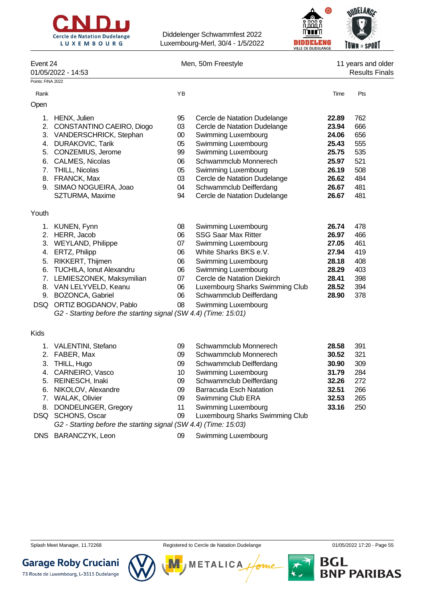



| Event 24<br>01/05/2022 - 14:53 |                                                                 | Men, 50m Freestyle |                                 |       | 11 years and older<br><b>Results Finals</b> |  |  |
|--------------------------------|-----------------------------------------------------------------|--------------------|---------------------------------|-------|---------------------------------------------|--|--|
| Points: FINA 2022              |                                                                 |                    |                                 |       |                                             |  |  |
| Rank                           |                                                                 | YB                 |                                 | Time  | Pts                                         |  |  |
| Open                           |                                                                 |                    |                                 |       |                                             |  |  |
| 1.                             | HENX, Julien                                                    | 95                 | Cercle de Natation Dudelange    | 22.89 | 762                                         |  |  |
| 2.                             | CONSTANTINO CAEIRO, Diogo                                       | 03                 | Cercle de Natation Dudelange    | 23.94 | 666                                         |  |  |
| 3.                             | VANDERSCHRICK, Stephan                                          | $00\,$             | Swimming Luxembourg             | 24.06 | 656                                         |  |  |
| 4.                             | <b>DURAKOVIC, Tarik</b>                                         | 05                 | Swimming Luxembourg             | 25.43 | 555                                         |  |  |
| 5.                             | CONZEMIUS, Jerome                                               | 99                 | Swimming Luxembourg             | 25.75 | 535                                         |  |  |
| 6.                             | CALMES, Nicolas                                                 | 06                 | Schwammclub Monnerech           | 25.97 | 521                                         |  |  |
| 7.                             | THILL, Nicolas                                                  | 05                 | Swimming Luxembourg             | 26.19 | 508                                         |  |  |
|                                | 8. FRANCK, Max                                                  | 03                 | Cercle de Natation Dudelange    | 26.62 | 484                                         |  |  |
|                                | 9. SIMAO NOGUEIRA, Joao                                         | 04                 | Schwammclub Deifferdang         | 26.67 | 481                                         |  |  |
|                                | SZTURMA, Maxime                                                 | 94                 | Cercle de Natation Dudelange    | 26.67 | 481                                         |  |  |
|                                |                                                                 |                    |                                 |       |                                             |  |  |
| Youth                          |                                                                 |                    |                                 |       |                                             |  |  |
|                                | 1. KUNEN, Fynn                                                  | 08                 | Swimming Luxembourg             | 26.74 | 478                                         |  |  |
|                                | 2. HERR, Jacob                                                  | 06                 | <b>SSG Saar Max Ritter</b>      | 26.97 | 466                                         |  |  |
|                                | 3. WEYLAND, Philippe                                            | 07                 | Swimming Luxembourg             | 27.05 | 461                                         |  |  |
|                                | 4. ERTZ, Philipp                                                | 06                 | White Sharks BKS e.V.           | 27.94 | 419                                         |  |  |
|                                | 5. RIKKERT, Thijmen                                             | 06                 | Swimming Luxembourg             | 28.18 | 408                                         |  |  |
| 6.                             | <b>TUCHILA, Ionut Alexandru</b>                                 | 06                 | Swimming Luxembourg             | 28.29 | 403                                         |  |  |
|                                | 7. LEMIESZONEK, Maksymilian                                     | 07                 | Cercle de Natation Diekirch     | 28.41 | 398                                         |  |  |
|                                | 8. VAN LELYVELD, Keanu                                          | 06                 | Luxembourg Sharks Swimming Club | 28.52 | 394                                         |  |  |
|                                | 9. BOZONCA, Gabriel                                             | 06                 | Schwammclub Deifferdang         | 28.90 | 378                                         |  |  |
|                                | DSQ ORTIZ BOGDANOV, Pablo                                       | 08                 | Swimming Luxembourg             |       |                                             |  |  |
|                                | G2 - Starting before the starting signal (SW 4.4) (Time: 15:01) |                    |                                 |       |                                             |  |  |
| <b>Kids</b>                    |                                                                 |                    |                                 |       |                                             |  |  |
| 1.                             | <b>VALENTINI, Stefano</b>                                       | 09                 | Schwammclub Monnerech           | 28.58 | 391                                         |  |  |
| 2.                             | FABER, Max                                                      | 09                 | Schwammclub Monnerech           | 30.52 | 321                                         |  |  |
| 3.                             | THILL, Hugo                                                     | 09                 | Schwammclub Deifferdang         | 30.90 | 309                                         |  |  |
| 4.                             | CARNEIRO, Vasco                                                 | 10                 | Swimming Luxembourg             | 31.79 | 284                                         |  |  |
|                                | 5. REINESCH, Inaki                                              | 09                 | Schwammclub Deifferdang         | 32.26 | 272                                         |  |  |
| 6.                             | NIKOLOV, Alexandre                                              | 09                 | <b>Barracuda Esch Natation</b>  | 32.51 | 266                                         |  |  |
| 7.                             | <b>WALAK, Olivier</b>                                           | 09                 | Swimming Club ERA               | 32.53 | 265                                         |  |  |
| 8.                             | DONDELINGER, Gregory                                            | 11                 | Swimming Luxembourg             | 33.16 | 250                                         |  |  |
|                                | SCHONS, Oscar                                                   | 09                 | Luxembourg Sharks Swimming Club |       |                                             |  |  |
| DSQ                            |                                                                 |                    |                                 |       |                                             |  |  |
|                                | G2 - Starting before the starting signal (SW 4.4) (Time: 15:03) |                    |                                 |       |                                             |  |  |

DNS BARANCZYK, Leon 09 Swimming Luxembourg



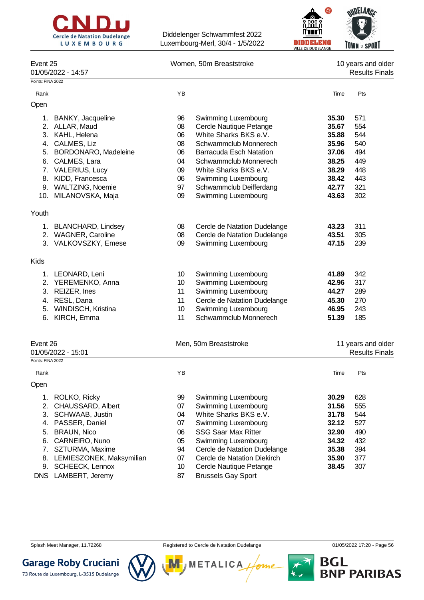



| Event 25<br>01/05/2022 - 14:57 |                 | Women, 50m Breaststroke        |       | 10 years and older<br><b>Results Finals</b> |
|--------------------------------|-----------------|--------------------------------|-------|---------------------------------------------|
| Points: FINA 2022              |                 |                                |       |                                             |
| Rank                           | YB              |                                | Time  | Pts                                         |
| Open                           |                 |                                |       |                                             |
| 1. BANKY, Jacqueline           | 96              | Swimming Luxembourg            | 35.30 | 571                                         |
| 2. ALLAR, Maud                 | 08              | Cercle Nautique Petange        | 35.67 | 554                                         |
| 3. KAHL, Helena                | 06              | White Sharks BKS e.V.          | 35.88 | 544                                         |
| 4. CALMES, Liz                 | 08              | Schwammclub Monnerech          | 35.96 | 540                                         |
| BORDONARO, Madeleine<br>5.     | 06              | <b>Barracuda Esch Natation</b> | 37.06 | 494                                         |
| CALMES, Lara<br>6.             | 04              | Schwammclub Monnerech          | 38.25 | 449                                         |
| 7. VALERIUS, Lucy              | 09              | White Sharks BKS e.V.          | 38.29 | 448                                         |
| 8. KIDD, Francesca             | 06              | Swimming Luxembourg            | 38.42 | 443                                         |
| 9. WALTZING, Noemie            | 97              | Schwammclub Deifferdang        | 42.77 | 321                                         |
| 10. MILANOVSKA, Maja           | 09              | Swimming Luxembourg            | 43.63 | 302                                         |
| Youth                          |                 |                                |       |                                             |
|                                |                 |                                |       |                                             |
| 1. BLANCHARD, Lindsey          | 08              | Cercle de Natation Dudelange   | 43.23 | 311                                         |
| 2. WAGNER, Caroline            | 08              | Cercle de Natation Dudelange   | 43.51 | 305                                         |
| 3. VALKOVSZKY, Emese           | 09              | Swimming Luxembourg            | 47.15 | 239                                         |
| Kids                           |                 |                                |       |                                             |
| 1. LEONARD, Leni               | 10 <sup>1</sup> | Swimming Luxembourg            | 41.89 | 342                                         |
| 2. YEREMENKO, Anna             | 10              | Swimming Luxembourg            | 42.96 | 317                                         |
| 3. REIZER, Ines                | 11              | Swimming Luxembourg            | 44.27 | 289                                         |
| 4. RESL, Dana                  | 11              | Cercle de Natation Dudelange   | 45.30 | 270                                         |
| 5. WINDISCH, Kristina          | 10              | Swimming Luxembourg            | 46.95 | 243                                         |
| 6.<br>KIRCH, Emma              | 11              | Schwammclub Monnerech          | 51.39 | 185                                         |
|                                |                 |                                |       |                                             |
| Event 26<br>01/05/2022 - 15:01 |                 | Men, 50m Breaststroke          |       | 11 years and older<br><b>Results Finals</b> |
| Points: FINA 2022              |                 |                                |       |                                             |
| Rank                           | ΥB              |                                | Time  | Pts                                         |
| Open                           |                 |                                |       |                                             |
| ROLKO, Ricky<br>1.             | 99              | Swimming Luxembourg            | 30.29 | 628                                         |
| 2.<br>CHAUSSARD, Albert        | 07              | Swimming Luxembourg            | 31.56 | 555                                         |
| 3.<br>SCHWAAB, Justin          | 04              | White Sharks BKS e.V.          | 31.78 | 544                                         |
| PASSER, Daniel<br>4.           | 07              | Swimming Luxembourg            | 32.12 | 527                                         |
| <b>BRAUN, Nico</b><br>5.       | 06              | <b>SSG Saar Max Ritter</b>     | 32.90 | 490                                         |
| CARNEIRO, Nuno<br>6.           | 05              | Swimming Luxembourg            | 34.32 | 432                                         |
| 7.<br>SZTURMA, Maxime          | 94              | Cercle de Natation Dudelange   | 35.38 | 394                                         |
| LEMIESZONEK, Maksymilian<br>8. | 07              | Cercle de Natation Diekirch    | 35.90 | 377                                         |
| <b>SCHEECK, Lennox</b><br>9.   | 10              | Cercle Nautique Petange        | 38.45 | 307                                         |
|                                |                 |                                |       |                                             |

DNS LAMBERT, Jeremy 87 Brussels Gay Sport



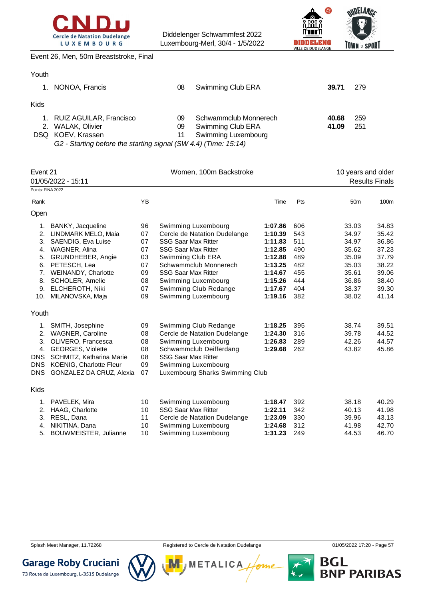



Event 26, Men, 50m Breaststroke, Final

| Youth |                                                                 |    |                       |       |     |
|-------|-----------------------------------------------------------------|----|-----------------------|-------|-----|
|       | 1. NONOA, Francis                                               | 08 | Swimming Club ERA     | 39.71 | 279 |
| Kids  |                                                                 |    |                       |       |     |
|       | 1. RUIZ AGUILAR, Francisco                                      | 09 | Schwammclub Monnerech | 40.68 | 259 |
|       | 2. WALAK, Olivier                                               | 09 | Swimming Club ERA     | 41.09 | 251 |
|       | DSQ KOEV, Krassen                                               | 11 | Swimming Luxembourg   |       |     |
|       | G2 - Starting before the starting signal (SW 4.4) (Time: 15:14) |    |                       |       |     |

| Event 21           |                          |           | Women, 100m Backstroke          |         | 10 years and older |                 |                       |
|--------------------|--------------------------|-----------|---------------------------------|---------|--------------------|-----------------|-----------------------|
| 01/05/2022 - 15:11 |                          |           |                                 |         |                    |                 | <b>Results Finals</b> |
| Points: FINA 2022  |                          |           |                                 |         |                    |                 |                       |
| Rank               |                          | <b>YB</b> |                                 | Time    | Pts                | 50 <sub>m</sub> | 100m                  |
| Open               |                          |           |                                 |         |                    |                 |                       |
| 1.                 | BANKY, Jacqueline        | 96        | Swimming Luxembourg             | 1:07.86 | 606                | 33.03           | 34.83                 |
| 2.                 | LINDMARK MELO, Maia      | 07        | Cercle de Natation Dudelange    | 1:10.39 | 543                | 34.97           | 35.42                 |
| 3.                 | SAENDIG, Eva Luise       | 07        | <b>SSG Saar Max Ritter</b>      | 1:11.83 | 511                | 34.97           | 36.86                 |
| 4.                 | WAGNER, Alina            | 07        | <b>SSG Saar Max Ritter</b>      | 1:12.85 | 490                | 35.62           | 37.23                 |
| 5.                 | GRUNDHEBER, Angie        | 03        | Swimming Club ERA               | 1:12.88 | 489                | 35.09           | 37.79                 |
| 6.                 | PETESCH, Lea             | 07        | Schwammclub Monnerech           | 1:13.25 | 482                | 35.03           | 38.22                 |
| 7.                 | WEINANDY, Charlotte      | 09        | <b>SSG Saar Max Ritter</b>      | 1:14.67 | 455                | 35.61           | 39.06                 |
| 8.                 | <b>SCHOLER, Amelie</b>   | 08        | Swimming Luxembourg             | 1:15.26 | 444                | 36.86           | 38.40                 |
| 9.                 | ELCHEROTH, Niki          | 07        | Swimming Club Redange           | 1:17.67 | 404                | 38.37           | 39.30                 |
| 10.                | MILANOVSKA, Maja         | 09        | Swimming Luxembourg             | 1:19.16 | 382                | 38.02           | 41.14                 |
| Youth              |                          |           |                                 |         |                    |                 |                       |
| 1.                 | SMITH, Josephine         | 09        | Swimming Club Redange           | 1:18.25 | 395                | 38.74           | 39.51                 |
| 2.                 | <b>WAGNER, Caroline</b>  | 08        | Cercle de Natation Dudelange    | 1:24.30 | 316                | 39.78           | 44.52                 |
| 3.                 | OLIVERO, Francesca       | 08        | Swimming Luxembourg             | 1:26.83 | 289                | 42.26           | 44.57                 |
| 4.                 | GEORGES, Violette        | 08        | Schwammclub Deifferdang         | 1:29.68 | 262                | 43.82           | 45.86                 |
| <b>DNS</b>         | SCHMITZ, Katharina Marie | 08        | <b>SSG Saar Max Ritter</b>      |         |                    |                 |                       |
| <b>DNS</b>         | KOENIG, Charlotte Fleur  | 09        | Swimming Luxembourg             |         |                    |                 |                       |
| <b>DNS</b>         | GONZALEZ DA CRUZ, Alexia | 07        | Luxembourg Sharks Swimming Club |         |                    |                 |                       |
| <b>Kids</b>        |                          |           |                                 |         |                    |                 |                       |
| 1.                 | PAVELEK, Mira            | 10        | Swimming Luxembourg             | 1:18.47 | 392                | 38.18           | 40.29                 |
| 2.                 | HAAG, Charlotte          | 10        | <b>SSG Saar Max Ritter</b>      | 1:22.11 | 342                | 40.13           | 41.98                 |
| 3.                 | RESL, Dana               | 11        | Cercle de Natation Dudelange    | 1:23.09 | 330                | 39.96           | 43.13                 |



**METALICA** 

4. NIKITINA, Dana 10 Swimming Luxembourg **1:24.68** 312 41.98 42.70 5. BOUWMEISTER, Julianne 10 Swimming Luxembourg **1:31.23** 249 44.53 46.70

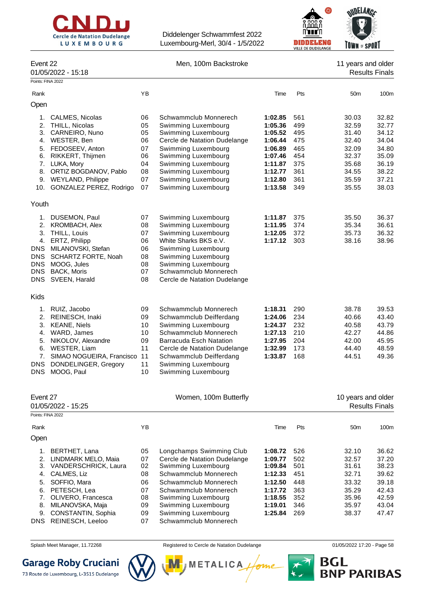



| Event 22 | Men, 100m Backstroke | 11 years and older |
|----------|----------------------|--------------------|

| 11 years and o     |
|--------------------|
| <b>Results Fir</b> |

|                   | 01/05/2022 - 15:18                               |          |                                            |                    |            |                    | <b>Results Finals</b> |
|-------------------|--------------------------------------------------|----------|--------------------------------------------|--------------------|------------|--------------------|-----------------------|
| Points: FINA 2022 |                                                  |          |                                            |                    |            |                    |                       |
| Rank              |                                                  | YB       |                                            | Time               | Pts        | 50 <sub>m</sub>    | 100m                  |
| Open              |                                                  |          |                                            |                    |            |                    |                       |
| 1.                | <b>CALMES, Nicolas</b>                           | 06       | Schwammclub Monnerech                      | 1:02.85            | 561        | 30.03              | 32.82                 |
| 2.                | THILL, Nicolas                                   | 05       | Swimming Luxembourg                        | 1:05.36            | 499        | 32.59              | 32.77                 |
|                   | 3. CARNEIRO, Nuno                                | 05       | Swimming Luxembourg                        | 1:05.52            | 495        | 31.40              | 34.12                 |
|                   | 4. WESTER, Ben                                   | 06       | Cercle de Natation Dudelange               | 1:06.44            | 475        | 32.40              | 34.04                 |
| 5.                | FEDOSEEV, Anton                                  | 07       | Swimming Luxembourg                        | 1:06.89            | 465        | 32.09              | 34.80                 |
| 6.                | RIKKERT, Thijmen                                 | 06       | Swimming Luxembourg                        | 1:07.46            | 454        | 32.37              | 35.09                 |
| 7.                | LUKA, Mory                                       | 04       | Swimming Luxembourg                        | 1:11.87            | 375        | 35.68              | 36.19                 |
|                   | 8. ORTIZ BOGDANOV, Pablo<br>9. WEYLAND, Philippe | 08<br>07 | Swimming Luxembourg<br>Swimming Luxembourg | 1:12.77<br>1:12.80 | 361<br>361 | 34.55<br>35.59     | 38.22<br>37.21        |
|                   | 10. GONZALEZ PEREZ, Rodrigo                      | 07       | Swimming Luxembourg                        | 1:13.58            | 349        | 35.55              | 38.03                 |
|                   |                                                  |          |                                            |                    |            |                    |                       |
| Youth             |                                                  |          |                                            |                    |            |                    |                       |
| 1.                | DUSEMON, Paul                                    | 07       | Swimming Luxembourg                        | 1:11.87            | 375        | 35.50              | 36.37                 |
| 2.                | <b>KROMBACH, Alex</b>                            | 08       | Swimming Luxembourg                        | 1:11.95            | 374        | 35.34              | 36.61                 |
| 3.                | THILL, Louis                                     | 07       | Swimming Luxembourg                        | 1:12.05            | 372        | 35.73              | 36.32                 |
| 4.                | ERTZ, Philipp                                    | 06       | White Sharks BKS e.V.                      | 1:17.12            | 303        | 38.16              | 38.96                 |
|                   | DNS MILANOVSKI, Stefan                           | 06       | Swimming Luxembourg                        |                    |            |                    |                       |
| <b>DNS</b>        | SCHARTZ FORTE, Noah                              | 08       | Swimming Luxembourg                        |                    |            |                    |                       |
| DNS.              | MOOG, Jules                                      | 08       | Swimming Luxembourg                        |                    |            |                    |                       |
| <b>DNS</b>        | BACK, Moris                                      | 07       | Schwammclub Monnerech                      |                    |            |                    |                       |
| <b>DNS</b>        | SVEEN, Harald                                    | 08       | Cercle de Natation Dudelange               |                    |            |                    |                       |
| <b>Kids</b>       |                                                  |          |                                            |                    |            |                    |                       |
| 1.                | RUIZ, Jacobo                                     | 09       | Schwammclub Monnerech                      | 1:18.31            | 290        | 38.78              | 39.53                 |
|                   | 2. REINESCH, Inaki                               | 09       | Schwammclub Deifferdang                    | 1:24.06            | 234        | 40.66              | 43.40                 |
|                   | 3. KEANE, Niels                                  | 10       | Swimming Luxembourg                        | 1:24.37            | 232        | 40.58              | 43.79                 |
| 4.                | WARD, James                                      | 10       | Schwammclub Monnerech                      | 1:27.13            | 210        | 42.27              | 44.86                 |
| 5.                | NIKOLOV, Alexandre                               | 09       | <b>Barracuda Esch Natation</b>             | 1:27.95            | 204        | 42.00              | 45.95                 |
| 6.                | WESTER, Liam                                     | 11       | Cercle de Natation Dudelange               | 1:32.99            | 173        | 44.40              | 48.59                 |
| 7.                | SIMAO NOGUEIRA, Francisco                        | 11       | Schwammclub Deifferdang                    | 1:33.87            | 168        | 44.51              | 49.36                 |
| <b>DNS</b>        | DONDELINGER, Gregory                             | 11       | Swimming Luxembourg                        |                    |            |                    |                       |
| <b>DNS</b>        | MOOG, Paul                                       | 10       | Swimming Luxembourg                        |                    |            |                    |                       |
|                   |                                                  |          |                                            |                    |            |                    |                       |
| Event 27          | 01/05/2022 - 15:25                               |          | Women, 100m Butterfly                      |                    |            | 10 years and older | <b>Results Finals</b> |
| Points: FINA 2022 |                                                  |          |                                            |                    |            |                    |                       |
| Rank              |                                                  | YB       |                                            | Time               | Pts        | 50m                | 100m                  |
| Open              |                                                  |          |                                            |                    |            |                    |                       |
| 1.                | BERTHET, Lana                                    | 05       | Longchamps Swimming Club                   | 1:08.72            | 526        | 32.10              | 36.62                 |
| 2.                | LINDMARK MELO, Maia                              | 07       | Cercle de Natation Dudelange               | 1:09.77            | 502        | 32.57              | 37.20                 |
|                   | 3. VANDERSCHRICK, Laura                          | 02       | Swimming Luxembourg                        | 1:09.84            | 501        | 31.61              | 38.23                 |
| 4.                | CALMES, Liz                                      | 08       | Schwammclub Monnerech                      | 1:12.33            | 451        | 32.71              | 39.62                 |
| 5.                | SOFFIO, Mara                                     | 06       | Schwammclub Monnerech                      | 1:12.50            | 448        | 33.32              | 39.18                 |
| 6.                | PETESCH, Lea                                     | 07       | Schwammclub Monnerech                      | 1:17.72            | 363        | 35.29              | 42.43                 |
| 7.                | OLIVERO, Francesca                               | 08       | Swimming Luxembourg                        | 1:18.55            | 352        | 35.96              | 42.59                 |
| 8.                | MILANOVSKA, Maja                                 | 09       | Swimming Luxembourg                        | 1:19.01            | 346        | 35.97              | 43.04                 |
| 9.                | CONSTANTIN, Sophia                               | 09       | Swimming Luxembourg                        | 1:25.84            | 269        | 38.37              | 47.47                 |
| <b>DNS</b>        | REINESCH, Leeloo                                 | 07       | Schwammclub Monnerech                      |                    |            |                    |                       |
|                   |                                                  |          |                                            |                    |            |                    |                       |

Splash Meet Manager, 11.72268 **Registered to Cercle de Natation Dudelange 11/05/2022 17:20 - Page 58** 

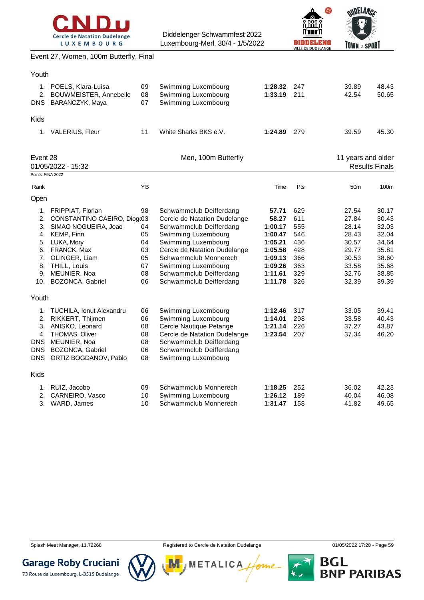



Event 27, Women, 100m Butterfly, Final

| 09<br>2. BOUWMEISTER, Annebelle<br>08<br>07<br>11                                | Swimming Luxembourg<br>Swimming Luxembourg<br>Swimming Luxembourg<br>White Sharks BKS e.V.                                                                                                                                                                             | 1:28.32<br>1:33.19<br>1:24.89                                                                          | 247<br>211<br>279                                                  | 39.89<br>42.54<br>39.59                                                                | 48.43<br>50.65                                                                         |
|----------------------------------------------------------------------------------|------------------------------------------------------------------------------------------------------------------------------------------------------------------------------------------------------------------------------------------------------------------------|--------------------------------------------------------------------------------------------------------|--------------------------------------------------------------------|----------------------------------------------------------------------------------------|----------------------------------------------------------------------------------------|
|                                                                                  |                                                                                                                                                                                                                                                                        |                                                                                                        |                                                                    |                                                                                        |                                                                                        |
|                                                                                  |                                                                                                                                                                                                                                                                        |                                                                                                        |                                                                    |                                                                                        |                                                                                        |
|                                                                                  |                                                                                                                                                                                                                                                                        |                                                                                                        |                                                                    |                                                                                        | 45.30                                                                                  |
|                                                                                  | Men, 100m Butterfly                                                                                                                                                                                                                                                    |                                                                                                        |                                                                    | 11 years and older                                                                     | <b>Results Finals</b>                                                                  |
|                                                                                  |                                                                                                                                                                                                                                                                        |                                                                                                        |                                                                    |                                                                                        |                                                                                        |
| YB                                                                               |                                                                                                                                                                                                                                                                        | Time                                                                                                   | Pts                                                                | 50 <sub>m</sub>                                                                        | 100m                                                                                   |
|                                                                                  |                                                                                                                                                                                                                                                                        |                                                                                                        |                                                                    |                                                                                        |                                                                                        |
| 98<br>CONSTANTINO CAEIRO, Diogo3<br>04<br>05<br>04<br>03<br>05<br>07<br>08<br>06 | Schwammclub Deifferdang<br>Cercle de Natation Dudelange<br>Schwammclub Deifferdang<br>Swimming Luxembourg<br>Swimming Luxembourg<br>Cercle de Natation Dudelange<br>Schwammclub Monnerech<br>Swimming Luxembourg<br>Schwammclub Deifferdang<br>Schwammclub Deifferdang | 57.71<br>58.27<br>1:00.17<br>1:00.47<br>1:05.21<br>1:05.58<br>1:09.13<br>1:09.26<br>1:11.61<br>1:11.78 | 629<br>611<br>555<br>546<br>436<br>428<br>366<br>363<br>329<br>326 | 27.54<br>27.84<br>28.14<br>28.43<br>30.57<br>29.77<br>30.53<br>33.58<br>32.76<br>32.39 | 30.17<br>30.43<br>32.03<br>32.04<br>34.64<br>35.81<br>38.60<br>35.68<br>38.85<br>39.39 |
| 06<br>08<br>08<br>08<br>06<br>08                                                 | Swimming Luxembourg<br>Cercle Nautique Petange<br>Cercle de Natation Dudelange<br>Schwammclub Deifferdang<br>Schwammclub Deifferdang<br>Swimming Luxembourg                                                                                                            | 1:12.46<br>1:14.01<br>1:21.14<br>1:23.54                                                               | 317<br>298<br>226<br>207                                           | 33.58<br>37.27<br>37.34                                                                | 39.41<br>40.43<br>43.87<br>46.20                                                       |
| 09<br>10                                                                         | Schwammclub Monnerech<br>Swimming Luxembourg                                                                                                                                                                                                                           | 1:18.25<br>1:26.12                                                                                     | 252<br>189                                                         | 36.02<br>40.04                                                                         | 42.23<br>46.08<br>49.65                                                                |
|                                                                                  | 06<br>1. TUCHILA, Ionut Alexandru<br>ORTIZ BOGDANOV, Pablo<br>10                                                                                                                                                                                                       | Swimming Luxembourg<br>Schwammclub Monnerech                                                           |                                                                    |                                                                                        | 33.05<br>158<br>1:31.47<br>41.82                                                       |

**Garage Roby Cruciani** 



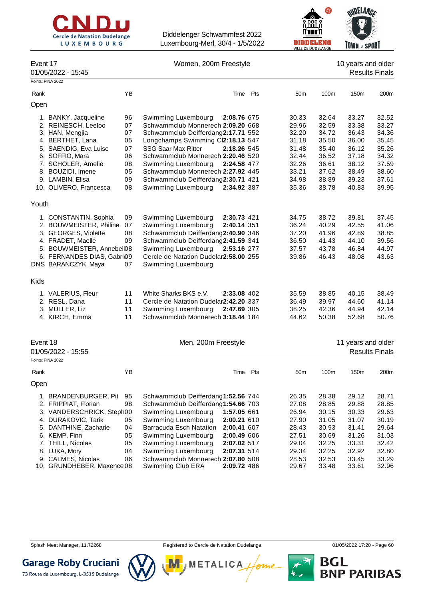



|                                                                                                                                                                                              |                                  |                                                                                                                                                                                                                                                            |     |                                                    | VILLE DE DUDELANGE                                 | <b>GRUND</b>                                       |                                                    |
|----------------------------------------------------------------------------------------------------------------------------------------------------------------------------------------------|----------------------------------|------------------------------------------------------------------------------------------------------------------------------------------------------------------------------------------------------------------------------------------------------------|-----|----------------------------------------------------|----------------------------------------------------|----------------------------------------------------|----------------------------------------------------|
| Event 17<br>01/05/2022 - 15:45                                                                                                                                                               |                                  | Women, 200m Freestyle                                                                                                                                                                                                                                      |     |                                                    |                                                    | 10 years and older                                 | <b>Results Finals</b>                              |
| Points: FINA 2022                                                                                                                                                                            |                                  |                                                                                                                                                                                                                                                            |     |                                                    |                                                    |                                                    |                                                    |
| Rank                                                                                                                                                                                         | YB                               | Time                                                                                                                                                                                                                                                       | Pts | 50 <sub>m</sub>                                    | 100m                                               | 150m                                               | 200m                                               |
| Open                                                                                                                                                                                         |                                  |                                                                                                                                                                                                                                                            |     |                                                    |                                                    |                                                    |                                                    |
| 1. BANKY, Jacqueline<br>2. REINESCH, Leeloo<br>3. HAN, Mengjia<br>4. BERTHET, Lana<br>5. SAENDIG, Eva Luise<br>6. SOFFIO, Mara                                                               | 96<br>07<br>07<br>05<br>07<br>06 | Swimming Luxembourg<br>2:08.76 675<br>Schwammclub Monnerech 2:09.20 668<br>Schwammclub Deifferdang2:17.71 552<br>Longchamps Swimming Cl2:18.13 547<br><b>SSG Saar Max Ritter</b><br>2:18.26 545<br>Schwammclub Monnerech 2:20.46 520                       |     | 30.33<br>29.96<br>32.20<br>31.18<br>31.48<br>32.44 | 32.64<br>32.59<br>34.72<br>35.50<br>35.40<br>36.52 | 33.27<br>33.38<br>36.43<br>36.00<br>36.12<br>37.18 | 32.52<br>33.27<br>34.36<br>35.45<br>35.26<br>34.32 |
| 7. SCHOLER, Amelie<br>8. BOUZIDI, Imene                                                                                                                                                      | 08<br>05                         | Swimming Luxembourg<br>2:24.58 477<br>Schwammclub Monnerech 2:27.92 445                                                                                                                                                                                    |     | 32.26<br>33.21                                     | 36.61<br>37.62                                     | 38.12<br>38.49                                     | 37.59<br>38.60                                     |
| 9. LAMBIN, Elisa<br>10. OLIVERO, Francesca                                                                                                                                                   | 09<br>08                         | Schwammclub Deifferdang2:30.71 421<br>Swimming Luxembourg<br>2:34.92 387                                                                                                                                                                                   |     | 34.98<br>35.36                                     | 38.89<br>38.78                                     | 39.23<br>40.83                                     | 37.61<br>39.95                                     |
| Youth                                                                                                                                                                                        |                                  |                                                                                                                                                                                                                                                            |     |                                                    |                                                    |                                                    |                                                    |
| 1. CONSTANTIN, Sophia<br>2. BOUWMEISTER, Philine<br>3. GEORGES, Violette<br>4. FRADET, Maelle<br>5. BOUWMEISTER, Annebell08<br>6. FERNANDES DIAS, Gabri <sub>09</sub><br>DNS BARANCZYK, Maya | 09<br>07<br>08<br>09<br>07       | Swimming Luxembourg<br>2:30.73 421<br>Swimming Luxembourg<br>2:40.14 351<br>Schwammclub Deifferdang2:40.90 346<br>Schwammclub Deifferdang2:41.59 341<br>Swimming Luxembourg<br>2:53.16 277<br>Cercle de Natation Dudelar2:58.00 255<br>Swimming Luxembourg |     | 34.75<br>36.24<br>37.20<br>36.50<br>37.57<br>39.86 | 38.72<br>40.29<br>41.96<br>41.43<br>43.78<br>46.43 | 39.81<br>42.55<br>42.89<br>44.10<br>46.84<br>48.08 | 37.45<br>41.06<br>38.85<br>39.56<br>44.97<br>43.63 |
| Kids                                                                                                                                                                                         |                                  |                                                                                                                                                                                                                                                            |     |                                                    |                                                    |                                                    |                                                    |
| 1. VALERIUS, Fleur<br>2. RESL, Dana<br>3. MULLER, Liz<br>4. KIRCH, Emma                                                                                                                      | 11<br>11<br>11<br>11             | White Sharks BKS e.V.<br>2:33.08 402<br>Cercle de Natation Dudelar2:42.20 337<br>Swimming Luxembourg<br>2:47.69 305<br>Schwammclub Monnerech 3:18.44 184                                                                                                   |     | 35.59<br>36.49<br>38.25<br>44.62                   | 38.85<br>39.97<br>42.36<br>50.38                   | 40.15<br>44.60<br>44.94<br>52.68                   | 38.49<br>41.14<br>42.14<br>50.76                   |
| Event 18<br>01/05/2022 - 15:55                                                                                                                                                               |                                  | Men, 200m Freestyle                                                                                                                                                                                                                                        |     |                                                    |                                                    | 11 years and older                                 | <b>Results Finals</b>                              |
| Points: FINA 2022                                                                                                                                                                            |                                  |                                                                                                                                                                                                                                                            |     |                                                    |                                                    |                                                    |                                                    |
| Rank                                                                                                                                                                                         | ΥB                               | Time                                                                                                                                                                                                                                                       | Pts | 50 <sub>m</sub>                                    | 100m                                               | 150m                                               | 200m                                               |
| Open                                                                                                                                                                                         |                                  |                                                                                                                                                                                                                                                            |     |                                                    |                                                    |                                                    |                                                    |
| 1. BRANDENBURGER, Pit<br>2. FRIPPIAT, Florian<br>3. VANDERSCHRICK, Steph00<br>4. DURAKOVIC, Tarik<br>5. DANTHINE, Zacharie<br>6. KEMP, Finn                                                  | 95<br>98<br>05<br>04<br>05       | Schwammclub Deifferdang1:52.56 744<br>Schwammclub Deifferdang1:54.66 703<br>Swimming Luxembourg<br>1:57.05 661<br>Swimming Luxembourg<br>2:00.21 610<br>Barracuda Esch Natation<br>2:00.41 607<br>Swimming Luxembourg<br>2:00.49 606                       |     | 26.35<br>27.08<br>26.94<br>27.90<br>28.43<br>27.51 | 28.38<br>28.85<br>30.15<br>31.05<br>30.93<br>30.69 | 29.12<br>29.88<br>30.33<br>31.07<br>31.41<br>31.26 | 28.71<br>28.85<br>29.63<br>30.19<br>29.64<br>31.03 |
| 7. THILL, Nicolas                                                                                                                                                                            | 05                               | Swimming Luxembourg<br>2:07.02 517                                                                                                                                                                                                                         |     | 29.04                                              | 32.25                                              | 33.31                                              | 32.42                                              |

Splash Meet Manager, 11.72268 Registered to Cercle de Natation Dudelange **12.19 Communist Communist Communist Communist Communist Communist Communist Communist Communist Communist Communist Communist Communist Communist Co** 

METALICA

8. LUKA, Mory 04 Swimming Luxembourg **2:07.31** 514 29.34 32.25 32.92 32.80 9. CALMES, Nicolas 06 Schwammclub Monnerech **2:07.80** 508 28.53 32.53 33.45 33.29

10. GRUNDHEBER, Maxence 08 Swimming Club ERA 2:09.72 486

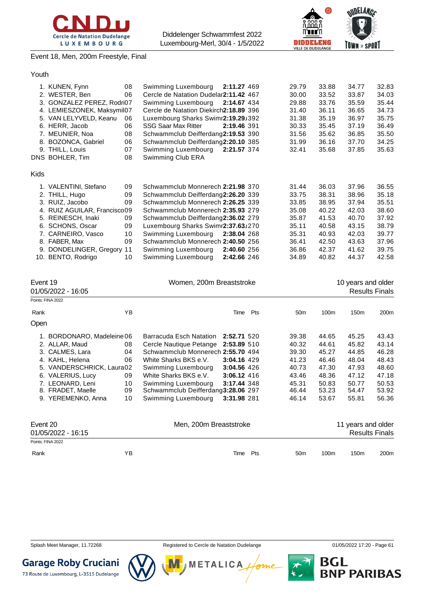



Event 18, Men, 200m Freestyle, Final

| 1. KUNEN, Fynn<br>08<br>Swimming Luxembourg<br>2. WESTER, Ben<br>06<br>Cercle de Natation Dudelar2:11.42 467<br>3. GONZALEZ PEREZ, Rodri07<br>Swimming Luxembourg                                                                                                                                                                                                                                                                                                                                                                                                                                                             | 2:11.27 469<br>2:14.67 434                |     | 29.79<br>30.00<br>29.88                                                                | 33.88<br>33.52<br>33.76                                                                | 34.77<br>33.87<br>35.59                                                                | 32.83<br>34.03<br>35.44                                                                |
|-------------------------------------------------------------------------------------------------------------------------------------------------------------------------------------------------------------------------------------------------------------------------------------------------------------------------------------------------------------------------------------------------------------------------------------------------------------------------------------------------------------------------------------------------------------------------------------------------------------------------------|-------------------------------------------|-----|----------------------------------------------------------------------------------------|----------------------------------------------------------------------------------------|----------------------------------------------------------------------------------------|----------------------------------------------------------------------------------------|
| 4. LEMIESZONEK, Maksymil07<br>Cercle de Natation Diekirch2:18.89 396<br>5. VAN LELYVELD, Keanu<br>Luxembourg Sharks Swimr2:19.29J392<br>06<br>6. HERR, Jacob<br>06<br><b>SSG Saar Max Ritter</b><br>7. MEUNIER, Noa<br>08<br>Schwammclub Deifferdang2:19.53 390<br>8. BOZONCA, Gabriel<br>06<br>Schwammclub Deifferdang2:20.10 385<br>9. THILL, Louis<br>07<br>Swimming Luxembourg<br>DNS BOHLER, Tim<br>08<br>Swimming Club ERA                                                                                                                                                                                              | 2:19.46 391<br>2:21.57 374                |     | 31.40<br>31.38<br>30.33<br>31.56<br>31.99<br>32.41                                     | 36.11<br>35.19<br>35.45<br>35.62<br>36.16<br>35.68                                     | 36.65<br>36.97<br>37.19<br>36.85<br>37.70<br>37.85                                     | 34.73<br>35.75<br>36.49<br>35.50<br>34.25<br>35.63                                     |
| Kids                                                                                                                                                                                                                                                                                                                                                                                                                                                                                                                                                                                                                          |                                           |     |                                                                                        |                                                                                        |                                                                                        |                                                                                        |
| 1. VALENTINI, Stefano<br>09<br>Schwammclub Monnerech 2:21.98 370<br>2. THILL, Hugo<br>09<br>Schwammclub Deifferdang2:26.20 339<br>3. RUIZ, Jacobo<br>09<br>Schwammclub Monnerech 2:26.25 339<br>Schwammclub Monnerech 2:35.93 279<br>4. RUIZ AGUILAR, Francisco09<br>5. REINESCH, Inaki<br>09<br>Schwammclub Deifferdang2:36.02 279<br>09<br>6. SCHONS, Oscar<br>Luxembourg Sharks Swimr2:37.63J270<br>7. CARNEIRO, Vasco<br>10<br>Swimming Luxembourg<br>8. FABER, Max<br>09<br>Schwammclub Monnerech 2:40.50 256<br>9. DONDELINGER, Gregory<br>11<br>Swimming Luxembourg<br>10. BENTO, Rodrigo<br>10<br>Swimming Luxembourg | 2:38.04 268<br>2:40.60 256<br>2:42.66 246 |     | 31.44<br>33.75<br>33.85<br>35.08<br>35.87<br>35.11<br>35.31<br>36.41<br>36.86<br>34.89 | 36.03<br>38.31<br>38.95<br>40.22<br>41.53<br>40.58<br>40.93<br>42.50<br>42.37<br>40.82 | 37.96<br>38.96<br>37.94<br>42.03<br>40.70<br>43.15<br>42.03<br>43.63<br>41.62<br>44.37 | 36.55<br>35.18<br>35.51<br>38.60<br>37.92<br>38.79<br>39.77<br>37.96<br>39.75<br>42.58 |
| Event 19<br>Women, 200m Breaststroke<br>01/05/2022 - 16:05<br>Points: FINA 2022                                                                                                                                                                                                                                                                                                                                                                                                                                                                                                                                               |                                           |     |                                                                                        |                                                                                        | 10 years and older<br><b>Results Finals</b>                                            |                                                                                        |
| YB<br>Rank                                                                                                                                                                                                                                                                                                                                                                                                                                                                                                                                                                                                                    | Time                                      | Pts | 50 <sub>m</sub>                                                                        | 100m                                                                                   | 150m                                                                                   | 200m                                                                                   |
| Open                                                                                                                                                                                                                                                                                                                                                                                                                                                                                                                                                                                                                          |                                           |     |                                                                                        |                                                                                        |                                                                                        |                                                                                        |
| Barracuda Esch Natation 2:52.71 520<br>1. BORDONARO, Madeleine 06<br>2. ALLAR, Maud<br>Cercle Nautique Petange 2:53.89 510<br>08<br>04<br>3. CALMES, Lara<br>Schwammclub Monnerech 2:55.70 494<br>/\\ N/hita Sharke RKS a<br>A KAHI Halana<br>nr.                                                                                                                                                                                                                                                                                                                                                                             | $3.0416$ $120$                            |     | 39.38<br>40.32<br>39.30<br>11 23                                                       | 44.65<br>44.61<br>45.27<br>ABAB                                                        | 45.25<br>45.82<br>44.85<br>AR OA                                                       | 43.43<br>43.14<br>46.28<br>ABA3                                                        |

| Event 20<br>01/05/2022 - 16:15 |                                       | Men, 200m Breaststroke |                                                           |             |                | 11 years and older | <b>Results Finals</b> |                |
|--------------------------------|---------------------------------------|------------------------|-----------------------------------------------------------|-------------|----------------|--------------------|-----------------------|----------------|
|                                | 9. YEREMENKO, Anna                    | 10                     | Swimming Luxembourg                                       | 3:31.98 281 | 46.14          | 53.67              | 55.81                 | 56.36          |
|                                | 7. LEONARD, Leni<br>8. FRADET, Maelle | 10<br>09               | Swimming Luxembourg<br>Schwammclub Deifferdang3:28.06 297 | 3:17.44 348 | 45.31<br>46.44 | 50.83<br>53.23     | 50.77<br>54.47        | 50.53<br>53.92 |
|                                | 6. VALERIUS, Lucy                     | 09                     | White Sharks BKS e.V.                                     | 3:06.12 416 | 43.46          | 48.36              | 47.12                 | 47.18          |
|                                | 5. VANDERSCHRICK, Laura02             |                        | Swimming Luxembourg                                       | 3:04.56 426 | 40.73          | 47.30              | 47.93                 | 48.60          |
|                                | 4. KAHL, Helena                       | 06                     | White Sharks BKS e.V.                                     | 3:04.16 429 | 41.23          | 46.46              | 48.04                 | 48.43          |
|                                | 3. CALMES, Lara                       | 04                     | Schwammclub Monnerech 2:55.70 494                         |             | 39.30          | 45.27              | 44.85                 | 46.28          |
|                                | 2. ALLAR, Maud                        | 08                     | Cercle Nautique Petange 2:53.89 510                       |             | 40.32          | 44.61              | 45.82                 | 43.14          |
|                                | 1. BORDONARO, Madeleine 06            |                        | Barracuda Esch Natation 2:52.71 520                       |             | 39.38          | 44.65              | 45.25                 | 43.43          |
|                                |                                       |                        |                                                           |             |                |                    |                       |                |

| U1/U3/ZUZZ - 10.15 |    |             |     |      |      |      |
|--------------------|----|-------------|-----|------|------|------|
| Points: FINA 2022  |    |             |     |      |      |      |
| Rank               | ΥB | Time<br>Pts | 50m | 100m | 150m | 200m |

Splash Meet Manager, 11.72268 **Registered to Cercle de Natation Dudelange 11/05/2022 17:20 - Page 61** 





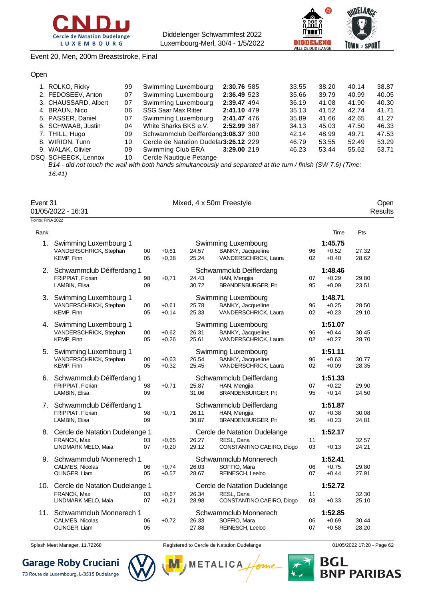



#### Event 20, Men, 200m Breaststroke, Final

#### Open

| 1. ROLKO, Ricky      | 99 | Swimming Luxembourg                    | 2:30.76 585 | 33.55 | 38.20 | 40.14 | 38.87 |
|----------------------|----|----------------------------------------|-------------|-------|-------|-------|-------|
| 2. FEDOSEEV, Anton   | 07 | Swimming Luxembourg                    | 2:36.49 523 | 35.66 | 39.79 | 40.99 | 40.05 |
| 3. CHAUSSARD, Albert | 07 | Swimming Luxembourg                    | 2:39.47 494 | 36.19 | 41.08 | 41.90 | 40.30 |
| 4. BRAUN, Nico       | 06 | <b>SSG Saar Max Ritter</b>             | 2:41.10 479 | 35.13 | 41.52 | 42.74 | 41.71 |
| 5. PASSER, Daniel    | 07 | Swimming Luxembourg                    | 2:41.47 476 | 35.89 | 41.66 | 42.65 | 41.27 |
| 6. SCHWAAB, Justin   | 04 | White Sharks BKS e.V.                  | 2:52.99 387 | 34.13 | 45.03 | 47.50 | 46.33 |
| 7. THILL, Hugo       | 09 | Schwammclub Deifferdang3:08.37 300     |             | 42.14 | 48.99 | 49.71 | 47.53 |
| 8. WIRION, Tunn      | 10 | Cercle de Natation Dudelar 3:26.12 229 |             | 46.79 | 53.55 | 52.49 | 53.29 |
| 9. WALAK, Olivier    | 09 | Swimming Club ERA                      | 3:29.00 219 | 46.23 | 53.44 | 55.62 | 53.71 |
| DSQ SCHEECK, Lennox  | 10 | Cercle Nautique Petange                |             |       |       |       |       |

*B14 - did not touch the wall with both hands simultaneously and separated at the turn / finish (SW 7.6) (Time: 16:41)*

| Event 31           | Mixed, 4 x 50m Freestyle | Jper    |  |  |
|--------------------|--------------------------|---------|--|--|
| 01/05/2022 - 16:31 |                          | Results |  |  |
| Points: FINA 2022  |                          |         |  |  |

| Rank |                                                                         |          |                    |                |                                                                         |          | Time                          | Pts            |
|------|-------------------------------------------------------------------------|----------|--------------------|----------------|-------------------------------------------------------------------------|----------|-------------------------------|----------------|
| 1.   | Swimming Luxembourg 1<br>VANDERSCHRICK, Stephan<br>KEMP, Finn           | 00<br>05 | $+0,61$<br>$+0,38$ | 24.57<br>25.24 | Swimming Luxembourg<br>BANKY, Jacqueline<br>VANDERSCHRICK, Laura        | 96<br>02 | 1:45.75<br>$+0.52$<br>$+0,40$ | 27.32<br>28.62 |
| 2.   | Schwammclub Déifferdang 1<br>FRIPPIAT. Florian<br>LAMBIN, Elisa         | 98<br>09 | $+0,71$            | 24.43<br>30.72 | Schwammclub Deifferdang<br>HAN, Mengjia<br><b>BRANDENBURGER, Pit</b>    | 07<br>95 | 1:48.46<br>$+0.29$<br>$+0.09$ | 29.80<br>23.51 |
| 3.   | Swimming Luxembourg 1<br>VANDERSCHRICK, Stephan<br>KEMP, Finn           | 00<br>05 | $+0,61$<br>$+0,14$ | 25.78<br>25.33 | Swimming Luxembourg<br>BANKY, Jacqueline<br>VANDERSCHRICK, Laura        | 96<br>02 | 1:48.71<br>$+0,25$<br>$+0,23$ | 28.50<br>29.10 |
| 4.   | Swimming Luxembourg 1<br>VANDERSCHRICK, Stephan<br>KEMP, Finn           | 00<br>05 | $+0,62$<br>$+0,26$ | 26.31<br>25.61 | Swimming Luxembourg<br>BANKY, Jacqueline<br>VANDERSCHRICK, Laura        | 96<br>02 | 1:51.07<br>$+0,44$<br>$+0.27$ | 30.45<br>28.70 |
| 5.   | Swimming Luxembourg 1<br>VANDERSCHRICK, Stephan<br>KEMP, Finn           | 00<br>05 | $+0,63$<br>$+0,32$ | 26.54<br>25.45 | Swimming Luxembourg<br>BANKY, Jacqueline<br>VANDERSCHRICK, Laura        | 96<br>02 | 1:51.11<br>$+0,63$<br>$+0.09$ | 30.77<br>28.35 |
| 6.   | Schwammclub Déifferdang 1<br>FRIPPIAT, Florian<br>LAMBIN, Elisa         | 98<br>09 | $+0,71$            | 25.87<br>31.06 | Schwammclub Deifferdang<br>HAN, Mengjia<br><b>BRANDENBURGER, Pit</b>    | 07<br>95 | 1:51.33<br>$+0,22$<br>$+0,14$ | 29.90<br>24.50 |
| 7.   | Schwammclub Déifferdang 1<br>FRIPPIAT, Florian<br>LAMBIN, Elisa         | 98<br>09 | $+0,71$            | 26.11<br>30.87 | Schwammclub Deifferdang<br>HAN, Mengjia<br><b>BRANDENBURGER, Pit</b>    | 07<br>95 | 1:51.87<br>$+0,38$<br>$+0.23$ | 30.08<br>24.81 |
|      | 8. Cercle de Natation Dudelange 1<br>FRANCK, Max<br>LINDMARK MELO, Maia | 03<br>07 | $+0.65$<br>$+0,20$ | 26.27<br>29.12 | Cercle de Natation Dudelange<br>RESL, Dana<br>CONSTANTINO CAEIRO, Diogo | 11<br>03 | 1:52.17<br>$+0,13$            | 32.57<br>24.21 |
| 9.   | Schwammclub Monnerech 1<br>CALMES, Nicolas<br>OLINGER, Liam             | 06<br>05 | $+0.74$<br>$+0.57$ | 26.03<br>28.67 | Schwammclub Monnerech<br>SOFFIO. Mara<br>REINESCH, Leeloo               | 06<br>07 | 1:52.41<br>$+0.75$<br>$+0,44$ | 29.80<br>27.91 |
| 10.  | Cercle de Natation Dudelange 1<br>FRANCK, Max<br>LINDMARK MELO, Maia    | 03<br>07 | $+0,67$<br>$+0,21$ | 26.34<br>28.98 | Cercle de Natation Dudelange<br>RESL, Dana<br>CONSTANTINO CAEIRO, Diogo | 11<br>03 | 1:52.72<br>$+0,33$            | 32.30<br>25.10 |
| 11.  | Schwammclub Monnerech 1<br>CALMES, Nicolas<br>OLINGER, Liam             | 06<br>05 | $+0,72$            | 26.33<br>27.88 | Schwammclub Monnerech<br>SOFFIO, Mara<br>REINESCH, Leeloo               | 06<br>07 | 1:52.85<br>$+0.69$<br>$+0,58$ | 30.44<br>28.20 |

**Garage Roby Cruciani** 

73 Route de Luxembourg, L-3515 Dudelange